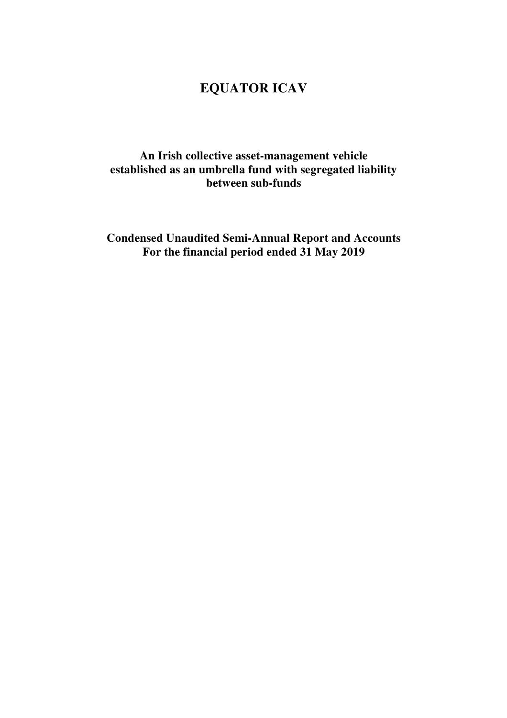## **An Irish collective asset-management vehicle established as an umbrella fund with segregated liability between sub-funds**

**Condensed Unaudited Semi-Annual Report and Accounts For the financial period ended 31 May 2019**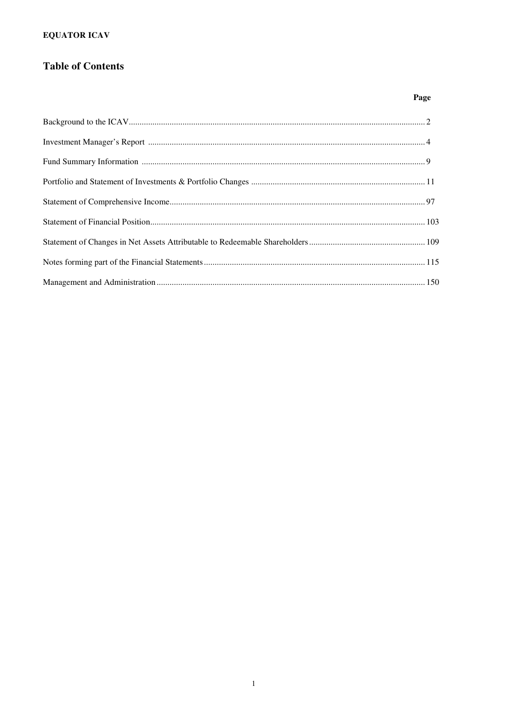## **Table of Contents**

### Page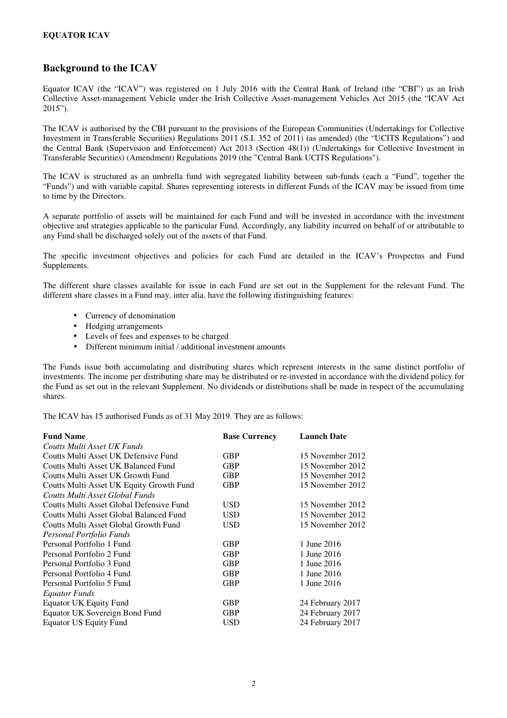### **Background to the ICAV**

Equator ICAV (the "ICAV") was registered on 1 July 2016 with the Central Bank of Ireland (the "CBI") as an Irish Collective Asset-management Vehicle under the Irish Collective Asset-management Vehicles Act 2015 (the "ICAV Act 2015").

The ICAV is authorised by the CBI pursuant to the provisions of the European Communities (Undertakings for Collective Investment in Transferable Securities) Regulations 2011 (S.I. 352 of 2011) (as amended) (the "UCITS Regulations") and the Central Bank (Supervision and Enforcement) Act 2013 (Section 48(1)) (Undertakings for Collective Investment in Transferable Securities) (Amendment) Regulations 2019 (the "Central Bank UCITS Regulations").

The ICAV is structured as an umbrella fund with segregated liability between sub-funds (each a "Fund", together the "Funds") and with variable capital. Shares representing interests in different Funds of the ICAV may be issued from time to time by the Directors.

A separate portfolio of assets will be maintained for each Fund and will be invested in accordance with the investment objective and strategies applicable to the particular Fund. Accordingly, any liability incurred on behalf of or attributable to any Fund shall be discharged solely out of the assets of that Fund.

The specific investment objectives and policies for each Fund are detailed in the ICAV's Prospectus and Fund Supplements.

The different share classes available for issue in each Fund are set out in the Supplement for the relevant Fund. The different share classes in a Fund may, inter alia, have the following distinguishing features:

- Currency of denomination
- Hedging arrangements
- Levels of fees and expenses to be charged
- Different minimum initial / additional investment amounts

The Funds issue both accumulating and distributing shares which represent interests in the same distinct portfolio of investments. The income per distributing share may be distributed or re-invested in accordance with the dividend policy for the Fund as set out in the relevant Supplement. No dividends or distributions shall be made in respect of the accumulating shares.

The ICAV has 15 authorised Funds as of 31 May 2019. They are as follows:

| <b>Fund Name</b>                         | <b>Base Currency</b> | <b>Launch Date</b> |
|------------------------------------------|----------------------|--------------------|
| Coutts Multi Asset UK Funds              |                      |                    |
| Coutts Multi Asset UK Defensive Fund     | <b>GBP</b>           | 15 November 2012   |
| Coutts Multi Asset UK Balanced Fund      | <b>GBP</b>           | 15 November 2012   |
| Coutts Multi Asset UK Growth Fund        | <b>GBP</b>           | 15 November 2012   |
| Coutts Multi Asset UK Equity Growth Fund | GBP                  | 15 November 2012   |
| Coutts Multi Asset Global Funds          |                      |                    |
| Coutts Multi Asset Global Defensive Fund | USD                  | 15 November 2012   |
| Coutts Multi Asset Global Balanced Fund  | <b>USD</b>           | 15 November 2012   |
| Coutts Multi Asset Global Growth Fund    | <b>USD</b>           | 15 November 2012   |
| Personal Portfolio Funds                 |                      |                    |
| Personal Portfolio 1 Fund                | <b>GBP</b>           | 1 June 2016        |
| Personal Portfolio 2 Fund                | <b>GBP</b>           | 1 June 2016        |
| Personal Portfolio 3 Fund                | <b>GBP</b>           | 1 June 2016        |
| Personal Portfolio 4 Fund                | <b>GBP</b>           | 1 June 2016        |
| Personal Portfolio 5 Fund                | <b>GBP</b>           | 1 June 2016        |
| Equator Funds                            |                      |                    |
| <b>Equator UK Equity Fund</b>            | <b>GBP</b>           | 24 February 2017   |
| Equator UK Sovereign Bond Fund           | <b>GBP</b>           | 24 February 2017   |
| Equator US Equity Fund                   | USD                  | 24 February 2017   |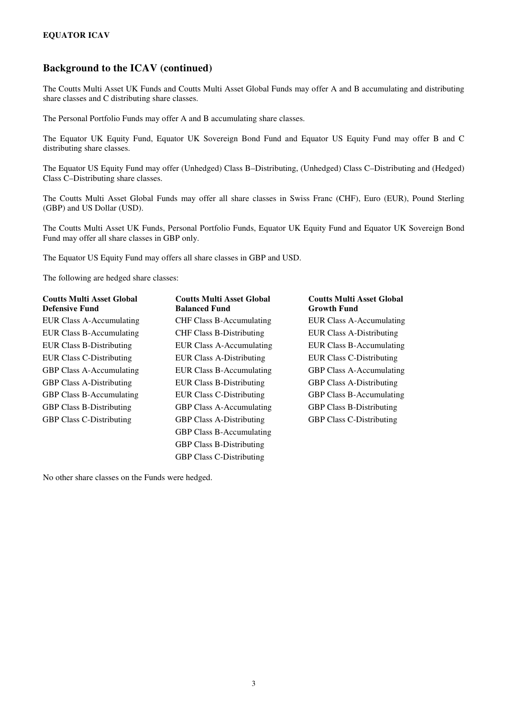### **Background to the ICAV (continued)**

The Coutts Multi Asset UK Funds and Coutts Multi Asset Global Funds may offer A and B accumulating and distributing share classes and C distributing share classes.

The Personal Portfolio Funds may offer A and B accumulating share classes.

The Equator UK Equity Fund, Equator UK Sovereign Bond Fund and Equator US Equity Fund may offer B and C distributing share classes.

The Equator US Equity Fund may offer (Unhedged) Class B–Distributing, (Unhedged) Class C–Distributing and (Hedged) Class C–Distributing share classes.

The Coutts Multi Asset Global Funds may offer all share classes in Swiss Franc (CHF), Euro (EUR), Pound Sterling (GBP) and US Dollar (USD).

The Coutts Multi Asset UK Funds, Personal Portfolio Funds, Equator UK Equity Fund and Equator UK Sovereign Bond Fund may offer all share classes in GBP only.

The Equator US Equity Fund may offers all share classes in GBP and USD.

The following are hedged share classes:

| <b>Coutts Multi Asset Global</b><br><b>Defensive Fund</b> | <b>Coutts Multi Asset Global</b><br><b>Balanced Fund</b> | <b>Coutts Multi Asset Global</b><br><b>Growth Fund</b> |
|-----------------------------------------------------------|----------------------------------------------------------|--------------------------------------------------------|
| EUR Class A-Accumulating                                  | <b>CHF Class B-Accumulating</b>                          | EUR Class A-Accumulating                               |
| EUR Class B-Accumulating                                  | <b>CHF Class B-Distributing</b>                          | <b>EUR Class A-Distributing</b>                        |
| EUR Class B-Distributing                                  | <b>EUR Class A-Accumulating</b>                          | EUR Class B-Accumulating                               |
| <b>EUR Class C-Distributing</b>                           | <b>EUR Class A-Distributing</b>                          | <b>EUR Class C-Distributing</b>                        |
| <b>GBP Class A-Accumulating</b>                           | EUR Class B-Accumulating                                 | <b>GBP Class A-Accumulating</b>                        |
| <b>GBP Class A-Distributing</b>                           | <b>EUR Class B-Distributing</b>                          | <b>GBP Class A-Distributing</b>                        |
| <b>GBP Class B-Accumulating</b>                           | <b>EUR Class C-Distributing</b>                          | <b>GBP Class B-Accumulating</b>                        |
| <b>GBP Class B-Distributing</b>                           | <b>GBP Class A-Accumulating</b>                          | <b>GBP Class B-Distributing</b>                        |
| <b>GBP Class C-Distributing</b>                           | <b>GBP Class A-Distributing</b>                          | <b>GBP Class C-Distributing</b>                        |
|                                                           | <b>GBP Class B-Accumulating</b>                          |                                                        |
|                                                           | <b>GBP Class B-Distributing</b>                          |                                                        |
|                                                           | <b>GBP Class C-Distributing</b>                          |                                                        |

No other share classes on the Funds were hedged.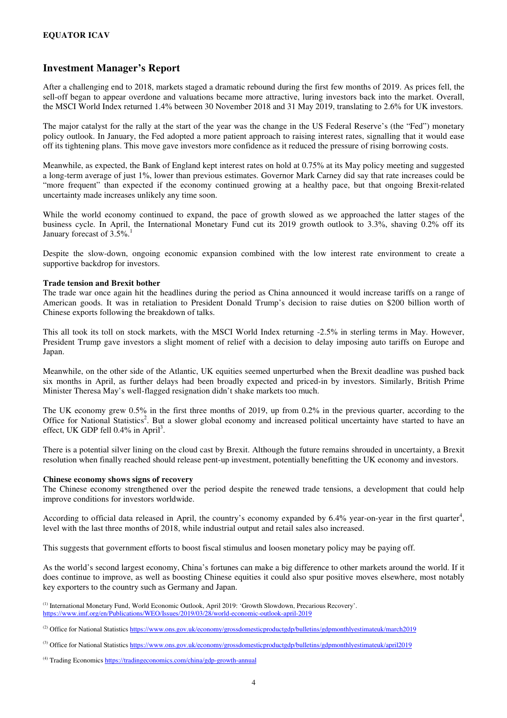### **Investment Manager's Report**

After a challenging end to 2018, markets staged a dramatic rebound during the first few months of 2019. As prices fell, the sell-off began to appear overdone and valuations became more attractive, luring investors back into the market. Overall, the MSCI World Index returned 1.4% between 30 November 2018 and 31 May 2019, translating to 2.6% for UK investors.

The major catalyst for the rally at the start of the year was the change in the US Federal Reserve's (the "Fed") monetary policy outlook. In January, the Fed adopted a more patient approach to raising interest rates, signalling that it would ease off its tightening plans. This move gave investors more confidence as it reduced the pressure of rising borrowing costs.

Meanwhile, as expected, the Bank of England kept interest rates on hold at 0.75% at its May policy meeting and suggested a long-term average of just 1%, lower than previous estimates. Governor Mark Carney did say that rate increases could be "more frequent" than expected if the economy continued growing at a healthy pace, but that ongoing Brexit-related uncertainty made increases unlikely any time soon.

While the world economy continued to expand, the pace of growth slowed as we approached the latter stages of the business cycle. In April, the International Monetary Fund cut its 2019 growth outlook to 3.3%, shaving 0.2% off its January forecast of 3.5%.

Despite the slow-down, ongoing economic expansion combined with the low interest rate environment to create a supportive backdrop for investors.

#### **Trade tension and Brexit bother**

The trade war once again hit the headlines during the period as China announced it would increase tariffs on a range of American goods. It was in retaliation to President Donald Trump's decision to raise duties on \$200 billion worth of Chinese exports following the breakdown of talks.

This all took its toll on stock markets, with the MSCI World Index returning -2.5% in sterling terms in May. However, President Trump gave investors a slight moment of relief with a decision to delay imposing auto tariffs on Europe and Japan.

Meanwhile, on the other side of the Atlantic, UK equities seemed unperturbed when the Brexit deadline was pushed back six months in April, as further delays had been broadly expected and priced-in by investors. Similarly, British Prime Minister Theresa May's well-flagged resignation didn't shake markets too much.

The UK economy grew 0.5% in the first three months of 2019, up from 0.2% in the previous quarter, according to the Office for National Statistics<sup>2</sup>. But a slower global economy and increased political uncertainty have started to have an effect, UK GDP fell  $0.4\%$  in April<sup>3</sup>.

There is a potential silver lining on the cloud cast by Brexit. Although the future remains shrouded in uncertainty, a Brexit resolution when finally reached should release pent-up investment, potentially benefitting the UK economy and investors.

#### **Chinese economy shows signs of recovery**

The Chinese economy strengthened over the period despite the renewed trade tensions, a development that could help improve conditions for investors worldwide.

According to official data released in April, the country's economy expanded by  $6.4\%$  year-on-year in the first quarter<sup>4</sup>, level with the last three months of 2018, while industrial output and retail sales also increased.

This suggests that government efforts to boost fiscal stimulus and loosen monetary policy may be paying off.

As the world's second largest economy, China's fortunes can make a big difference to other markets around the world. If it does continue to improve, as well as boosting Chinese equities it could also spur positive moves elsewhere, most notably key exporters to the country such as Germany and Japan.

(3) Office for National Statistics https://www.ons.gov.uk/economy/grossdomesticproductgdp/bulletins/gdpmonthlyestimateuk/april2019

<sup>(1)</sup> International Monetary Fund, World Economic Outlook, April 2019: 'Growth Slowdown, Precarious Recovery'. https://www.imf.org/en/Publications/WEO/Issues/2019/03/28/world-economic-outlook-april-2019

<sup>&</sup>lt;sup>(2)</sup> Office for National Statistics https://www.ons.gov.uk/economy/grossdomesticproductgdp/bulletins/gdpmonthlyestimateuk/march2019

<sup>(4)</sup> Trading Economics https://tradingeconomics.com/china/gdp-growth-annual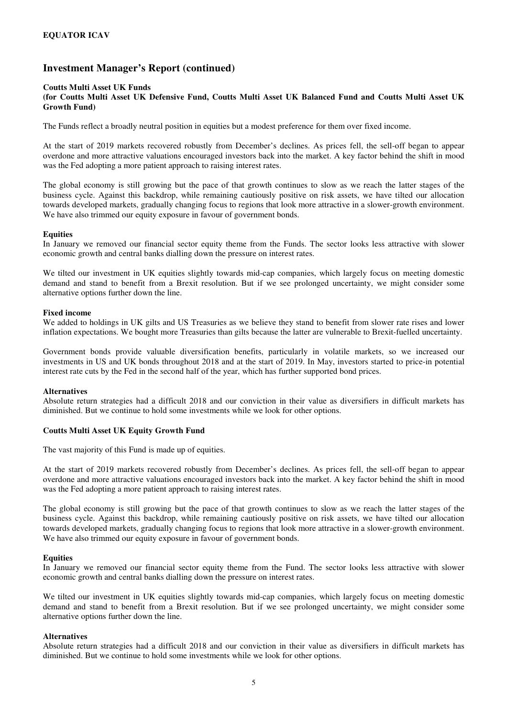#### **Coutts Multi Asset UK Funds (for Coutts Multi Asset UK Defensive Fund, Coutts Multi Asset UK Balanced Fund and Coutts Multi Asset UK Growth Fund)**

The Funds reflect a broadly neutral position in equities but a modest preference for them over fixed income.

At the start of 2019 markets recovered robustly from December's declines. As prices fell, the sell-off began to appear overdone and more attractive valuations encouraged investors back into the market. A key factor behind the shift in mood was the Fed adopting a more patient approach to raising interest rates.

The global economy is still growing but the pace of that growth continues to slow as we reach the latter stages of the business cycle. Against this backdrop, while remaining cautiously positive on risk assets, we have tilted our allocation towards developed markets, gradually changing focus to regions that look more attractive in a slower-growth environment. We have also trimmed our equity exposure in favour of government bonds.

#### **Equities**

In January we removed our financial sector equity theme from the Funds. The sector looks less attractive with slower economic growth and central banks dialling down the pressure on interest rates.

We tilted our investment in UK equities slightly towards mid-cap companies, which largely focus on meeting domestic demand and stand to benefit from a Brexit resolution. But if we see prolonged uncertainty, we might consider some alternative options further down the line.

#### **Fixed income**

We added to holdings in UK gilts and US Treasuries as we believe they stand to benefit from slower rate rises and lower inflation expectations. We bought more Treasuries than gilts because the latter are vulnerable to Brexit-fuelled uncertainty.

Government bonds provide valuable diversification benefits, particularly in volatile markets, so we increased our investments in US and UK bonds throughout 2018 and at the start of 2019. In May, investors started to price-in potential interest rate cuts by the Fed in the second half of the year, which has further supported bond prices.

#### **Alternatives**

Absolute return strategies had a difficult 2018 and our conviction in their value as diversifiers in difficult markets has diminished. But we continue to hold some investments while we look for other options.

### **Coutts Multi Asset UK Equity Growth Fund**

The vast majority of this Fund is made up of equities.

At the start of 2019 markets recovered robustly from December's declines. As prices fell, the sell-off began to appear overdone and more attractive valuations encouraged investors back into the market. A key factor behind the shift in mood was the Fed adopting a more patient approach to raising interest rates.

The global economy is still growing but the pace of that growth continues to slow as we reach the latter stages of the business cycle. Against this backdrop, while remaining cautiously positive on risk assets, we have tilted our allocation towards developed markets, gradually changing focus to regions that look more attractive in a slower-growth environment. We have also trimmed our equity exposure in favour of government bonds.

#### **Equities**

In January we removed our financial sector equity theme from the Fund. The sector looks less attractive with slower economic growth and central banks dialling down the pressure on interest rates.

We tilted our investment in UK equities slightly towards mid-cap companies, which largely focus on meeting domestic demand and stand to benefit from a Brexit resolution. But if we see prolonged uncertainty, we might consider some alternative options further down the line.

#### **Alternatives**

Absolute return strategies had a difficult 2018 and our conviction in their value as diversifiers in difficult markets has diminished. But we continue to hold some investments while we look for other options.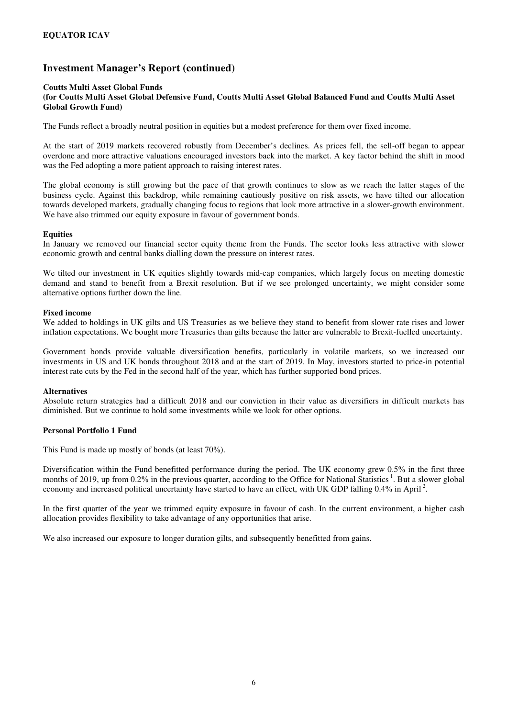#### **Coutts Multi Asset Global Funds (for Coutts Multi Asset Global Defensive Fund, Coutts Multi Asset Global Balanced Fund and Coutts Multi Asset Global Growth Fund)**

The Funds reflect a broadly neutral position in equities but a modest preference for them over fixed income.

At the start of 2019 markets recovered robustly from December's declines. As prices fell, the sell-off began to appear overdone and more attractive valuations encouraged investors back into the market. A key factor behind the shift in mood was the Fed adopting a more patient approach to raising interest rates.

The global economy is still growing but the pace of that growth continues to slow as we reach the latter stages of the business cycle. Against this backdrop, while remaining cautiously positive on risk assets, we have tilted our allocation towards developed markets, gradually changing focus to regions that look more attractive in a slower-growth environment. We have also trimmed our equity exposure in favour of government bonds.

### **Equities**

In January we removed our financial sector equity theme from the Funds. The sector looks less attractive with slower economic growth and central banks dialling down the pressure on interest rates.

We tilted our investment in UK equities slightly towards mid-cap companies, which largely focus on meeting domestic demand and stand to benefit from a Brexit resolution. But if we see prolonged uncertainty, we might consider some alternative options further down the line.

#### **Fixed income**

We added to holdings in UK gilts and US Treasuries as we believe they stand to benefit from slower rate rises and lower inflation expectations. We bought more Treasuries than gilts because the latter are vulnerable to Brexit-fuelled uncertainty.

Government bonds provide valuable diversification benefits, particularly in volatile markets, so we increased our investments in US and UK bonds throughout 2018 and at the start of 2019. In May, investors started to price-in potential interest rate cuts by the Fed in the second half of the year, which has further supported bond prices.

### **Alternatives**

Absolute return strategies had a difficult 2018 and our conviction in their value as diversifiers in difficult markets has diminished. But we continue to hold some investments while we look for other options.

### **Personal Portfolio 1 Fund**

This Fund is made up mostly of bonds (at least 70%).

Diversification within the Fund benefitted performance during the period. The UK economy grew 0.5% in the first three months of 2019, up from 0.2% in the previous quarter, according to the Office for National Statistics<sup>1</sup>. But a slower global economy and increased political uncertainty have started to have an effect, with UK GDP falling  $0.4\%$  in April<sup>2</sup>.

In the first quarter of the year we trimmed equity exposure in favour of cash. In the current environment, a higher cash allocation provides flexibility to take advantage of any opportunities that arise.

We also increased our exposure to longer duration gilts, and subsequently benefitted from gains.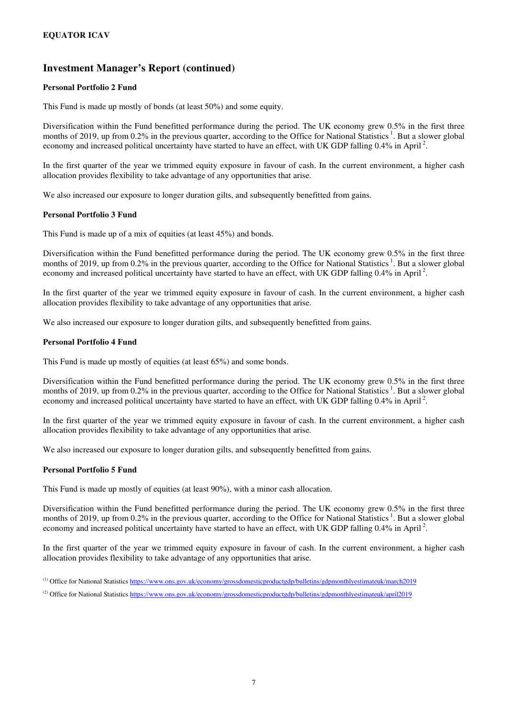### **Personal Portfolio 2 Fund**

This Fund is made up mostly of bonds (at least 50%) and some equity.

Diversification within the Fund benefitted performance during the period. The UK economy grew 0.5% in the first three months of 2019, up from 0.2% in the previous quarter, according to the Office for National Statistics<sup>1</sup>. But a slower global economy and increased political uncertainty have started to have an effect, with UK GDP falling  $0.4\%$  in April<sup>2</sup>.

In the first quarter of the year we trimmed equity exposure in favour of cash. In the current environment, a higher cash allocation provides flexibility to take advantage of any opportunities that arise.

We also increased our exposure to longer duration gilts, and subsequently benefitted from gains.

### **Personal Portfolio 3 Fund**

This Fund is made up of a mix of equities (at least 45%) and bonds.

Diversification within the Fund benefitted performance during the period. The UK economy grew 0.5% in the first three months of 2019, up from 0.2% in the previous quarter, according to the Office for National Statistics<sup>1</sup>. But a slower global economy and increased political uncertainty have started to have an effect, with UK GDP falling  $0.4\%$  in April<sup>2</sup>.

In the first quarter of the year we trimmed equity exposure in favour of cash. In the current environment, a higher cash allocation provides flexibility to take advantage of any opportunities that arise.

We also increased our exposure to longer duration gilts, and subsequently benefitted from gains.

### **Personal Portfolio 4 Fund**

This Fund is made up mostly of equities (at least 65%) and some bonds.

Diversification within the Fund benefitted performance during the period. The UK economy grew 0.5% in the first three months of 2019, up from 0.2% in the previous quarter, according to the Office for National Statistics<sup>1</sup>. But a slower global economy and increased political uncertainty have started to have an effect, with UK GDP falling  $0.4\%$  in April<sup>2</sup>.

In the first quarter of the year we trimmed equity exposure in favour of cash. In the current environment, a higher cash allocation provides flexibility to take advantage of any opportunities that arise.

We also increased our exposure to longer duration gilts, and subsequently benefitted from gains.

### **Personal Portfolio 5 Fund**

This Fund is made up mostly of equities (at least 90%), with a minor cash allocation.

Diversification within the Fund benefitted performance during the period. The UK economy grew 0.5% in the first three months of 2019, up from 0.2% in the previous quarter, according to the Office for National Statistics<sup>1</sup>. But a slower global economy and increased political uncertainty have started to have an effect, with UK GDP falling 0.4% in April<sup>2</sup>.

In the first quarter of the year we trimmed equity exposure in favour of cash. In the current environment, a higher cash allocation provides flexibility to take advantage of any opportunities that arise.

<sup>(1)</sup> Office for National Statistics https://www.ons.gov.uk/economy/grossdomesticproductgdp/bulletins/gdpmonthlyestimateuk/march2019

<sup>(2)</sup> Office for National Statistics https://www.ons.gov.uk/economy/grossdomesticproductgdp/bulletins/gdpmonthlyestimateuk/april2019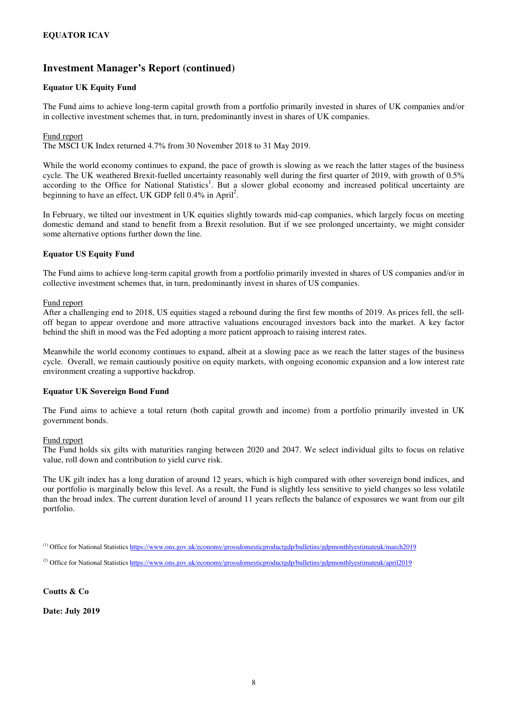### **Equator UK Equity Fund**

The Fund aims to achieve long-term capital growth from a portfolio primarily invested in shares of UK companies and/or in collective investment schemes that, in turn, predominantly invest in shares of UK companies.

#### Fund report

The MSCI UK Index returned 4.7% from 30 November 2018 to 31 May 2019.

While the world economy continues to expand, the pace of growth is slowing as we reach the latter stages of the business cycle. The UK weathered Brexit-fuelled uncertainty reasonably well during the first quarter of 2019, with growth of 0.5% according to the Office for National Statistics<sup>1</sup>. But a slower global economy and increased political uncertainty are beginning to have an effect, UK GDP fell  $0.4\%$  in April<sup>2</sup>.

In February, we tilted our investment in UK equities slightly towards mid-cap companies, which largely focus on meeting domestic demand and stand to benefit from a Brexit resolution. But if we see prolonged uncertainty, we might consider some alternative options further down the line.

#### **Equator US Equity Fund**

The Fund aims to achieve long-term capital growth from a portfolio primarily invested in shares of US companies and/or in collective investment schemes that, in turn, predominantly invest in shares of US companies.

#### Fund report

After a challenging end to 2018, US equities staged a rebound during the first few months of 2019. As prices fell, the selloff began to appear overdone and more attractive valuations encouraged investors back into the market. A key factor behind the shift in mood was the Fed adopting a more patient approach to raising interest rates.

Meanwhile the world economy continues to expand, albeit at a slowing pace as we reach the latter stages of the business cycle. Overall, we remain cautiously positive on equity markets, with ongoing economic expansion and a low interest rate environment creating a supportive backdrop.

#### **Equator UK Sovereign Bond Fund**

The Fund aims to achieve a total return (both capital growth and income) from a portfolio primarily invested in UK government bonds.

#### Fund report

The Fund holds six gilts with maturities ranging between 2020 and 2047. We select individual gilts to focus on relative value, roll down and contribution to yield curve risk.

The UK gilt index has a long duration of around 12 years, which is high compared with other sovereign bond indices, and our portfolio is marginally below this level. As a result, the Fund is slightly less sensitive to yield changes so less volatile than the broad index. The current duration level of around 11 years reflects the balance of exposures we want from our gilt portfolio.

(1) Office for National Statistics https://www.ons.gov.uk/economy/grossdomesticproductgdp/bulletins/gdpmonthlyestimateuk/march2019

<sup>(2)</sup> Office for National Statistics https://www.ons.gov.uk/economy/grossdomesticproductgdp/bulletins/gdpmonthlyestimateuk/april2019

**Coutts & Co** 

**Date: July 2019**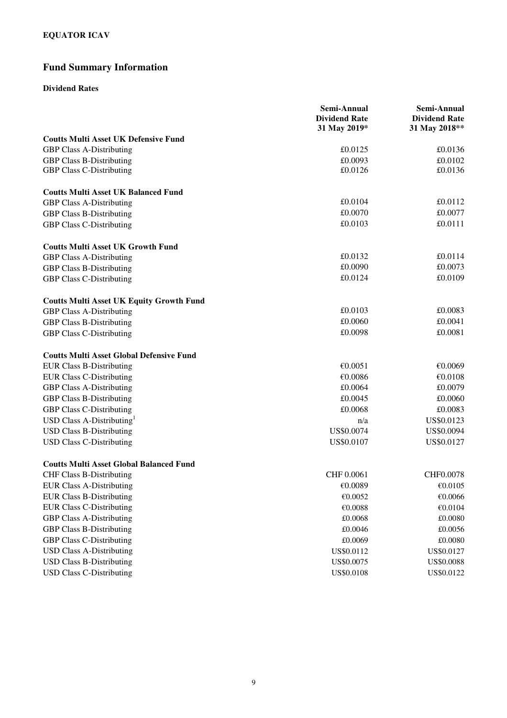# **Fund Summary Information**

### **Dividend Rates**

|                                                 | Semi-Annual<br><b>Dividend Rate</b> | Semi-Annual<br><b>Dividend Rate</b> |
|-------------------------------------------------|-------------------------------------|-------------------------------------|
|                                                 | 31 May 2019*                        | 31 May 2018**                       |
| <b>Coutts Multi Asset UK Defensive Fund</b>     |                                     |                                     |
| <b>GBP Class A-Distributing</b>                 | £0.0125                             | £0.0136                             |
| <b>GBP Class B-Distributing</b>                 | £0.0093                             | £0.0102                             |
| <b>GBP Class C-Distributing</b>                 | £0.0126                             | £0.0136                             |
| <b>Coutts Multi Asset UK Balanced Fund</b>      |                                     |                                     |
| <b>GBP Class A-Distributing</b>                 | £0.0104                             | £0.0112                             |
| <b>GBP Class B-Distributing</b>                 | £0.0070                             | £0.0077                             |
| <b>GBP Class C-Distributing</b>                 | £0.0103                             | £0.0111                             |
| <b>Coutts Multi Asset UK Growth Fund</b>        |                                     |                                     |
| <b>GBP Class A-Distributing</b>                 | £0.0132                             | £0.0114                             |
| <b>GBP Class B-Distributing</b>                 | £0.0090                             | £0.0073                             |
| <b>GBP Class C-Distributing</b>                 | £0.0124                             | £0.0109                             |
| <b>Coutts Multi Asset UK Equity Growth Fund</b> |                                     |                                     |
| <b>GBP Class A-Distributing</b>                 | £0.0103                             | £0.0083                             |
| <b>GBP Class B-Distributing</b>                 | £0.0060                             | £0.0041                             |
| <b>GBP Class C-Distributing</b>                 | £0.0098                             | £0.0081                             |
| <b>Coutts Multi Asset Global Defensive Fund</b> |                                     |                                     |
| <b>EUR Class B-Distributing</b>                 | €0.0051                             | €0.0069                             |
| <b>EUR Class C-Distributing</b>                 | €0.0086                             | €0.0108                             |
| <b>GBP Class A-Distributing</b>                 | £0.0064                             | £0.0079                             |
| <b>GBP Class B-Distributing</b>                 | £0.0045                             | £0.0060                             |
| <b>GBP Class C-Distributing</b>                 | £0.0068                             | £0.0083                             |
| USD Class A-Distributing <sup>1</sup>           | n/a                                 | US\$0.0123                          |
| <b>USD Class B-Distributing</b>                 | US\$0.0074                          | US\$0.0094                          |
| <b>USD Class C-Distributing</b>                 | US\$0.0107                          | US\$0.0127                          |
| <b>Coutts Multi Asset Global Balanced Fund</b>  |                                     |                                     |
| <b>CHF Class B-Distributing</b>                 | CHF 0.0061                          | CHF0.0078                           |
| <b>EUR Class A-Distributing</b>                 | €0.0089                             | €0.0105                             |
| <b>EUR Class B-Distributing</b>                 | €0.0052                             | €0.0066                             |
| <b>EUR Class C-Distributing</b>                 | $\mathcal{C}0.0088$                 | €0.0104                             |
| <b>GBP Class A-Distributing</b>                 | £0.0068                             | £0.0080                             |
| <b>GBP Class B-Distributing</b>                 | £0.0046                             | £0.0056                             |
| <b>GBP Class C-Distributing</b>                 | £0.0069                             | $\pounds0.0080$                     |
| <b>USD Class A-Distributing</b>                 | US\$0.0112                          | US\$0.0127                          |
| <b>USD Class B-Distributing</b>                 | US\$0.0075                          | US\$0.0088                          |
| <b>USD Class C-Distributing</b>                 | US\$0.0108                          | US\$0.0122                          |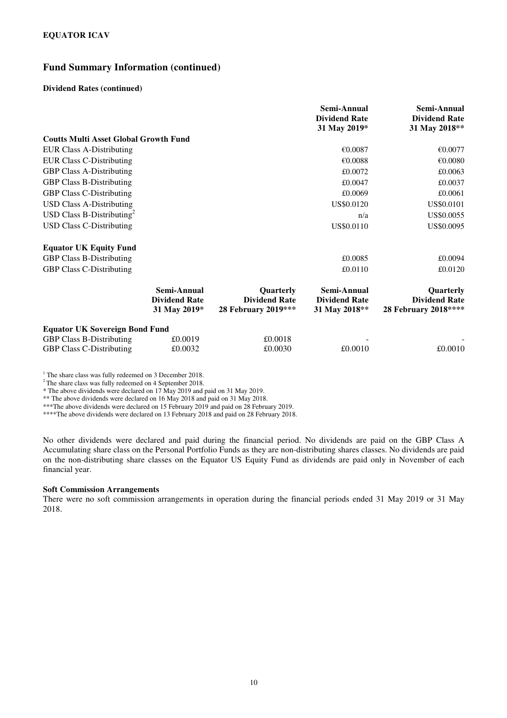### **Fund Summary Information (continued)**

#### **Dividend Rates (continued)**

|                                              |                                                     |                                                          | Semi-Annual<br><b>Dividend Rate</b><br>31 May 2019*  | Semi-Annual<br><b>Dividend Rate</b><br>31 May 2018**      |
|----------------------------------------------|-----------------------------------------------------|----------------------------------------------------------|------------------------------------------------------|-----------------------------------------------------------|
| <b>Coutts Multi Asset Global Growth Fund</b> |                                                     |                                                          |                                                      |                                                           |
| <b>EUR Class A-Distributing</b>              |                                                     |                                                          | €0.0087                                              | €0.0077                                                   |
| <b>EUR Class C-Distributing</b>              |                                                     |                                                          | €0.0088                                              | €0.0080                                                   |
| <b>GBP Class A-Distributing</b>              |                                                     |                                                          | £0.0072                                              | £0.0063                                                   |
| <b>GBP Class B-Distributing</b>              |                                                     |                                                          | £0.0047                                              | £0.0037                                                   |
| <b>GBP Class C-Distributing</b>              |                                                     |                                                          | £0.0069                                              | £0.0061                                                   |
| <b>USD Class A-Distributing</b>              |                                                     |                                                          | US\$0.0120                                           | US\$0.0101                                                |
| USD Class B-Distributing <sup>2</sup>        |                                                     |                                                          | n/a                                                  | US\$0.0055                                                |
| <b>USD Class C-Distributing</b>              |                                                     |                                                          | US\$0.0110                                           | US\$0.0095                                                |
| <b>Equator UK Equity Fund</b>                |                                                     |                                                          |                                                      |                                                           |
| <b>GBP Class B-Distributing</b>              |                                                     |                                                          | £0.0085                                              | £0.0094                                                   |
| <b>GBP Class C-Distributing</b>              |                                                     |                                                          | £0.0110                                              | £0.0120                                                   |
|                                              | Semi-Annual<br><b>Dividend Rate</b><br>31 May 2019* | Quarterly<br><b>Dividend Rate</b><br>28 February 2019*** | Semi-Annual<br><b>Dividend Rate</b><br>31 May 2018** | Quarterly<br><b>Dividend Rate</b><br>28 February 2018**** |
| <b>Equator UK Sovereign Bond Fund</b>        |                                                     |                                                          |                                                      |                                                           |
| <b>GBP Class B-Distributing</b>              | £0.0019                                             | £0.0018                                                  |                                                      |                                                           |
| <b>GBP Class C-Distributing</b>              | £0.0032                                             | £0.0030                                                  | £0.0010                                              | £0.0010                                                   |

<sup>1</sup> The share class was fully redeemed on 3 December 2018.

<sup>2</sup>The share class was fully redeemed on 4 September 2018.

\* The above dividends were declared on 17 May 2019 and paid on 31 May 2019.

\*\* The above dividends were declared on 16 May 2018 and paid on 31 May 2018.

\*\*\*The above dividends were declared on 15 February 2019 and paid on 28 February 2019.

\*\*\*\*The above dividends were declared on 13 February 2018 and paid on 28 February 2018.

No other dividends were declared and paid during the financial period. No dividends are paid on the GBP Class A Accumulating share class on the Personal Portfolio Funds as they are non-distributing shares classes. No dividends are paid on the non-distributing share classes on the Equator US Equity Fund as dividends are paid only in November of each financial year.

#### **Soft Commission Arrangements**

There were no soft commission arrangements in operation during the financial periods ended 31 May 2019 or 31 May 2018.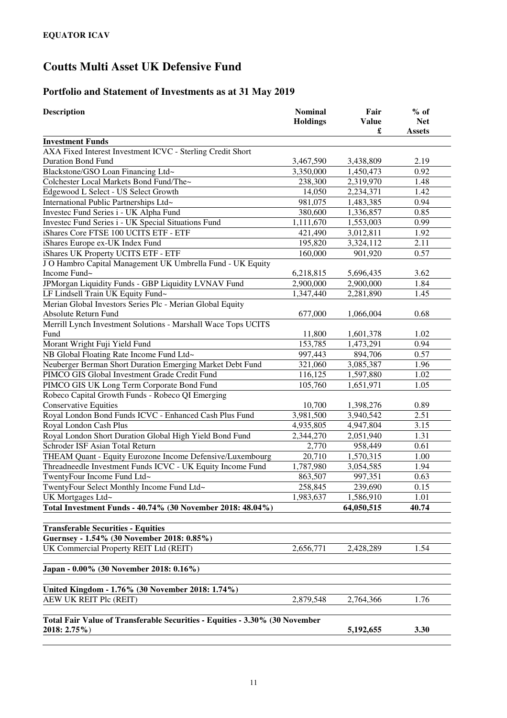# **Portfolio and Statement of Investments as at 31 May 2019**

| <b>Description</b>                                                                          | <b>Nominal</b><br><b>Holdings</b> | Fair<br><b>Value</b><br>£ | $%$ of<br><b>Net</b><br><b>Assets</b> |
|---------------------------------------------------------------------------------------------|-----------------------------------|---------------------------|---------------------------------------|
| <b>Investment Funds</b>                                                                     |                                   |                           |                                       |
| AXA Fixed Interest Investment ICVC - Sterling Credit Short                                  |                                   |                           |                                       |
| <b>Duration Bond Fund</b>                                                                   | 3,467,590                         | 3,438,809                 | 2.19                                  |
| Blackstone/GSO Loan Financing Ltd~                                                          | 3,350,000                         | 1,450,473                 | 0.92                                  |
| Colchester Local Markets Bond Fund/The~                                                     | 238,300                           | 2,319,970                 | 1.48                                  |
| Edgewood L Select - US Select Growth                                                        | 14,050                            | 2,234,371                 | 1.42                                  |
| International Public Partnerships Ltd~                                                      | 981,075                           | 1,483,385                 | 0.94                                  |
| Investec Fund Series i - UK Alpha Fund                                                      | 380,600                           | 1,336,857                 | 0.85                                  |
| Investec Fund Series i - UK Special Situations Fund                                         | 1,111,670                         | 1,553,003                 | 0.99                                  |
| iShares Core FTSE 100 UCITS ETF - ETF                                                       | 421,490                           | 3,012,811                 | 1.92                                  |
| iShares Europe ex-UK Index Fund                                                             | 195,820                           | 3,324,112                 | 2.11                                  |
| iShares UK Property UCITS ETF - ETF                                                         | 160,000                           | 901,920                   | 0.57                                  |
| J O Hambro Capital Management UK Umbrella Fund - UK Equity                                  |                                   |                           |                                       |
| Income Fund~                                                                                | 6,218,815                         | 5,696,435                 | 3.62                                  |
| JPMorgan Liquidity Funds - GBP Liquidity LVNAV Fund                                         | 2,900,000                         | 2,900,000                 | 1.84                                  |
| LF Lindsell Train UK Equity Fund~                                                           | 1,347,440                         | 2,281,890                 | 1.45                                  |
| Merian Global Investors Series Plc - Merian Global Equity                                   |                                   |                           |                                       |
| Absolute Return Fund                                                                        | 677,000                           | 1,066,004                 | 0.68                                  |
| Merrill Lynch Investment Solutions - Marshall Wace Tops UCITS                               |                                   |                           |                                       |
| Fund                                                                                        | 11,800                            | 1,601,378                 | 1.02                                  |
| Morant Wright Fuji Yield Fund                                                               | 153,785                           | 1,473,291                 | 0.94                                  |
| NB Global Floating Rate Income Fund Ltd~                                                    | 997,443                           | 894,706                   | 0.57                                  |
| Neuberger Berman Short Duration Emerging Market Debt Fund                                   | 321,060                           | 3,085,387                 | 1.96                                  |
| PIMCO GIS Global Investment Grade Credit Fund                                               | 116,125                           | 1,597,880                 | 1.02                                  |
| PIMCO GIS UK Long Term Corporate Bond Fund                                                  | 105,760                           | 1,651,971                 | 1.05                                  |
| Robeco Capital Growth Funds - Robeco QI Emerging                                            |                                   |                           |                                       |
| <b>Conservative Equities</b>                                                                | 10,700                            | 1,398,276                 | 0.89                                  |
| Royal London Bond Funds ICVC - Enhanced Cash Plus Fund                                      | 3,981,500                         | 3,940,542                 | 2.51                                  |
| Royal London Cash Plus                                                                      | 4,935,805                         | 4,947,804                 | 3.15                                  |
| Royal London Short Duration Global High Yield Bond Fund                                     | 2,344,270                         | 2,051,940                 | 1.31                                  |
| Schroder ISF Asian Total Return                                                             | 2,770                             | 958,449                   | 0.61                                  |
| THEAM Quant - Equity Eurozone Income Defensive/Luxembourg                                   | 20,710                            | 1,570,315                 | 1.00                                  |
| Threadneedle Investment Funds ICVC - UK Equity Income Fund                                  | 1,787,980                         | 3,054,585                 | 1.94                                  |
| TwentyFour Income Fund Ltd~                                                                 | 863,507                           | 997,351                   | 0.63                                  |
| TwentyFour Select Monthly Income Fund Ltd~                                                  | 258,845                           | 239,690                   | $0.15\,$                              |
| UK Mortgages Ltd~                                                                           | 1,983,637                         | 1,586,910                 | 1.01                                  |
| Total Investment Funds - 40.74% (30 November 2018: 48.04%)                                  |                                   | 64,050,515                | 40.74                                 |
| <b>Transferable Securities - Equities</b>                                                   |                                   |                           |                                       |
| Guernsey - 1.54% (30 November 2018: 0.85%)                                                  |                                   |                           |                                       |
| UK Commercial Property REIT Ltd (REIT)                                                      | 2,656,771                         | 2,428,289                 | 1.54                                  |
| Japan - 0.00% (30 November 2018: 0.16%)                                                     |                                   |                           |                                       |
| United Kingdom - 1.76% (30 November 2018: 1.74%)                                            |                                   |                           |                                       |
| AEW UK REIT Plc (REIT)                                                                      | 2,879,548                         | 2,764,366                 | 1.76                                  |
| Total Fair Value of Transferable Securities - Equities - 3.30% (30 November<br>2018: 2.75%) |                                   | 5,192,655                 | 3.30                                  |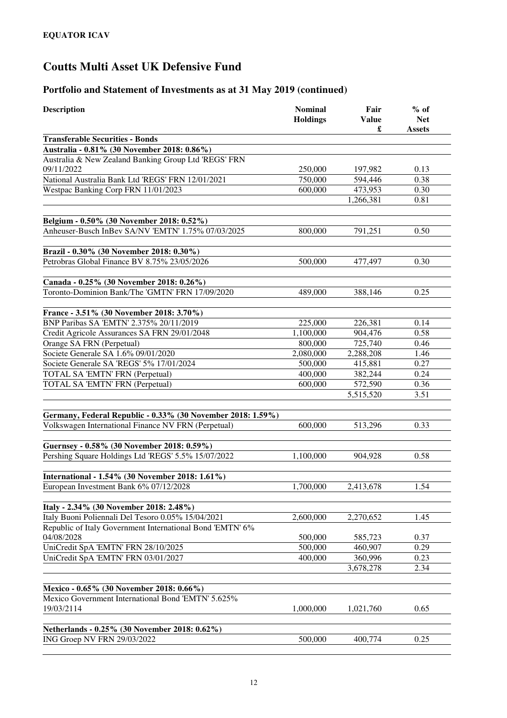| <b>Description</b>                                                                             | <b>Nominal</b><br><b>Holdings</b> | Fair<br><b>Value</b> | $%$ of<br><b>Net</b> |
|------------------------------------------------------------------------------------------------|-----------------------------------|----------------------|----------------------|
|                                                                                                |                                   | £                    | <b>Assets</b>        |
| <b>Transferable Securities - Bonds</b><br>Australia - 0.81% (30 November 2018: 0.86%)          |                                   |                      |                      |
| Australia & New Zealand Banking Group Ltd 'REGS' FRN                                           |                                   |                      |                      |
| 09/11/2022                                                                                     | 250,000                           | 197,982              | 0.13                 |
| National Australia Bank Ltd 'REGS' FRN 12/01/2021                                              | 750,000                           | 594,446              | 0.38                 |
| Westpac Banking Corp FRN 11/01/2023                                                            | 600,000                           | 473,953              | 0.30                 |
|                                                                                                |                                   | 1,266,381            | 0.81                 |
|                                                                                                |                                   |                      |                      |
| Belgium - 0.50% (30 November 2018: 0.52%)                                                      |                                   |                      |                      |
| Anheuser-Busch InBev SA/NV 'EMTN' 1.75% 07/03/2025                                             | 800,000                           | 791,251              | 0.50                 |
| Brazil - 0.30% (30 November 2018: 0.30%)                                                       |                                   |                      |                      |
| Petrobras Global Finance BV 8.75% 23/05/2026                                                   | 500,000                           | 477,497              | 0.30                 |
|                                                                                                |                                   |                      |                      |
| Canada - 0.25% (30 November 2018: 0.26%)                                                       |                                   |                      |                      |
| Toronto-Dominion Bank/The 'GMTN' FRN 17/09/2020                                                | 489,000                           | 388,146              | 0.25                 |
| France - 3.51% (30 November 2018: 3.70%)                                                       |                                   |                      |                      |
| BNP Paribas SA 'EMTN' 2.375% 20/11/2019                                                        | 225,000                           | 226,381              | 0.14                 |
| Credit Agricole Assurances SA FRN 29/01/2048                                                   | 1,100,000                         | 904,476              | 0.58                 |
| Orange SA FRN (Perpetual)                                                                      | 800,000                           | 725,740              | 0.46                 |
| Societe Generale SA 1.6% 09/01/2020                                                            | 2,080,000                         | 2,288,208            | 1.46                 |
| Societe Generale SA 'REGS' 5% 17/01/2024                                                       | 500,000                           | 415,881              | 0.27                 |
| TOTAL SA 'EMTN' FRN (Perpetual)                                                                | 400,000                           | 382,244              | 0.24                 |
| TOTAL SA 'EMTN' FRN (Perpetual)                                                                | 600,000                           | 572,590              | 0.36                 |
|                                                                                                |                                   | 5,515,520            | 3.51                 |
| Germany, Federal Republic - 0.33% (30 November 2018: 1.59%)                                    |                                   |                      |                      |
| Volkswagen International Finance NV FRN (Perpetual)                                            | 600,000                           | 513,296              | 0.33                 |
|                                                                                                |                                   |                      |                      |
| Guernsey - 0.58% (30 November 2018: 0.59%)                                                     |                                   |                      |                      |
| Pershing Square Holdings Ltd 'REGS' 5.5% 15/07/2022                                            | 1,100,000                         | 904,928              | 0.58                 |
|                                                                                                |                                   |                      |                      |
| International - 1.54% (30 November 2018: 1.61%)                                                |                                   |                      |                      |
| European Investment Bank 6% 07/12/2028                                                         | 1,700,000                         | 2,413,678            | 1.54                 |
| Italy - 2.34% (30 November 2018: 2.48%)                                                        |                                   |                      |                      |
| Italy Buoni Poliennali Del Tesoro 0.05% 15/04/2021                                             | 2,600,000                         | 2,270,652            | 1.45                 |
| Republic of Italy Government International Bond 'EMTN' 6%                                      |                                   |                      |                      |
| 04/08/2028                                                                                     | 500,000                           | 585,723              | 0.37                 |
| UniCredit SpA 'EMTN' FRN 28/10/2025                                                            | 500,000                           | 460,907              | 0.29                 |
| UniCredit SpA 'EMTN' FRN 03/01/2027                                                            | 400,000                           | 360,996              | 0.23                 |
|                                                                                                |                                   | 3,678,278            | 2.34                 |
|                                                                                                |                                   |                      |                      |
| Mexico - 0.65% (30 November 2018: 0.66%)<br>Mexico Government International Bond 'EMTN' 5.625% |                                   |                      |                      |
| 19/03/2114                                                                                     | 1,000,000                         | 1,021,760            | 0.65                 |
|                                                                                                |                                   |                      |                      |
| Netherlands - 0.25% (30 November 2018: 0.62%)                                                  |                                   |                      |                      |
| ING Groep NV FRN 29/03/2022                                                                    | 500,000                           | 400,774              | 0.25                 |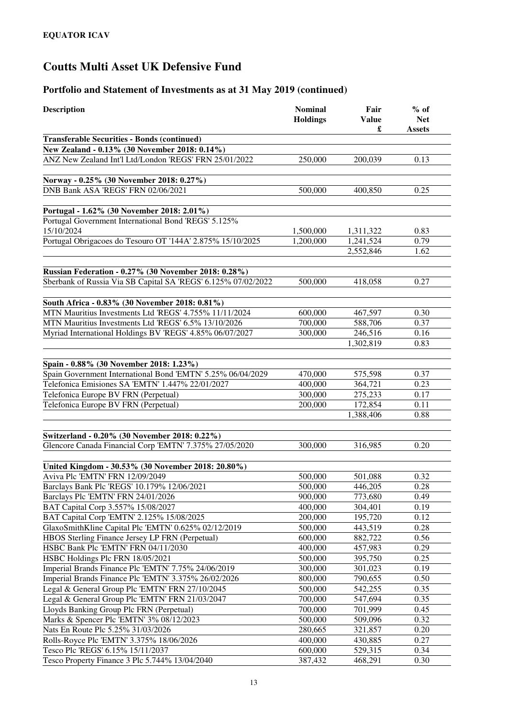| £<br><b>Assets</b><br><b>Transferable Securities - Bonds (continued)</b><br>New Zealand - 0.13% (30 November 2018: 0.14%)<br>ANZ New Zealand Int'l Ltd/London 'REGS' FRN 25/01/2022<br>0.13<br>250,000<br>200,039<br>Norway - 0.25% (30 November 2018: 0.27%)<br>DNB Bank ASA 'REGS' FRN 02/06/2021<br>500,000<br>0.25<br>400,850<br>Portugal - 1.62% (30 November 2018: 2.01%)<br>Portugal Government International Bond 'REGS' 5.125%<br>15/10/2024<br>0.83<br>1,500,000<br>1,311,322<br>Portugal Obrigacoes do Tesouro OT '144A' 2.875% 15/10/2025<br>1,200,000<br>1,241,524<br>0.79<br>2,552,846<br>1.62<br>Russian Federation - 0.27% (30 November 2018: 0.28%)<br>Sberbank of Russia Via SB Capital SA 'REGS' 6.125% 07/02/2022<br>500,000<br>418,058<br>0.27<br>South Africa - 0.83% (30 November 2018: 0.81%)<br>MTN Mauritius Investments Ltd 'REGS' 4.755% 11/11/2024<br>600,000<br>467,597<br>0.30<br>MTN Mauritius Investments Ltd 'REGS' 6.5% 13/10/2026<br>700,000<br>588,706<br>0.37<br>Myriad International Holdings BV 'REGS' 4.85% 06/07/2027<br>300,000<br>246,516<br>0.16<br>1,302,819<br>0.83<br>Spain - 0.88% (30 November 2018: 1.23%)<br>Spain Government International Bond 'EMTN' 5.25% 06/04/2029<br>470,000<br>575,598<br>0.37<br>Telefonica Emisiones SA 'EMTN' 1.447% 22/01/2027<br>400,000<br>0.23<br>364,721<br>300,000<br>275,233<br>Telefonica Europe BV FRN (Perpetual)<br>0.17<br>200,000<br>172,854<br>Telefonica Europe BV FRN (Perpetual)<br>0.11<br>1,388,406<br>0.88<br>Switzerland - 0.20% (30 November 2018: 0.22%)<br>Glencore Canada Financial Corp 'EMTN' 7.375% 27/05/2020<br>300,000<br>316,985<br>0.20<br>United Kingdom - 30.53% (30 November 2018: 20.80%)<br>Aviva Plc 'EMTN' FRN 12/09/2049<br>0.32<br>500,000<br>501,088<br>Barclays Bank Plc 'REGS' 10.179% 12/06/2021<br>500,000<br>446,205<br>0.28<br>Barclays Plc 'EMTN' FRN 24/01/2026<br>0.49<br>900,000<br>773,680<br>BAT Capital Corp 3.557% 15/08/2027<br>0.19<br>400,000<br>304,401<br>BAT Capital Corp 'EMTN' 2.125% 15/08/2025<br>0.12<br>200,000<br>195,720<br>GlaxoSmithKline Capital Plc 'EMTN' 0.625% 02/12/2019<br>0.28<br>500,000<br>443,519<br>HBOS Sterling Finance Jersey LP FRN (Perpetual)<br>0.56<br>600,000<br>882,722<br>HSBC Bank Plc 'EMTN' FRN 04/11/2030<br>0.29<br>400,000<br>457,983<br>HSBC Holdings Plc FRN 18/05/2021<br>395,750<br>0.25<br>500,000<br>Imperial Brands Finance Plc 'EMTN' 7.75% 24/06/2019<br>0.19<br>300,000<br>301,023<br>Imperial Brands Finance Plc 'EMTN' 3.375% 26/02/2026<br>0.50<br>800,000<br>790,655<br>Legal & General Group Plc 'EMTN' FRN 27/10/2045<br>0.35<br>500,000<br>542,255 | <b>Description</b>                              | <b>Nominal</b><br><b>Holdings</b> | Fair<br><b>Value</b> | $%$ of<br><b>Net</b> |
|----------------------------------------------------------------------------------------------------------------------------------------------------------------------------------------------------------------------------------------------------------------------------------------------------------------------------------------------------------------------------------------------------------------------------------------------------------------------------------------------------------------------------------------------------------------------------------------------------------------------------------------------------------------------------------------------------------------------------------------------------------------------------------------------------------------------------------------------------------------------------------------------------------------------------------------------------------------------------------------------------------------------------------------------------------------------------------------------------------------------------------------------------------------------------------------------------------------------------------------------------------------------------------------------------------------------------------------------------------------------------------------------------------------------------------------------------------------------------------------------------------------------------------------------------------------------------------------------------------------------------------------------------------------------------------------------------------------------------------------------------------------------------------------------------------------------------------------------------------------------------------------------------------------------------------------------------------------------------------------------------------------------------------------------------------------------------------------------------------------------------------------------------------------------------------------------------------------------------------------------------------------------------------------------------------------------------------------------------------------------------------------------------------------------------------------------------------------------------------------------------------------------------------------------------------------------------------------------------------------------------------------------------------|-------------------------------------------------|-----------------------------------|----------------------|----------------------|
|                                                                                                                                                                                                                                                                                                                                                                                                                                                                                                                                                                                                                                                                                                                                                                                                                                                                                                                                                                                                                                                                                                                                                                                                                                                                                                                                                                                                                                                                                                                                                                                                                                                                                                                                                                                                                                                                                                                                                                                                                                                                                                                                                                                                                                                                                                                                                                                                                                                                                                                                                                                                                                                          |                                                 |                                   |                      |                      |
|                                                                                                                                                                                                                                                                                                                                                                                                                                                                                                                                                                                                                                                                                                                                                                                                                                                                                                                                                                                                                                                                                                                                                                                                                                                                                                                                                                                                                                                                                                                                                                                                                                                                                                                                                                                                                                                                                                                                                                                                                                                                                                                                                                                                                                                                                                                                                                                                                                                                                                                                                                                                                                                          |                                                 |                                   |                      |                      |
|                                                                                                                                                                                                                                                                                                                                                                                                                                                                                                                                                                                                                                                                                                                                                                                                                                                                                                                                                                                                                                                                                                                                                                                                                                                                                                                                                                                                                                                                                                                                                                                                                                                                                                                                                                                                                                                                                                                                                                                                                                                                                                                                                                                                                                                                                                                                                                                                                                                                                                                                                                                                                                                          |                                                 |                                   |                      |                      |
|                                                                                                                                                                                                                                                                                                                                                                                                                                                                                                                                                                                                                                                                                                                                                                                                                                                                                                                                                                                                                                                                                                                                                                                                                                                                                                                                                                                                                                                                                                                                                                                                                                                                                                                                                                                                                                                                                                                                                                                                                                                                                                                                                                                                                                                                                                                                                                                                                                                                                                                                                                                                                                                          |                                                 |                                   |                      |                      |
|                                                                                                                                                                                                                                                                                                                                                                                                                                                                                                                                                                                                                                                                                                                                                                                                                                                                                                                                                                                                                                                                                                                                                                                                                                                                                                                                                                                                                                                                                                                                                                                                                                                                                                                                                                                                                                                                                                                                                                                                                                                                                                                                                                                                                                                                                                                                                                                                                                                                                                                                                                                                                                                          |                                                 |                                   |                      |                      |
|                                                                                                                                                                                                                                                                                                                                                                                                                                                                                                                                                                                                                                                                                                                                                                                                                                                                                                                                                                                                                                                                                                                                                                                                                                                                                                                                                                                                                                                                                                                                                                                                                                                                                                                                                                                                                                                                                                                                                                                                                                                                                                                                                                                                                                                                                                                                                                                                                                                                                                                                                                                                                                                          |                                                 |                                   |                      |                      |
|                                                                                                                                                                                                                                                                                                                                                                                                                                                                                                                                                                                                                                                                                                                                                                                                                                                                                                                                                                                                                                                                                                                                                                                                                                                                                                                                                                                                                                                                                                                                                                                                                                                                                                                                                                                                                                                                                                                                                                                                                                                                                                                                                                                                                                                                                                                                                                                                                                                                                                                                                                                                                                                          |                                                 |                                   |                      |                      |
|                                                                                                                                                                                                                                                                                                                                                                                                                                                                                                                                                                                                                                                                                                                                                                                                                                                                                                                                                                                                                                                                                                                                                                                                                                                                                                                                                                                                                                                                                                                                                                                                                                                                                                                                                                                                                                                                                                                                                                                                                                                                                                                                                                                                                                                                                                                                                                                                                                                                                                                                                                                                                                                          |                                                 |                                   |                      |                      |
|                                                                                                                                                                                                                                                                                                                                                                                                                                                                                                                                                                                                                                                                                                                                                                                                                                                                                                                                                                                                                                                                                                                                                                                                                                                                                                                                                                                                                                                                                                                                                                                                                                                                                                                                                                                                                                                                                                                                                                                                                                                                                                                                                                                                                                                                                                                                                                                                                                                                                                                                                                                                                                                          |                                                 |                                   |                      |                      |
|                                                                                                                                                                                                                                                                                                                                                                                                                                                                                                                                                                                                                                                                                                                                                                                                                                                                                                                                                                                                                                                                                                                                                                                                                                                                                                                                                                                                                                                                                                                                                                                                                                                                                                                                                                                                                                                                                                                                                                                                                                                                                                                                                                                                                                                                                                                                                                                                                                                                                                                                                                                                                                                          |                                                 |                                   |                      |                      |
|                                                                                                                                                                                                                                                                                                                                                                                                                                                                                                                                                                                                                                                                                                                                                                                                                                                                                                                                                                                                                                                                                                                                                                                                                                                                                                                                                                                                                                                                                                                                                                                                                                                                                                                                                                                                                                                                                                                                                                                                                                                                                                                                                                                                                                                                                                                                                                                                                                                                                                                                                                                                                                                          |                                                 |                                   |                      |                      |
|                                                                                                                                                                                                                                                                                                                                                                                                                                                                                                                                                                                                                                                                                                                                                                                                                                                                                                                                                                                                                                                                                                                                                                                                                                                                                                                                                                                                                                                                                                                                                                                                                                                                                                                                                                                                                                                                                                                                                                                                                                                                                                                                                                                                                                                                                                                                                                                                                                                                                                                                                                                                                                                          |                                                 |                                   |                      |                      |
|                                                                                                                                                                                                                                                                                                                                                                                                                                                                                                                                                                                                                                                                                                                                                                                                                                                                                                                                                                                                                                                                                                                                                                                                                                                                                                                                                                                                                                                                                                                                                                                                                                                                                                                                                                                                                                                                                                                                                                                                                                                                                                                                                                                                                                                                                                                                                                                                                                                                                                                                                                                                                                                          |                                                 |                                   |                      |                      |
|                                                                                                                                                                                                                                                                                                                                                                                                                                                                                                                                                                                                                                                                                                                                                                                                                                                                                                                                                                                                                                                                                                                                                                                                                                                                                                                                                                                                                                                                                                                                                                                                                                                                                                                                                                                                                                                                                                                                                                                                                                                                                                                                                                                                                                                                                                                                                                                                                                                                                                                                                                                                                                                          |                                                 |                                   |                      |                      |
|                                                                                                                                                                                                                                                                                                                                                                                                                                                                                                                                                                                                                                                                                                                                                                                                                                                                                                                                                                                                                                                                                                                                                                                                                                                                                                                                                                                                                                                                                                                                                                                                                                                                                                                                                                                                                                                                                                                                                                                                                                                                                                                                                                                                                                                                                                                                                                                                                                                                                                                                                                                                                                                          |                                                 |                                   |                      |                      |
|                                                                                                                                                                                                                                                                                                                                                                                                                                                                                                                                                                                                                                                                                                                                                                                                                                                                                                                                                                                                                                                                                                                                                                                                                                                                                                                                                                                                                                                                                                                                                                                                                                                                                                                                                                                                                                                                                                                                                                                                                                                                                                                                                                                                                                                                                                                                                                                                                                                                                                                                                                                                                                                          |                                                 |                                   |                      |                      |
|                                                                                                                                                                                                                                                                                                                                                                                                                                                                                                                                                                                                                                                                                                                                                                                                                                                                                                                                                                                                                                                                                                                                                                                                                                                                                                                                                                                                                                                                                                                                                                                                                                                                                                                                                                                                                                                                                                                                                                                                                                                                                                                                                                                                                                                                                                                                                                                                                                                                                                                                                                                                                                                          |                                                 |                                   |                      |                      |
|                                                                                                                                                                                                                                                                                                                                                                                                                                                                                                                                                                                                                                                                                                                                                                                                                                                                                                                                                                                                                                                                                                                                                                                                                                                                                                                                                                                                                                                                                                                                                                                                                                                                                                                                                                                                                                                                                                                                                                                                                                                                                                                                                                                                                                                                                                                                                                                                                                                                                                                                                                                                                                                          |                                                 |                                   |                      |                      |
|                                                                                                                                                                                                                                                                                                                                                                                                                                                                                                                                                                                                                                                                                                                                                                                                                                                                                                                                                                                                                                                                                                                                                                                                                                                                                                                                                                                                                                                                                                                                                                                                                                                                                                                                                                                                                                                                                                                                                                                                                                                                                                                                                                                                                                                                                                                                                                                                                                                                                                                                                                                                                                                          |                                                 |                                   |                      |                      |
|                                                                                                                                                                                                                                                                                                                                                                                                                                                                                                                                                                                                                                                                                                                                                                                                                                                                                                                                                                                                                                                                                                                                                                                                                                                                                                                                                                                                                                                                                                                                                                                                                                                                                                                                                                                                                                                                                                                                                                                                                                                                                                                                                                                                                                                                                                                                                                                                                                                                                                                                                                                                                                                          |                                                 |                                   |                      |                      |
|                                                                                                                                                                                                                                                                                                                                                                                                                                                                                                                                                                                                                                                                                                                                                                                                                                                                                                                                                                                                                                                                                                                                                                                                                                                                                                                                                                                                                                                                                                                                                                                                                                                                                                                                                                                                                                                                                                                                                                                                                                                                                                                                                                                                                                                                                                                                                                                                                                                                                                                                                                                                                                                          |                                                 |                                   |                      |                      |
|                                                                                                                                                                                                                                                                                                                                                                                                                                                                                                                                                                                                                                                                                                                                                                                                                                                                                                                                                                                                                                                                                                                                                                                                                                                                                                                                                                                                                                                                                                                                                                                                                                                                                                                                                                                                                                                                                                                                                                                                                                                                                                                                                                                                                                                                                                                                                                                                                                                                                                                                                                                                                                                          |                                                 |                                   |                      |                      |
|                                                                                                                                                                                                                                                                                                                                                                                                                                                                                                                                                                                                                                                                                                                                                                                                                                                                                                                                                                                                                                                                                                                                                                                                                                                                                                                                                                                                                                                                                                                                                                                                                                                                                                                                                                                                                                                                                                                                                                                                                                                                                                                                                                                                                                                                                                                                                                                                                                                                                                                                                                                                                                                          |                                                 |                                   |                      |                      |
|                                                                                                                                                                                                                                                                                                                                                                                                                                                                                                                                                                                                                                                                                                                                                                                                                                                                                                                                                                                                                                                                                                                                                                                                                                                                                                                                                                                                                                                                                                                                                                                                                                                                                                                                                                                                                                                                                                                                                                                                                                                                                                                                                                                                                                                                                                                                                                                                                                                                                                                                                                                                                                                          |                                                 |                                   |                      |                      |
|                                                                                                                                                                                                                                                                                                                                                                                                                                                                                                                                                                                                                                                                                                                                                                                                                                                                                                                                                                                                                                                                                                                                                                                                                                                                                                                                                                                                                                                                                                                                                                                                                                                                                                                                                                                                                                                                                                                                                                                                                                                                                                                                                                                                                                                                                                                                                                                                                                                                                                                                                                                                                                                          |                                                 |                                   |                      |                      |
|                                                                                                                                                                                                                                                                                                                                                                                                                                                                                                                                                                                                                                                                                                                                                                                                                                                                                                                                                                                                                                                                                                                                                                                                                                                                                                                                                                                                                                                                                                                                                                                                                                                                                                                                                                                                                                                                                                                                                                                                                                                                                                                                                                                                                                                                                                                                                                                                                                                                                                                                                                                                                                                          |                                                 |                                   |                      |                      |
|                                                                                                                                                                                                                                                                                                                                                                                                                                                                                                                                                                                                                                                                                                                                                                                                                                                                                                                                                                                                                                                                                                                                                                                                                                                                                                                                                                                                                                                                                                                                                                                                                                                                                                                                                                                                                                                                                                                                                                                                                                                                                                                                                                                                                                                                                                                                                                                                                                                                                                                                                                                                                                                          |                                                 |                                   |                      |                      |
|                                                                                                                                                                                                                                                                                                                                                                                                                                                                                                                                                                                                                                                                                                                                                                                                                                                                                                                                                                                                                                                                                                                                                                                                                                                                                                                                                                                                                                                                                                                                                                                                                                                                                                                                                                                                                                                                                                                                                                                                                                                                                                                                                                                                                                                                                                                                                                                                                                                                                                                                                                                                                                                          |                                                 |                                   |                      |                      |
|                                                                                                                                                                                                                                                                                                                                                                                                                                                                                                                                                                                                                                                                                                                                                                                                                                                                                                                                                                                                                                                                                                                                                                                                                                                                                                                                                                                                                                                                                                                                                                                                                                                                                                                                                                                                                                                                                                                                                                                                                                                                                                                                                                                                                                                                                                                                                                                                                                                                                                                                                                                                                                                          |                                                 |                                   |                      |                      |
|                                                                                                                                                                                                                                                                                                                                                                                                                                                                                                                                                                                                                                                                                                                                                                                                                                                                                                                                                                                                                                                                                                                                                                                                                                                                                                                                                                                                                                                                                                                                                                                                                                                                                                                                                                                                                                                                                                                                                                                                                                                                                                                                                                                                                                                                                                                                                                                                                                                                                                                                                                                                                                                          |                                                 |                                   |                      |                      |
|                                                                                                                                                                                                                                                                                                                                                                                                                                                                                                                                                                                                                                                                                                                                                                                                                                                                                                                                                                                                                                                                                                                                                                                                                                                                                                                                                                                                                                                                                                                                                                                                                                                                                                                                                                                                                                                                                                                                                                                                                                                                                                                                                                                                                                                                                                                                                                                                                                                                                                                                                                                                                                                          |                                                 |                                   |                      |                      |
|                                                                                                                                                                                                                                                                                                                                                                                                                                                                                                                                                                                                                                                                                                                                                                                                                                                                                                                                                                                                                                                                                                                                                                                                                                                                                                                                                                                                                                                                                                                                                                                                                                                                                                                                                                                                                                                                                                                                                                                                                                                                                                                                                                                                                                                                                                                                                                                                                                                                                                                                                                                                                                                          |                                                 |                                   |                      |                      |
|                                                                                                                                                                                                                                                                                                                                                                                                                                                                                                                                                                                                                                                                                                                                                                                                                                                                                                                                                                                                                                                                                                                                                                                                                                                                                                                                                                                                                                                                                                                                                                                                                                                                                                                                                                                                                                                                                                                                                                                                                                                                                                                                                                                                                                                                                                                                                                                                                                                                                                                                                                                                                                                          |                                                 |                                   |                      |                      |
|                                                                                                                                                                                                                                                                                                                                                                                                                                                                                                                                                                                                                                                                                                                                                                                                                                                                                                                                                                                                                                                                                                                                                                                                                                                                                                                                                                                                                                                                                                                                                                                                                                                                                                                                                                                                                                                                                                                                                                                                                                                                                                                                                                                                                                                                                                                                                                                                                                                                                                                                                                                                                                                          |                                                 |                                   |                      |                      |
|                                                                                                                                                                                                                                                                                                                                                                                                                                                                                                                                                                                                                                                                                                                                                                                                                                                                                                                                                                                                                                                                                                                                                                                                                                                                                                                                                                                                                                                                                                                                                                                                                                                                                                                                                                                                                                                                                                                                                                                                                                                                                                                                                                                                                                                                                                                                                                                                                                                                                                                                                                                                                                                          |                                                 |                                   |                      |                      |
|                                                                                                                                                                                                                                                                                                                                                                                                                                                                                                                                                                                                                                                                                                                                                                                                                                                                                                                                                                                                                                                                                                                                                                                                                                                                                                                                                                                                                                                                                                                                                                                                                                                                                                                                                                                                                                                                                                                                                                                                                                                                                                                                                                                                                                                                                                                                                                                                                                                                                                                                                                                                                                                          |                                                 |                                   |                      |                      |
|                                                                                                                                                                                                                                                                                                                                                                                                                                                                                                                                                                                                                                                                                                                                                                                                                                                                                                                                                                                                                                                                                                                                                                                                                                                                                                                                                                                                                                                                                                                                                                                                                                                                                                                                                                                                                                                                                                                                                                                                                                                                                                                                                                                                                                                                                                                                                                                                                                                                                                                                                                                                                                                          |                                                 |                                   |                      |                      |
|                                                                                                                                                                                                                                                                                                                                                                                                                                                                                                                                                                                                                                                                                                                                                                                                                                                                                                                                                                                                                                                                                                                                                                                                                                                                                                                                                                                                                                                                                                                                                                                                                                                                                                                                                                                                                                                                                                                                                                                                                                                                                                                                                                                                                                                                                                                                                                                                                                                                                                                                                                                                                                                          |                                                 |                                   |                      |                      |
|                                                                                                                                                                                                                                                                                                                                                                                                                                                                                                                                                                                                                                                                                                                                                                                                                                                                                                                                                                                                                                                                                                                                                                                                                                                                                                                                                                                                                                                                                                                                                                                                                                                                                                                                                                                                                                                                                                                                                                                                                                                                                                                                                                                                                                                                                                                                                                                                                                                                                                                                                                                                                                                          |                                                 |                                   |                      |                      |
|                                                                                                                                                                                                                                                                                                                                                                                                                                                                                                                                                                                                                                                                                                                                                                                                                                                                                                                                                                                                                                                                                                                                                                                                                                                                                                                                                                                                                                                                                                                                                                                                                                                                                                                                                                                                                                                                                                                                                                                                                                                                                                                                                                                                                                                                                                                                                                                                                                                                                                                                                                                                                                                          |                                                 |                                   |                      |                      |
|                                                                                                                                                                                                                                                                                                                                                                                                                                                                                                                                                                                                                                                                                                                                                                                                                                                                                                                                                                                                                                                                                                                                                                                                                                                                                                                                                                                                                                                                                                                                                                                                                                                                                                                                                                                                                                                                                                                                                                                                                                                                                                                                                                                                                                                                                                                                                                                                                                                                                                                                                                                                                                                          |                                                 |                                   |                      |                      |
|                                                                                                                                                                                                                                                                                                                                                                                                                                                                                                                                                                                                                                                                                                                                                                                                                                                                                                                                                                                                                                                                                                                                                                                                                                                                                                                                                                                                                                                                                                                                                                                                                                                                                                                                                                                                                                                                                                                                                                                                                                                                                                                                                                                                                                                                                                                                                                                                                                                                                                                                                                                                                                                          | Legal & General Group Plc 'EMTN' FRN 21/03/2047 | 700,000                           | 547,694              | 0.35                 |
| Lloyds Banking Group Plc FRN (Perpetual)<br>700,000<br>701,999<br>0.45<br>0.32                                                                                                                                                                                                                                                                                                                                                                                                                                                                                                                                                                                                                                                                                                                                                                                                                                                                                                                                                                                                                                                                                                                                                                                                                                                                                                                                                                                                                                                                                                                                                                                                                                                                                                                                                                                                                                                                                                                                                                                                                                                                                                                                                                                                                                                                                                                                                                                                                                                                                                                                                                           |                                                 |                                   |                      |                      |
| Marks & Spencer Plc 'EMTN' 3% 08/12/2023<br>500,000<br>509,096<br>Nats En Route Plc 5.25% 31/03/2026<br>0.20<br>280,665<br>321,857                                                                                                                                                                                                                                                                                                                                                                                                                                                                                                                                                                                                                                                                                                                                                                                                                                                                                                                                                                                                                                                                                                                                                                                                                                                                                                                                                                                                                                                                                                                                                                                                                                                                                                                                                                                                                                                                                                                                                                                                                                                                                                                                                                                                                                                                                                                                                                                                                                                                                                                       |                                                 |                                   |                      |                      |
| 0.27<br>Rolls-Royce Plc 'EMTN' 3.375% 18/06/2026<br>400,000<br>430,885                                                                                                                                                                                                                                                                                                                                                                                                                                                                                                                                                                                                                                                                                                                                                                                                                                                                                                                                                                                                                                                                                                                                                                                                                                                                                                                                                                                                                                                                                                                                                                                                                                                                                                                                                                                                                                                                                                                                                                                                                                                                                                                                                                                                                                                                                                                                                                                                                                                                                                                                                                                   |                                                 |                                   |                      |                      |
| Tesco Plc 'REGS' 6.15% 15/11/2037<br>0.34<br>600,000<br>529,315                                                                                                                                                                                                                                                                                                                                                                                                                                                                                                                                                                                                                                                                                                                                                                                                                                                                                                                                                                                                                                                                                                                                                                                                                                                                                                                                                                                                                                                                                                                                                                                                                                                                                                                                                                                                                                                                                                                                                                                                                                                                                                                                                                                                                                                                                                                                                                                                                                                                                                                                                                                          |                                                 |                                   |                      |                      |
| Tesco Property Finance 3 Plc 5.744% 13/04/2040<br>387,432<br>468,291<br>0.30                                                                                                                                                                                                                                                                                                                                                                                                                                                                                                                                                                                                                                                                                                                                                                                                                                                                                                                                                                                                                                                                                                                                                                                                                                                                                                                                                                                                                                                                                                                                                                                                                                                                                                                                                                                                                                                                                                                                                                                                                                                                                                                                                                                                                                                                                                                                                                                                                                                                                                                                                                             |                                                 |                                   |                      |                      |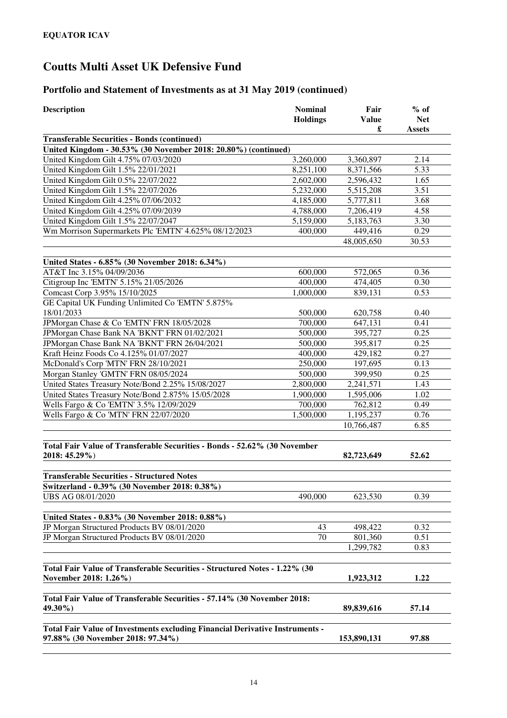| <b>Description</b>                                                                                                | <b>Nominal</b><br><b>Holdings</b> | Fair<br><b>Value</b><br>£ | $%$ of<br><b>Net</b><br><b>Assets</b> |
|-------------------------------------------------------------------------------------------------------------------|-----------------------------------|---------------------------|---------------------------------------|
| <b>Transferable Securities - Bonds (continued)</b>                                                                |                                   |                           |                                       |
| United Kingdom - 30.53% (30 November 2018: 20.80%) (continued)                                                    |                                   |                           |                                       |
| United Kingdom Gilt 4.75% 07/03/2020                                                                              | 3,260,000                         | 3,360,897                 | 2.14                                  |
| United Kingdom Gilt 1.5% 22/01/2021                                                                               | 8,251,100                         | 8,371,566                 | 5.33                                  |
| United Kingdom Gilt 0.5% 22/07/2022                                                                               | 2,602,000                         | 2,596,432                 | 1.65                                  |
| United Kingdom Gilt 1.5% 22/07/2026                                                                               | 5,232,000                         | 5,515,208                 | 3.51                                  |
| United Kingdom Gilt 4.25% 07/06/2032                                                                              | 4,185,000                         | 5,777,811                 | 3.68                                  |
| United Kingdom Gilt 4.25% 07/09/2039                                                                              | 4,788,000                         | 7,206,419                 | 4.58                                  |
| United Kingdom Gilt 1.5% 22/07/2047                                                                               | 5,159,000                         | 5,183,763                 | 3.30                                  |
| Wm Morrison Supermarkets Plc 'EMTN' 4.625% 08/12/2023                                                             | 400,000                           | 449,416                   | 0.29                                  |
|                                                                                                                   |                                   | 48,005,650                | 30.53                                 |
| United States - 6.85% (30 November 2018: 6.34%)                                                                   |                                   |                           |                                       |
| AT&T Inc 3.15% 04/09/2036                                                                                         | 600,000                           | 572,065                   | 0.36                                  |
| Citigroup Inc 'EMTN' 5.15% 21/05/2026                                                                             | 400,000                           | 474,405                   | 0.30                                  |
| Comcast Corp 3.95% 15/10/2025                                                                                     | 1,000,000                         | 839,131                   | 0.53                                  |
| GE Capital UK Funding Unlimited Co 'EMTN' 5.875%                                                                  |                                   |                           |                                       |
| 18/01/2033                                                                                                        | 500,000                           | 620,758                   | 0.40                                  |
| JPMorgan Chase & Co 'EMTN' FRN 18/05/2028                                                                         | 700,000                           | 647,131                   | 0.41                                  |
| JPMorgan Chase Bank NA 'BKNT' FRN 01/02/2021                                                                      | 500,000                           | 395,727                   | 0.25                                  |
| JPMorgan Chase Bank NA 'BKNT' FRN 26/04/2021                                                                      | 500,000                           | 395,817                   | 0.25                                  |
| Kraft Heinz Foods Co 4.125% 01/07/2027                                                                            | 400,000                           | 429,182                   | 0.27                                  |
| McDonald's Corp 'MTN' FRN 28/10/2021                                                                              | 250,000                           | 197,695                   | 0.13                                  |
| Morgan Stanley 'GMTN' FRN 08/05/2024                                                                              | 500,000                           | 399,950                   | 0.25                                  |
| United States Treasury Note/Bond 2.25% 15/08/2027                                                                 | 2,800,000                         | 2,241,571                 | 1.43                                  |
| United States Treasury Note/Bond 2.875% 15/05/2028                                                                | 1,900,000                         | 1,595,006                 | 1.02                                  |
| Wells Fargo & Co 'EMTN' 3.5% 12/09/2029                                                                           | 700,000                           | 762,812                   | 0.49                                  |
| Wells Fargo & Co 'MTN' FRN 22/07/2020                                                                             | 1,500,000                         | 1,195,237                 | 0.76                                  |
|                                                                                                                   |                                   | 10,766,487                | 6.85                                  |
| Total Fair Value of Transferable Securities - Bonds - 52.62% (30 November<br>2018: 45.29%)                        |                                   | 82,723,649                | 52.62                                 |
| <b>Transferable Securities - Structured Notes</b>                                                                 |                                   |                           |                                       |
| Switzerland - 0.39% (30 November 2018: 0.38%)                                                                     |                                   |                           |                                       |
| UBS AG 08/01/2020                                                                                                 | 490,000                           | 623,530                   | 0.39                                  |
| United States - 0.83% (30 November 2018: 0.88%)                                                                   |                                   |                           |                                       |
| JP Morgan Structured Products BV 08/01/2020                                                                       | 43                                | 498,422                   | 0.32                                  |
| JP Morgan Structured Products BV 08/01/2020                                                                       | 70                                | 801,360                   | 0.51                                  |
|                                                                                                                   |                                   | 1,299,782                 | 0.83                                  |
| Total Fair Value of Transferable Securities - Structured Notes - 1.22% (30<br>November 2018: 1.26%)               |                                   | 1,923,312                 | 1.22                                  |
| Total Fair Value of Transferable Securities - 57.14% (30 November 2018:                                           |                                   |                           |                                       |
| 49.30%)                                                                                                           |                                   | 89,839,616                | 57.14                                 |
| Total Fair Value of Investments excluding Financial Derivative Instruments -<br>97.88% (30 November 2018: 97.34%) |                                   | 153,890,131               | 97.88                                 |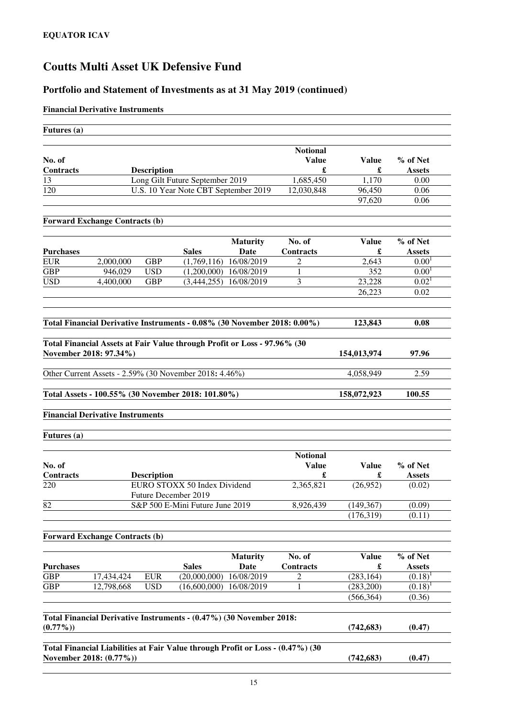## **Portfolio and Statement of Investments as at 31 May 2019 (continued)**

### **Financial Derivative Instruments**

| Futures (a)      |                                         |                    |                                                                          |                         |                                 |                   |                           |
|------------------|-----------------------------------------|--------------------|--------------------------------------------------------------------------|-------------------------|---------------------------------|-------------------|---------------------------|
| No. of           |                                         |                    |                                                                          |                         | <b>Notional</b><br><b>Value</b> | <b>Value</b>      | % of Net                  |
| Contracts        |                                         | <b>Description</b> |                                                                          |                         | £                               | £                 | <b>Assets</b>             |
| 13               |                                         |                    | Long Gilt Future September 2019                                          |                         | 1,685,450                       | 1,170             | 0.00                      |
| 120              |                                         |                    | U.S. 10 Year Note CBT September 2019                                     |                         | 12,030,848                      | 96,450            | 0.06                      |
|                  |                                         |                    |                                                                          |                         |                                 | 97,620            | 0.06                      |
|                  | <b>Forward Exchange Contracts (b)</b>   |                    |                                                                          |                         |                                 |                   |                           |
| <b>Purchases</b> |                                         |                    | <b>Sales</b>                                                             | <b>Maturity</b><br>Date | No. of<br><b>Contracts</b>      | <b>Value</b><br>£ | % of Net<br><b>Assets</b> |
| <b>EUR</b>       | 2,000,000                               | <b>GBP</b>         | (1,769,116)                                                              | 16/08/2019              | 2                               | 2,643             | 0.00 <sup>1</sup>         |
| <b>GBP</b>       | 946,029                                 | <b>USD</b>         | (1,200,000)                                                              | 16/08/2019              | 1                               | 352               | 0.00 <sup>1</sup>         |
| <b>USD</b>       | 4.400.000                               | <b>GBP</b>         | (3,444,255)                                                              | 16/08/2019              | 3                               | 23,228            | 0.02 <sup>1</sup>         |
|                  |                                         |                    |                                                                          |                         |                                 | 26,223            | 0.02                      |
|                  |                                         |                    | Total Financial Derivative Instruments - 0.08% (30 November 2018: 0.00%) |                         |                                 | 123,843           | 0.08                      |
|                  | November 2018: 97.34%)                  |                    | Total Financial Assets at Fair Value through Profit or Loss - 97.96% (30 |                         |                                 | 154,013,974       | 97.96                     |
|                  |                                         |                    | Other Current Assets - 2.59% (30 November 2018: 4.46%)                   |                         |                                 | 4,058,949         | 2.59                      |
|                  |                                         |                    | Total Assets - 100.55% (30 November 2018: 101.80%)                       |                         |                                 | 158,072,923       | 100.55                    |
|                  | <b>Financial Derivative Instruments</b> |                    |                                                                          |                         |                                 |                   |                           |
| Futures (a)      |                                         |                    |                                                                          |                         |                                 |                   |                           |
|                  |                                         |                    |                                                                          |                         | <b>Notional</b>                 |                   |                           |

| No. of           |                                                             | туонопат<br>Value | Value     | $%$ of Net    |  |
|------------------|-------------------------------------------------------------|-------------------|-----------|---------------|--|
| <b>Contracts</b> | <b>Description</b>                                          |                   |           | <b>Assets</b> |  |
| 220              | EURO STOXX 50 Index Dividend<br><b>Future December 2019</b> | 2.365.821         | (26.952)  | (0.02)        |  |
| 82               | S&P 500 E-Mini Future June 2019                             | 8.926.439         | (149.367) | (0.09)        |  |
|                  |                                                             |                   | (176,319) | (0.11)        |  |
|                  |                                                             |                   |           |               |  |

## **Forward Exchange Contracts (b)**

|                  |                                                                     |            |              | <b>Maturity</b> | No. of           | <b>Value</b> | % of Net      |
|------------------|---------------------------------------------------------------------|------------|--------------|-----------------|------------------|--------------|---------------|
| <b>Purchases</b> |                                                                     |            | <b>Sales</b> | Date            | <b>Contracts</b> | £            | <b>Assets</b> |
| <b>GBP</b>       | 17,434,424                                                          | <b>EUR</b> | (20,000,000) | 16/08/2019      |                  | (283, 164)   | (0.18)        |
| <b>GBP</b>       | 12,798,668                                                          | <b>USD</b> | (16,600,000) | 16/08/2019      |                  | (283,200)    | $(0.18)^1$    |
|                  |                                                                     |            |              |                 |                  | (566, 364)   | (0.36)        |
|                  |                                                                     |            |              |                 |                  |              |               |
| $(0.77\%)$       | Total Financial Derivative Instruments - (0.47%) (30 November 2018: |            |              |                 |                  | (742, 683)   | (0.47)        |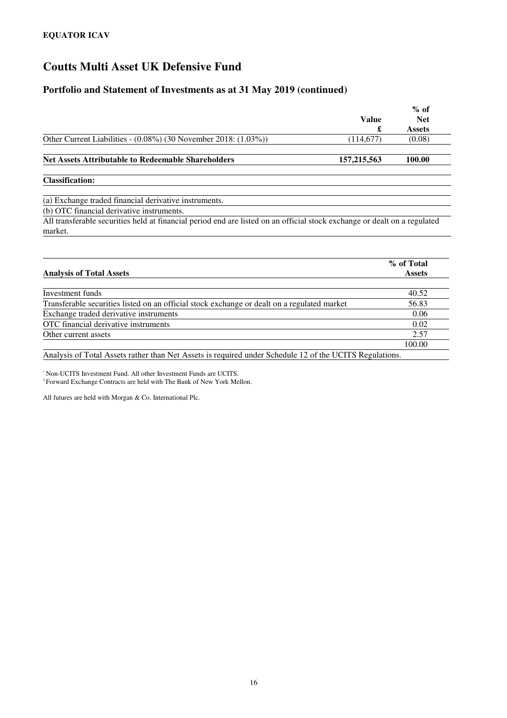### **Portfolio and Statement of Investments as at 31 May 2019 (continued)**

|                                                                                                                                      | <b>Value</b>  | $%$ of<br><b>Net</b> |
|--------------------------------------------------------------------------------------------------------------------------------------|---------------|----------------------|
|                                                                                                                                      | £             | <b>Assets</b>        |
| Other Current Liabilities - $(0.08\%)$ (30 November 2018: $(1.03\%)$ )                                                               | (114,677)     | (0.08)               |
| <b>Net Assets Attributable to Redeemable Shareholders</b>                                                                            | 157, 215, 563 | 100.00               |
| <b>Classification:</b>                                                                                                               |               |                      |
| (a) Exchange traded financial derivative instruments.                                                                                |               |                      |
| (b) OTC financial derivative instruments.                                                                                            |               |                      |
| All transferable securities held at financial period end are listed on an official stock exchange or dealt on a regulated<br>market. |               |                      |

| <b>Analysis of Total Assets</b>                                                             | % of Total<br><b>Assets</b> |
|---------------------------------------------------------------------------------------------|-----------------------------|
|                                                                                             |                             |
| Investment funds                                                                            | 40.52                       |
| Transferable securities listed on an official stock exchange or dealt on a regulated market | 56.83                       |
| Exchange traded derivative instruments                                                      | 0.06                        |
| OTC financial derivative instruments                                                        | 0.02                        |
| Other current assets                                                                        | 2.57                        |
|                                                                                             | 100.00                      |

Analysis of Total Assets rather than Net Assets is required under Schedule 12 of the UCITS Regulations.

<sup>~</sup>Non-UCITS Investment Fund. All other Investment Funds are UCITS. <sup>1</sup> Forward Exchange Contracts are held with The Bank of New York Mellon.

All futures are held with Morgan & Co. International Plc.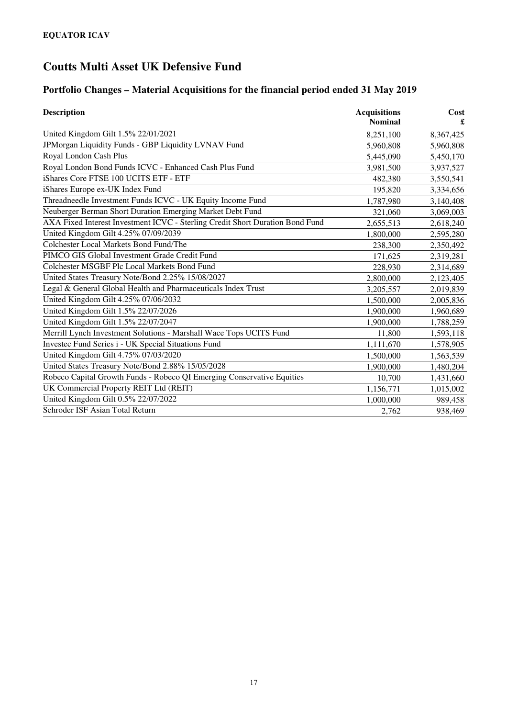# **Portfolio Changes – Material Acquisitions for the financial period ended 31 May 2019**

| <b>Description</b>                                                            | <b>Acquisitions</b><br><b>Nominal</b> | Cost<br>£ |
|-------------------------------------------------------------------------------|---------------------------------------|-----------|
| United Kingdom Gilt 1.5% 22/01/2021                                           | 8,251,100                             | 8,367,425 |
| JPMorgan Liquidity Funds - GBP Liquidity LVNAV Fund                           | 5,960,808                             | 5,960,808 |
| Royal London Cash Plus                                                        | 5,445,090                             | 5,450,170 |
| Royal London Bond Funds ICVC - Enhanced Cash Plus Fund                        | 3,981,500                             | 3,937,527 |
| iShares Core FTSE 100 UCITS ETF - ETF                                         | 482,380                               | 3,550,541 |
| iShares Europe ex-UK Index Fund                                               | 195,820                               | 3,334,656 |
| Threadneedle Investment Funds ICVC - UK Equity Income Fund                    | 1,787,980                             | 3,140,408 |
| Neuberger Berman Short Duration Emerging Market Debt Fund                     | 321,060                               | 3,069,003 |
| AXA Fixed Interest Investment ICVC - Sterling Credit Short Duration Bond Fund | 2,655,513                             | 2,618,240 |
| United Kingdom Gilt 4.25% 07/09/2039                                          | 1,800,000                             | 2,595,280 |
| Colchester Local Markets Bond Fund/The                                        | 238,300                               | 2,350,492 |
| PIMCO GIS Global Investment Grade Credit Fund                                 | 171,625                               | 2,319,281 |
| Colchester MSGBF Plc Local Markets Bond Fund                                  | 228,930                               | 2,314,689 |
| United States Treasury Note/Bond 2.25% 15/08/2027                             | 2,800,000                             | 2,123,405 |
| Legal & General Global Health and Pharmaceuticals Index Trust                 | 3,205,557                             | 2,019,839 |
| United Kingdom Gilt 4.25% 07/06/2032                                          | 1,500,000                             | 2,005,836 |
| United Kingdom Gilt 1.5% 22/07/2026                                           | 1,900,000                             | 1,960,689 |
| United Kingdom Gilt 1.5% 22/07/2047                                           | 1,900,000                             | 1,788,259 |
| Merrill Lynch Investment Solutions - Marshall Wace Tops UCITS Fund            | 11,800                                | 1,593,118 |
| Investec Fund Series i - UK Special Situations Fund                           | 1,111,670                             | 1,578,905 |
| United Kingdom Gilt 4.75% 07/03/2020                                          | 1,500,000                             | 1,563,539 |
| United States Treasury Note/Bond 2.88% 15/05/2028                             | 1,900,000                             | 1,480,204 |
| Robeco Capital Growth Funds - Robeco QI Emerging Conservative Equities        | 10,700                                | 1,431,660 |
| UK Commercial Property REIT Ltd (REIT)                                        | 1,156,771                             | 1,015,002 |
| United Kingdom Gilt 0.5% 22/07/2022                                           | 1,000,000                             | 989,458   |
| Schroder ISF Asian Total Return                                               | 2,762                                 | 938,469   |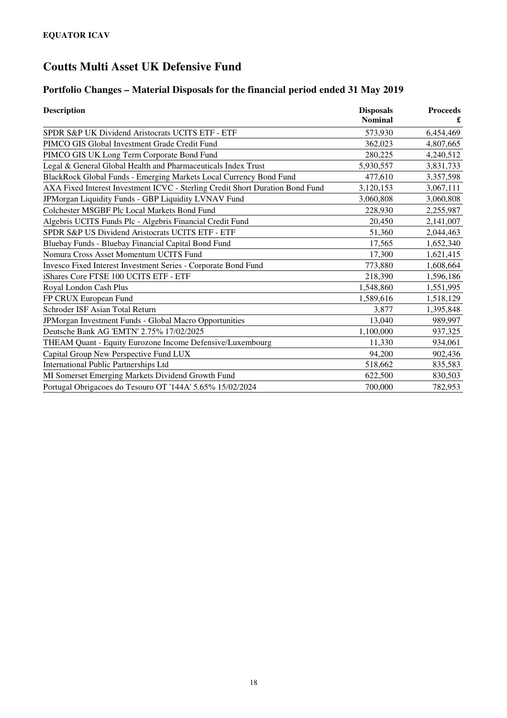# **Portfolio Changes – Material Disposals for the financial period ended 31 May 2019**

| <b>Description</b>                                                            | <b>Disposals</b><br><b>Nominal</b> | <b>Proceeds</b> |
|-------------------------------------------------------------------------------|------------------------------------|-----------------|
| SPDR S&P UK Dividend Aristocrats UCITS ETF - ETF                              | 573,930                            | 6,454,469       |
| PIMCO GIS Global Investment Grade Credit Fund                                 | 362,023                            | 4,807,665       |
| PIMCO GIS UK Long Term Corporate Bond Fund                                    | 280,225                            | 4,240,512       |
| Legal & General Global Health and Pharmaceuticals Index Trust                 | 5,930,557                          | 3,831,733       |
| BlackRock Global Funds - Emerging Markets Local Currency Bond Fund            | 477,610                            | 3,357,598       |
| AXA Fixed Interest Investment ICVC - Sterling Credit Short Duration Bond Fund | 3,120,153                          | 3,067,111       |
| JPMorgan Liquidity Funds - GBP Liquidity LVNAV Fund                           | 3.060.808                          | 3,060,808       |
| Colchester MSGBF Plc Local Markets Bond Fund                                  | 228,930                            | 2,255,987       |
| Algebris UCITS Funds Plc - Algebris Financial Credit Fund                     | 20,450                             | 2,141,007       |
| SPDR S&P US Dividend Aristocrats UCITS ETF - ETF                              | 51,360                             | 2,044,463       |
| Bluebay Funds - Bluebay Financial Capital Bond Fund                           | 17,565                             | 1,652,340       |
| Nomura Cross Asset Momentum UCITS Fund                                        | 17,300                             | 1,621,415       |
| Invesco Fixed Interest Investment Series - Corporate Bond Fund                | 773,880                            | 1,608,664       |
| iShares Core FTSE 100 UCITS ETF - ETF                                         | 218,390                            | 1,596,186       |
| Royal London Cash Plus                                                        | 1,548,860                          | 1,551,995       |
| FP CRUX European Fund                                                         | 1,589,616                          | 1,518,129       |
| Schroder ISF Asian Total Return                                               | 3,877                              | 1,395,848       |
| JPMorgan Investment Funds - Global Macro Opportunities                        | 13,040                             | 989,997         |
| Deutsche Bank AG 'EMTN' 2.75% 17/02/2025                                      | 1,100,000                          | 937,325         |
| THEAM Quant - Equity Eurozone Income Defensive/Luxembourg                     | 11,330                             | 934,061         |
| Capital Group New Perspective Fund LUX                                        | 94,200                             | 902,436         |
| International Public Partnerships Ltd                                         | 518,662                            | 835,583         |
| MI Somerset Emerging Markets Dividend Growth Fund                             | 622,500                            | 830,503         |
| Portugal Obrigacoes do Tesouro OT '144A' 5.65% 15/02/2024                     | 700,000                            | 782,953         |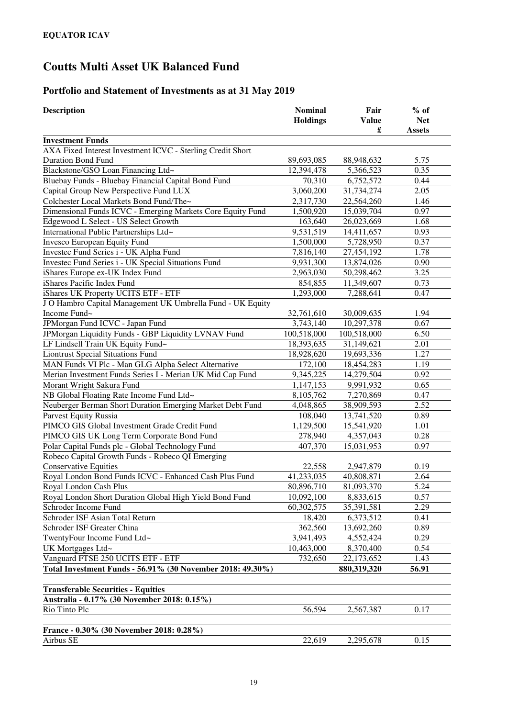# **Portfolio and Statement of Investments as at 31 May 2019**

| <b>Description</b>                                         | <b>Nominal</b><br><b>Holdings</b> | Fair<br><b>Value</b><br>£ | $%$ of<br><b>Net</b><br><b>Assets</b> |
|------------------------------------------------------------|-----------------------------------|---------------------------|---------------------------------------|
| <b>Investment Funds</b>                                    |                                   |                           |                                       |
| AXA Fixed Interest Investment ICVC - Sterling Credit Short |                                   |                           |                                       |
| <b>Duration Bond Fund</b>                                  | 89,693,085                        | 88,948,632                | 5.75                                  |
| Blackstone/GSO Loan Financing Ltd~                         | 12,394,478                        | 5,366,523                 | 0.35                                  |
| Bluebay Funds - Bluebay Financial Capital Bond Fund        | 70,310                            | 6,752,572                 | 0.44                                  |
| Capital Group New Perspective Fund LUX                     | 3,060,200                         | 31,734,274                | 2.05                                  |
| Colchester Local Markets Bond Fund/The~                    | 2,317,730                         | 22,564,260                | 1.46                                  |
| Dimensional Funds ICVC - Emerging Markets Core Equity Fund | 1,500,920                         | 15,039,704                | 0.97                                  |
| Edgewood L Select - US Select Growth                       | 163,640                           | 26,023,669                | 1.68                                  |
| International Public Partnerships Ltd~                     | 9,531,519                         | 14,411,657                | 0.93                                  |
| Invesco European Equity Fund                               | 1,500,000                         | 5,728,950                 | 0.37                                  |
| Investec Fund Series i - UK Alpha Fund                     | 7,816,140                         | 27,454,192                | 1.78                                  |
| Investec Fund Series i - UK Special Situations Fund        | 9,931,300                         | 13,874,026                | 0.90                                  |
| iShares Europe ex-UK Index Fund                            | 2,963,030                         | 50,298,462                | 3.25                                  |
| iShares Pacific Index Fund                                 | 854,855                           | 11,349,607                | 0.73                                  |
| iShares UK Property UCITS ETF - ETF                        | 1,293,000                         | 7,288,641                 | 0.47                                  |
| J O Hambro Capital Management UK Umbrella Fund - UK Equity |                                   |                           |                                       |
| Income Fund~                                               | 32,761,610                        | 30,009,635                | 1.94                                  |
| JPMorgan Fund ICVC - Japan Fund                            | 3,743,140                         | 10,297,378                | 0.67                                  |
| JPMorgan Liquidity Funds - GBP Liquidity LVNAV Fund        | 100,518,000                       | 100,518,000               | 6.50                                  |
| LF Lindsell Train UK Equity Fund~                          | 18,393,635                        | 31,149,621                | 2.01                                  |
| <b>Liontrust Special Situations Fund</b>                   | 18,928,620                        | 19,693,336                | 1.27                                  |
| MAN Funds VI Plc - Man GLG Alpha Select Alternative        | 172,100                           | 18,454,283                | 1.19                                  |
| Merian Investment Funds Series I - Merian UK Mid Cap Fund  | 9,345,225                         | 14,279,504                | 0.92                                  |
| Morant Wright Sakura Fund                                  | 1,147,153                         | 9,991,932                 | 0.65                                  |
| NB Global Floating Rate Income Fund Ltd~                   | 8,105,762                         | 7,270,869                 | 0.47                                  |
| Neuberger Berman Short Duration Emerging Market Debt Fund  | 4,048,865                         | 38,909,593                | 2.52                                  |
| Parvest Equity Russia                                      | 108,040                           | 13,741,520                | 0.89                                  |
| PIMCO GIS Global Investment Grade Credit Fund              | 1,129,500                         | 15,541,920                | 1.01                                  |
| PIMCO GIS UK Long Term Corporate Bond Fund                 | 278,940                           | 4,357,043                 | 0.28                                  |
| Polar Capital Funds plc - Global Technology Fund           | 407,370                           | 15,031,953                | 0.97                                  |
| Robeco Capital Growth Funds - Robeco QI Emerging           |                                   |                           |                                       |
| <b>Conservative Equities</b>                               | 22,558                            | 2,947,879                 | 0.19                                  |
| Royal London Bond Funds ICVC - Enhanced Cash Plus Fund     | 41,233,035                        | 40,808,871                | 2.64                                  |
| Royal London Cash Plus                                     | 80,896,710                        | 81,093,370                | 5.24                                  |
| Royal London Short Duration Global High Yield Bond Fund    | 10,092,100                        | 8,833,615                 | 0.57                                  |
| Schroder Income Fund                                       | 60,302,575                        | 35,391,581                | 2.29                                  |
| Schroder ISF Asian Total Return                            | 18,420                            | 6,373,512                 | 0.41                                  |
| Schroder ISF Greater China                                 | 362,560                           | 13,692,260                | 0.89                                  |
| TwentyFour Income Fund Ltd~                                | 3,941,493                         | 4,552,424                 | 0.29                                  |
| UK Mortgages Ltd~                                          | 10,463,000                        | 8,370,400                 | 0.54                                  |
| Vanguard FTSE 250 UCITS ETF - ETF                          | 732,650                           | 22,173,652                | 1.43                                  |
| Total Investment Funds - 56.91% (30 November 2018: 49.30%) |                                   | 880,319,320               | 56.91                                 |
|                                                            |                                   |                           |                                       |
| <b>Transferable Securities - Equities</b>                  |                                   |                           |                                       |
| Australia - 0.17% (30 November 2018: 0.15%)                |                                   |                           |                                       |
| Rio Tinto Plc                                              | 56,594                            | 2,567,387                 | 0.17                                  |
|                                                            |                                   |                           |                                       |
| France - 0.30% (30 November 2018: 0.28%)                   |                                   |                           |                                       |
| Airbus SE                                                  | 22,619                            | 2,295,678                 | 0.15                                  |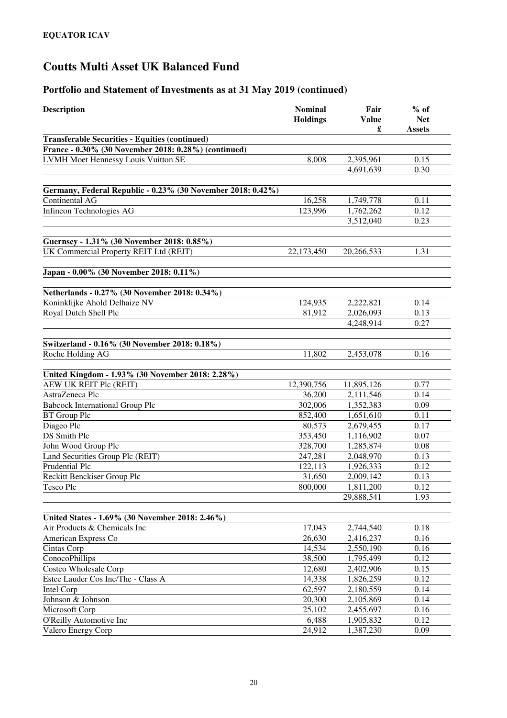| <b>Description</b>                                          | <b>Nominal</b><br><b>Holdings</b> | Fair<br><b>Value</b><br>£ | $%$ of<br><b>Net</b><br><b>Assets</b> |
|-------------------------------------------------------------|-----------------------------------|---------------------------|---------------------------------------|
| <b>Transferable Securities - Equities (continued)</b>       |                                   |                           |                                       |
| France - 0.30% (30 November 2018: 0.28%) (continued)        |                                   |                           |                                       |
| LVMH Moet Hennessy Louis Vuitton SE                         | 8,008                             | 2,395,961                 | 0.15                                  |
|                                                             |                                   | 4,691,639                 | 0.30                                  |
|                                                             |                                   |                           |                                       |
| Germany, Federal Republic - 0.23% (30 November 2018: 0.42%) |                                   |                           |                                       |
| Continental AG                                              | 16,258                            | 1,749,778                 | 0.11                                  |
| Infineon Technologies AG                                    | 123,996                           | 1,762,262                 | 0.12                                  |
|                                                             |                                   | 3,512,040                 | 0.23                                  |
|                                                             |                                   |                           |                                       |
| Guernsey - 1.31% (30 November 2018: 0.85%)                  |                                   |                           |                                       |
| UK Commercial Property REIT Ltd (REIT)                      | 22,173,450                        | 20,266,533                | 1.31                                  |
| Japan - 0.00% (30 November 2018: 0.11%)                     |                                   |                           |                                       |
| Netherlands - 0.27% (30 November 2018: 0.34%)               |                                   |                           |                                       |
| Koninklijke Ahold Delhaize NV                               | 124,935                           | 2,222,821                 | 0.14                                  |
| Royal Dutch Shell Plc                                       | 81,912                            | 2,026,093                 | 0.13                                  |
|                                                             |                                   | 4,248,914                 | 0.27                                  |
|                                                             |                                   |                           |                                       |
| Switzerland - 0.16% (30 November 2018: 0.18%)               |                                   |                           |                                       |
| Roche Holding AG                                            | 11,802                            | 2,453,078                 | 0.16                                  |
| United Kingdom - 1.93% (30 November 2018: 2.28%)            |                                   |                           |                                       |
| AEW UK REIT Plc (REIT)                                      | 12,390,756                        | 11,895,126                | 0.77                                  |
| AstraZeneca Plc                                             | 36,200                            | 2,111,546                 | 0.14                                  |
| <b>Babcock International Group Plc</b>                      | 302,006                           | 1,352,383                 | 0.09                                  |
| <b>BT</b> Group Plc                                         | 852,400                           | 1,651,610                 | 0.11                                  |
| Diageo Plc                                                  | 80,573                            | 2,679,455                 | 0.17                                  |
| <b>DS</b> Smith Plc                                         | 353,450                           | 1,116,902                 | 0.07                                  |
| John Wood Group Plc                                         | 328,700                           | 1,285,874                 | 0.08                                  |
| Land Securities Group Plc (REIT)                            | 247,281                           | 2,048,970                 | 0.13                                  |
| Prudential Plc                                              | 122,113                           | 1,926,333                 | 0.12                                  |
| Reckitt Benckiser Group Plc                                 | 31,650                            | 2,009,142                 | 0.13                                  |
| Tesco Plc                                                   | 800,000                           | 1,811,200                 | 0.12                                  |
|                                                             |                                   | 29,888,541                | 1.93                                  |
| United States - 1.69% (30 November 2018: 2.46%)             |                                   |                           |                                       |
| Air Products & Chemicals Inc                                | 17,043                            | 2,744,540                 | 0.18                                  |
| American Express Co                                         | 26,630                            | 2,416,237                 | 0.16                                  |
| Cintas Corp                                                 | 14,534                            | 2,550,190                 | 0.16                                  |
| ConocoPhillips                                              | 38,500                            | 1,795,499                 | 0.12                                  |
| Costco Wholesale Corp                                       | 12,680                            | 2,402,906                 | 0.15                                  |
| Estee Lauder Cos Inc/The - Class A                          | 14,338                            | 1,826,259                 | 0.12                                  |
| Intel Corp                                                  | 62,597                            | 2,180,559                 | 0.14                                  |
| Johnson & Johnson                                           | 20,300                            | 2,105,869                 | 0.14                                  |
| Microsoft Corp                                              | 25,102                            | 2,455,697                 | $\overline{0.16}$                     |
| O'Reilly Automotive Inc                                     | 6,488                             | 1,905,832                 | 0.12                                  |
| Valero Energy Corp                                          | 24,912                            | 1,387,230                 | 0.09                                  |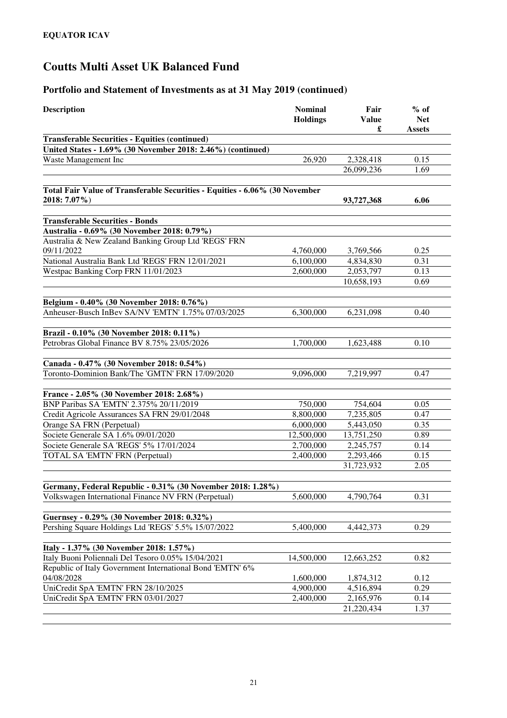| <b>Description</b>                                                                                                   | <b>Nominal</b><br><b>Holdings</b> | Fair<br><b>Value</b>   | $%$ of<br><b>Net</b> |
|----------------------------------------------------------------------------------------------------------------------|-----------------------------------|------------------------|----------------------|
|                                                                                                                      |                                   | £                      | <b>Assets</b>        |
| <b>Transferable Securities - Equities (continued)</b><br>United States - 1.69% (30 November 2018: 2.46%) (continued) |                                   |                        |                      |
| Waste Management Inc                                                                                                 | 26,920                            | 2,328,418              | 0.15                 |
|                                                                                                                      |                                   | 26,099,236             | 1.69                 |
|                                                                                                                      |                                   |                        |                      |
| Total Fair Value of Transferable Securities - Equities - 6.06% (30 November                                          |                                   |                        |                      |
| 2018: 7.07%)                                                                                                         |                                   | 93,727,368             | 6.06                 |
| <b>Transferable Securities - Bonds</b>                                                                               |                                   |                        |                      |
| Australia - 0.69% (30 November 2018: 0.79%)                                                                          |                                   |                        |                      |
| Australia & New Zealand Banking Group Ltd 'REGS' FRN                                                                 |                                   |                        |                      |
| 09/11/2022                                                                                                           | 4,760,000                         | 3,769,566              | 0.25                 |
| National Australia Bank Ltd 'REGS' FRN 12/01/2021                                                                    | 6,100,000                         | 4,834,830              | 0.31                 |
| Westpac Banking Corp FRN 11/01/2023                                                                                  | 2,600,000                         | 2,053,797              | 0.13                 |
|                                                                                                                      |                                   | 10,658,193             | 0.69                 |
|                                                                                                                      |                                   |                        |                      |
| Belgium - 0.40% (30 November 2018: 0.76%)                                                                            |                                   |                        |                      |
| Anheuser-Busch InBev SA/NV 'EMTN' 1.75% 07/03/2025                                                                   | 6,300,000                         | 6,231,098              | 0.40                 |
| Brazil - 0.10% (30 November 2018: 0.11%)                                                                             |                                   |                        |                      |
| Petrobras Global Finance BV 8.75% 23/05/2026                                                                         | 1,700,000                         | 1,623,488              | 0.10                 |
|                                                                                                                      |                                   |                        |                      |
| Canada - 0.47% (30 November 2018: 0.54%)                                                                             |                                   |                        |                      |
| Toronto-Dominion Bank/The 'GMTN' FRN 17/09/2020                                                                      | 9,096,000                         | 7,219,997              | 0.47                 |
| France - 2.05% (30 November 2018: 2.68%)                                                                             |                                   |                        |                      |
| BNP Paribas SA 'EMTN' 2.375% 20/11/2019                                                                              | 750,000                           | 754,604                | 0.05                 |
| Credit Agricole Assurances SA FRN 29/01/2048                                                                         | 8,800,000                         | 7,235,805              | 0.47                 |
| Orange SA FRN (Perpetual)                                                                                            | 6,000,000                         | 5,443,050              | 0.35                 |
| Societe Generale SA 1.6% 09/01/2020                                                                                  | 12,500,000                        | 13,751,250             | 0.89                 |
| Societe Generale SA 'REGS' 5% 17/01/2024                                                                             | 2,700,000                         | 2,245,757              | 0.14                 |
| TOTAL SA 'EMTN' FRN (Perpetual)                                                                                      | 2,400,000                         | 2,293,466              | 0.15                 |
|                                                                                                                      |                                   | 31,723,932             | 2.05                 |
|                                                                                                                      |                                   |                        |                      |
| Germany, Federal Republic - 0.31% (30 November 2018: 1.28%)                                                          |                                   |                        |                      |
| Volkswagen International Finance NV FRN (Perpetual)                                                                  | 5,600,000                         | 4,790,764              | 0.31                 |
| Guernsey - 0.29% (30 November 2018: 0.32%)                                                                           |                                   |                        |                      |
| Pershing Square Holdings Ltd 'REGS' 5.5% 15/07/2022                                                                  | 5,400,000                         | 4,442,373              | 0.29                 |
|                                                                                                                      |                                   |                        |                      |
| Italy - 1.37% (30 November 2018: 1.57%)                                                                              |                                   |                        |                      |
| Italy Buoni Poliennali Del Tesoro 0.05% 15/04/2021                                                                   | 14,500,000                        | 12,663,252             | 0.82                 |
| Republic of Italy Government International Bond 'EMTN' 6%                                                            |                                   |                        |                      |
| 04/08/2028                                                                                                           | 1,600,000                         | 1,874,312              | 0.12                 |
| UniCredit SpA 'EMTN' FRN 28/10/2025<br>UniCredit SpA 'EMTN' FRN 03/01/2027                                           | 4,900,000                         | 4,516,894<br>2,165,976 | 0.29<br>0.14         |
|                                                                                                                      | 2,400,000                         | 21,220,434             | 1.37                 |
|                                                                                                                      |                                   |                        |                      |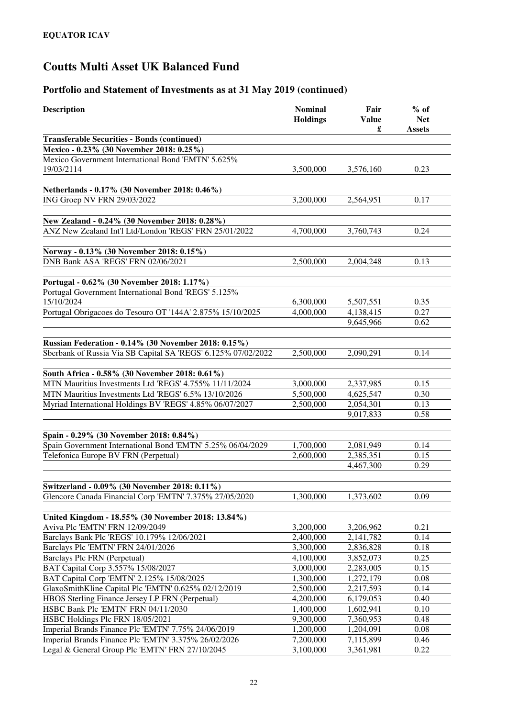| <b>Description</b>                                               | <b>Nominal</b><br><b>Holdings</b> | Fair<br><b>Value</b><br>£ | $%$ of<br><b>Net</b><br><b>Assets</b> |
|------------------------------------------------------------------|-----------------------------------|---------------------------|---------------------------------------|
| <b>Transferable Securities - Bonds (continued)</b>               |                                   |                           |                                       |
| Mexico - 0.23% (30 November 2018: 0.25%)                         |                                   |                           |                                       |
| Mexico Government International Bond 'EMTN' 5.625%<br>19/03/2114 | 3,500,000                         | 3,576,160                 | 0.23                                  |
|                                                                  |                                   |                           |                                       |
| Netherlands - 0.17% (30 November 2018: 0.46%)                    |                                   |                           |                                       |
| ING Groep NV FRN 29/03/2022                                      | 3.200,000                         | 2,564,951                 | 0.17                                  |
| New Zealand - 0.24% (30 November 2018: 0.28%)                    |                                   |                           |                                       |
| ANZ New Zealand Int'l Ltd/London 'REGS' FRN 25/01/2022           | 4,700,000                         | 3,760,743                 | 0.24                                  |
| Norway - 0.13% (30 November 2018: 0.15%)                         |                                   |                           |                                       |
| DNB Bank ASA 'REGS' FRN 02/06/2021                               | 2,500,000                         | 2,004,248                 | 0.13                                  |
| Portugal - 0.62% (30 November 2018: 1.17%)                       |                                   |                           |                                       |
| Portugal Government International Bond 'REGS' 5.125%             |                                   |                           |                                       |
| 15/10/2024                                                       | 6,300,000                         | 5,507,551                 | 0.35                                  |
| Portugal Obrigacoes do Tesouro OT '144A' 2.875% 15/10/2025       | 4,000,000                         | 4,138,415                 | 0.27                                  |
|                                                                  |                                   | 9,645,966                 | 0.62                                  |
|                                                                  |                                   |                           |                                       |
| <b>Russian Federation - 0.14% (30 November 2018: 0.15%)</b>      |                                   |                           |                                       |
| Sberbank of Russia Via SB Capital SA 'REGS' 6.125% 07/02/2022    | 2,500,000                         | 2,090,291                 | 0.14                                  |
|                                                                  |                                   |                           |                                       |
| South Africa - 0.58% (30 November 2018: 0.61%)                   |                                   |                           |                                       |
| MTN Mauritius Investments Ltd 'REGS' 4.755% 11/11/2024           | 3,000,000                         | 2,337,985                 | 0.15                                  |
| MTN Mauritius Investments Ltd 'REGS' 6.5% 13/10/2026             | 5,500,000                         | 4,625,547                 | 0.30                                  |
| Myriad International Holdings BV 'REGS' 4.85% 06/07/2027         | 2,500,000                         | 2,054,301                 | 0.13                                  |
|                                                                  |                                   | 9,017,833                 | 0.58                                  |
| Spain - 0.29% (30 November 2018: 0.84%)                          |                                   |                           |                                       |
| Spain Government International Bond 'EMTN' 5.25% 06/04/2029      | 1,700,000                         | 2,081,949                 | 0.14                                  |
| Telefonica Europe BV FRN (Perpetual)                             | 2,600,000                         | 2,385,351                 | 0.15                                  |
|                                                                  |                                   | 4,467,300                 | 0.29                                  |
|                                                                  |                                   |                           |                                       |
| Switzerland - 0.09% (30 November 2018: 0.11%)                    |                                   |                           |                                       |
| Glencore Canada Financial Corp 'EMTN' 7.375% 27/05/2020          | 1,300,000                         | 1,373,602                 | 0.09                                  |
| United Kingdom - 18.55% (30 November 2018: 13.84%)               |                                   |                           |                                       |
| Aviva Plc 'EMTN' FRN 12/09/2049                                  | 3,200,000                         | 3,206,962                 | 0.21                                  |
| Barclays Bank Plc 'REGS' 10.179% 12/06/2021                      | 2,400,000                         | 2,141,782                 | 0.14                                  |
| Barclays Plc 'EMTN' FRN 24/01/2026                               | 3,300,000                         | 2,836,828                 | 0.18                                  |
| Barclays Plc FRN (Perpetual)                                     | 4,100,000                         | 3,852,073                 | 0.25                                  |
| BAT Capital Corp 3.557% 15/08/2027                               | 3,000,000                         | 2,283,005                 | 0.15                                  |
| BAT Capital Corp 'EMTN' 2.125% 15/08/2025                        | 1,300,000                         | 1,272,179                 | 0.08                                  |
| GlaxoSmithKline Capital Plc 'EMTN' 0.625% 02/12/2019             | 2,500,000                         | 2,217,593                 | 0.14                                  |
| HBOS Sterling Finance Jersey LP FRN (Perpetual)                  | 4,200,000                         | 6,179,053                 | 0.40                                  |
| HSBC Bank Plc 'EMTN' FRN 04/11/2030                              | 1,400,000                         | 1,602,941                 | 0.10                                  |
| HSBC Holdings Plc FRN 18/05/2021                                 | 9,300,000                         | 7,360,953                 | 0.48                                  |
| Imperial Brands Finance Plc 'EMTN' 7.75% 24/06/2019              | 1,200,000                         | 1,204,091                 | 0.08                                  |
| Imperial Brands Finance Plc 'EMTN' 3.375% 26/02/2026             | 7,200,000                         | 7,115,899                 | 0.46                                  |
| Legal & General Group Plc 'EMTN' FRN 27/10/2045                  | 3,100,000                         | 3,361,981                 | 0.22                                  |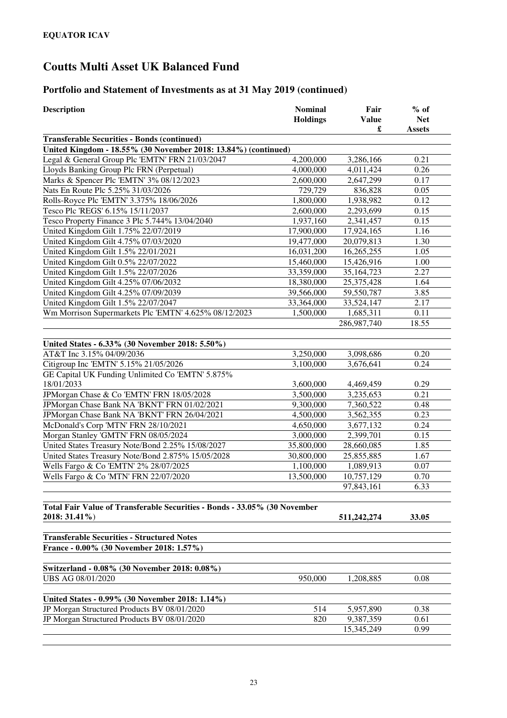| Description                                                               | <b>Nominal</b>  | Fair         | $%$ of        |
|---------------------------------------------------------------------------|-----------------|--------------|---------------|
|                                                                           | <b>Holdings</b> | <b>Value</b> | <b>Net</b>    |
|                                                                           |                 | £            | <b>Assets</b> |
| <b>Transferable Securities - Bonds (continued)</b>                        |                 |              |               |
| United Kingdom - 18.55% (30 November 2018: 13.84%) (continued)            |                 |              |               |
| Legal & General Group Plc 'EMTN' FRN 21/03/2047                           | 4,200,000       | 3,286,166    | 0.21          |
| Lloyds Banking Group Plc FRN (Perpetual)                                  | 4,000,000       | 4,011,424    | 0.26          |
| Marks & Spencer Plc 'EMTN' 3% 08/12/2023                                  | 2,600,000       | 2,647,299    | 0.17          |
| Nats En Route Plc 5.25% 31/03/2026                                        | 729,729         | 836,828      | 0.05          |
| Rolls-Royce Plc 'EMTN' 3.375% 18/06/2026                                  | 1,800,000       | 1,938,982    | 0.12          |
| Tesco Plc 'REGS' 6.15% 15/11/2037                                         | 2,600,000       | 2,293,699    | 0.15          |
| Tesco Property Finance 3 Plc 5.744% 13/04/2040                            | 1,937,160       | 2,341,457    | 0.15          |
| United Kingdom Gilt 1.75% 22/07/2019                                      | 17,900,000      | 17,924,165   | 1.16          |
| United Kingdom Gilt 4.75% 07/03/2020                                      | 19,477,000      | 20,079,813   | 1.30          |
| United Kingdom Gilt 1.5% 22/01/2021                                       | 16,031,200      | 16,265,255   | 1.05          |
| United Kingdom Gilt 0.5% 22/07/2022                                       | 15,460,000      | 15,426,916   | 1.00          |
| United Kingdom Gilt 1.5% 22/07/2026                                       | 33,359,000      | 35, 164, 723 | 2.27          |
| United Kingdom Gilt 4.25% 07/06/2032                                      | 18,380,000      | 25,375,428   | 1.64          |
| United Kingdom Gilt 4.25% 07/09/2039                                      | 39,566,000      | 59,550,787   | 3.85          |
| United Kingdom Gilt 1.5% 22/07/2047                                       | 33,364,000      | 33,524,147   | 2.17          |
| Wm Morrison Supermarkets Plc 'EMTN' 4.625% 08/12/2023                     | 1,500,000       | 1,685,311    | 0.11          |
|                                                                           |                 | 286,987,740  | 18.55         |
|                                                                           |                 |              |               |
| United States - 6.33% (30 November 2018: 5.50%)                           |                 |              |               |
| AT&T Inc 3.15% 04/09/2036                                                 | 3,250,000       | 3,098,686    | 0.20          |
| Citigroup Inc 'EMTN' 5.15% 21/05/2026                                     | 3,100,000       | 3,676,641    | 0.24          |
| GE Capital UK Funding Unlimited Co 'EMTN' 5.875%                          |                 |              |               |
| 18/01/2033                                                                | 3,600,000       | 4,469,459    | 0.29          |
| JPMorgan Chase & Co 'EMTN' FRN 18/05/2028                                 | 3,500,000       | 3,235,653    | 0.21          |
| JPMorgan Chase Bank NA 'BKNT' FRN 01/02/2021                              | 9,300,000       | 7,360,522    | 0.48          |
| JPMorgan Chase Bank NA 'BKNT' FRN 26/04/2021                              | 4,500,000       | 3,562,355    | 0.23          |
| McDonald's Corp 'MTN' FRN 28/10/2021                                      | 4,650,000       | 3,677,132    | 0.24          |
| Morgan Stanley 'GMTN' FRN 08/05/2024                                      | 3,000,000       | 2,399,701    | 0.15          |
| United States Treasury Note/Bond 2.25% 15/08/2027                         | 35,800,000      | 28,660,085   | 1.85          |
| United States Treasury Note/Bond 2.875% 15/05/2028                        | 30,800,000      | 25,855,885   | 1.67          |
| Wells Fargo & Co 'EMTN' 2% 28/07/2025                                     | 1,100,000       | 1,089,913    | 0.07          |
| Wells Fargo & Co 'MTN' FRN 22/07/2020                                     | 13,500,000      | 10,757,129   | 0.70          |
|                                                                           |                 | 97,843,161   | 6.33          |
| Total Fair Value of Transferable Securities - Bonds - 33.05% (30 November |                 |              |               |
| 2018: 31.41%)                                                             |                 | 511,242,274  | 33.05         |
|                                                                           |                 |              |               |
| <b>Transferable Securities - Structured Notes</b>                         |                 |              |               |
| France - 0.00% (30 November 2018: 1.57%)                                  |                 |              |               |
|                                                                           |                 |              |               |
| Switzerland - 0.08% (30 November 2018: 0.08%)                             |                 |              |               |
| UBS AG 08/01/2020                                                         | 950,000         | 1,208,885    | 0.08          |
|                                                                           |                 |              |               |
| United States - 0.99% (30 November 2018: 1.14%)                           |                 |              |               |
| JP Morgan Structured Products BV 08/01/2020                               | 514             | 5,957,890    | 0.38          |
| JP Morgan Structured Products BV 08/01/2020                               | 820             | 9,387,359    | 0.61          |
|                                                                           |                 | 15,345,249   | 0.99          |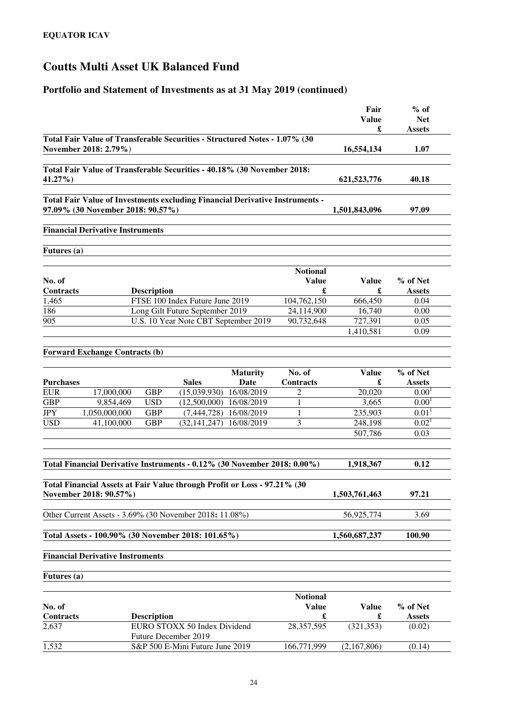|                                |                                                                                                                   |                                      |                      | Fair          | $%$ of                             |
|--------------------------------|-------------------------------------------------------------------------------------------------------------------|--------------------------------------|----------------------|---------------|------------------------------------|
|                                |                                                                                                                   |                                      |                      | <b>Value</b>  | <b>Net</b>                         |
|                                |                                                                                                                   |                                      |                      | £             | <b>Assets</b>                      |
|                                | Total Fair Value of Transferable Securities - Structured Notes - 1.07% (30<br>November 2018: 2.79%)               |                                      | 16,554,134           | 1.07          |                                    |
|                                | Total Fair Value of Transferable Securities - 40.18% (30 November 2018:                                           |                                      |                      |               |                                    |
| 41.27%)                        |                                                                                                                   |                                      |                      | 621,523,776   | 40.18                              |
|                                |                                                                                                                   |                                      |                      |               |                                    |
|                                | Total Fair Value of Investments excluding Financial Derivative Instruments -<br>97.09% (30 November 2018: 90.57%) |                                      |                      | 1,501,843,096 | 97.09                              |
|                                | <b>Financial Derivative Instruments</b>                                                                           |                                      |                      |               |                                    |
| Futures (a)                    |                                                                                                                   |                                      |                      |               |                                    |
|                                |                                                                                                                   |                                      |                      |               |                                    |
|                                |                                                                                                                   |                                      | <b>Notional</b>      |               |                                    |
| No. of                         |                                                                                                                   |                                      | <b>Value</b>         | <b>Value</b>  | % of Net                           |
| <b>Contracts</b>               | <b>Description</b>                                                                                                |                                      | £                    | £             | <b>Assets</b>                      |
| 1,465                          | FTSE 100 Index Future June 2019                                                                                   |                                      | 104,762,150          | 666,450       | 0.04                               |
| 186                            | Long Gilt Future September 2019                                                                                   |                                      | 24,114,900           | 16,740        | 0.00                               |
| 905                            |                                                                                                                   | U.S. 10 Year Note CBT September 2019 | 90,732,648           | 727,391       | 0.05                               |
|                                |                                                                                                                   |                                      |                      | 1,410,581     | 0.09                               |
|                                | <b>Forward Exchange Contracts (b)</b>                                                                             |                                      |                      |               |                                    |
|                                |                                                                                                                   |                                      |                      |               |                                    |
|                                |                                                                                                                   | <b>Maturity</b>                      | No. of               | <b>Value</b>  | % of Net                           |
| <b>Purchases</b><br><b>EUR</b> | <b>Sales</b><br>17,000,000<br><b>GBP</b>                                                                          | Date<br>(15,039,930)<br>16/08/2019   | Contracts<br>2       | £<br>20,020   | <b>Assets</b><br>0.00 <sup>1</sup> |
| <b>GBP</b>                     | 9,854,469<br><b>USD</b>                                                                                           | $(12,500,000)$ $16/08/2019$          | 1                    | 3,665         | 0.00 <sup>1</sup>                  |
| <b>JPY</b>                     | 1,050,000,000<br><b>GBP</b>                                                                                       | 16/08/2019<br>(7, 444, 728)          | 1                    | 235,903       | 0.01 <sup>1</sup>                  |
| <b>USD</b>                     | <b>GBP</b><br>41,100,000                                                                                          | 16/08/2019<br>(32, 141, 247)         | 3                    | 248,198       | 0.02 <sup>1</sup>                  |
|                                |                                                                                                                   |                                      |                      | 507,786       | 0.03                               |
|                                |                                                                                                                   |                                      |                      |               |                                    |
|                                |                                                                                                                   |                                      |                      |               |                                    |
|                                | Total Financial Derivative Instruments - 0.12% (30 November 2018: 0.00%)                                          |                                      |                      | 1,918,367     | 0.12                               |
|                                |                                                                                                                   |                                      |                      |               |                                    |
|                                | Total Financial Assets at Fair Value through Profit or Loss - 97.21% (30<br>November 2018: 90.57%)                |                                      |                      | 1,503,761,463 | 97.21                              |
|                                |                                                                                                                   |                                      |                      |               |                                    |
|                                | Other Current Assets - 3.69% (30 November 2018: 11.08%)                                                           |                                      |                      | 56,925,774    | 3.69                               |
|                                | Total Assets - 100.90% (30 November 2018: 101.65%)                                                                |                                      |                      | 1,560,687,237 | 100.90                             |
|                                | <b>Financial Derivative Instruments</b>                                                                           |                                      |                      |               |                                    |
| Futures (a)                    |                                                                                                                   |                                      |                      |               |                                    |
|                                |                                                                                                                   |                                      |                      |               |                                    |
|                                |                                                                                                                   |                                      | <b>Notional</b>      |               |                                    |
| No. of                         |                                                                                                                   |                                      | <b>Value</b>         | <b>Value</b>  | % of Net                           |
| Contracts                      | <b>Description</b>                                                                                                |                                      | $\pmb{\mathfrak{L}}$ | £             | <b>Assets</b>                      |
| 2,637                          | EURO STOXX 50 Index Dividend<br>Future December 2019                                                              |                                      | 28,357,595           | (321, 353)    | (0.02)                             |
| 1,532                          | S&P 500 E-Mini Future June 2019                                                                                   |                                      | 166,771,999          | (2,167,806)   | (0.14)                             |
|                                |                                                                                                                   |                                      |                      |               |                                    |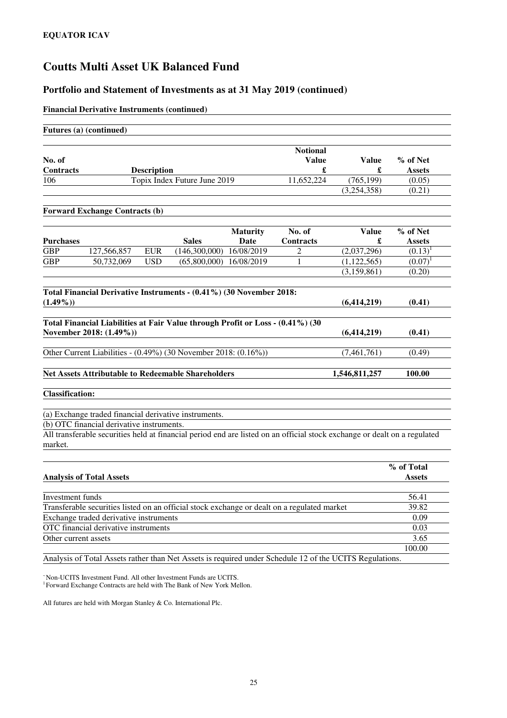### **Portfolio and Statement of Investments as at 31 May 2019 (continued)**

### **Financial Derivative Instruments (continued)**

### **Futures (a) (continued)**

|                        |                                                                                |                    |                              |                 | <b>Notional</b>  |                                                                                                                           |               |
|------------------------|--------------------------------------------------------------------------------|--------------------|------------------------------|-----------------|------------------|---------------------------------------------------------------------------------------------------------------------------|---------------|
| No. of                 |                                                                                |                    |                              |                 | <b>Value</b>     | <b>Value</b>                                                                                                              | % of Net      |
| Contracts              |                                                                                | <b>Description</b> |                              |                 | $\mathbf f$      | £                                                                                                                         | <b>Assets</b> |
| 106                    |                                                                                |                    | Topix Index Future June 2019 |                 | 11,652,224       | (765, 199)                                                                                                                | (0.05)        |
|                        |                                                                                |                    |                              |                 |                  | (3,254,358)                                                                                                               | (0.21)        |
|                        | <b>Forward Exchange Contracts (b)</b>                                          |                    |                              |                 |                  |                                                                                                                           |               |
|                        |                                                                                |                    |                              | <b>Maturity</b> | No. of           | <b>Value</b>                                                                                                              | % of Net      |
| <b>Purchases</b>       |                                                                                |                    | <b>Sales</b>                 | <b>Date</b>     | <b>Contracts</b> | £                                                                                                                         | <b>Assets</b> |
| <b>GBP</b>             | 127,566,857                                                                    | <b>EUR</b>         | (146,300,000)                | 16/08/2019      | 2                | (2,037,296)                                                                                                               | $(0.13)^1$    |
| <b>GBP</b>             | 50,732,069                                                                     | <b>USD</b>         | (65,800,000)                 | 16/08/2019      | 1                | (1, 122, 565)                                                                                                             | $(0.07)^1$    |
|                        |                                                                                |                    |                              |                 |                  | (3, 159, 861)                                                                                                             | (0.20)        |
|                        |                                                                                |                    |                              |                 |                  |                                                                                                                           |               |
|                        | Total Financial Derivative Instruments - (0.41%) (30 November 2018:            |                    |                              |                 |                  |                                                                                                                           |               |
| $(1.49\%)$             |                                                                                |                    |                              |                 |                  | (6,414,219)                                                                                                               | (0.41)        |
|                        |                                                                                |                    |                              |                 |                  |                                                                                                                           |               |
|                        | Total Financial Liabilities at Fair Value through Profit or Loss - (0.41%) (30 |                    |                              |                 |                  |                                                                                                                           |               |
|                        | November 2018: (1.49%))                                                        |                    |                              |                 |                  | (6, 414, 219)                                                                                                             | (0.41)        |
|                        | Other Current Liabilities - (0.49%) (30 November 2018: (0.16%))                |                    |                              |                 |                  | (7,461,761)                                                                                                               |               |
|                        |                                                                                |                    |                              |                 |                  |                                                                                                                           | (0.49)        |
|                        | <b>Net Assets Attributable to Redeemable Shareholders</b>                      |                    |                              |                 |                  | 1,546,811,257                                                                                                             | 100.00        |
|                        |                                                                                |                    |                              |                 |                  |                                                                                                                           |               |
| <b>Classification:</b> |                                                                                |                    |                              |                 |                  |                                                                                                                           |               |
|                        |                                                                                |                    |                              |                 |                  |                                                                                                                           |               |
|                        | (a) Exchange traded financial derivative instruments.                          |                    |                              |                 |                  |                                                                                                                           |               |
|                        | (b) OTC financial derivative instruments.                                      |                    |                              |                 |                  |                                                                                                                           |               |
|                        |                                                                                |                    |                              |                 |                  | All transferable securities held at financial period end are listed on an official stock exchange or dealt on a regulated |               |
| market.                |                                                                                |                    |                              |                 |                  |                                                                                                                           |               |
|                        |                                                                                |                    |                              |                 |                  |                                                                                                                           |               |
|                        |                                                                                |                    |                              |                 |                  |                                                                                                                           | % of Total    |
|                        | <b>Analysis of Total Assets</b>                                                |                    |                              |                 |                  |                                                                                                                           | <b>Assets</b> |
|                        |                                                                                |                    |                              |                 |                  |                                                                                                                           |               |
| Investment funds       |                                                                                |                    |                              |                 |                  |                                                                                                                           | 56.41         |

Exchange traded derivative instruments 0.09<br>OTC financial derivative instruments 0.03 OTC financial derivative instruments Other current assets 3.65

Analysis of Total Assets rather than Net Assets is required under Schedule 12 of the UCITS Regulations.

<sup>~</sup>Non-UCITS Investment Fund. All other Investment Funds are UCITS.

<sup>1</sup> Forward Exchange Contracts are held with The Bank of New York Mellon.

All futures are held with Morgan Stanley & Co. International Plc.

100.00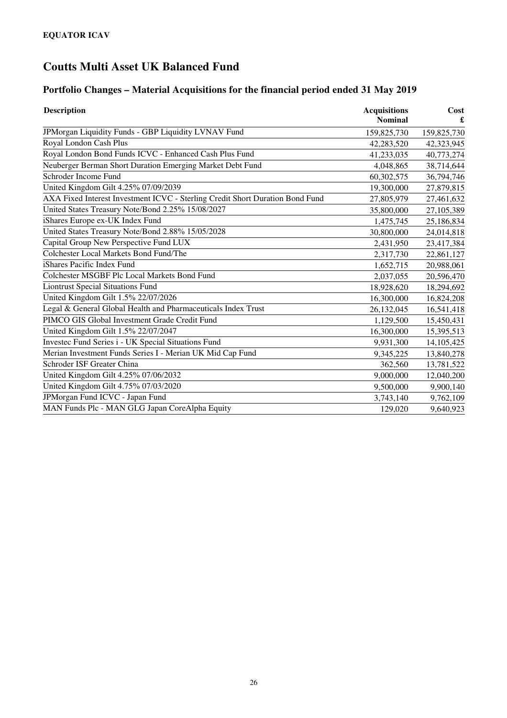# **Portfolio Changes – Material Acquisitions for the financial period ended 31 May 2019**

| <b>Description</b>                                                            | <b>Acquisitions</b><br><b>Nominal</b> | Cost        |
|-------------------------------------------------------------------------------|---------------------------------------|-------------|
| JPMorgan Liquidity Funds - GBP Liquidity LVNAV Fund                           | 159,825,730                           | 159,825,730 |
| Royal London Cash Plus                                                        | 42,283,520                            | 42,323,945  |
| Royal London Bond Funds ICVC - Enhanced Cash Plus Fund                        | 41,233,035                            | 40,773,274  |
| Neuberger Berman Short Duration Emerging Market Debt Fund                     | 4,048,865                             | 38,714,644  |
| Schroder Income Fund                                                          | 60,302,575                            | 36,794,746  |
| United Kingdom Gilt 4.25% 07/09/2039                                          | 19,300,000                            | 27,879,815  |
| AXA Fixed Interest Investment ICVC - Sterling Credit Short Duration Bond Fund | 27,805,979                            | 27,461,632  |
| United States Treasury Note/Bond 2.25% 15/08/2027                             | 35,800,000                            | 27,105,389  |
| iShares Europe ex-UK Index Fund                                               | 1,475,745                             | 25,186,834  |
| United States Treasury Note/Bond 2.88% 15/05/2028                             | 30,800,000                            | 24,014,818  |
| Capital Group New Perspective Fund LUX                                        | 2,431,950                             | 23,417,384  |
| Colchester Local Markets Bond Fund/The                                        | 2,317,730                             | 22,861,127  |
| iShares Pacific Index Fund                                                    | 1,652,715                             | 20,988,061  |
| Colchester MSGBF Plc Local Markets Bond Fund                                  | 2,037,055                             | 20,596,470  |
| <b>Liontrust Special Situations Fund</b>                                      | 18,928,620                            | 18,294,692  |
| United Kingdom Gilt 1.5% 22/07/2026                                           | 16,300,000                            | 16,824,208  |
| Legal & General Global Health and Pharmaceuticals Index Trust                 | 26,132,045                            | 16,541,418  |
| PIMCO GIS Global Investment Grade Credit Fund                                 | 1,129,500                             | 15,450,431  |
| United Kingdom Gilt 1.5% 22/07/2047                                           | 16,300,000                            | 15,395,513  |
| Investec Fund Series i - UK Special Situations Fund                           | 9,931,300                             | 14,105,425  |
| Merian Investment Funds Series I - Merian UK Mid Cap Fund                     | 9,345,225                             | 13,840,278  |
| Schroder ISF Greater China                                                    | 362,560                               | 13,781,522  |
| United Kingdom Gilt 4.25% 07/06/2032                                          | 9,000,000                             | 12,040,200  |
| United Kingdom Gilt 4.75% 07/03/2020                                          | 9,500,000                             | 9,900,140   |
| JPMorgan Fund ICVC - Japan Fund                                               | 3,743,140                             | 9,762,109   |
| MAN Funds Plc - MAN GLG Japan CoreAlpha Equity                                | 129,020                               | 9,640,923   |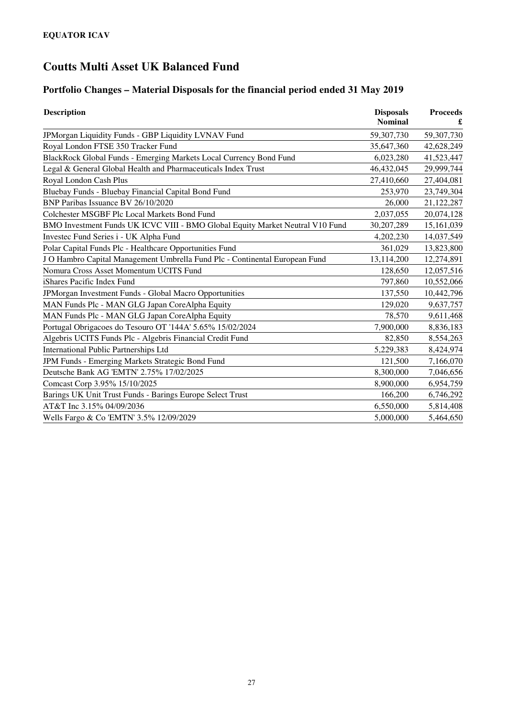# **Portfolio Changes – Material Disposals for the financial period ended 31 May 2019**

| <b>Description</b>                                                            | <b>Disposals</b><br><b>Nominal</b> | <b>Proceeds</b><br>£ |
|-------------------------------------------------------------------------------|------------------------------------|----------------------|
| JPMorgan Liquidity Funds - GBP Liquidity LVNAV Fund                           | 59,307,730                         | 59,307,730           |
| Royal London FTSE 350 Tracker Fund                                            | 35,647,360                         | 42,628,249           |
| BlackRock Global Funds - Emerging Markets Local Currency Bond Fund            | 6,023,280                          | 41,523,447           |
| Legal & General Global Health and Pharmaceuticals Index Trust                 | 46,432,045                         | 29,999,744           |
| Royal London Cash Plus                                                        | 27,410,660                         | 27,404,081           |
| Bluebay Funds - Bluebay Financial Capital Bond Fund                           | 253,970                            | 23,749,304           |
| BNP Paribas Issuance BV 26/10/2020                                            | 26,000                             | 21,122,287           |
| Colchester MSGBF Plc Local Markets Bond Fund                                  | 2,037,055                          | 20,074,128           |
| BMO Investment Funds UK ICVC VIII - BMO Global Equity Market Neutral V10 Fund | 30,207,289                         | 15,161,039           |
| Investec Fund Series i - UK Alpha Fund                                        | 4,202,230                          | 14,037,549           |
| Polar Capital Funds Plc - Healthcare Opportunities Fund                       | 361,029                            | 13,823,800           |
| J O Hambro Capital Management Umbrella Fund Plc - Continental European Fund   | 13,114,200                         | 12,274,891           |
| Nomura Cross Asset Momentum UCITS Fund                                        | 128,650                            | 12,057,516           |
| iShares Pacific Index Fund                                                    | 797,860                            | 10,552,066           |
| JPMorgan Investment Funds - Global Macro Opportunities                        | 137,550                            | 10,442,796           |
| MAN Funds Plc - MAN GLG Japan CoreAlpha Equity                                | 129,020                            | 9,637,757            |
| MAN Funds Plc - MAN GLG Japan CoreAlpha Equity                                | 78,570                             | 9,611,468            |
| Portugal Obrigacoes do Tesouro OT '144A' 5.65% 15/02/2024                     | 7,900,000                          | 8,836,183            |
| Algebris UCITS Funds Plc - Algebris Financial Credit Fund                     | 82,850                             | 8,554,263            |
| <b>International Public Partnerships Ltd</b>                                  | 5,229,383                          | 8,424,974            |
| JPM Funds - Emerging Markets Strategic Bond Fund                              | 121,500                            | 7,166,070            |
| Deutsche Bank AG 'EMTN' 2.75% 17/02/2025                                      | 8,300,000                          | 7,046,656            |
| Comcast Corp 3.95% 15/10/2025                                                 | 8,900,000                          | 6,954,759            |
| Barings UK Unit Trust Funds - Barings Europe Select Trust                     | 166,200                            | 6,746,292            |
| AT&T Inc 3.15% 04/09/2036                                                     | 6,550,000                          | 5,814,408            |
| Wells Fargo & Co 'EMTN' 3.5% 12/09/2029                                       | 5,000,000                          | 5,464,650            |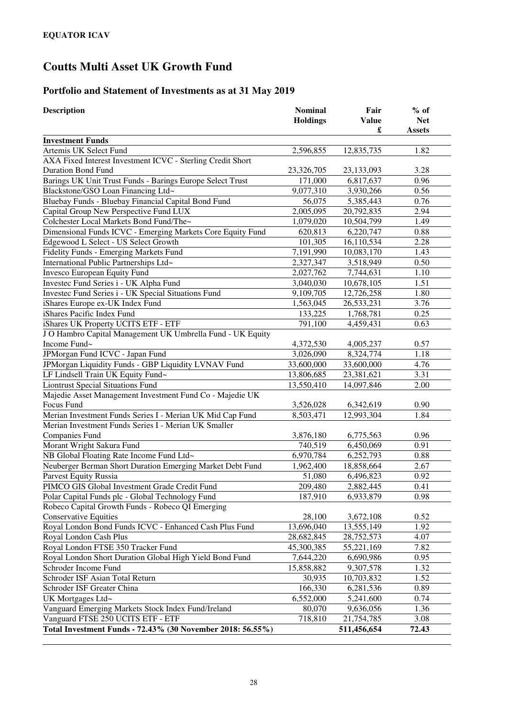# **Portfolio and Statement of Investments as at 31 May 2019**

| <b>Description</b>                                         | <b>Nominal</b>  | Fair              | $%$ of        |
|------------------------------------------------------------|-----------------|-------------------|---------------|
|                                                            | <b>Holdings</b> | <b>Value</b><br>£ | <b>Net</b>    |
| <b>Investment Funds</b>                                    |                 |                   | <b>Assets</b> |
| Artemis UK Select Fund                                     | 2,596,855       | 12,835,735        | 1.82          |
| AXA Fixed Interest Investment ICVC - Sterling Credit Short |                 |                   |               |
| <b>Duration Bond Fund</b>                                  | 23,326,705      | 23,133,093        | 3.28          |
| Barings UK Unit Trust Funds - Barings Europe Select Trust  | 171,000         | 6,817,637         | 0.96          |
| Blackstone/GSO Loan Financing Ltd~                         | 9,077,310       | 3,930,266         | 0.56          |
| Bluebay Funds - Bluebay Financial Capital Bond Fund        | 56,075          | 5,385,443         | 0.76          |
| Capital Group New Perspective Fund LUX                     | 2,005,095       | 20,792,835        | 2.94          |
| Colchester Local Markets Bond Fund/The~                    | 1,079,020       | 10,504,799        | 1.49          |
| Dimensional Funds ICVC - Emerging Markets Core Equity Fund | 620,813         | 6,220,747         | 0.88          |
| Edgewood L Select - US Select Growth                       | 101,305         | 16,110,534        | 2.28          |
| Fidelity Funds - Emerging Markets Fund                     | 7,191,990       | 10,083,170        | 1.43          |
| International Public Partnerships Ltd~                     | 2,327,347       | 3,518,949         | 0.50          |
| <b>Invesco European Equity Fund</b>                        | 2,027,762       | 7,744,631         | 1.10          |
| Investec Fund Series i - UK Alpha Fund                     | 3,040,030       | 10,678,105        | 1.51          |
| Investec Fund Series i - UK Special Situations Fund        | 9,109,705       | 12,726,258        | 1.80          |
| iShares Europe ex-UK Index Fund                            | 1,563,045       | 26,533,231        | 3.76          |
| iShares Pacific Index Fund                                 | 133,225         | 1,768,781         | 0.25          |
| iShares UK Property UCITS ETF - ETF                        | 791,100         | 4,459,431         | 0.63          |
| J O Hambro Capital Management UK Umbrella Fund - UK Equity |                 |                   |               |
| Income Fund~                                               | 4,372,530       | 4,005,237         | 0.57          |
| JPMorgan Fund ICVC - Japan Fund                            | 3,026,090       | 8,324,774         | 1.18          |
| JPMorgan Liquidity Funds - GBP Liquidity LVNAV Fund        | 33,600,000      | 33,600,000        | 4.76          |
| LF Lindsell Train UK Equity Fund~                          | 13,806,685      | 23,381,621        | 3.31          |
| <b>Liontrust Special Situations Fund</b>                   | 13,550,410      | 14,097,846        | 2.00          |
| Majedie Asset Management Investment Fund Co - Majedie UK   |                 |                   |               |
| Focus Fund                                                 | 3,526,028       | 6,342,619         | 0.90          |
| Merian Investment Funds Series I - Merian UK Mid Cap Fund  | 8,503,471       | 12,993,304        | 1.84          |
| Merian Investment Funds Series I - Merian UK Smaller       |                 |                   |               |
| <b>Companies Fund</b>                                      | 3,876,180       | 6,775,563         | 0.96          |
| Morant Wright Sakura Fund                                  | 740,519         | 6,450,069         | 0.91          |
| NB Global Floating Rate Income Fund Ltd~                   | 6,970,784       | 6,252,793         | 0.88          |
| Neuberger Berman Short Duration Emerging Market Debt Fund  | 1,962,400       | 18,858,664        | 2.67          |
| Parvest Equity Russia                                      | 51,080          | 6,496,823         | 0.92          |
| PIMCO GIS Global Investment Grade Credit Fund              | 209,480         | 2,882,445         | 0.41          |
| Polar Capital Funds plc - Global Technology Fund           | 187,910         | 6,933,879         | 0.98          |
| Robeco Capital Growth Funds - Robeco QI Emerging           |                 |                   |               |
| <b>Conservative Equities</b>                               | 28,100          | 3,672,108         | 0.52          |
| Royal London Bond Funds ICVC - Enhanced Cash Plus Fund     | 13,696,040      | 13,555,149        | 1.92          |
| Royal London Cash Plus                                     | 28,682,845      | 28,752,573        | 4.07          |
| Royal London FTSE 350 Tracker Fund                         | 45,300,385      | 55,221,169        | 7.82          |
| Royal London Short Duration Global High Yield Bond Fund    | 7,644,220       | 6,690,986         | 0.95          |
| Schroder Income Fund                                       | 15,858,882      | 9,307,578         | 1.32          |
| Schroder ISF Asian Total Return                            | 30,935          | 10,703,832        | 1.52          |
| Schroder ISF Greater China                                 | 166,330         | 6,281,536         | 0.89          |
| UK Mortgages Ltd~                                          | 6,552,000       | 5,241,600         | 0.74          |
| Vanguard Emerging Markets Stock Index Fund/Ireland         | 80,070          | 9,636,056         | 1.36          |
| Vanguard FTSE 250 UCITS ETF - ETF                          | 718,810         | 21,754,785        | 3.08          |
| Total Investment Funds - 72.43% (30 November 2018: 56.55%) |                 | 511,456,654       | 72.43         |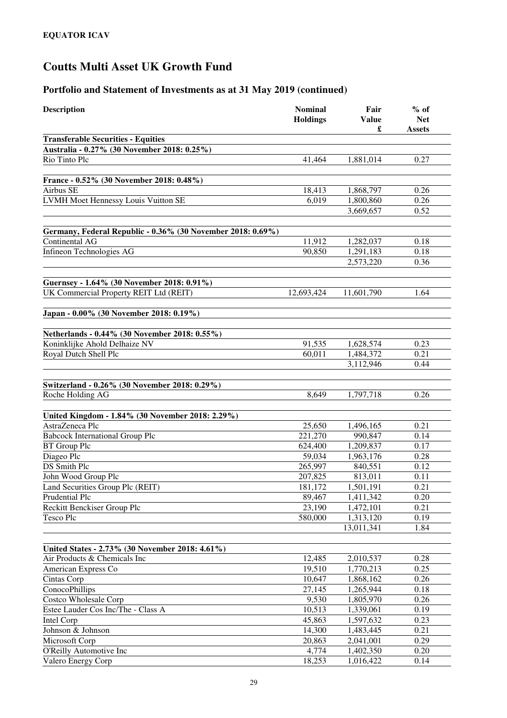| <b>Description</b>                                                             | <b>Nominal</b><br><b>Holdings</b> | Fair<br><b>Value</b><br>£ | $%$ of<br><b>Net</b><br><b>Assets</b> |
|--------------------------------------------------------------------------------|-----------------------------------|---------------------------|---------------------------------------|
| <b>Transferable Securities - Equities</b>                                      |                                   |                           |                                       |
| Australia - 0.27% (30 November 2018: 0.25%)                                    |                                   |                           |                                       |
| Rio Tinto Plc                                                                  | 41,464                            | 1,881,014                 | 0.27                                  |
|                                                                                |                                   |                           |                                       |
| France - 0.52% (30 November 2018: 0.48%)<br>Airbus SE                          | 18,413                            | 1,868,797                 | 0.26                                  |
| LVMH Moet Hennessy Louis Vuitton SE                                            | 6,019                             | 1,800,860                 | 0.26                                  |
|                                                                                |                                   | 3,669,657                 | 0.52                                  |
|                                                                                |                                   |                           |                                       |
| Germany, Federal Republic - 0.36% (30 November 2018: 0.69%)                    |                                   |                           |                                       |
| Continental AG                                                                 | 11,912                            | 1,282,037                 | 0.18                                  |
| Infineon Technologies AG                                                       | 90,850                            | 1,291,183                 | 0.18                                  |
|                                                                                |                                   | 2,573,220                 | 0.36                                  |
|                                                                                |                                   |                           |                                       |
| Guernsey - 1.64% (30 November 2018: 0.91%)                                     |                                   |                           |                                       |
| UK Commercial Property REIT Ltd (REIT)                                         | 12,693,424                        | 11,601,790                | 1.64                                  |
| Japan - 0.00% (30 November 2018: 0.19%)                                        |                                   |                           |                                       |
|                                                                                |                                   |                           |                                       |
| Netherlands - 0.44% (30 November 2018: 0.55%)<br>Koninklijke Ahold Delhaize NV | 91,535                            | 1,628,574                 | 0.23                                  |
| Royal Dutch Shell Plc                                                          | 60,011                            | 1,484,372                 | 0.21                                  |
|                                                                                |                                   | 3,112,946                 | 0.44                                  |
|                                                                                |                                   |                           |                                       |
| Switzerland - 0.26% (30 November 2018: 0.29%)                                  |                                   |                           |                                       |
| Roche Holding AG                                                               | 8,649                             | 1,797,718                 | 0.26                                  |
|                                                                                |                                   |                           |                                       |
| United Kingdom - 1.84% (30 November 2018: 2.29%)                               |                                   |                           |                                       |
| AstraZeneca Plc                                                                | 25,650                            | 1,496,165                 | 0.21                                  |
| <b>Babcock International Group Plc</b>                                         | 221,270                           | 990,847                   | 0.14                                  |
| <b>BT</b> Group Plc                                                            | 624,400                           | 1,209,837                 | 0.17                                  |
| Diageo Plc                                                                     | 59,034                            | 1,963,176                 | 0.28                                  |
| DS Smith Plc                                                                   | 265,997                           | 840,551                   | 0.12                                  |
| John Wood Group Plc                                                            | 207,825                           | 813,011                   | 0.11                                  |
| Land Securities Group Plc (REIT)                                               | 181,172                           | 1,501,191                 | 0.21                                  |
| Prudential Plc                                                                 | 89,467                            | 1,411,342                 | 0.20                                  |
| Reckitt Benckiser Group Plc<br>Tesco Plc                                       | 23,190<br>580,000                 | 1,472,101<br>1,313,120    | 0.21                                  |
|                                                                                |                                   | 13,011,341                | 0.19<br>1.84                          |
|                                                                                |                                   |                           |                                       |
| United States - 2.73% (30 November 2018: 4.61%)                                |                                   |                           |                                       |
| Air Products & Chemicals Inc                                                   | 12,485                            | 2,010,537                 | 0.28                                  |
| American Express Co                                                            | 19,510                            | 1,770,213                 | 0.25                                  |
| Cintas Corp                                                                    | 10,647                            | 1,868,162                 | 0.26                                  |
| ConocoPhillips                                                                 | 27,145                            | 1,265,944                 | 0.18                                  |
| Costco Wholesale Corp                                                          | 9,530                             | 1,805,970                 | 0.26                                  |
| Estee Lauder Cos Inc/The - Class A                                             | 10,513                            | 1,339,061                 | 0.19                                  |
| Intel Corp                                                                     | 45,863                            | 1,597,632                 | 0.23                                  |
| Johnson & Johnson                                                              | 14,300                            | 1,483,445                 | 0.21                                  |
| Microsoft Corp                                                                 | 20,863                            | 2,041,001                 | 0.29                                  |
| O'Reilly Automotive Inc                                                        | 4,774                             | 1,402,350                 | 0.20                                  |
| Valero Energy Corp                                                             | 18,253                            | 1,016,422                 | 0.14                                  |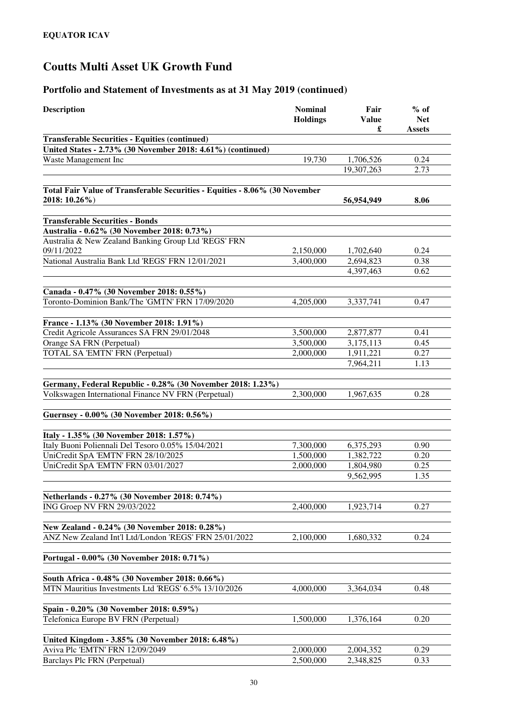| <b>Description</b>                                                                                     | <b>Nominal</b><br><b>Holdings</b> | Fair<br><b>Value</b><br>£ | $%$ of<br><b>Net</b><br><b>Assets</b> |
|--------------------------------------------------------------------------------------------------------|-----------------------------------|---------------------------|---------------------------------------|
| <b>Transferable Securities - Equities (continued)</b>                                                  |                                   |                           |                                       |
| United States - 2.73% (30 November 2018: 4.61%) (continued)                                            |                                   |                           |                                       |
| Waste Management Inc                                                                                   | 19,730                            | 1,706,526                 | 0.24                                  |
|                                                                                                        |                                   | 19,307,263                | 2.73                                  |
| Total Fair Value of Transferable Securities - Equities - 8.06% (30 November                            |                                   |                           |                                       |
| 2018: 10.26%)                                                                                          |                                   | 56,954,949                | 8.06                                  |
| <b>Transferable Securities - Bonds</b>                                                                 |                                   |                           |                                       |
| Australia - 0.62% (30 November 2018: 0.73%)                                                            |                                   |                           |                                       |
| Australia & New Zealand Banking Group Ltd 'REGS' FRN                                                   |                                   |                           |                                       |
| 09/11/2022                                                                                             | 2,150,000                         | 1,702,640                 | 0.24                                  |
| National Australia Bank Ltd 'REGS' FRN 12/01/2021                                                      | 3,400,000                         | 2,694,823                 | 0.38                                  |
|                                                                                                        |                                   | 4,397,463                 | 0.62                                  |
| Canada - 0.47% (30 November 2018: 0.55%)                                                               |                                   |                           |                                       |
| Toronto-Dominion Bank/The 'GMTN' FRN 17/09/2020                                                        | 4,205,000                         | 3,337,741                 | 0.47                                  |
| France - 1.13% (30 November 2018: 1.91%)                                                               |                                   |                           |                                       |
| Credit Agricole Assurances SA FRN 29/01/2048                                                           | 3,500,000                         | 2,877,877                 | 0.41                                  |
| Orange SA FRN (Perpetual)                                                                              | 3,500,000                         | 3,175,113                 | 0.45                                  |
| TOTAL SA 'EMTN' FRN (Perpetual)                                                                        | 2,000,000                         | 1,911,221                 | 0.27                                  |
|                                                                                                        |                                   | 7,964,211                 | 1.13                                  |
|                                                                                                        |                                   |                           |                                       |
| Germany, Federal Republic - 0.28% (30 November 2018: 1.23%)                                            |                                   |                           |                                       |
| Volkswagen International Finance NV FRN (Perpetual)                                                    | 2,300,000                         | 1,967,635                 | 0.28                                  |
| Guernsey - 0.00% (30 November 2018: 0.56%)                                                             |                                   |                           |                                       |
|                                                                                                        |                                   |                           |                                       |
| Italy - 1.35% (30 November 2018: 1.57%)                                                                |                                   |                           |                                       |
| Italy Buoni Poliennali Del Tesoro 0.05% 15/04/2021                                                     | 7,300,000                         | 6,375,293                 | 0.90<br>0.20                          |
| UniCredit SpA 'EMTN' FRN 28/10/2025<br>UniCredit SpA 'EMTN' FRN 03/01/2027                             | 1,500,000<br>2,000,000            | 1,382,722<br>1,804,980    | 0.25                                  |
|                                                                                                        |                                   | 9,562,995                 | 1.35                                  |
|                                                                                                        |                                   |                           |                                       |
| Netherlands - 0.27% (30 November 2018: 0.74%)                                                          |                                   |                           |                                       |
| ING Groep NV FRN 29/03/2022                                                                            | 2,400,000                         | 1,923,714                 | 0.27                                  |
| New Zealand - 0.24% (30 November 2018: 0.28%)                                                          |                                   |                           |                                       |
| ANZ New Zealand Int'l Ltd/London 'REGS' FRN 25/01/2022                                                 | 2,100,000                         | 1,680,332                 | 0.24                                  |
| Portugal - 0.00% (30 November 2018: 0.71%)                                                             |                                   |                           |                                       |
|                                                                                                        |                                   |                           |                                       |
| South Africa - 0.48% (30 November 2018: 0.66%)<br>MTN Mauritius Investments Ltd 'REGS' 6.5% 13/10/2026 | 4,000,000                         | 3,364,034                 | 0.48                                  |
|                                                                                                        |                                   |                           |                                       |
| Spain - 0.20% (30 November 2018: 0.59%)                                                                |                                   |                           |                                       |
| Telefonica Europe BV FRN (Perpetual)                                                                   | 1,500,000                         | 1,376,164                 | 0.20                                  |
| United Kingdom - 3.85% (30 November 2018: 6.48%)                                                       |                                   |                           |                                       |
| Aviva Plc 'EMTN' FRN 12/09/2049                                                                        | 2,000,000                         | 2,004,352                 | 0.29                                  |
| Barclays Plc FRN (Perpetual)                                                                           | 2,500,000                         | 2,348,825                 | 0.33                                  |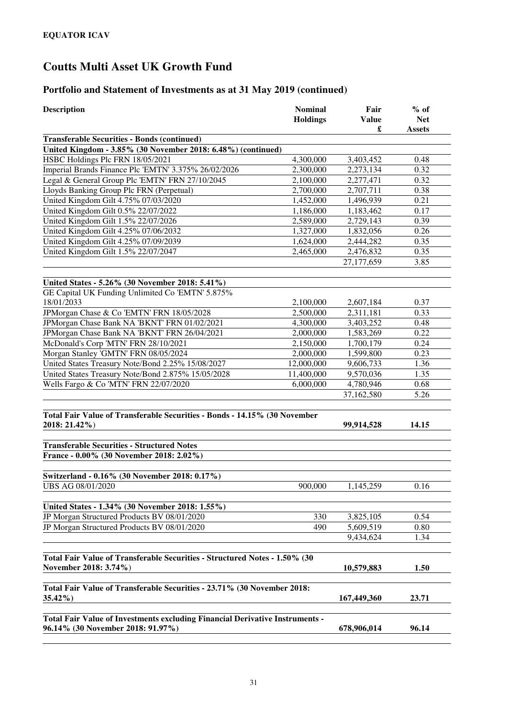| <b>Description</b>                                                                                  | <b>Nominal</b><br><b>Holdings</b> | Fair<br><b>Value</b><br>£ | $%$ of<br><b>Net</b><br><b>Assets</b> |
|-----------------------------------------------------------------------------------------------------|-----------------------------------|---------------------------|---------------------------------------|
| <b>Transferable Securities - Bonds (continued)</b>                                                  |                                   |                           |                                       |
| United Kingdom - 3.85% (30 November 2018: 6.48%) (continued)                                        |                                   |                           |                                       |
| HSBC Holdings Plc FRN 18/05/2021                                                                    | 4,300,000                         | 3,403,452                 | 0.48                                  |
| Imperial Brands Finance Plc 'EMTN' 3.375% 26/02/2026                                                | 2,300,000                         | 2,273,134                 | 0.32                                  |
| Legal & General Group Plc 'EMTN' FRN 27/10/2045                                                     | 2,100,000                         | 2,277,471                 | 0.32                                  |
| Lloyds Banking Group Plc FRN (Perpetual)                                                            | 2,700,000                         | 2,707,711                 | 0.38                                  |
| United Kingdom Gilt 4.75% 07/03/2020                                                                | 1,452,000                         | 1,496,939                 | 0.21                                  |
| United Kingdom Gilt 0.5% 22/07/2022                                                                 | 1,186,000                         | 1,183,462                 | 0.17                                  |
| United Kingdom Gilt 1.5% 22/07/2026                                                                 | 2,589,000                         | 2,729,143                 | 0.39                                  |
| United Kingdom Gilt 4.25% 07/06/2032                                                                | 1,327,000                         | 1,832,056                 | 0.26                                  |
| United Kingdom Gilt 4.25% 07/09/2039                                                                | 1,624,000                         | 2,444,282                 | 0.35                                  |
| United Kingdom Gilt 1.5% 22/07/2047                                                                 | 2,465,000                         | 2,476,832                 | 0.35                                  |
|                                                                                                     |                                   | 27,177,659                | 3.85                                  |
| United States - 5.26% (30 November 2018: 5.41%)                                                     |                                   |                           |                                       |
| GE Capital UK Funding Unlimited Co 'EMTN' 5.875%                                                    |                                   |                           |                                       |
| 18/01/2033                                                                                          | 2,100,000                         | 2,607,184                 | 0.37                                  |
| JPMorgan Chase & Co 'EMTN' FRN 18/05/2028                                                           | 2,500,000                         | 2,311,181                 | 0.33                                  |
| JPMorgan Chase Bank NA 'BKNT' FRN 01/02/2021                                                        | 4,300,000                         | 3,403,252                 | 0.48                                  |
| JPMorgan Chase Bank NA 'BKNT' FRN 26/04/2021                                                        | 2,000,000                         | 1,583,269                 | 0.22                                  |
| McDonald's Corp 'MTN' FRN 28/10/2021                                                                | 2,150,000                         | 1,700,179                 | 0.24                                  |
| Morgan Stanley 'GMTN' FRN 08/05/2024                                                                | 2,000,000                         | 1,599,800                 | 0.23                                  |
| United States Treasury Note/Bond 2.25% 15/08/2027                                                   | 12,000,000                        | 9,606,733                 | 1.36                                  |
| United States Treasury Note/Bond 2.875% 15/05/2028                                                  | 11,400,000                        | 9,570,036                 | 1.35                                  |
| Wells Fargo & Co 'MTN' FRN 22/07/2020                                                               | 6,000,000                         | 4,780,946                 | 0.68                                  |
|                                                                                                     |                                   | 37,162,580                | 5.26                                  |
| Total Fair Value of Transferable Securities - Bonds - 14.15% (30 November                           |                                   |                           |                                       |
| 2018: 21.42%)                                                                                       |                                   | 99,914,528                | 14.15                                 |
| <b>Transferable Securities - Structured Notes</b>                                                   |                                   |                           |                                       |
| France - 0.00% (30 November 2018: 2.02%)                                                            |                                   |                           |                                       |
| Switzerland - 0.16% (30 November 2018: 0.17%)                                                       |                                   |                           |                                       |
| <b>UBS AG 08/01/2020</b>                                                                            | 900,000                           | 1,145,259                 | 0.16                                  |
|                                                                                                     |                                   |                           |                                       |
| United States - 1.34% (30 November 2018: 1.55%)                                                     |                                   |                           |                                       |
| JP Morgan Structured Products BV 08/01/2020                                                         | 330                               | 3,825,105                 | 0.54                                  |
| JP Morgan Structured Products BV 08/01/2020                                                         | 490                               | 5,609,519                 | 0.80                                  |
|                                                                                                     |                                   | 9,434,624                 | 1.34                                  |
|                                                                                                     |                                   |                           |                                       |
| Total Fair Value of Transferable Securities - Structured Notes - 1.50% (30<br>November 2018: 3.74%) |                                   | 10,579,883                | 1.50                                  |
|                                                                                                     |                                   |                           |                                       |
| Total Fair Value of Transferable Securities - 23.71% (30 November 2018:                             |                                   |                           |                                       |
| $35.42\%$                                                                                           |                                   | 167,449,360               | 23.71                                 |
| Total Fair Value of Investments excluding Financial Derivative Instruments -                        |                                   |                           |                                       |
| 96.14% (30 November 2018: 91.97%)                                                                   |                                   | 678,906,014               | 96.14                                 |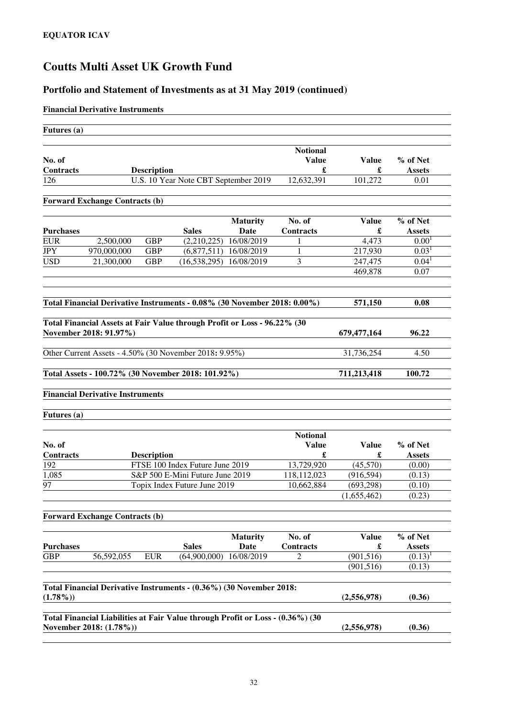## **Portfolio and Statement of Investments as at 31 May 2019 (continued)**

### **Financial Derivative Instruments**

| Futures (a)                                        |                                                                                                           |                    |                                      |                                |                                      |                   |                           |
|----------------------------------------------------|-----------------------------------------------------------------------------------------------------------|--------------------|--------------------------------------|--------------------------------|--------------------------------------|-------------------|---------------------------|
| No. of<br><b>Contracts</b>                         |                                                                                                           | <b>Description</b> |                                      |                                | <b>Notional</b><br><b>Value</b><br>£ | Value<br>£        | % of Net<br><b>Assets</b> |
| 126                                                |                                                                                                           |                    | U.S. 10 Year Note CBT September 2019 |                                | 12,632,391                           | 101,272           | 0.01                      |
|                                                    | <b>Forward Exchange Contracts (b)</b>                                                                     |                    |                                      |                                |                                      |                   |                           |
|                                                    |                                                                                                           |                    |                                      |                                |                                      |                   |                           |
| <b>Purchases</b>                                   |                                                                                                           |                    | <b>Sales</b>                         | <b>Maturity</b><br>Date        | No. of<br>Contracts                  | <b>Value</b><br>£ | % of Net<br><b>Assets</b> |
| <b>EUR</b>                                         | 2,500,000                                                                                                 | <b>GBP</b>         | (2,210,225)                          | 16/08/2019                     | 1                                    | 4,473             | 0.00 <sup>1</sup>         |
| <b>JPY</b>                                         | 970,000,000                                                                                               | <b>GBP</b>         |                                      | $(6,877,511)$ 16/08/2019       | 1                                    | 217,930           | $0.03^{1}$                |
| <b>USD</b>                                         | 21,300,000                                                                                                | <b>GBP</b>         | (16, 538, 295)                       | 16/08/2019                     | 3                                    | 247,475           | $0.04^{1}$                |
|                                                    |                                                                                                           |                    |                                      |                                |                                      | 469,878           | 0.07                      |
|                                                    | Total Financial Derivative Instruments - 0.08% (30 November 2018: 0.00%)                                  |                    |                                      |                                |                                      | 571,150           | 0.08                      |
|                                                    |                                                                                                           |                    |                                      |                                |                                      |                   |                           |
|                                                    | Total Financial Assets at Fair Value through Profit or Loss - 96.22% (30                                  |                    |                                      |                                |                                      |                   |                           |
|                                                    | November 2018: 91.97%)                                                                                    |                    |                                      |                                |                                      | 679, 477, 164     | 96.22                     |
|                                                    | Other Current Assets - 4.50% (30 November 2018: 9.95%)                                                    |                    |                                      |                                |                                      | 31,736,254        | 4.50                      |
| Total Assets - 100.72% (30 November 2018: 101.92%) |                                                                                                           |                    |                                      | 711,213,418                    | 100.72                               |                   |                           |
|                                                    | <b>Financial Derivative Instruments</b>                                                                   |                    |                                      |                                |                                      |                   |                           |
| Futures (a)                                        |                                                                                                           |                    |                                      |                                |                                      |                   |                           |
| No. of<br>Contracts                                |                                                                                                           | <b>Description</b> |                                      |                                | <b>Notional</b><br><b>Value</b><br>£ | <b>Value</b><br>£ | % of Net<br><b>Assets</b> |
| 192                                                |                                                                                                           |                    | FTSE 100 Index Future June 2019      |                                | 13,729,920                           | (45,570)          | (0.00)                    |
| 1,085                                              |                                                                                                           |                    | S&P 500 E-Mini Future June 2019      |                                | 118,112,023                          | (916, 594)        | (0.13)                    |
| 97                                                 |                                                                                                           |                    | Topix Index Future June 2019         |                                | 10,662,884                           | (693, 298)        | (0.10)                    |
|                                                    |                                                                                                           |                    |                                      |                                |                                      | (1,655,462)       | (0.23)                    |
|                                                    | <b>Forward Exchange Contracts (b)</b>                                                                     |                    |                                      |                                |                                      |                   |                           |
| <b>Purchases</b>                                   |                                                                                                           |                    | <b>Sales</b>                         | <b>Maturity</b><br><b>Date</b> | No. of<br><b>Contracts</b>           | <b>Value</b><br>£ | % of Net<br><b>Assets</b> |
| <b>GBP</b>                                         | 56,592,055                                                                                                | <b>EUR</b>         | (64,900,000)                         | 16/08/2019                     | 2                                    | (901, 516)        | $(0.13)^1$                |
|                                                    |                                                                                                           |                    |                                      |                                |                                      | (901, 516)        | (0.13)                    |
|                                                    |                                                                                                           |                    |                                      |                                |                                      |                   |                           |
| $(1.78\%)$                                         | Total Financial Derivative Instruments - (0.36%) (30 November 2018:                                       |                    |                                      |                                |                                      | (2,556,978)       | (0.36)                    |
|                                                    |                                                                                                           |                    |                                      |                                |                                      |                   |                           |
|                                                    | Total Financial Liabilities at Fair Value through Profit or Loss - (0.36%) (30<br>November 2018: (1.78%)) |                    |                                      |                                |                                      | (2,556,978)       | (0.36)                    |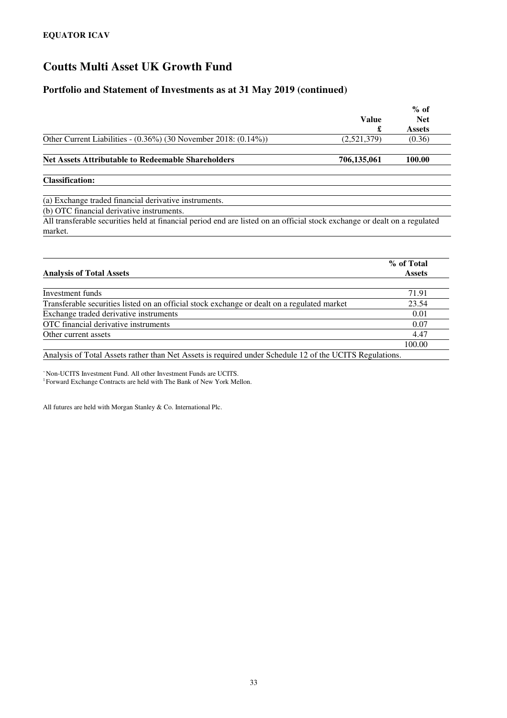### **Portfolio and Statement of Investments as at 31 May 2019 (continued)**

|                                                                                                                                      | <b>Value</b><br>£ | $%$ of<br><b>Net</b><br><b>Assets</b> |
|--------------------------------------------------------------------------------------------------------------------------------------|-------------------|---------------------------------------|
| Other Current Liabilities - $(0.36\%)$ (30 November 2018: $(0.14\%)$ )                                                               | (2,521,379)       | (0.36)                                |
| <b>Net Assets Attributable to Redeemable Shareholders</b>                                                                            | 706,135,061       | 100.00                                |
| <b>Classification:</b>                                                                                                               |                   |                                       |
| (a) Exchange traded financial derivative instruments.                                                                                |                   |                                       |
| (b) OTC financial derivative instruments.                                                                                            |                   |                                       |
| All transferable securities held at financial period end are listed on an official stock exchange or dealt on a regulated<br>market. |                   |                                       |

|                                                                                             | % of Total    |
|---------------------------------------------------------------------------------------------|---------------|
| <b>Analysis of Total Assets</b>                                                             | <b>Assets</b> |
| Investment funds                                                                            | 71.91         |
| Transferable securities listed on an official stock exchange or dealt on a regulated market | 23.54         |
| Exchange traded derivative instruments                                                      | 0.01          |
| OTC financial derivative instruments                                                        | 0.07          |
| Other current assets                                                                        | 4.47          |
|                                                                                             | 100.00        |

Analysis of Total Assets rather than Net Assets is required under Schedule 12 of the UCITS Regulations.

<sup>~</sup>Non-UCITS Investment Fund. All other Investment Funds are UCITS. <sup>1</sup> Forward Exchange Contracts are held with The Bank of New York Mellon.

All futures are held with Morgan Stanley & Co. International Plc.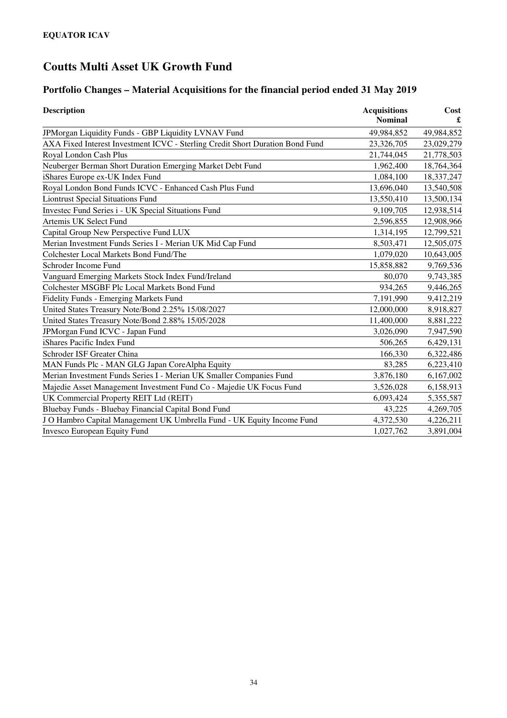# **Portfolio Changes – Material Acquisitions for the financial period ended 31 May 2019**

| <b>Description</b>                                                            | <b>Acquisitions</b><br><b>Nominal</b> | Cost<br>£  |
|-------------------------------------------------------------------------------|---------------------------------------|------------|
| JPMorgan Liquidity Funds - GBP Liquidity LVNAV Fund                           | 49,984,852                            | 49,984,852 |
| AXA Fixed Interest Investment ICVC - Sterling Credit Short Duration Bond Fund | 23,326,705                            | 23,029,279 |
| Royal London Cash Plus                                                        | 21,744,045                            | 21,778,503 |
| Neuberger Berman Short Duration Emerging Market Debt Fund                     | 1,962,400                             | 18,764,364 |
| iShares Europe ex-UK Index Fund                                               | 1,084,100                             | 18,337,247 |
| Royal London Bond Funds ICVC - Enhanced Cash Plus Fund                        | 13,696,040                            | 13,540,508 |
| <b>Liontrust Special Situations Fund</b>                                      | 13,550,410                            | 13,500,134 |
| Investec Fund Series i - UK Special Situations Fund                           | 9,109,705                             | 12,938,514 |
| Artemis UK Select Fund                                                        | 2,596,855                             | 12,908,966 |
| Capital Group New Perspective Fund LUX                                        | 1,314,195                             | 12,799,521 |
| Merian Investment Funds Series I - Merian UK Mid Cap Fund                     | 8,503,471                             | 12,505,075 |
| Colchester Local Markets Bond Fund/The                                        | 1,079,020                             | 10,643,005 |
| Schroder Income Fund                                                          | 15,858,882                            | 9,769,536  |
| Vanguard Emerging Markets Stock Index Fund/Ireland                            | 80,070                                | 9,743,385  |
| Colchester MSGBF Plc Local Markets Bond Fund                                  | 934,265                               | 9,446,265  |
| Fidelity Funds - Emerging Markets Fund                                        | 7,191,990                             | 9,412,219  |
| United States Treasury Note/Bond 2.25% 15/08/2027                             | 12,000,000                            | 8,918,827  |
| United States Treasury Note/Bond 2.88% 15/05/2028                             | 11,400,000                            | 8,881,222  |
| JPMorgan Fund ICVC - Japan Fund                                               | 3,026,090                             | 7,947,590  |
| iShares Pacific Index Fund                                                    | 506,265                               | 6,429,131  |
| Schroder ISF Greater China                                                    | 166,330                               | 6,322,486  |
| MAN Funds Plc - MAN GLG Japan CoreAlpha Equity                                | 83,285                                | 6,223,410  |
| Merian Investment Funds Series I - Merian UK Smaller Companies Fund           | 3,876,180                             | 6,167,002  |
| Majedie Asset Management Investment Fund Co - Majedie UK Focus Fund           | 3,526,028                             | 6,158,913  |
| UK Commercial Property REIT Ltd (REIT)                                        | 6,093,424                             | 5,355,587  |
| Bluebay Funds - Bluebay Financial Capital Bond Fund                           | 43,225                                | 4,269,705  |
| J O Hambro Capital Management UK Umbrella Fund - UK Equity Income Fund        | 4,372,530                             | 4,226,211  |
| <b>Invesco European Equity Fund</b>                                           | 1,027,762                             | 3,891,004  |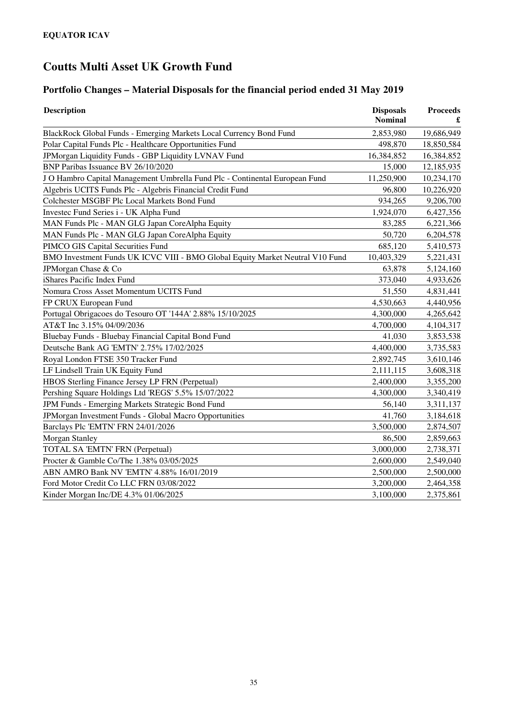# **Portfolio Changes – Material Disposals for the financial period ended 31 May 2019**

| <b>Description</b>                                                            | <b>Disposals</b><br><b>Nominal</b> | <b>Proceeds</b> |
|-------------------------------------------------------------------------------|------------------------------------|-----------------|
| BlackRock Global Funds - Emerging Markets Local Currency Bond Fund            | 2,853,980                          | 19,686,949      |
| Polar Capital Funds Plc - Healthcare Opportunities Fund                       | 498,870                            | 18,850,584      |
| JPMorgan Liquidity Funds - GBP Liquidity LVNAV Fund                           | 16,384,852                         | 16,384,852      |
| BNP Paribas Issuance BV 26/10/2020                                            | 15,000                             | 12,185,935      |
| J O Hambro Capital Management Umbrella Fund Plc - Continental European Fund   | 11,250,900                         | 10,234,170      |
| Algebris UCITS Funds Plc - Algebris Financial Credit Fund                     | 96,800                             | 10,226,920      |
| Colchester MSGBF Plc Local Markets Bond Fund                                  | 934,265                            | 9,206,700       |
| Investec Fund Series i - UK Alpha Fund                                        | 1,924,070                          | 6,427,356       |
| MAN Funds Plc - MAN GLG Japan CoreAlpha Equity                                | 83,285                             | 6,221,366       |
| MAN Funds Plc - MAN GLG Japan CoreAlpha Equity                                | 50,720                             | 6,204,578       |
| PIMCO GIS Capital Securities Fund                                             | 685,120                            | 5,410,573       |
| BMO Investment Funds UK ICVC VIII - BMO Global Equity Market Neutral V10 Fund | 10,403,329                         | 5,221,431       |
| JPMorgan Chase & Co                                                           | 63,878                             | 5,124,160       |
| iShares Pacific Index Fund                                                    | 373,040                            | 4,933,626       |
| Nomura Cross Asset Momentum UCITS Fund                                        | 51,550                             | 4,831,441       |
| FP CRUX European Fund                                                         | 4,530,663                          | 4,440,956       |
| Portugal Obrigacoes do Tesouro OT '144A' 2.88% 15/10/2025                     | 4,300,000                          | 4,265,642       |
| AT&T Inc 3.15% 04/09/2036                                                     | 4,700,000                          | 4,104,317       |
| Bluebay Funds - Bluebay Financial Capital Bond Fund                           | 41,030                             | 3,853,538       |
| Deutsche Bank AG 'EMTN' 2.75% 17/02/2025                                      | 4,400,000                          | 3,735,583       |
| Royal London FTSE 350 Tracker Fund                                            | 2,892,745                          | 3,610,146       |
| LF Lindsell Train UK Equity Fund                                              | 2,111,115                          | 3,608,318       |
| HBOS Sterling Finance Jersey LP FRN (Perpetual)                               | 2,400,000                          | 3,355,200       |
| Pershing Square Holdings Ltd 'REGS' 5.5% 15/07/2022                           | 4,300,000                          | 3,340,419       |
| JPM Funds - Emerging Markets Strategic Bond Fund                              | 56,140                             | 3,311,137       |
| JPMorgan Investment Funds - Global Macro Opportunities                        | 41,760                             | 3,184,618       |
| Barclays Plc 'EMTN' FRN 24/01/2026                                            | 3,500,000                          | 2,874,507       |
| Morgan Stanley                                                                | 86,500                             | 2,859,663       |
| TOTAL SA 'EMTN' FRN (Perpetual)                                               | 3,000,000                          | 2,738,371       |
| Procter & Gamble Co/The 1.38% 03/05/2025                                      | 2,600,000                          | 2,549,040       |
| ABN AMRO Bank NV 'EMTN' 4.88% 16/01/2019                                      | 2,500,000                          | 2,500,000       |
| Ford Motor Credit Co LLC FRN 03/08/2022                                       | 3,200,000                          | 2,464,358       |
| Kinder Morgan Inc/DE 4.3% 01/06/2025                                          | 3,100,000                          | 2,375,861       |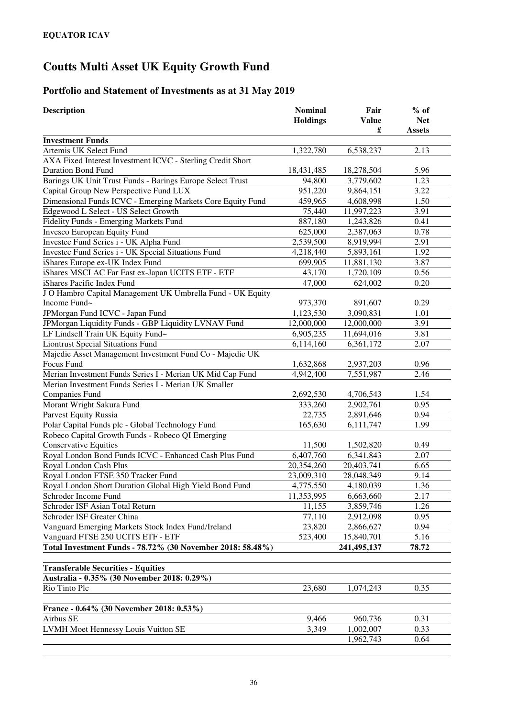### **Portfolio and Statement of Investments as at 31 May 2019**

| <b>Description</b>                                         | <b>Nominal</b><br><b>Holdings</b> | Fair<br><b>Value</b> | $%$ of<br><b>Net</b> |
|------------------------------------------------------------|-----------------------------------|----------------------|----------------------|
|                                                            |                                   | £                    | <b>Assets</b>        |
| <b>Investment Funds</b>                                    |                                   |                      |                      |
| Artemis UK Select Fund                                     | 1,322,780                         | 6,538,237            | 2.13                 |
| AXA Fixed Interest Investment ICVC - Sterling Credit Short |                                   |                      |                      |
| <b>Duration Bond Fund</b>                                  | 18,431,485                        | 18,278,504           | 5.96                 |
| Barings UK Unit Trust Funds - Barings Europe Select Trust  | 94,800                            | 3,779,602            | 1.23                 |
| Capital Group New Perspective Fund LUX                     | 951,220                           | 9,864,151            | 3.22                 |
| Dimensional Funds ICVC - Emerging Markets Core Equity Fund | 459,965                           | 4,608,998            | 1.50                 |
| Edgewood L Select - US Select Growth                       | 75,440                            | 11,997,223           | 3.91                 |
| Fidelity Funds - Emerging Markets Fund                     | 887,180                           | 1,243,826            | 0.41                 |
| Invesco European Equity Fund                               | 625,000                           | 2,387,063            | 0.78                 |
| Investec Fund Series i - UK Alpha Fund                     | 2,539,500                         | 8,919,994            | 2.91                 |
| Investec Fund Series i - UK Special Situations Fund        | 4,218,440                         | 5,893,161            | 1.92                 |
| iShares Europe ex-UK Index Fund                            | 699,905                           | 11,881,130           | 3.87                 |
| iShares MSCI AC Far East ex-Japan UCITS ETF - ETF          | 43,170                            | 1,720,109            | 0.56                 |
| iShares Pacific Index Fund                                 | 47,000                            | 624,002              | 0.20                 |
| J O Hambro Capital Management UK Umbrella Fund - UK Equity |                                   |                      |                      |
| Income Fund~                                               | 973,370                           | 891,607              | 0.29                 |
| JPMorgan Fund ICVC - Japan Fund                            | 1,123,530                         | 3,090,831            | 1.01                 |
| JPMorgan Liquidity Funds - GBP Liquidity LVNAV Fund        | 12,000,000                        | 12,000,000           | 3.91                 |
| LF Lindsell Train UK Equity Fund~                          | 6,905,235                         | 11,694,016           | 3.81                 |
| <b>Liontrust Special Situations Fund</b>                   | 6,114,160                         | 6,361,172            | 2.07                 |
| Majedie Asset Management Investment Fund Co - Majedie UK   |                                   |                      |                      |
| Focus Fund                                                 | 1,632,868                         | 2,937,203            | 0.96                 |
| Merian Investment Funds Series I - Merian UK Mid Cap Fund  | 4,942,400                         | 7,551,987            | 2.46                 |
| Merian Investment Funds Series I - Merian UK Smaller       |                                   |                      |                      |
| Companies Fund                                             | 2,692,530                         | 4,706,543            | 1.54                 |
| Morant Wright Sakura Fund                                  | 333,260                           | 2,902,761            | 0.95                 |
| Parvest Equity Russia                                      | 22,735                            | 2,891,646            | 0.94                 |
| Polar Capital Funds plc - Global Technology Fund           | 165,630                           | 6,111,747            | 1.99                 |
| Robeco Capital Growth Funds - Robeco QI Emerging           |                                   |                      |                      |
| <b>Conservative Equities</b>                               | 11,500                            | 1,502,820            | 0.49                 |
| Royal London Bond Funds ICVC - Enhanced Cash Plus Fund     | 6,407,760                         | 6,341,843            | 2.07                 |
| Royal London Cash Plus                                     | 20,354,260                        | 20,403,741           | 6.65                 |
| Royal London FTSE 350 Tracker Fund                         | 23,009,310                        | 28,048,349           | 9.14                 |
| Royal London Short Duration Global High Yield Bond Fund    | 4,775,550                         | 4,180,039            | 1.36                 |
| Schroder Income Fund                                       | 11,353,995                        | 6,663,660            | 2.17                 |
| Schroder ISF Asian Total Return                            | 11,155                            | 3,859,746            | 1.26                 |
| Schroder ISF Greater China                                 | 77,110                            | 2,912,098            | 0.95                 |
| Vanguard Emerging Markets Stock Index Fund/Ireland         | 23,820                            | 2,866,627            | 0.94                 |
| Vanguard FTSE 250 UCITS ETF - ETF                          | 523,400                           | 15,840,701           | 5.16                 |
| Total Investment Funds - 78.72% (30 November 2018: 58.48%) |                                   | 241,495,137          | 78.72                |
|                                                            |                                   |                      |                      |
| <b>Transferable Securities - Equities</b>                  |                                   |                      |                      |
| Australia - 0.35% (30 November 2018: 0.29%)                |                                   |                      |                      |
| Rio Tinto Plc                                              | 23,680                            | 1,074,243            | 0.35                 |
|                                                            |                                   |                      |                      |
| France - 0.64% (30 November 2018: 0.53%)                   |                                   |                      |                      |
| Airbus SE                                                  | 9,466                             | 960,736              | 0.31                 |
| LVMH Moet Hennessy Louis Vuitton SE                        | 3,349                             | 1,002,007            | 0.33                 |
|                                                            |                                   | 1,962,743            | 0.64                 |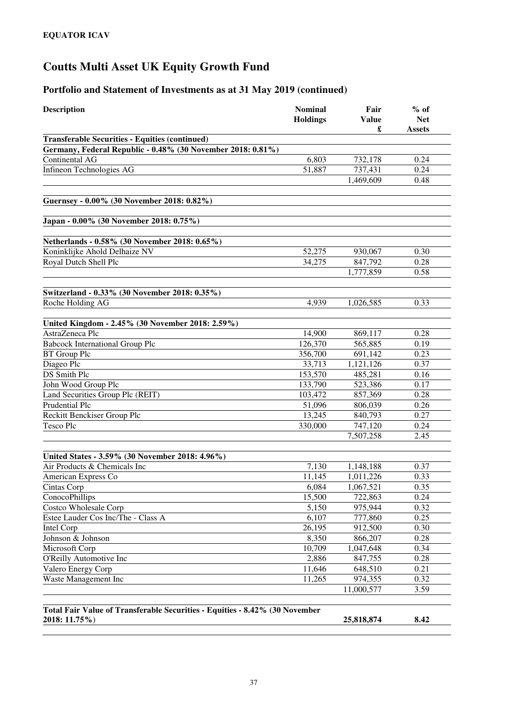| <b>Description</b>                                                          | <b>Nominal</b><br><b>Holdings</b> | Fair<br><b>Value</b> | $%$ of<br><b>Net</b> |
|-----------------------------------------------------------------------------|-----------------------------------|----------------------|----------------------|
|                                                                             |                                   | £                    | <b>Assets</b>        |
| <b>Transferable Securities - Equities (continued)</b>                       |                                   |                      |                      |
| Germany, Federal Republic - 0.48% (30 November 2018: 0.81%)                 |                                   |                      |                      |
| Continental AG                                                              | 6,803                             | 732,178              | 0.24                 |
| Infineon Technologies AG                                                    | 51,887                            | 737,431              | 0.24                 |
|                                                                             |                                   | 1,469,609            | 0.48                 |
| Guernsey - 0.00% (30 November 2018: 0.82%)                                  |                                   |                      |                      |
| Japan - 0.00% (30 November 2018: 0.75%)                                     |                                   |                      |                      |
| Netherlands - 0.58% (30 November 2018: 0.65%)                               |                                   |                      |                      |
| Koninklijke Ahold Delhaize NV                                               | 52,275                            | 930,067              | 0.30                 |
| Royal Dutch Shell Plc                                                       | 34,275                            | 847,792              | 0.28                 |
|                                                                             |                                   | 1,777,859            | 0.58                 |
| Switzerland - 0.33% (30 November 2018: 0.35%)                               |                                   |                      |                      |
| Roche Holding AG                                                            | 4,939                             | 1,026,585            | 0.33                 |
|                                                                             |                                   |                      |                      |
| United Kingdom - 2.45% (30 November 2018: 2.59%)                            |                                   |                      |                      |
| AstraZeneca Plc                                                             | 14,900                            | 869,117              | 0.28                 |
| <b>Babcock International Group Plc</b>                                      | 126,370                           | 565,885              | 0.19                 |
| <b>BT</b> Group Plc                                                         | 356,700                           | 691,142              | 0.23                 |
| Diageo Plc                                                                  | 33,713                            | 1,121,126            | 0.37                 |
| <b>DS</b> Smith Plc                                                         | 153,570                           | 485,281              | 0.16                 |
| John Wood Group Plc                                                         | 133,790                           | 523,386              | 0.17                 |
| Land Securities Group Plc (REIT)                                            | 103,472                           | 857,369              | 0.28                 |
| <b>Prudential Plc</b>                                                       | 51,096                            | 806,039              | 0.26                 |
| Reckitt Benckiser Group Plc                                                 | 13,245                            | 840,793              | 0.27                 |
| <b>Tesco Plc</b>                                                            | 330,000                           | 747,120              | 0.24                 |
|                                                                             |                                   | 7,507,258            | 2.45                 |
| United States - 3.59% (30 November 2018: 4.96%)                             |                                   |                      |                      |
| Air Products & Chemicals Inc                                                | 7,130                             | 1,148,188            | 0.37                 |
| American Express Co                                                         | 11,145                            | 1,011,226            | 0.33                 |
| Cintas Corp                                                                 | 6,084                             | 1,067,521            | 0.35                 |
| ConocoPhillips                                                              | 15,500                            | 722,863              | 0.24                 |
| Costco Wholesale Corp                                                       | 5,150                             | 975,944              | 0.32                 |
| Estee Lauder Cos Inc/The - Class A                                          | 6,107                             | 777,860              | 0.25                 |
| Intel Corp                                                                  | 26,195                            | 912,500              | 0.30                 |
| Johnson & Johnson                                                           | 8,350                             | 866,207              | 0.28                 |
| Microsoft Corp                                                              | 10,709                            | 1,047,648            | 0.34                 |
| O'Reilly Automotive Inc                                                     | 2,886                             | 847,755              | 0.28                 |
| Valero Energy Corp                                                          | 11,646                            | 648,510              | 0.21                 |
| Waste Management Inc                                                        | 11,265                            | 974,355              | 0.32                 |
|                                                                             |                                   | 11,000,577           | 3.59                 |
|                                                                             |                                   |                      |                      |
| Total Fair Value of Transferable Securities - Equities - 8.42% (30 November |                                   |                      |                      |
| 2018: 11.75%)                                                               |                                   | 25,818,874           | 8.42                 |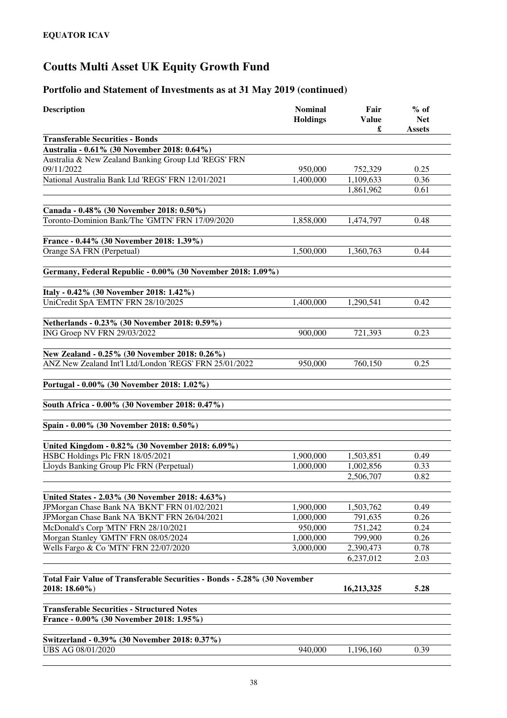| <b>Description</b>                                                       | <b>Nominal</b><br><b>Holdings</b> | Fair<br><b>Value</b><br>£ | $%$ of<br><b>Net</b><br><b>Assets</b> |
|--------------------------------------------------------------------------|-----------------------------------|---------------------------|---------------------------------------|
| <b>Transferable Securities - Bonds</b>                                   |                                   |                           |                                       |
| Australia - 0.61% (30 November 2018: 0.64%)                              |                                   |                           |                                       |
| Australia & New Zealand Banking Group Ltd 'REGS' FRN<br>09/11/2022       | 950,000                           | 752,329                   | 0.25                                  |
| National Australia Bank Ltd 'REGS' FRN 12/01/2021                        | 1,400,000                         | 1,109,633                 | 0.36                                  |
|                                                                          |                                   | 1,861,962                 | 0.61                                  |
| Canada - 0.48% (30 November 2018: 0.50%)                                 |                                   |                           |                                       |
| Toronto-Dominion Bank/The 'GMTN' FRN 17/09/2020                          | 1,858,000                         | 1,474,797                 | 0.48                                  |
| France - 0.44% (30 November 2018: 1.39%)                                 |                                   |                           |                                       |
| Orange SA FRN (Perpetual)                                                | 1,500,000                         | 1,360,763                 | 0.44                                  |
| Germany, Federal Republic - 0.00% (30 November 2018: 1.09%)              |                                   |                           |                                       |
|                                                                          |                                   |                           |                                       |
| Italy - 0.42% (30 November 2018: 1.42%)                                  |                                   |                           |                                       |
| UniCredit SpA 'EMTN' FRN 28/10/2025                                      | 1,400,000                         | 1,290,541                 | 0.42                                  |
| Netherlands - 0.23% (30 November 2018: 0.59%)                            |                                   |                           |                                       |
| ING Groep NV FRN 29/03/2022                                              | 900,000                           | 721,393                   | 0.23                                  |
| New Zealand - 0.25% (30 November 2018: 0.26%)                            |                                   |                           |                                       |
| ANZ New Zealand Int'l Ltd/London 'REGS' FRN 25/01/2022                   | 950,000                           | 760,150                   | 0.25                                  |
| Portugal - 0.00% (30 November 2018: 1.02%)                               |                                   |                           |                                       |
| South Africa - 0.00% (30 November 2018: 0.47%)                           |                                   |                           |                                       |
| Spain - 0.00% (30 November 2018: 0.50%)                                  |                                   |                           |                                       |
|                                                                          |                                   |                           |                                       |
| United Kingdom - 0.82% (30 November 2018: 6.09%)                         |                                   |                           |                                       |
| HSBC Holdings Plc FRN 18/05/2021                                         | 1,900,000                         | 1,503,851                 | 0.49                                  |
| Lloyds Banking Group Plc FRN (Perpetual)                                 | 1,000,000                         | 1,002,856                 | 0.33                                  |
|                                                                          |                                   | 2,506,707                 | 0.82                                  |
| United States - 2.03% (30 November 2018: 4.63%)                          |                                   |                           |                                       |
| JPMorgan Chase Bank NA 'BKNT' FRN 01/02/2021                             | 1,900,000                         | 1,503,762                 | 0.49                                  |
| JPMorgan Chase Bank NA 'BKNT' FRN 26/04/2021                             | 1,000,000                         | 791,635                   | 0.26                                  |
| McDonald's Corp 'MTN' FRN 28/10/2021                                     | 950,000                           | 751,242                   | 0.24                                  |
| Morgan Stanley 'GMTN' FRN 08/05/2024                                     | 1,000,000                         | 799,900                   | 0.26                                  |
| Wells Fargo & Co 'MTN' FRN 22/07/2020                                    | 3,000,000                         | 2,390,473                 | 0.78                                  |
|                                                                          |                                   | 6,237,012                 | 2.03                                  |
| Total Fair Value of Transferable Securities - Bonds - 5.28% (30 November |                                   |                           |                                       |
| 2018: 18.60%)                                                            |                                   | 16,213,325                | 5.28                                  |
| <b>Transferable Securities - Structured Notes</b>                        |                                   |                           |                                       |
| France - 0.00% (30 November 2018: 1.95%)                                 |                                   |                           |                                       |
| Switzerland - 0.39% (30 November 2018: 0.37%)                            |                                   |                           |                                       |
| UBS AG 08/01/2020                                                        | 940,000                           | 1,196,160                 | 0.39                                  |
|                                                                          |                                   |                           |                                       |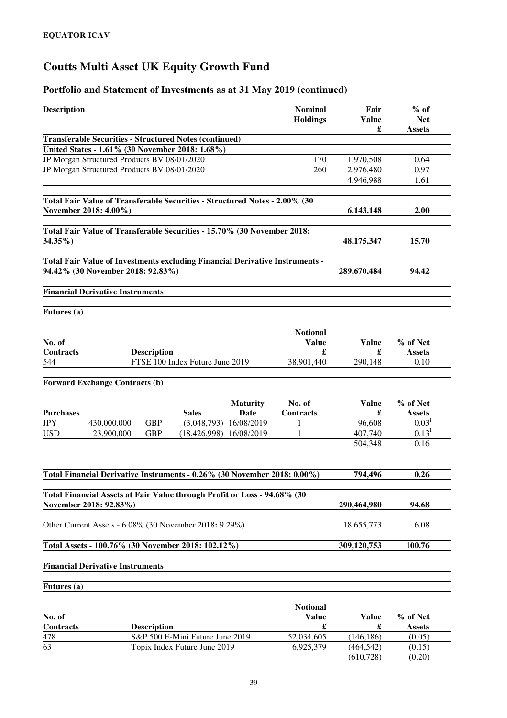| <b>Description</b> |                                                                              |                           | Fair              | $%$ of               |
|--------------------|------------------------------------------------------------------------------|---------------------------|-------------------|----------------------|
|                    |                                                                              | <b>Holdings</b>           | <b>Value</b><br>£ | <b>Net</b><br>Assets |
|                    | <b>Transferable Securities - Structured Notes (continued)</b>                |                           |                   |                      |
|                    | United States - 1.61% (30 November 2018: 1.68%)                              |                           |                   |                      |
|                    | JP Morgan Structured Products BV 08/01/2020                                  | 170                       | 1,970,508         | 0.64                 |
|                    | JP Morgan Structured Products BV 08/01/2020                                  | 260                       | 2,976,480         | 0.97                 |
|                    |                                                                              |                           | 4,946,988         | 1.61                 |
|                    | Total Fair Value of Transferable Securities - Structured Notes - 2.00% (30   |                           |                   |                      |
|                    | November 2018: 4.00%)                                                        |                           | 6,143,148         | 2.00                 |
|                    | Total Fair Value of Transferable Securities - 15.70% (30 November 2018:      |                           |                   |                      |
| $34.35\%$          |                                                                              |                           | 48, 175, 347      | 15.70                |
|                    | Total Fair Value of Investments excluding Financial Derivative Instruments - |                           |                   |                      |
|                    | 94.42% (30 November 2018: 92.83%)                                            |                           | 289,670,484       | 94.42                |
|                    | <b>Financial Derivative Instruments</b>                                      |                           |                   |                      |
| Futures (a)        |                                                                              |                           |                   |                      |
|                    |                                                                              | <b>Notional</b>           |                   |                      |
| No. of             |                                                                              | <b>Value</b>              | <b>Value</b>      | % of Net             |
| Contracts          | <b>Description</b>                                                           | £                         | £                 | <b>Assets</b>        |
| 544                | FTSE 100 Index Future June 2019                                              | 38,901,440                | 290,148           | 0.10                 |
|                    | <b>Forward Exchange Contracts (b)</b>                                        |                           |                   |                      |
|                    |                                                                              |                           |                   |                      |
|                    |                                                                              | No. of<br><b>Maturity</b> | <b>Value</b>      | % of Net             |
| <b>Purchases</b>   | <b>Sales</b>                                                                 | Date<br>Contracts         | £                 | <b>Assets</b>        |
| <b>JPY</b>         | 430,000,000<br><b>GBP</b><br>(3,048,793)                                     | 16/08/2019<br>1           | 96,608            | 0.03 <sup>1</sup>    |
| <b>USD</b>         | <b>GBP</b><br>23,900,000<br>$(18, 426, 998)$ $16/08/2019$                    | 1                         | 407,740           | 0.13 <sup>1</sup>    |
|                    |                                                                              |                           | 504,348           | 0.16                 |
|                    | Total Financial Derivative Instruments - 0.26% (30 November 2018: 0.00%)     |                           | 794,496           | 0.26                 |
|                    |                                                                              |                           |                   |                      |
|                    | Total Financial Assets at Fair Value through Profit or Loss - 94.68% (30     |                           |                   |                      |
|                    | November 2018: 92.83%)                                                       |                           | 290,464,980       | 94.68                |
|                    | Other Current Assets - 6.08% (30 November 2018: 9.29%)                       |                           | 18,655,773        | 6.08                 |
|                    | Total Assets - 100.76% (30 November 2018: 102.12%)                           |                           | 309,120,753       | 100.76               |
|                    | <b>Financial Derivative Instruments</b>                                      |                           |                   |                      |
| <b>Futures</b> (a) |                                                                              |                           |                   |                      |
|                    |                                                                              | <b>Notional</b>           |                   |                      |
| No. of             |                                                                              | <b>Value</b>              | <b>Value</b>      | % of Net             |
| Contracts          | <b>Description</b>                                                           | £                         | £                 | <b>Assets</b>        |
| 478                | S&P 500 E-Mini Future June 2019                                              | 52,034,605                | (146, 186)        | (0.05)               |
|                    |                                                                              |                           |                   |                      |
| 63                 | Topix Index Future June 2019                                                 | 6,925,379                 | (464, 542)        | (0.15)               |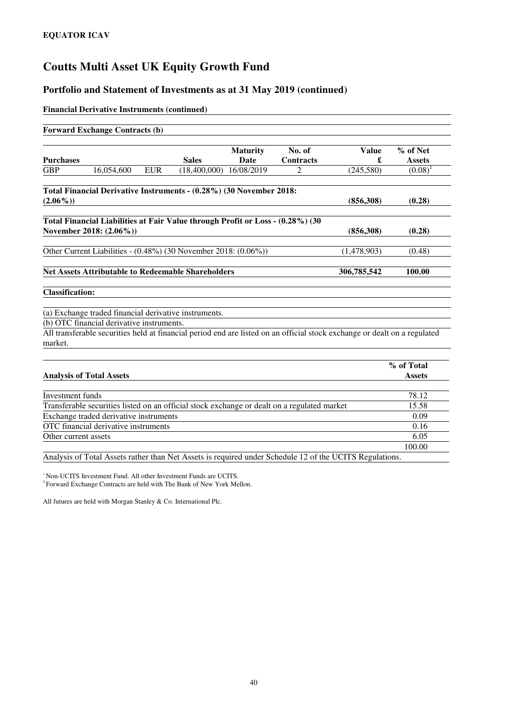#### **Portfolio and Statement of Investments as at 31 May 2019 (continued)**

#### **Financial Derivative Instruments (continued)**

|                         | <b>Forward Exchange Contracts (b)</b>       |            |                                                                                |                                |                                                                                             |                                                                                                                           |                           |
|-------------------------|---------------------------------------------|------------|--------------------------------------------------------------------------------|--------------------------------|---------------------------------------------------------------------------------------------|---------------------------------------------------------------------------------------------------------------------------|---------------------------|
| <b>Purchases</b>        |                                             |            | <b>Sales</b>                                                                   | <b>Maturity</b><br><b>Date</b> | No. of<br><b>Contracts</b>                                                                  | <b>Value</b><br>£                                                                                                         | % of Net<br><b>Assets</b> |
| <b>GBP</b>              | 16,054,600                                  | <b>EUR</b> | $(18,400,000)$ $16/08/2019$                                                    |                                | $\mathfrak{D}$                                                                              | (245, 580)                                                                                                                | $(0.08)^1$                |
| $(2.06\%)$              |                                             |            | Total Financial Derivative Instruments - (0.28%) (30 November 2018:            |                                |                                                                                             | (856,308)                                                                                                                 | (0.28)                    |
|                         | November 2018: (2.06%))                     |            | Total Financial Liabilities at Fair Value through Profit or Loss - (0.28%) (30 |                                |                                                                                             | (856,308)                                                                                                                 | (0.28)                    |
|                         |                                             |            | Other Current Liabilities - (0.48%) (30 November 2018: (0.06%))                |                                |                                                                                             | (1,478,903)                                                                                                               | (0.48)                    |
|                         |                                             |            | <b>Net Assets Attributable to Redeemable Shareholders</b>                      |                                |                                                                                             | 306,785,542                                                                                                               | 100.00                    |
| <b>Classification:</b>  |                                             |            |                                                                                |                                |                                                                                             |                                                                                                                           |                           |
|                         |                                             |            | (a) Exchange traded financial derivative instruments.                          |                                |                                                                                             |                                                                                                                           |                           |
|                         | (b) OTC financial derivative instruments.   |            |                                                                                |                                |                                                                                             |                                                                                                                           |                           |
| market.                 |                                             |            |                                                                                |                                |                                                                                             | All transferable securities held at financial period end are listed on an official stock exchange or dealt on a regulated |                           |
|                         |                                             |            |                                                                                |                                |                                                                                             |                                                                                                                           | % of Total                |
|                         | <b>Analysis of Total Assets</b>             |            |                                                                                |                                |                                                                                             |                                                                                                                           | <b>Assets</b>             |
| <b>Investment</b> funds |                                             |            |                                                                                |                                |                                                                                             |                                                                                                                           | 78.12                     |
|                         |                                             |            |                                                                                |                                | Transferable securities listed on an official stock exchange or dealt on a regulated market |                                                                                                                           | 15.58                     |
|                         | Exchange traded derivative instruments      |            |                                                                                |                                |                                                                                             |                                                                                                                           | 0.09                      |
|                         | <b>OTC</b> financial derivative instruments |            |                                                                                |                                |                                                                                             |                                                                                                                           | 0.16                      |
| Other current assets    |                                             |            |                                                                                |                                |                                                                                             |                                                                                                                           | 6.05                      |
|                         |                                             |            |                                                                                |                                |                                                                                             |                                                                                                                           | 100.00                    |

Analysis of Total Assets rather than Net Assets is required under Schedule 12 of the UCITS Regulations.

<sup>~</sup>Non-UCITS Investment Fund. All other Investment Funds are UCITS. <sup>1</sup> Forward Exchange Contracts are held with The Bank of New York Mellon.

All futures are held with Morgan Stanley & Co. International Plc.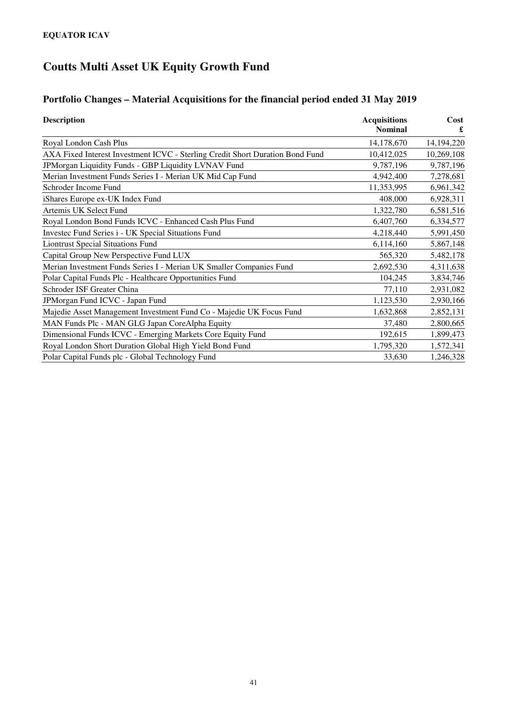### **Portfolio Changes – Material Acquisitions for the financial period ended 31 May 2019**

| <b>Description</b>                                                            | <b>Acquisitions</b> | Cost       |
|-------------------------------------------------------------------------------|---------------------|------------|
|                                                                               | <b>Nominal</b>      | £          |
| Royal London Cash Plus                                                        | 14,178,670          | 14,194,220 |
| AXA Fixed Interest Investment ICVC - Sterling Credit Short Duration Bond Fund | 10,412,025          | 10,269,108 |
| JPMorgan Liquidity Funds - GBP Liquidity LVNAV Fund                           | 9,787,196           | 9,787,196  |
| Merian Investment Funds Series I - Merian UK Mid Cap Fund                     | 4,942,400           | 7,278,681  |
| Schroder Income Fund                                                          | 11,353,995          | 6,961,342  |
| iShares Europe ex-UK Index Fund                                               | 408,000             | 6,928,311  |
| Artemis UK Select Fund                                                        | 1,322,780           | 6,581,516  |
| Royal London Bond Funds ICVC - Enhanced Cash Plus Fund                        | 6,407,760           | 6,334,577  |
| Investec Fund Series i - UK Special Situations Fund                           | 4,218,440           | 5,991,450  |
| <b>Liontrust Special Situations Fund</b>                                      | 6,114,160           | 5,867,148  |
| Capital Group New Perspective Fund LUX                                        | 565,320             | 5,482,178  |
| Merian Investment Funds Series I - Merian UK Smaller Companies Fund           | 2,692,530           | 4,311,638  |
| Polar Capital Funds Plc - Healthcare Opportunities Fund                       | 104,245             | 3,834,746  |
| Schroder ISF Greater China                                                    | 77,110              | 2,931,082  |
| JPMorgan Fund ICVC - Japan Fund                                               | 1,123,530           | 2,930,166  |
| Majedie Asset Management Investment Fund Co - Majedie UK Focus Fund           | 1,632,868           | 2,852,131  |
| MAN Funds Plc - MAN GLG Japan CoreAlpha Equity                                | 37,480              | 2,800,665  |
| Dimensional Funds ICVC - Emerging Markets Core Equity Fund                    | 192,615             | 1,899,473  |
| Royal London Short Duration Global High Yield Bond Fund                       | 1,795,320           | 1,572,341  |
| Polar Capital Funds plc - Global Technology Fund                              | 33,630              | 1,246,328  |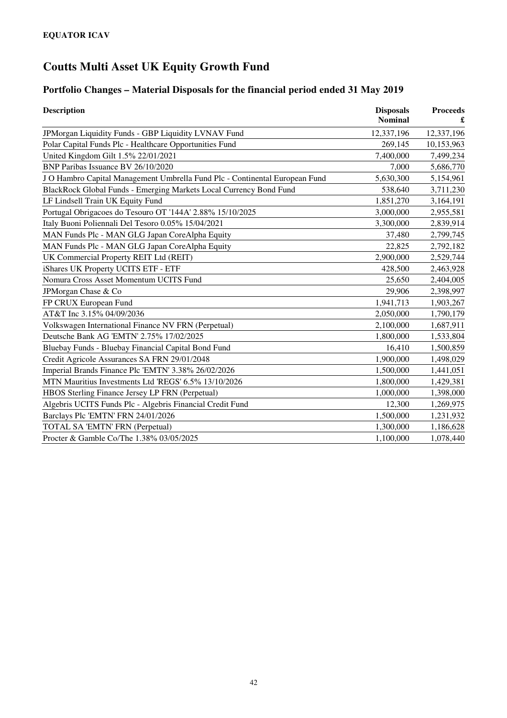### **Portfolio Changes – Material Disposals for the financial period ended 31 May 2019**

| <b>Description</b>                                                          | <b>Disposals</b><br><b>Nominal</b> | <b>Proceeds</b> |
|-----------------------------------------------------------------------------|------------------------------------|-----------------|
| JPMorgan Liquidity Funds - GBP Liquidity LVNAV Fund                         | 12,337,196                         | 12,337,196      |
| Polar Capital Funds Plc - Healthcare Opportunities Fund                     | 269,145                            | 10,153,963      |
| United Kingdom Gilt 1.5% 22/01/2021                                         | 7,400,000                          | 7,499,234       |
| BNP Paribas Issuance BV 26/10/2020                                          | 7,000                              | 5,686,770       |
| J O Hambro Capital Management Umbrella Fund Plc - Continental European Fund | 5,630,300                          | 5,154,961       |
| BlackRock Global Funds - Emerging Markets Local Currency Bond Fund          | 538,640                            | 3,711,230       |
| LF Lindsell Train UK Equity Fund                                            | 1,851,270                          | 3,164,191       |
| Portugal Obrigacoes do Tesouro OT '144A' 2.88% 15/10/2025                   | 3,000,000                          | 2,955,581       |
| Italy Buoni Poliennali Del Tesoro 0.05% 15/04/2021                          | 3,300,000                          | 2,839,914       |
| MAN Funds Plc - MAN GLG Japan CoreAlpha Equity                              | 37,480                             | 2,799,745       |
| MAN Funds Plc - MAN GLG Japan CoreAlpha Equity                              | 22,825                             | 2,792,182       |
| UK Commercial Property REIT Ltd (REIT)                                      | 2,900,000                          | 2,529,744       |
| iShares UK Property UCITS ETF - ETF                                         | 428,500                            | 2,463,928       |
| Nomura Cross Asset Momentum UCITS Fund                                      | 25,650                             | 2,404,005       |
| JPMorgan Chase & Co                                                         | 29,906                             | 2,398,997       |
| FP CRUX European Fund                                                       | 1,941,713                          | 1,903,267       |
| AT&T Inc 3.15% 04/09/2036                                                   | 2,050,000                          | 1,790,179       |
| Volkswagen International Finance NV FRN (Perpetual)                         | 2,100,000                          | 1,687,911       |
| Deutsche Bank AG 'EMTN' 2.75% 17/02/2025                                    | 1,800,000                          | 1,533,804       |
| Bluebay Funds - Bluebay Financial Capital Bond Fund                         | 16,410                             | 1,500,859       |
| Credit Agricole Assurances SA FRN 29/01/2048                                | 1,900,000                          | 1,498,029       |
| Imperial Brands Finance Plc 'EMTN' 3.38% 26/02/2026                         | 1,500,000                          | 1,441,051       |
| MTN Mauritius Investments Ltd 'REGS' 6.5% 13/10/2026                        | 1,800,000                          | 1,429,381       |
| HBOS Sterling Finance Jersey LP FRN (Perpetual)                             | 1,000,000                          | 1,398,000       |
| Algebris UCITS Funds Plc - Algebris Financial Credit Fund                   | 12,300                             | 1,269,975       |
| Barclays Plc 'EMTN' FRN 24/01/2026                                          | 1,500,000                          | 1,231,932       |
| TOTAL SA 'EMTN' FRN (Perpetual)                                             | 1,300,000                          | 1,186,628       |
| Procter & Gamble Co/The 1.38% 03/05/2025                                    | 1,100,000                          | 1,078,440       |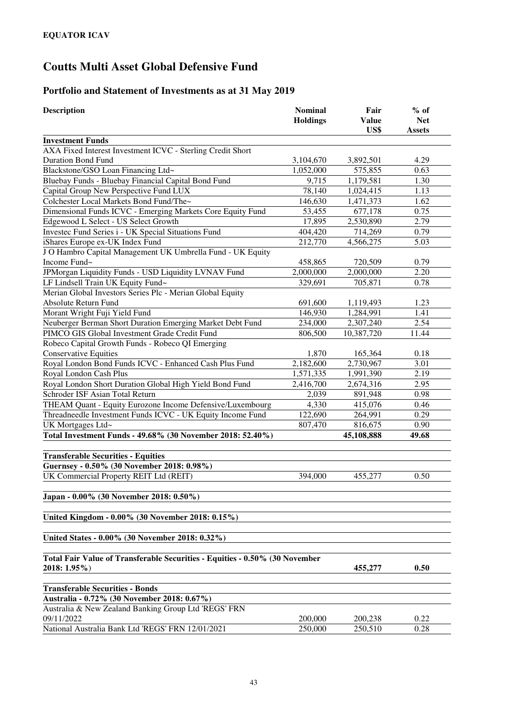### **Portfolio and Statement of Investments as at 31 May 2019**

| <b>Description</b>                                                                             | <b>Nominal</b><br><b>Holdings</b> | Fair<br><b>Value</b><br>US\$ | $%$ of<br><b>Net</b><br><b>Assets</b> |
|------------------------------------------------------------------------------------------------|-----------------------------------|------------------------------|---------------------------------------|
| <b>Investment Funds</b>                                                                        |                                   |                              |                                       |
| AXA Fixed Interest Investment ICVC - Sterling Credit Short                                     |                                   |                              |                                       |
| <b>Duration Bond Fund</b>                                                                      | 3,104,670                         | 3,892,501                    | 4.29                                  |
| Blackstone/GSO Loan Financing Ltd~                                                             | 1,052,000                         | 575,855                      | 0.63                                  |
| Bluebay Funds - Bluebay Financial Capital Bond Fund                                            | 9,715                             | 1,179,581                    | 1.30                                  |
| Capital Group New Perspective Fund LUX                                                         | 78,140                            | 1,024,415                    | 1.13                                  |
| Colchester Local Markets Bond Fund/The~                                                        | 146,630                           | 1,471,373                    | 1.62                                  |
| Dimensional Funds ICVC - Emerging Markets Core Equity Fund                                     | 53,455                            | 677,178                      | 0.75                                  |
| Edgewood L Select - US Select Growth                                                           | 17,895                            | 2,530,890                    | 2.79                                  |
| Investec Fund Series i - UK Special Situations Fund                                            | 404,420                           | 714,269                      | 0.79                                  |
| iShares Europe ex-UK Index Fund                                                                | 212,770                           | 4,566,275                    | 5.03                                  |
| J O Hambro Capital Management UK Umbrella Fund - UK Equity                                     |                                   |                              |                                       |
| Income Fund~                                                                                   | 458,865                           | 720,509                      | 0.79                                  |
| JPMorgan Liquidity Funds - USD Liquidity LVNAV Fund                                            | 2,000,000                         | 2,000,000                    | 2.20                                  |
| LF Lindsell Train UK Equity Fund~                                                              | 329,691                           | 705,871                      | 0.78                                  |
| Merian Global Investors Series Plc - Merian Global Equity                                      |                                   |                              |                                       |
| Absolute Return Fund                                                                           | 691,600                           | 1,119,493                    | 1.23                                  |
| Morant Wright Fuji Yield Fund                                                                  | 146,930                           | 1,284,991                    | 1.41                                  |
| Neuberger Berman Short Duration Emerging Market Debt Fund                                      | 234,000                           | 2,307,240                    | 2.54                                  |
| PIMCO GIS Global Investment Grade Credit Fund                                                  | 806,500                           | 10,387,720                   | 11.44                                 |
| Robeco Capital Growth Funds - Robeco QI Emerging                                               |                                   |                              |                                       |
| <b>Conservative Equities</b>                                                                   | 1,870                             | 165,364                      | 0.18                                  |
| Royal London Bond Funds ICVC - Enhanced Cash Plus Fund                                         | 2,182,600                         | 2,730,967                    | 3.01                                  |
| Royal London Cash Plus                                                                         | 1,571,335                         | 1,991,390                    | 2.19                                  |
| Royal London Short Duration Global High Yield Bond Fund                                        | 2,416,700                         | 2,674,316                    | 2.95                                  |
| Schroder ISF Asian Total Return                                                                | 2,039                             | 891,948                      | 0.98                                  |
| THEAM Quant - Equity Eurozone Income Defensive/Luxembourg                                      | 4,330                             | 415,076                      | 0.46                                  |
| Threadneedle Investment Funds ICVC - UK Equity Income Fund                                     | 122,690                           | 264,991                      | 0.29                                  |
| UK Mortgages Ltd~                                                                              | 807,470                           | 816,675                      | 0.90                                  |
| Total Investment Funds - 49.68% (30 November 2018: 52.40%)                                     |                                   | 45,108,888                   | 49.68                                 |
| <b>Transferable Securities - Equities</b>                                                      |                                   |                              |                                       |
| Guernsey - 0.50% (30 November 2018: 0.98%)                                                     |                                   |                              |                                       |
| UK Commercial Property REIT Ltd (REIT)                                                         | 394,000                           | 455,277                      | 0.50                                  |
| Japan - 0.00% (30 November 2018: 0.50%)                                                        |                                   |                              |                                       |
| United Kingdom - 0.00% (30 November 2018: 0.15%)                                               |                                   |                              |                                       |
| United States - 0.00% (30 November 2018: 0.32%)                                                |                                   |                              |                                       |
|                                                                                                |                                   |                              |                                       |
| Total Fair Value of Transferable Securities - Equities - 0.50% (30 November<br>$2018: 1.95\%)$ |                                   | 455,277                      | 0.50                                  |
| <b>Transferable Securities - Bonds</b>                                                         |                                   |                              |                                       |
| Australia - 0.72% (30 November 2018: 0.67%)                                                    |                                   |                              |                                       |
| Australia & New Zealand Banking Group Ltd 'REGS' FRN                                           |                                   |                              |                                       |
| 09/11/2022                                                                                     | 200,000                           | 200,238                      | 0.22                                  |
| National Australia Bank Ltd 'REGS' FRN 12/01/2021                                              | 250,000                           | 250,510                      | 0.28                                  |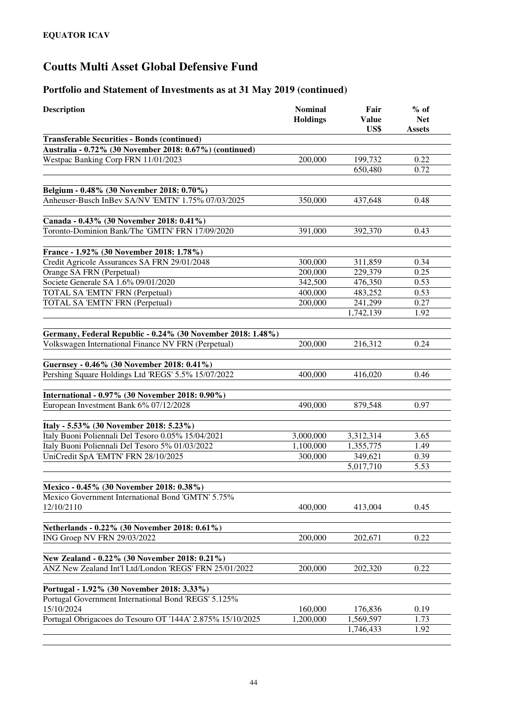| <b>Description</b>                                                                                | <b>Nominal</b><br><b>Holdings</b> | Fair<br><b>Value</b><br>US\$ | $%$ of<br><b>Net</b><br><b>Assets</b> |
|---------------------------------------------------------------------------------------------------|-----------------------------------|------------------------------|---------------------------------------|
| <b>Transferable Securities - Bonds (continued)</b>                                                |                                   |                              |                                       |
| Australia - 0.72% (30 November 2018: 0.67%) (continued)                                           |                                   |                              |                                       |
| Westpac Banking Corp FRN 11/01/2023                                                               | 200,000                           | 199,732                      | 0.22                                  |
|                                                                                                   |                                   | 650,480                      | 0.72                                  |
|                                                                                                   |                                   |                              |                                       |
| Belgium - 0.48% (30 November 2018: 0.70%)                                                         |                                   |                              |                                       |
| Anheuser-Busch InBev SA/NV 'EMTN' 1.75% 07/03/2025                                                | 350,000                           | 437,648                      | 0.48                                  |
|                                                                                                   |                                   |                              |                                       |
| Canada - 0.43% (30 November 2018: 0.41%)                                                          |                                   |                              |                                       |
| Toronto-Dominion Bank/The 'GMTN' FRN 17/09/2020                                                   | 391,000                           | 392,370                      | 0.43                                  |
|                                                                                                   |                                   |                              |                                       |
| France - 1.92% (30 November 2018: 1.78%)                                                          |                                   |                              |                                       |
| Credit Agricole Assurances SA FRN 29/01/2048                                                      | 300,000                           | 311,859                      | 0.34                                  |
| Orange SA FRN (Perpetual)                                                                         | 200,000                           | 229,379                      | 0.25                                  |
| Societe Generale SA 1.6% 09/01/2020                                                               | 342,500                           | 476,350                      | 0.53                                  |
| TOTAL SA 'EMTN' FRN (Perpetual)                                                                   | 400,000                           | 483,252                      | 0.53                                  |
| TOTAL SA 'EMTN' FRN (Perpetual)                                                                   | 200,000                           | 241,299                      | 0.27                                  |
|                                                                                                   |                                   | 1,742,139                    | 1.92                                  |
|                                                                                                   |                                   |                              |                                       |
| Germany, Federal Republic - 0.24% (30 November 2018: 1.48%)                                       |                                   |                              |                                       |
| Volkswagen International Finance NV FRN (Perpetual)                                               | 200,000                           | 216,312                      | 0.24                                  |
|                                                                                                   |                                   |                              |                                       |
| Guernsey - 0.46% (30 November 2018: 0.41%)<br>Pershing Square Holdings Ltd 'REGS' 5.5% 15/07/2022 | 400,000                           | 416,020                      | 0.46                                  |
|                                                                                                   |                                   |                              |                                       |
| International - 0.97% (30 November 2018: 0.90%)                                                   |                                   |                              |                                       |
| European Investment Bank 6% 07/12/2028                                                            | 490,000                           | 879,548                      | 0.97                                  |
|                                                                                                   |                                   |                              |                                       |
| Italy - 5.53% (30 November 2018: 5.23%)                                                           |                                   |                              |                                       |
| Italy Buoni Poliennali Del Tesoro 0.05% 15/04/2021                                                | 3,000,000                         | 3,312,314                    | 3.65                                  |
| Italy Buoni Poliennali Del Tesoro 5% 01/03/2022                                                   | 1,100,000                         | 1,355,775                    | 1.49                                  |
| UniCredit SpA 'EMTN' FRN 28/10/2025                                                               | 300,000                           | 349,621                      | 0.39                                  |
|                                                                                                   |                                   | 5,017,710                    | 5.53                                  |
|                                                                                                   |                                   |                              |                                       |
| Mexico - 0.45% (30 November 2018: 0.38%)                                                          |                                   |                              |                                       |
| Mexico Government International Bond 'GMTN' 5.75%                                                 |                                   |                              |                                       |
| 12/10/2110                                                                                        | 400,000                           | 413,004                      | 0.45                                  |
|                                                                                                   |                                   |                              |                                       |
| Netherlands - 0.22% (30 November 2018: 0.61%)                                                     |                                   |                              |                                       |
| ING Groep NV FRN 29/03/2022                                                                       | 200,000                           | 202,671                      | 0.22                                  |
|                                                                                                   |                                   |                              |                                       |
| New Zealand - 0.22% (30 November 2018: 0.21%)                                                     |                                   |                              |                                       |
| ANZ New Zealand Int'l Ltd/London 'REGS' FRN 25/01/2022                                            | 200,000                           | 202,320                      | 0.22                                  |
|                                                                                                   |                                   |                              |                                       |
| Portugal - 1.92% (30 November 2018: 3.33%)                                                        |                                   |                              |                                       |
| Portugal Government International Bond 'REGS' 5.125%                                              |                                   |                              |                                       |
| 15/10/2024                                                                                        |                                   | 176,836                      | 0.19                                  |
|                                                                                                   | 160,000                           |                              |                                       |
| Portugal Obrigacoes do Tesouro OT '144A' 2.875% 15/10/2025                                        | 1,200,000                         | 1,569,597<br>1,746,433       | 1.73<br>1.92                          |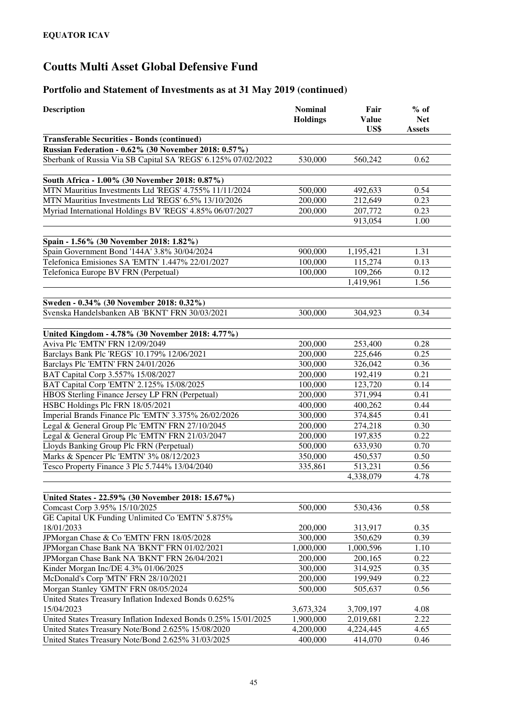| <b>Description</b>                                              | <b>Nominal</b><br><b>Holdings</b> | Fair<br><b>Value</b><br>US\$ | $%$ of<br><b>Net</b><br>Assets |
|-----------------------------------------------------------------|-----------------------------------|------------------------------|--------------------------------|
| <b>Transferable Securities - Bonds (continued)</b>              |                                   |                              |                                |
| <b>Russian Federation - 0.62% (30 November 2018: 0.57%)</b>     |                                   |                              |                                |
| Sberbank of Russia Via SB Capital SA 'REGS' 6.125% 07/02/2022   | 530,000                           | 560,242                      | 0.62                           |
|                                                                 |                                   |                              |                                |
| South Africa - 1.00% (30 November 2018: 0.87%)                  |                                   |                              |                                |
| MTN Mauritius Investments Ltd 'REGS' 4.755% 11/11/2024          | 500,000                           | 492,633                      | 0.54                           |
| MTN Mauritius Investments Ltd 'REGS' 6.5% 13/10/2026            | 200,000                           | 212,649                      | 0.23                           |
| Myriad International Holdings BV 'REGS' 4.85% 06/07/2027        | 200,000                           | 207,772                      | 0.23                           |
|                                                                 |                                   | 913,054                      | 1.00                           |
|                                                                 |                                   |                              |                                |
| Spain - 1.56% (30 November 2018: 1.82%)                         |                                   |                              |                                |
| Spain Government Bond '144A' 3.8% 30/04/2024                    | 900,000                           | 1,195,421                    | 1.31                           |
| Telefonica Emisiones SA 'EMTN' 1.447% 22/01/2027                | 100,000                           | 115,274                      | 0.13                           |
| Telefonica Europe BV FRN (Perpetual)                            | 100,000                           | 109,266                      | 0.12                           |
|                                                                 |                                   | 1,419,961                    | 1.56                           |
|                                                                 |                                   |                              |                                |
| Sweden - 0.34% (30 November 2018: 0.32%)                        |                                   |                              |                                |
| Svenska Handelsbanken AB 'BKNT' FRN 30/03/2021                  | 300,000                           | 304,923                      | 0.34                           |
|                                                                 |                                   |                              |                                |
| United Kingdom - 4.78% (30 November 2018: 4.77%)                |                                   |                              |                                |
| Aviva Plc 'EMTN' FRN 12/09/2049                                 | 200,000                           | 253,400                      | 0.28                           |
| Barclays Bank Plc 'REGS' 10.179% 12/06/2021                     | 200,000                           | 225,646                      | 0.25                           |
| Barclays Plc 'EMTN' FRN 24/01/2026                              | 300,000                           | 326,042                      | 0.36                           |
| BAT Capital Corp 3.557% 15/08/2027                              | 200,000                           | 192,419                      | 0.21                           |
| BAT Capital Corp 'EMTN' 2.125% 15/08/2025                       | 100,000                           | 123,720                      | 0.14                           |
| HBOS Sterling Finance Jersey LP FRN (Perpetual)                 | 200,000                           | 371,994                      | 0.41                           |
| HSBC Holdings Plc FRN 18/05/2021                                | 400,000                           | 400,262                      | 0.44                           |
| Imperial Brands Finance Plc 'EMTN' 3.375% 26/02/2026            | 300,000                           | 374,845                      | 0.41                           |
| Legal & General Group Plc 'EMTN' FRN 27/10/2045                 | 200,000                           | 274,218                      | 0.30                           |
| Legal & General Group Plc 'EMTN' FRN 21/03/2047                 | 200,000                           | 197,835                      | 0.22                           |
| Lloyds Banking Group Plc FRN (Perpetual)                        | 500,000                           | 633,930                      | 0.70                           |
| Marks & Spencer Plc 'EMTN' 3% 08/12/2023                        | 350,000                           | 450,537                      | 0.50                           |
| Tesco Property Finance 3 Plc 5.744% 13/04/2040                  | 335,861                           | 513,231                      | 0.56                           |
|                                                                 |                                   | 4,338,079                    | 4.78                           |
|                                                                 |                                   |                              |                                |
| United States - 22.59% (30 November 2018: 15.67%)               |                                   |                              |                                |
| Comcast Corp 3.95% 15/10/2025                                   | 500,000                           | 530,436                      | 0.58                           |
| GE Capital UK Funding Unlimited Co 'EMTN' 5.875%                |                                   |                              |                                |
| 18/01/2033                                                      | 200,000                           | 313,917                      | 0.35                           |
| JPMorgan Chase & Co 'EMTN' FRN 18/05/2028                       | 300,000                           | 350,629                      | 0.39                           |
| JPMorgan Chase Bank NA 'BKNT' FRN 01/02/2021                    | 1,000,000                         | 1,000,596                    | 1.10                           |
| JPMorgan Chase Bank NA 'BKNT' FRN 26/04/2021                    | 200,000                           | 200,165                      | 0.22                           |
| Kinder Morgan Inc/DE 4.3% 01/06/2025                            | 300,000                           | 314,925                      | 0.35                           |
| McDonald's Corp 'MTN' FRN 28/10/2021                            | 200,000                           | 199,949                      | 0.22                           |
| Morgan Stanley 'GMTN' FRN 08/05/2024                            | 500,000                           | 505,637                      | 0.56                           |
| United States Treasury Inflation Indexed Bonds 0.625%           |                                   |                              |                                |
| 15/04/2023                                                      | 3,673,324                         | 3,709,197                    | 4.08                           |
| United States Treasury Inflation Indexed Bonds 0.25% 15/01/2025 | 1,900,000                         | 2,019,681                    | 2.22                           |
| United States Treasury Note/Bond 2.625% 15/08/2020              | 4,200,000                         | 4,224,445                    | 4.65                           |
| United States Treasury Note/Bond 2.625% 31/03/2025              | 400,000                           | 414,070                      | 0.46                           |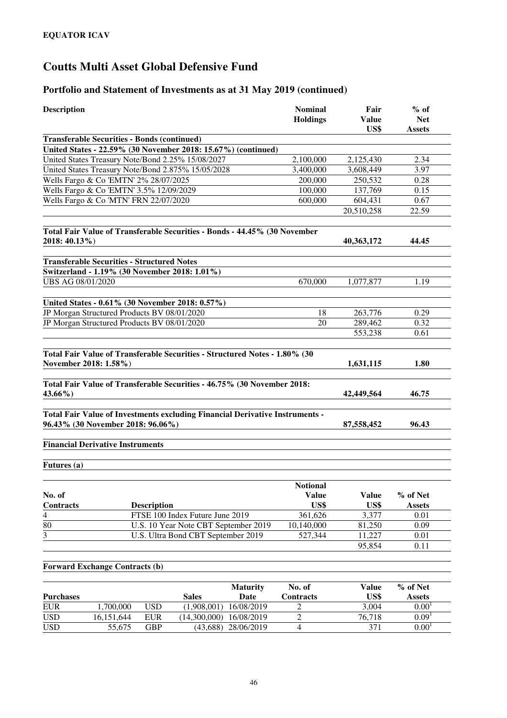| <b>Description</b>                      |                                                                              | <b>Nominal</b><br><b>Holdings</b> | Fair<br><b>Value</b><br>US\$ | $%$ of<br><b>Net</b><br><b>Assets</b> |
|-----------------------------------------|------------------------------------------------------------------------------|-----------------------------------|------------------------------|---------------------------------------|
|                                         | <b>Transferable Securities - Bonds (continued)</b>                           |                                   |                              |                                       |
|                                         | United States - 22.59% (30 November 2018: 15.67%) (continued)                |                                   |                              |                                       |
|                                         | United States Treasury Note/Bond 2.25% 15/08/2027                            | 2,100,000                         | 2,125,430                    | 2.34                                  |
|                                         | United States Treasury Note/Bond 2.875% 15/05/2028                           | 3,400,000                         | 3,608,449                    | 3.97                                  |
|                                         | Wells Fargo & Co 'EMTN' 2% 28/07/2025                                        | 200,000                           | 250,532                      | 0.28                                  |
|                                         | Wells Fargo & Co 'EMTN' 3.5% 12/09/2029                                      | 100,000                           | 137,769                      | 0.15                                  |
|                                         | Wells Fargo & Co 'MTN' FRN 22/07/2020                                        | 600,000                           | 604,431                      | 0.67                                  |
|                                         |                                                                              |                                   | 20,510,258                   | 22.59                                 |
| 2018: 40.13%)                           | Total Fair Value of Transferable Securities - Bonds - 44.45% (30 November    |                                   | 40,363,172                   | 44.45                                 |
|                                         | <b>Transferable Securities - Structured Notes</b>                            |                                   |                              |                                       |
|                                         | Switzerland - 1.19% (30 November 2018: 1.01%)                                |                                   |                              |                                       |
| UBS AG 08/01/2020                       |                                                                              | 670,000                           | 1,077,877                    | 1.19                                  |
|                                         | United States - 0.61% (30 November 2018: 0.57%)                              |                                   |                              |                                       |
|                                         | JP Morgan Structured Products BV 08/01/2020                                  | 18                                | 263,776                      | 0.29                                  |
|                                         | JP Morgan Structured Products BV 08/01/2020                                  | 20                                | 289,462                      | 0.32                                  |
|                                         |                                                                              |                                   | 553,238                      | 0.61                                  |
| November 2018: 1.58%)                   | Total Fair Value of Transferable Securities - Structured Notes - 1.80% (30   |                                   | 1,631,115                    | 1.80                                  |
|                                         | Total Fair Value of Transferable Securities - 46.75% (30 November 2018:      |                                   |                              |                                       |
| 43.66%)                                 |                                                                              |                                   | 42,449,564                   | 46.75                                 |
|                                         | Total Fair Value of Investments excluding Financial Derivative Instruments - |                                   |                              |                                       |
| 96.43% (30 November 2018: 96.06%)       |                                                                              |                                   | 87,558,452                   | 96.43                                 |
| <b>Financial Derivative Instruments</b> |                                                                              |                                   |                              |                                       |
| Futures (a)                             |                                                                              |                                   |                              |                                       |
|                                         |                                                                              | <b>Notional</b>                   |                              |                                       |
| No. of                                  |                                                                              | <b>Value</b>                      | <b>Value</b>                 | % of Net                              |
| Contracts                               | <b>Description</b>                                                           | US\$                              | US\$                         | <b>Assets</b>                         |
| $\overline{4}$                          | FTSE 100 Index Future June 2019                                              | 361,626                           | 3,377                        | 0.01                                  |
| 80                                      | U.S. 10 Year Note CBT September 2019                                         | 10,140,000                        | 81,250                       | 0.09                                  |
| $\overline{3}$                          | U.S. Ultra Bond CBT September 2019                                           | 527,344                           | 11,227                       | 0.01                                  |
|                                         |                                                                              |                                   | 95,854                       | 0.11                                  |
| <b>Forward Exchange Contracts (b)</b>   |                                                                              |                                   |                              |                                       |
|                                         | <b>Maturity</b>                                                              | No. of                            | <b>Value</b>                 | % of Net                              |

|                  |            |            |              | <b>Maturity</b>     | No. of    | Value           | % of Net          |  |
|------------------|------------|------------|--------------|---------------------|-----------|-----------------|-------------------|--|
| <b>Purchases</b> |            |            | <b>Sales</b> | Date                | Contracts | US\$            | <b>Assets</b>     |  |
| <b>EUR</b>       | .700.000   | USD        | (1.908,001)  | 16/08/2019          |           | 3.004           | $0.00^{1}$        |  |
| <b>USD</b>       | 16.151.644 | <b>EUR</b> | (14.300.000) | 16/08/2019          |           | 76.718          | 0.09 <sup>1</sup> |  |
| <b>USD</b>       | 55.675     | GBP        |              | (43,688) 28/06/2019 |           | 37 <sup>-</sup> | $0.00^{1}$        |  |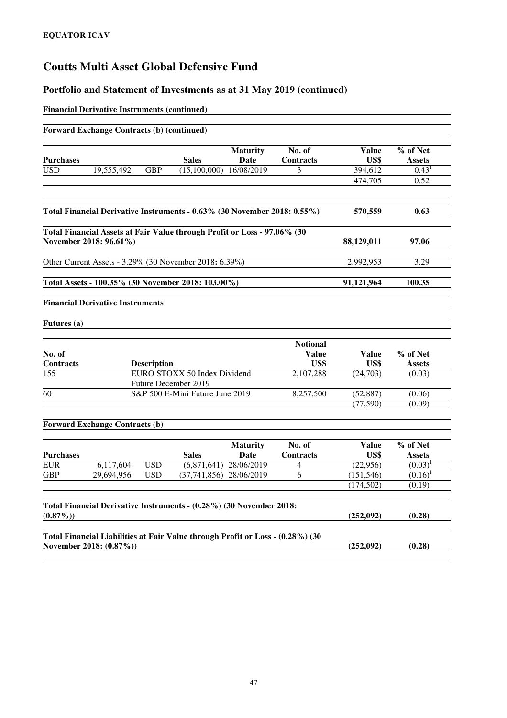#### **Portfolio and Statement of Investments as at 31 May 2019 (continued)**

#### **Financial Derivative Instruments (continued)**

|                  | <b>Forward Exchange Contracts (b) (continued)</b> |                    |                                                                                |                         |                                 |               |                           |
|------------------|---------------------------------------------------|--------------------|--------------------------------------------------------------------------------|-------------------------|---------------------------------|---------------|---------------------------|
| <b>Purchases</b> |                                                   |                    | <b>Sales</b>                                                                   | <b>Maturity</b><br>Date | No. of<br>Contracts             | Value<br>US\$ | % of Net<br><b>Assets</b> |
| <b>USD</b>       | 19,555,492                                        | <b>GBP</b>         | (15,100,000)                                                                   | 16/08/2019              | 3                               | 394,612       | 0.43 <sup>1</sup>         |
|                  |                                                   |                    |                                                                                |                         |                                 | 474,705       | 0.52                      |
|                  |                                                   |                    |                                                                                |                         |                                 |               |                           |
|                  |                                                   |                    | Total Financial Derivative Instruments - 0.63% (30 November 2018: 0.55%)       |                         |                                 | 570,559       | 0.63                      |
|                  | November 2018: 96.61%)                            |                    | Total Financial Assets at Fair Value through Profit or Loss - 97.06% (30       |                         |                                 | 88,129,011    | 97.06                     |
|                  |                                                   |                    | Other Current Assets - 3.29% (30 November 2018: 6.39%)                         |                         |                                 | 2,992,953     | 3.29                      |
|                  |                                                   |                    | Total Assets - 100.35% (30 November 2018: 103.00%)                             |                         |                                 | 91,121,964    | 100.35                    |
|                  | <b>Financial Derivative Instruments</b>           |                    |                                                                                |                         |                                 |               |                           |
| Futures (a)      |                                                   |                    |                                                                                |                         |                                 |               |                           |
| No. of           |                                                   |                    |                                                                                |                         | <b>Notional</b><br><b>Value</b> | <b>Value</b>  | % of Net                  |
| Contracts        |                                                   | <b>Description</b> |                                                                                |                         | US\$                            | US\$          | <b>Assets</b>             |
| 155              |                                                   |                    | EURO STOXX 50 Index Dividend<br>Future December 2019                           |                         | 2,107,288                       | (24,703)      | (0.03)                    |
| 60               |                                                   |                    | S&P 500 E-Mini Future June 2019                                                |                         | 8,257,500                       | (52, 887)     | (0.06)                    |
|                  |                                                   |                    |                                                                                |                         |                                 | (77, 590)     | (0.09)                    |
|                  | <b>Forward Exchange Contracts (b)</b>             |                    |                                                                                |                         |                                 |               |                           |
|                  |                                                   |                    |                                                                                | <b>Maturity</b>         | No. of                          | <b>Value</b>  | % of Net                  |
| <b>Purchases</b> |                                                   |                    | <b>Sales</b>                                                                   | Date                    | <b>Contracts</b>                | US\$          | <b>Assets</b>             |
| <b>EUR</b>       | 6,117,604                                         | <b>USD</b>         | (6,871,641)                                                                    | 28/06/2019              | 4                               | (22,956)      | $(0.03)^1$                |
|                  |                                                   | <b>USD</b>         | $(37,741,856)$ 28/06/2019                                                      |                         | 6                               | (151, 546)    | $(0.16)^1$                |
| <b>GBP</b>       | 29,694,956                                        |                    |                                                                                |                         |                                 |               |                           |
|                  |                                                   |                    |                                                                                |                         |                                 | (174, 502)    | (0.19)                    |
| $(0.87\%)$       |                                                   |                    | Total Financial Derivative Instruments - (0.28%) (30 November 2018:            |                         |                                 | (252,092)     | (0.28)                    |
|                  | November 2018: (0.87%))                           |                    | Total Financial Liabilities at Fair Value through Profit or Loss - (0.28%) (30 |                         |                                 | (252,092)     | (0.28)                    |

47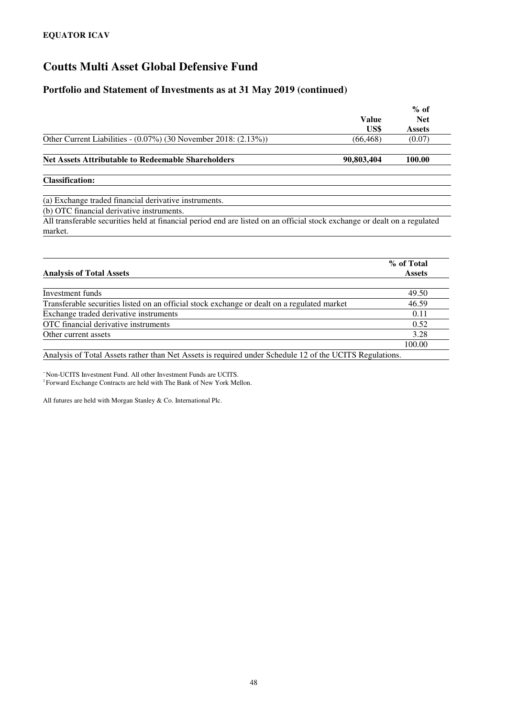#### **Portfolio and Statement of Investments as at 31 May 2019 (continued)**

|                                                                                                                           | <b>Value</b><br>US\$ | $%$ of<br><b>Net</b><br><b>Assets</b> |
|---------------------------------------------------------------------------------------------------------------------------|----------------------|---------------------------------------|
| Other Current Liabilities - $(0.07\%)$ (30 November 2018: $(2.13\%)$ )                                                    | (66, 468)            | (0.07)                                |
| <b>Net Assets Attributable to Redeemable Shareholders</b>                                                                 | 90,803,404           | 100.00                                |
| <b>Classification:</b>                                                                                                    |                      |                                       |
| (a) Exchange traded financial derivative instruments.                                                                     |                      |                                       |
| (b) OTC financial derivative instruments.                                                                                 |                      |                                       |
| All transferable securities held at financial period end are listed on an official stock exchange or dealt on a regulated |                      |                                       |
| market.                                                                                                                   |                      |                                       |

| <b>Analysis of Total Assets</b>                                                             | % of Total<br><b>Assets</b> |
|---------------------------------------------------------------------------------------------|-----------------------------|
|                                                                                             |                             |
| Investment funds                                                                            | 49.50                       |
| Transferable securities listed on an official stock exchange or dealt on a regulated market | 46.59                       |
| Exchange traded derivative instruments                                                      | 0.11                        |
| OTC financial derivative instruments                                                        | 0.52                        |
| Other current assets                                                                        | 3.28                        |
|                                                                                             | 100.00                      |

Analysis of Total Assets rather than Net Assets is required under Schedule 12 of the UCITS Regulations.

<sup>~</sup>Non-UCITS Investment Fund. All other Investment Funds are UCITS. 1 Forward Exchange Contracts are held with The Bank of New York Mellon.

All futures are held with Morgan Stanley & Co. International Plc.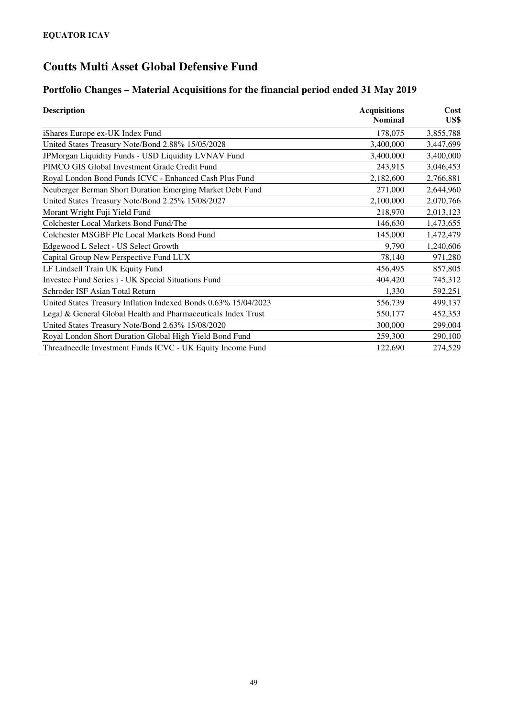### **Portfolio Changes – Material Acquisitions for the financial period ended 31 May 2019**

| <b>Description</b>                                              | <b>Acquisitions</b> | Cost<br>US\$ |  |
|-----------------------------------------------------------------|---------------------|--------------|--|
|                                                                 | <b>Nominal</b>      |              |  |
| iShares Europe ex-UK Index Fund                                 | 178,075             | 3,855,788    |  |
| United States Treasury Note/Bond 2.88% 15/05/2028               | 3,400,000           | 3,447,699    |  |
| JPMorgan Liquidity Funds - USD Liquidity LVNAV Fund             | 3,400,000           | 3,400,000    |  |
| PIMCO GIS Global Investment Grade Credit Fund                   | 243,915             | 3,046,453    |  |
| Royal London Bond Funds ICVC - Enhanced Cash Plus Fund          | 2,182,600           | 2,766,881    |  |
| Neuberger Berman Short Duration Emerging Market Debt Fund       | 271,000             | 2,644,960    |  |
| United States Treasury Note/Bond 2.25% 15/08/2027               | 2,100,000           | 2,070,766    |  |
| Morant Wright Fuji Yield Fund                                   | 218,970             | 2,013,123    |  |
| Colchester Local Markets Bond Fund/The                          | 146,630             | 1,473,655    |  |
| Colchester MSGBF Plc Local Markets Bond Fund                    | 145,000             | 1,472,479    |  |
| Edgewood L Select - US Select Growth                            | 9,790               | 1,240,606    |  |
| Capital Group New Perspective Fund LUX                          | 78,140              | 971,280      |  |
| LF Lindsell Train UK Equity Fund                                | 456,495             | 857,805      |  |
| Investec Fund Series i - UK Special Situations Fund             | 404,420             | 745,312      |  |
| Schroder ISF Asian Total Return                                 | 1,330               | 592,251      |  |
| United States Treasury Inflation Indexed Bonds 0.63% 15/04/2023 | 556,739             | 499,137      |  |
| Legal & General Global Health and Pharmaceuticals Index Trust   | 550,177             | 452,353      |  |
| United States Treasury Note/Bond 2.63% 15/08/2020               | 300,000             | 299,004      |  |
| Royal London Short Duration Global High Yield Bond Fund         | 259,300             | 290,100      |  |
| Threadneedle Investment Funds ICVC - UK Equity Income Fund      | 122,690             | 274,529      |  |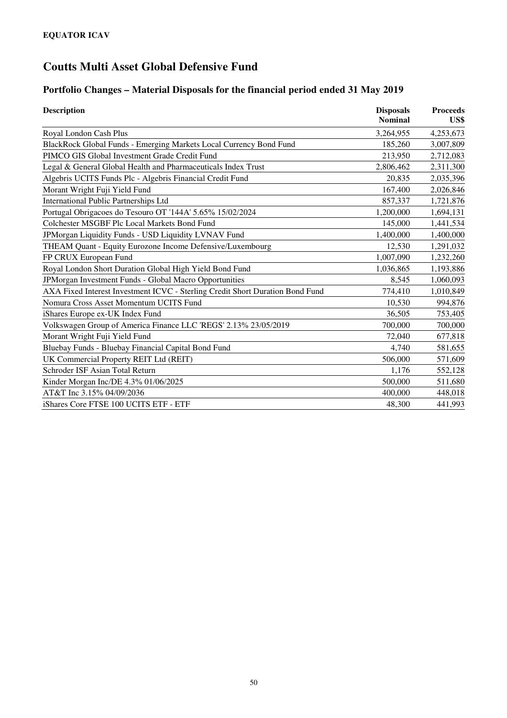# **Portfolio Changes – Material Disposals for the financial period ended 31 May 2019**

| <b>Description</b>                                                            | <b>Disposals</b><br><b>Nominal</b> | <b>Proceeds</b><br>US\$ |
|-------------------------------------------------------------------------------|------------------------------------|-------------------------|
| Royal London Cash Plus                                                        | 3,264,955                          | 4,253,673               |
| BlackRock Global Funds - Emerging Markets Local Currency Bond Fund            | 185,260                            | 3,007,809               |
| PIMCO GIS Global Investment Grade Credit Fund                                 | 213,950                            | 2,712,083               |
| Legal & General Global Health and Pharmaceuticals Index Trust                 | 2,806,462                          | 2,311,300               |
| Algebris UCITS Funds Plc - Algebris Financial Credit Fund                     | 20,835                             | 2,035,396               |
| Morant Wright Fuji Yield Fund                                                 | 167,400                            | 2,026,846               |
| <b>International Public Partnerships Ltd</b>                                  | 857,337                            | 1,721,876               |
| Portugal Obrigacoes do Tesouro OT '144A' 5.65% 15/02/2024                     | 1,200,000                          | 1,694,131               |
| Colchester MSGBF Plc Local Markets Bond Fund                                  | 145,000                            | 1,441,534               |
| JPMorgan Liquidity Funds - USD Liquidity LVNAV Fund                           | 1,400,000                          | 1,400,000               |
| THEAM Quant - Equity Eurozone Income Defensive/Luxembourg                     | 12,530                             | 1,291,032               |
| FP CRUX European Fund                                                         | 1,007,090                          | 1,232,260               |
| Royal London Short Duration Global High Yield Bond Fund                       | 1,036,865                          | 1,193,886               |
| JPMorgan Investment Funds - Global Macro Opportunities                        | 8,545                              | 1,060,093               |
| AXA Fixed Interest Investment ICVC - Sterling Credit Short Duration Bond Fund | 774,410                            | 1,010,849               |
| Nomura Cross Asset Momentum UCITS Fund                                        | 10.530                             | 994,876                 |
| iShares Europe ex-UK Index Fund                                               | 36,505                             | 753,405                 |
| Volkswagen Group of America Finance LLC 'REGS' 2.13% 23/05/2019               | 700,000                            | 700,000                 |
| Morant Wright Fuji Yield Fund                                                 | 72,040                             | 677,818                 |
| Bluebay Funds - Bluebay Financial Capital Bond Fund                           | 4,740                              | 581,655                 |
| UK Commercial Property REIT Ltd (REIT)                                        | 506,000                            | 571,609                 |
| Schroder ISF Asian Total Return                                               | 1,176                              | 552,128                 |
| Kinder Morgan Inc/DE 4.3% 01/06/2025                                          | 500,000                            | 511,680                 |
| AT&T Inc 3.15% 04/09/2036                                                     | 400,000                            | 448,018                 |
| iShares Core FTSE 100 UCITS ETF - ETF                                         | 48,300                             | 441,993                 |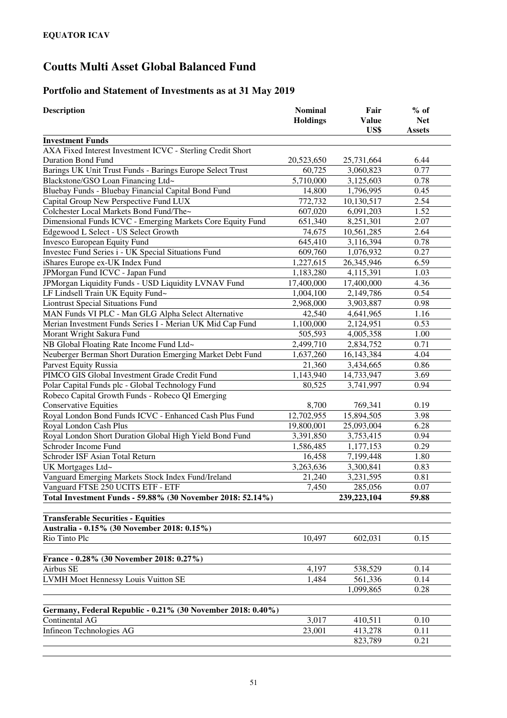### **Portfolio and Statement of Investments as at 31 May 2019**

| <b>Description</b>                                          | <b>Nominal</b><br><b>Holdings</b> | Fair<br><b>Value</b> | $%$ of<br><b>Net</b> |
|-------------------------------------------------------------|-----------------------------------|----------------------|----------------------|
|                                                             |                                   | US\$                 | <b>Assets</b>        |
| <b>Investment Funds</b>                                     |                                   |                      |                      |
| AXA Fixed Interest Investment ICVC - Sterling Credit Short  |                                   |                      |                      |
| <b>Duration Bond Fund</b>                                   | 20,523,650                        | 25,731,664           | 6.44                 |
| Barings UK Unit Trust Funds - Barings Europe Select Trust   | 60,725                            | 3,060,823            | 0.77                 |
| Blackstone/GSO Loan Financing Ltd~                          | 5,710,000                         | 3,125,603            | 0.78                 |
| Bluebay Funds - Bluebay Financial Capital Bond Fund         | 14,800                            | 1,796,995            | 0.45                 |
| Capital Group New Perspective Fund LUX                      | 772,732                           | 10,130,517           | 2.54                 |
| Colchester Local Markets Bond Fund/The~                     | 607,020                           | 6,091,203            | 1.52                 |
| Dimensional Funds ICVC - Emerging Markets Core Equity Fund  | 651,340                           | 8,251,301            | 2.07                 |
| Edgewood L Select - US Select Growth                        | 74,675                            | 10,561,285           | 2.64                 |
| <b>Invesco European Equity Fund</b>                         | 645,410                           | 3,116,394            | 0.78                 |
| Investec Fund Series i - UK Special Situations Fund         | 609,760                           | 1,076,932            | 0.27                 |
| iShares Europe ex-UK Index Fund                             | 1,227,615                         | 26, 345, 946         | 6.59                 |
| JPMorgan Fund ICVC - Japan Fund                             | 1,183,280                         | 4,115,391            | 1.03                 |
| JPMorgan Liquidity Funds - USD Liquidity LVNAV Fund         | 17,400,000                        | 17,400,000           | 4.36                 |
| LF Lindsell Train UK Equity Fund~                           | 1,004,100                         | 2,149,786            | 0.54                 |
| <b>Liontrust Special Situations Fund</b>                    | 2,968,000                         | 3,903,887            | 0.98                 |
| MAN Funds VI PLC - Man GLG Alpha Select Alternative         | 42,540                            | 4,641,965            | 1.16                 |
| Merian Investment Funds Series I - Merian UK Mid Cap Fund   | 1,100,000                         | 2,124,951            | 0.53                 |
| Morant Wright Sakura Fund                                   | 505,593                           | 4,005,358            | 1.00                 |
| NB Global Floating Rate Income Fund Ltd~                    | 2,499,710                         | 2,834,752            | 0.71                 |
| Neuberger Berman Short Duration Emerging Market Debt Fund   | 1,637,260                         | 16, 143, 384         | 4.04                 |
| Parvest Equity Russia                                       | 21,360                            | 3,434,665            | 0.86                 |
| PIMCO GIS Global Investment Grade Credit Fund               | 1,143,940                         | 14,733,947           | 3.69                 |
| Polar Capital Funds plc - Global Technology Fund            | 80,525                            | 3,741,997            | 0.94                 |
| Robeco Capital Growth Funds - Robeco QI Emerging            |                                   |                      |                      |
| <b>Conservative Equities</b>                                | 8,700                             | 769,341              | 0.19                 |
| Royal London Bond Funds ICVC - Enhanced Cash Plus Fund      | 12,702,955                        | 15,894,505           | 3.98                 |
| Royal London Cash Plus                                      | 19,800,001                        | 25,093,004           | 6.28                 |
| Royal London Short Duration Global High Yield Bond Fund     | 3,391,850                         | 3,753,415            | 0.94                 |
| Schroder Income Fund                                        | 1,586,485                         | 1,177,153            | 0.29                 |
| Schroder ISF Asian Total Return                             | 16,458                            | 7,199,448            | 1.80                 |
| UK Mortgages Ltd~                                           | 3,263,636                         | 3,300,841            | 0.83                 |
| Vanguard Emerging Markets Stock Index Fund/Ireland          | 21,240                            | 3,231,595            | 0.81                 |
| Vanguard FTSE 250 UCITS ETF - ETF                           | 7,450                             | 285,056              | 0.07                 |
| Total Investment Funds - 59.88% (30 November 2018: 52.14%)  |                                   | 239, 223, 104        | 59.88                |
|                                                             |                                   |                      |                      |
| <b>Transferable Securities - Equities</b>                   |                                   |                      |                      |
| Australia - 0.15% (30 November 2018: 0.15%)                 |                                   |                      |                      |
| Rio Tinto Plc                                               | 10,497                            | 602,031              | 0.15                 |
|                                                             |                                   |                      |                      |
| France - 0.28% (30 November 2018: 0.27%)                    |                                   |                      |                      |
| Airbus SE                                                   | 4,197                             | 538,529              | 0.14                 |
| <b>LVMH Moet Hennessy Louis Vuitton SE</b>                  | 1,484                             | 561,336              | 0.14                 |
|                                                             |                                   | 1,099,865            | 0.28                 |
|                                                             |                                   |                      |                      |
| Germany, Federal Republic - 0.21% (30 November 2018: 0.40%) |                                   |                      |                      |
| Continental AG                                              | 3,017                             | 410,511              | 0.10                 |
| Infineon Technologies AG                                    | 23,001                            | 413,278              | 0.11                 |
|                                                             |                                   | 823,789              | 0.21                 |
|                                                             |                                   |                      |                      |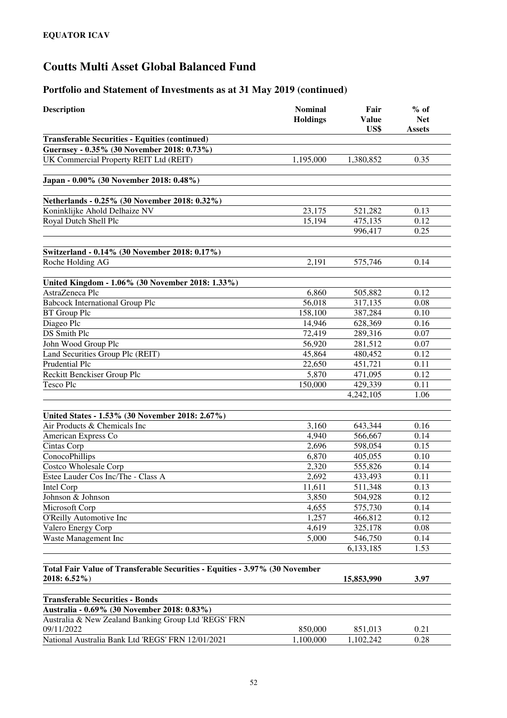| <b>Description</b>                                                                          | <b>Nominal</b><br><b>Holdings</b> | Fair<br><b>Value</b><br>US\$ | $%$ of<br><b>Net</b><br><b>Assets</b> |
|---------------------------------------------------------------------------------------------|-----------------------------------|------------------------------|---------------------------------------|
| <b>Transferable Securities - Equities (continued)</b>                                       |                                   |                              |                                       |
| Guernsey - 0.35% (30 November 2018: 0.73%)                                                  |                                   |                              |                                       |
| UK Commercial Property REIT Ltd (REIT)                                                      | 1,195,000                         | 1,380,852                    | 0.35                                  |
| Japan - 0.00% (30 November 2018: 0.48%)                                                     |                                   |                              |                                       |
| Netherlands - 0.25% (30 November 2018: 0.32%)                                               |                                   |                              |                                       |
| Koninklijke Ahold Delhaize NV                                                               | 23,175                            | 521,282                      | 0.13                                  |
| Royal Dutch Shell Plc                                                                       | 15,194                            | 475,135                      | 0.12                                  |
|                                                                                             |                                   | 996,417                      | 0.25                                  |
| Switzerland - 0.14% (30 November 2018: 0.17%)                                               |                                   |                              |                                       |
| Roche Holding AG                                                                            | 2,191                             | 575,746                      | 0.14                                  |
|                                                                                             |                                   |                              |                                       |
| United Kingdom - 1.06% (30 November 2018: 1.33%)                                            |                                   |                              |                                       |
| AstraZeneca Plc                                                                             | 6,860                             | 505,882                      | 0.12                                  |
| <b>Babcock International Group Plc</b>                                                      | 56,018                            | 317,135                      | 0.08                                  |
| <b>BT</b> Group Plc                                                                         | 158,100                           | 387,284                      | 0.10                                  |
| Diageo Plc                                                                                  | 14,946                            | 628,369                      | 0.16                                  |
| <b>DS</b> Smith Plc                                                                         | 72,419                            | 289,316                      | 0.07                                  |
| John Wood Group Plc                                                                         | 56,920                            | 281,512                      | 0.07                                  |
| Land Securities Group Plc (REIT)                                                            | 45,864                            | 480,452                      | 0.12                                  |
| Prudential Plc                                                                              | 22,650                            | 451,721                      | 0.11                                  |
| Reckitt Benckiser Group Plc                                                                 | 5,870                             | 471,095                      | 0.12                                  |
| <b>Tesco Plc</b>                                                                            | 150,000                           | 429,339                      | 0.11                                  |
|                                                                                             |                                   | 4,242,105                    | 1.06                                  |
| United States - 1.53% (30 November 2018: 2.67%)                                             |                                   |                              |                                       |
| Air Products & Chemicals Inc                                                                | 3,160                             | 643,344                      | 0.16                                  |
| American Express Co                                                                         | 4,940                             | 566,667                      | $0.\overline{14}$                     |
| Cintas Corp                                                                                 | 2,696                             | 598,054                      | 0.15                                  |
| ConocoPhillips                                                                              | 6,870                             | 405,055                      | 0.10                                  |
| Costco Wholesale Corp                                                                       | 2,320                             | 555,826                      | 0.14                                  |
| Estee Lauder Cos Inc/The - Class A                                                          | 2,692                             | 433,493                      | 0.11                                  |
| Intel Corp                                                                                  | 11,611                            | 511,348                      | 0.13                                  |
| Johnson & Johnson                                                                           | 3,850                             | 504,928                      | 0.12                                  |
| Microsoft Corp                                                                              | 4,655                             | 575,730                      | 0.14                                  |
| O'Reilly Automotive Inc                                                                     | 1,257                             | 466,812                      | 0.12                                  |
| Valero Energy Corp                                                                          | 4,619                             | 325,178                      | 0.08                                  |
| Waste Management Inc                                                                        | 5,000                             | 546,750                      | 0.14                                  |
|                                                                                             |                                   | 6,133,185                    | 1.53                                  |
|                                                                                             |                                   |                              |                                       |
| Total Fair Value of Transferable Securities - Equities - 3.97% (30 November<br>2018: 6.52%) |                                   | 15,853,990                   | 3.97                                  |
| <b>Transferable Securities - Bonds</b>                                                      |                                   |                              |                                       |
| Australia - 0.69% (30 November 2018: 0.83%)                                                 |                                   |                              |                                       |
| Australia & New Zealand Banking Group Ltd 'REGS' FRN                                        |                                   |                              |                                       |
| 09/11/2022                                                                                  | 850,000                           | 851,013                      | 0.21                                  |
| National Australia Bank Ltd 'REGS' FRN 12/01/2021                                           | 1,100,000                         | 1,102,242                    | 0.28                                  |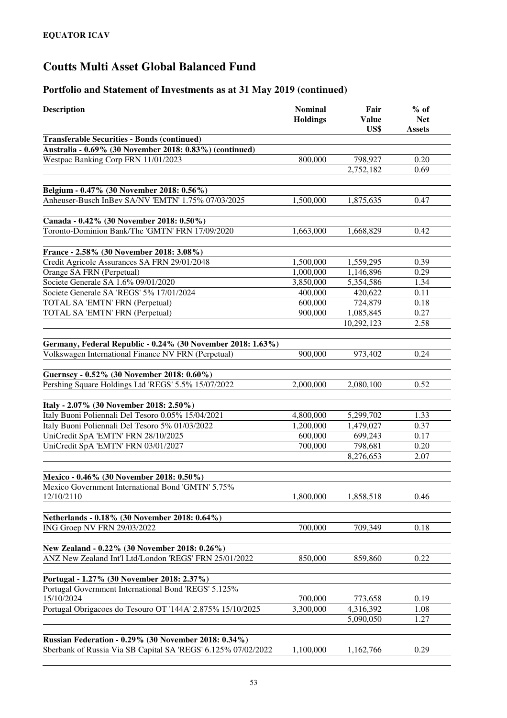| <b>Description</b>                                                                                                 | <b>Nominal</b><br><b>Holdings</b> | Fair<br><b>Value</b><br>US\$ | $%$ of<br><b>Net</b><br><b>Assets</b> |
|--------------------------------------------------------------------------------------------------------------------|-----------------------------------|------------------------------|---------------------------------------|
| <b>Transferable Securities - Bonds (continued)</b>                                                                 |                                   |                              |                                       |
| Australia - 0.69% (30 November 2018: 0.83%) (continued)                                                            |                                   |                              |                                       |
| Westpac Banking Corp FRN 11/01/2023                                                                                | 800,000                           | 798,927                      | 0.20                                  |
|                                                                                                                    |                                   | 2,752,182                    | 0.69                                  |
|                                                                                                                    |                                   |                              |                                       |
| Belgium - 0.47% (30 November 2018: 0.56%)                                                                          |                                   |                              |                                       |
| Anheuser-Busch InBev SA/NV 'EMTN' 1.75% 07/03/2025                                                                 | 1,500,000                         | 1,875,635                    | 0.47                                  |
| Canada - 0.42% (30 November 2018: 0.50%)                                                                           |                                   |                              |                                       |
| Toronto-Dominion Bank/The 'GMTN' FRN 17/09/2020                                                                    | 1,663,000                         | 1,668,829                    | 0.42                                  |
|                                                                                                                    |                                   |                              |                                       |
| France - 2.58% (30 November 2018: 3.08%)                                                                           |                                   |                              |                                       |
| Credit Agricole Assurances SA FRN 29/01/2048                                                                       | 1,500,000                         | 1,559,295                    | 0.39                                  |
| Orange SA FRN (Perpetual)                                                                                          | 1,000,000                         | 1,146,896                    | 0.29                                  |
| Societe Generale SA 1.6% 09/01/2020                                                                                | 3,850,000                         | 5,354,586                    | 1.34                                  |
| Societe Generale SA 'REGS' 5% 17/01/2024                                                                           | 400,000                           | 420,622                      | 0.11                                  |
| TOTAL SA 'EMTN' FRN (Perpetual)                                                                                    | 600,000                           | 724,879                      | 0.18                                  |
| TOTAL SA 'EMTN' FRN (Perpetual)                                                                                    | 900,000                           | 1,085,845                    | 0.27                                  |
|                                                                                                                    |                                   | 10,292,123                   | 2.58                                  |
|                                                                                                                    |                                   |                              |                                       |
| Germany, Federal Republic - 0.24% (30 November 2018: 1.63%)<br>Volkswagen International Finance NV FRN (Perpetual) | 900,000                           | 973,402                      | 0.24                                  |
|                                                                                                                    |                                   |                              |                                       |
| Guernsey - 0.52% (30 November 2018: 0.60%)                                                                         |                                   |                              |                                       |
| Pershing Square Holdings Ltd 'REGS' 5.5% 15/07/2022                                                                | 2,000,000                         | 2,080,100                    | 0.52                                  |
|                                                                                                                    |                                   |                              |                                       |
| Italy - 2.07% (30 November 2018: 2.50%)                                                                            |                                   |                              |                                       |
| Italy Buoni Poliennali Del Tesoro 0.05% 15/04/2021                                                                 | 4,800,000                         | 5,299,702                    | 1.33                                  |
| Italy Buoni Poliennali Del Tesoro 5% 01/03/2022                                                                    | 1,200,000                         | 1,479,027                    | 0.37                                  |
| UniCredit SpA 'EMTN' FRN 28/10/2025                                                                                | 600,000                           | 699,243                      | 0.17                                  |
| UniCredit SpA 'EMTN' FRN 03/01/2027                                                                                | 700,000                           | 798,681                      | 0.20                                  |
|                                                                                                                    |                                   | 8,276,653                    | 2.07                                  |
|                                                                                                                    |                                   |                              |                                       |
| Mexico - 0.46% (30 November 2018: 0.50%)                                                                           |                                   |                              |                                       |
| Mexico Government International Bond 'GMTN' 5.75%                                                                  |                                   |                              |                                       |
| 12/10/2110                                                                                                         | 1,800,000                         | 1,858,518                    | 0.46                                  |
|                                                                                                                    |                                   |                              |                                       |
| Netherlands - 0.18% (30 November 2018: 0.64%)                                                                      |                                   |                              |                                       |
| ING Groep NV FRN 29/03/2022                                                                                        | 700,000                           | 709.349                      | 0.18                                  |
| New Zealand - 0.22% (30 November 2018: 0.26%)                                                                      |                                   |                              |                                       |
| ANZ New Zealand Int'l Ltd/London 'REGS' FRN 25/01/2022                                                             | 850,000                           | 859,860                      | 0.22                                  |
|                                                                                                                    |                                   |                              |                                       |
| Portugal - 1.27% (30 November 2018: 2.37%)                                                                         |                                   |                              |                                       |
| Portugal Government International Bond 'REGS' 5.125%                                                               |                                   |                              |                                       |
| 15/10/2024                                                                                                         | 700,000                           | 773,658                      | 0.19                                  |
| Portugal Obrigacoes do Tesouro OT '144A' 2.875% 15/10/2025                                                         | 3,300,000                         | 4,316,392                    | 1.08                                  |
|                                                                                                                    |                                   | 5,090,050                    | 1.27                                  |
|                                                                                                                    |                                   |                              |                                       |
| <b>Russian Federation - 0.29% (30 November 2018: 0.34%)</b>                                                        |                                   |                              |                                       |
| Sberbank of Russia Via SB Capital SA 'REGS' 6.125% 07/02/2022                                                      | 1,100,000                         | 1,162,766                    | 0.29                                  |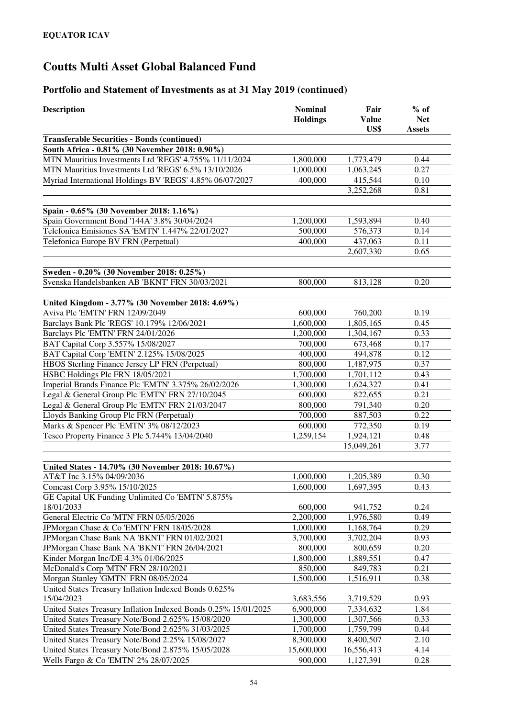| <b>Description</b>                                                  | <b>Nominal</b><br><b>Holdings</b> | Fair<br><b>Value</b><br>US\$ | $%$ of<br><b>Net</b><br><b>Assets</b> |
|---------------------------------------------------------------------|-----------------------------------|------------------------------|---------------------------------------|
| <b>Transferable Securities - Bonds (continued)</b>                  |                                   |                              |                                       |
| South Africa - 0.81% (30 November 2018: 0.90%)                      |                                   |                              |                                       |
| MTN Mauritius Investments Ltd 'REGS' 4.755% 11/11/2024              | 1,800,000                         | 1,773,479                    | 0.44                                  |
| MTN Mauritius Investments Ltd 'REGS' 6.5% 13/10/2026                | 1,000,000                         | 1,063,245                    | 0.27                                  |
| Myriad International Holdings BV 'REGS' 4.85% 06/07/2027            | 400,000                           | 415,544                      | 0.10                                  |
|                                                                     |                                   | 3,252,268                    | 0.81                                  |
| Spain - 0.65% (30 November 2018: 1.16%)                             |                                   |                              |                                       |
| Spain Government Bond '144A' 3.8% 30/04/2024                        | 1,200,000                         | 1,593,894                    | 0.40                                  |
| Telefonica Emisiones SA 'EMTN' 1.447% 22/01/2027                    | 500,000                           | 576,373                      | 0.14                                  |
| Telefonica Europe BV FRN (Perpetual)                                | 400,000                           | 437,063                      | 0.11                                  |
|                                                                     |                                   | 2,607,330                    | 0.65                                  |
| Sweden - 0.20% (30 November 2018: 0.25%)                            |                                   |                              |                                       |
| Svenska Handelsbanken AB 'BKNT' FRN 30/03/2021                      | 800,000                           | 813,128                      | 0.20                                  |
| United Kingdom - 3.77% (30 November 2018: 4.69%)                    |                                   |                              |                                       |
| Aviva Plc 'EMTN' FRN 12/09/2049                                     | 600,000                           | 760,200                      | 0.19                                  |
| Barclays Bank Plc 'REGS' 10.179% 12/06/2021                         | 1,600,000                         | 1,805,165                    | 0.45                                  |
| Barclays Plc 'EMTN' FRN 24/01/2026                                  | 1,200,000                         | 1,304,167                    | 0.33                                  |
| BAT Capital Corp 3.557% 15/08/2027                                  | 700,000                           | 673,468                      | 0.17                                  |
| BAT Capital Corp 'EMTN' 2.125% 15/08/2025                           | 400,000                           | 494,878                      | 0.12                                  |
| HBOS Sterling Finance Jersey LP FRN (Perpetual)                     | 800,000                           | 1,487,975                    | 0.37                                  |
| HSBC Holdings Plc FRN 18/05/2021                                    | 1,700,000                         | 1,701,112                    | 0.43                                  |
| Imperial Brands Finance Plc 'EMTN' 3.375% 26/02/2026                | 1,300,000                         | 1,624,327                    | 0.41                                  |
| Legal & General Group Plc 'EMTN' FRN 27/10/2045                     | 600,000                           | 822,655                      | 0.21                                  |
| Legal & General Group Plc 'EMTN' FRN 21/03/2047                     | 800,000                           | 791,340                      | 0.20                                  |
| Lloyds Banking Group Plc FRN (Perpetual)                            | 700,000                           | 887,503                      | 0.22                                  |
| Marks & Spencer Plc 'EMTN' 3% 08/12/2023                            | 600,000                           | 772,350                      | 0.19                                  |
| Tesco Property Finance 3 Plc 5.744% 13/04/2040                      | 1,259,154                         | 1,924,121                    | 0.48                                  |
|                                                                     |                                   | 15,049,261                   | 3.77                                  |
| United States - 14.70% (30 November 2018: 10.67%)                   |                                   |                              |                                       |
| AT&T Inc 3.15% 04/09/2036                                           | 1,000,000                         | 1,205,389                    | 0.30                                  |
| Comcast Corp 3.95% 15/10/2025                                       | 1,600,000                         | 1,697,395                    | 0.43                                  |
| GE Capital UK Funding Unlimited Co 'EMTN' 5.875%                    |                                   |                              |                                       |
| 18/01/2033                                                          | 600,000                           | 941,752                      | 0.24                                  |
| General Electric Co 'MTN' FRN 05/05/2026                            | 2,200,000                         | 1,976,580                    | 0.49                                  |
| JPMorgan Chase & Co 'EMTN' FRN 18/05/2028                           | 1,000,000                         | 1,168,764                    | 0.29                                  |
| JPMorgan Chase Bank NA 'BKNT' FRN 01/02/2021                        | 3,700,000                         | 3,702,204                    | 0.93                                  |
| JPMorgan Chase Bank NA 'BKNT' FRN 26/04/2021                        | 800,000                           | 800,659                      | 0.20                                  |
| Kinder Morgan Inc/DE 4.3% 01/06/2025                                | 1,800,000                         | 1,889,551                    | 0.47                                  |
| McDonald's Corp 'MTN' FRN 28/10/2021                                | 850,000                           | 849,783                      | 0.21                                  |
| Morgan Stanley 'GMTN' FRN 08/05/2024                                | 1,500,000                         | 1,516,911                    | 0.38                                  |
| United States Treasury Inflation Indexed Bonds 0.625%<br>15/04/2023 | 3,683,556                         | 3,719,529                    | 0.93                                  |
| United States Treasury Inflation Indexed Bonds 0.25% 15/01/2025     | 6,900,000                         | 7,334,632                    | 1.84                                  |
| United States Treasury Note/Bond 2.625% 15/08/2020                  | 1,300,000                         | 1,307,566                    | 0.33                                  |
| United States Treasury Note/Bond 2.625% 31/03/2025                  | 1,700,000                         | 1,759,799                    | 0.44                                  |
| United States Treasury Note/Bond 2.25% 15/08/2027                   | 8,300,000                         | 8,400,507                    | 2.10                                  |
| United States Treasury Note/Bond 2.875% 15/05/2028                  | 15,600,000                        | 16,556,413                   | 4.14                                  |
| Wells Fargo & Co 'EMTN' 2% 28/07/2025                               | 900,000                           | 1,127,391                    | 0.28                                  |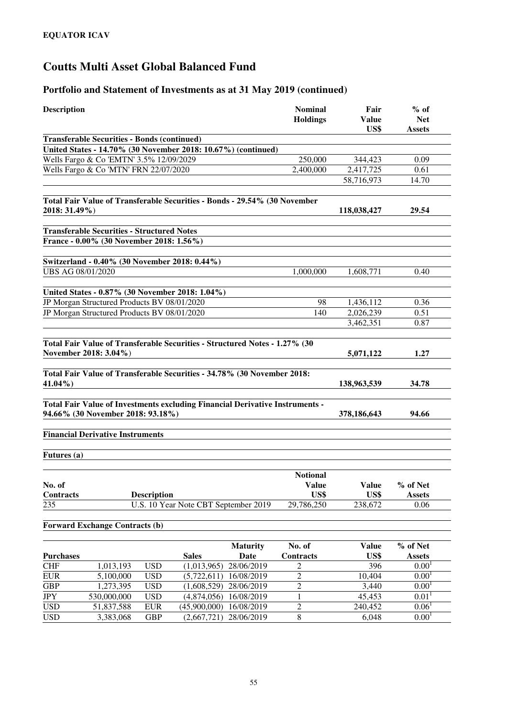| <b>Description</b> |                                                                                                                   |                    |                                      |                 | <b>Nominal</b><br><b>Holdings</b> | Fair<br><b>Value</b> | $%$ of<br><b>Net</b> |
|--------------------|-------------------------------------------------------------------------------------------------------------------|--------------------|--------------------------------------|-----------------|-----------------------------------|----------------------|----------------------|
|                    | <b>Transferable Securities - Bonds (continued)</b>                                                                |                    |                                      |                 |                                   | US\$                 | <b>Assets</b>        |
|                    | United States - 14.70% (30 November 2018: 10.67%) (continued)                                                     |                    |                                      |                 |                                   |                      |                      |
|                    | Wells Fargo & Co 'EMTN' 3.5% 12/09/2029                                                                           |                    |                                      |                 | 250,000                           | 344,423              | 0.09                 |
|                    | Wells Fargo & Co 'MTN' FRN 22/07/2020                                                                             |                    |                                      |                 | 2,400,000                         | 2,417,725            | 0.61                 |
|                    |                                                                                                                   |                    |                                      |                 |                                   | 58,716,973           | 14.70                |
|                    |                                                                                                                   |                    |                                      |                 |                                   |                      |                      |
| 2018: 31.49%)      | Total Fair Value of Transferable Securities - Bonds - 29.54% (30 November                                         |                    |                                      |                 |                                   | 118,038,427          | 29.54                |
|                    |                                                                                                                   |                    |                                      |                 |                                   |                      |                      |
|                    | <b>Transferable Securities - Structured Notes</b>                                                                 |                    |                                      |                 |                                   |                      |                      |
|                    | France - 0.00% (30 November 2018: 1.56%)                                                                          |                    |                                      |                 |                                   |                      |                      |
|                    |                                                                                                                   |                    |                                      |                 |                                   |                      |                      |
|                    | Switzerland - 0.40% (30 November 2018: 0.44%)                                                                     |                    |                                      |                 |                                   |                      |                      |
| UBS AG 08/01/2020  |                                                                                                                   |                    |                                      |                 | 1,000,000                         | 1,608,771            | 0.40                 |
|                    | United States - 0.87% (30 November 2018: 1.04%)                                                                   |                    |                                      |                 |                                   |                      |                      |
|                    | JP Morgan Structured Products BV 08/01/2020                                                                       |                    |                                      |                 | 98                                | 1,436,112            | 0.36                 |
|                    | JP Morgan Structured Products BV 08/01/2020                                                                       |                    |                                      |                 | 140                               | 2,026,239            | 0.51                 |
|                    |                                                                                                                   |                    |                                      |                 |                                   | 3,462,351            | 0.87                 |
|                    |                                                                                                                   |                    |                                      |                 |                                   |                      |                      |
|                    | Total Fair Value of Transferable Securities - Structured Notes - 1.27% (30<br>November 2018: 3.04%)               |                    |                                      |                 |                                   | 5,071,122            | 1.27                 |
|                    |                                                                                                                   |                    |                                      |                 |                                   |                      |                      |
| 41.04%)            | Total Fair Value of Transferable Securities - 34.78% (30 November 2018:                                           |                    |                                      |                 |                                   | 138,963,539          | 34.78                |
|                    |                                                                                                                   |                    |                                      |                 |                                   |                      |                      |
|                    | Total Fair Value of Investments excluding Financial Derivative Instruments -<br>94.66% (30 November 2018: 93.18%) |                    |                                      |                 |                                   | 378,186,643          | 94.66                |
|                    | <b>Financial Derivative Instruments</b>                                                                           |                    |                                      |                 |                                   |                      |                      |
| Futures (a)        |                                                                                                                   |                    |                                      |                 |                                   |                      |                      |
|                    |                                                                                                                   |                    |                                      |                 | <b>Notional</b>                   |                      |                      |
| No. of             |                                                                                                                   |                    |                                      |                 | <b>Value</b>                      | <b>Value</b>         | % of Net             |
| Contracts          |                                                                                                                   | <b>Description</b> |                                      |                 | US\$                              | US\$                 | <b>Assets</b>        |
| 235                |                                                                                                                   |                    | U.S. 10 Year Note CBT September 2019 |                 | 29,786,250                        | 238,672              | 0.06                 |
|                    |                                                                                                                   |                    |                                      |                 |                                   |                      |                      |
|                    | <b>Forward Exchange Contracts (b)</b>                                                                             |                    |                                      |                 |                                   |                      |                      |
|                    |                                                                                                                   |                    |                                      | <b>Maturity</b> | No. of                            | <b>Value</b>         | % of Net             |
| <b>Purchases</b>   |                                                                                                                   |                    | <b>Sales</b>                         | Date            | Contracts                         | US\$                 | <b>Assets</b>        |
| <b>CHF</b>         | 1,013,193                                                                                                         | <b>USD</b>         | (1,013,965)                          | 28/06/2019      | 2                                 | 396                  | 0.00 <sup>1</sup>    |
| <b>EUR</b>         | 5,100,000                                                                                                         | <b>USD</b>         | (5,722,611)                          | 16/08/2019      | $\overline{2}$                    | 10,404               | 0.00 <sup>1</sup>    |
| <b>GBP</b>         | 1,273,395                                                                                                         | <b>USD</b>         | (1,608,529)                          | 28/06/2019      | 2                                 | 3,440                | 0.00 <sup>1</sup>    |
| <b>JPY</b>         | 530,000,000                                                                                                       | <b>USD</b>         | (4,874,056)                          | 16/08/2019      | 1                                 | 45,453               | $0.01^{1}$           |
| <b>USD</b>         | 51,837,588                                                                                                        | <b>EUR</b>         | (45,900,000)                         | 16/08/2019      | $\overline{2}$                    | 240,452              | 0.06 <sup>1</sup>    |
| <b>USD</b>         | 3,383,068                                                                                                         | <b>GBP</b>         | (2,667,721)                          | 28/06/2019      | $8\,$                             | 6,048                | 0.00 <sup>1</sup>    |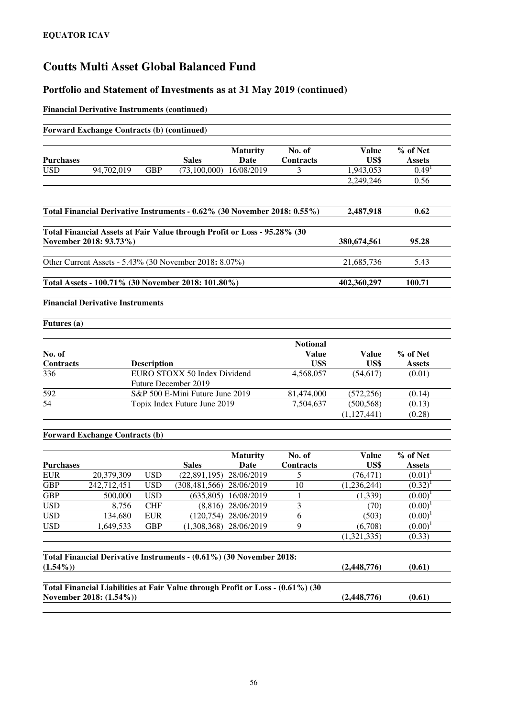#### **Portfolio and Statement of Investments as at 31 May 2019 (continued)**

#### **Financial Derivative Instruments (continued)**

| <b>Forward Exchange Contracts (b) (continued)</b>      |            |                    |                                                                          |                                |                            |                      |                           |
|--------------------------------------------------------|------------|--------------------|--------------------------------------------------------------------------|--------------------------------|----------------------------|----------------------|---------------------------|
| <b>Purchases</b>                                       |            |                    | <b>Sales</b>                                                             | <b>Maturity</b><br><b>Date</b> | No. of<br><b>Contracts</b> | <b>Value</b><br>US\$ | % of Net<br><b>Assets</b> |
| <b>USD</b>                                             | 94,702,019 | <b>GBP</b>         | $(73,100,000)$ $16/08/2019$                                              |                                | 3                          | 1,943,053            | 0.49 <sup>1</sup>         |
|                                                        |            |                    |                                                                          |                                |                            | 2,249,246            | 0.56                      |
|                                                        |            |                    | Total Financial Derivative Instruments - 0.62% (30 November 2018: 0.55%) |                                |                            | 2,487,918            | 0.62                      |
| November 2018: 93.73%)                                 |            |                    | Total Financial Assets at Fair Value through Profit or Loss - 95.28% (30 |                                |                            | 380,674,561          | 95.28                     |
|                                                        |            |                    |                                                                          |                                |                            |                      |                           |
|                                                        |            |                    | Other Current Assets - 5.43% (30 November 2018: 8.07%)                   |                                |                            | 21,685,736           | 5.43                      |
|                                                        |            |                    |                                                                          |                                |                            |                      |                           |
|                                                        |            |                    | Total Assets - 100.71% (30 November 2018: 101.80%)                       |                                |                            | 402,360,297          | 100.71                    |
| <b>Financial Derivative Instruments</b><br>Futures (a) |            |                    |                                                                          |                                |                            |                      |                           |
|                                                        |            |                    |                                                                          |                                | <b>Notional</b>            |                      |                           |
| No. of                                                 |            |                    |                                                                          |                                | <b>Value</b>               | <b>Value</b>         | % of Net                  |
| <b>Contracts</b><br>336                                |            | <b>Description</b> | EURO STOXX 50 Index Dividend<br><b>Future December 2019</b>              |                                | US\$<br>4,568,057          | US\$<br>(54, 617)    | <b>Assets</b><br>(0.01)   |
| 592                                                    |            |                    | S&P 500 E-Mini Future June 2019                                          |                                | 81,474,000                 | (572, 256)           | (0.14)                    |
| 54                                                     |            |                    | Topix Index Future June 2019                                             |                                | 7,504,637                  | (500, 568)           | (0.13)                    |
|                                                        |            |                    |                                                                          |                                |                            | (1, 127, 441)        | (0.28)                    |
| <b>Forward Exchange Contracts (b)</b>                  |            |                    |                                                                          |                                |                            |                      |                           |
|                                                        |            |                    |                                                                          | <b>Maturity</b>                | No. of                     | Value                | % of Net                  |
|                                                        |            |                    |                                                                          |                                |                            |                      |                           |

|             |                  | <b>Sales</b>            | Date       | <b>Contracts</b> | US\$                                                                                                                                                  | <b>Assets</b> |
|-------------|------------------|-------------------------|------------|------------------|-------------------------------------------------------------------------------------------------------------------------------------------------------|---------------|
| 20.379.309  | <b>USD</b>       | (22.891.195)            | 28/06/2019 |                  | (76, 471)                                                                                                                                             | $(0.01)^1$    |
| 242,712,451 | <b>USD</b>       | (308, 481, 566)         | 28/06/2019 | 10               | (1,236,244)                                                                                                                                           | $(0.32)^1$    |
| 500,000     | <b>USD</b>       | (635.805)               | 16/08/2019 |                  | (1,339)                                                                                                                                               | $(0.00)^1$    |
| 8.756       | <b>CHF</b>       | (8.816)                 | 28/06/2019 | 3                | (70)                                                                                                                                                  | $(0.00)^{1}$  |
| 134.680     | <b>EUR</b>       | (120.754)               | 28/06/2019 | 6                | (503)                                                                                                                                                 | $(0.00)^{1}$  |
| 1,649,533   | <b>GBP</b>       | (1.308.368)             | 28/06/2019 | 9                | (6,708)                                                                                                                                               | $(0.00)^1$    |
|             |                  |                         |            |                  | (1,321,335)                                                                                                                                           | (0.33)        |
|             |                  |                         |            |                  |                                                                                                                                                       |               |
|             |                  |                         |            |                  | (2,448,776)                                                                                                                                           | (0.61)        |
|             |                  |                         |            |                  |                                                                                                                                                       |               |
|             |                  |                         |            |                  | (2,448,776)                                                                                                                                           | (0.61)        |
|             | <b>Purchases</b> | November 2018: (1.54%)) |            |                  | Total Financial Derivative Instruments - (0.61%) (30 November 2018:<br>Total Financial Liabilities at Fair Value through Profit or Loss - (0.61%) (30 |               |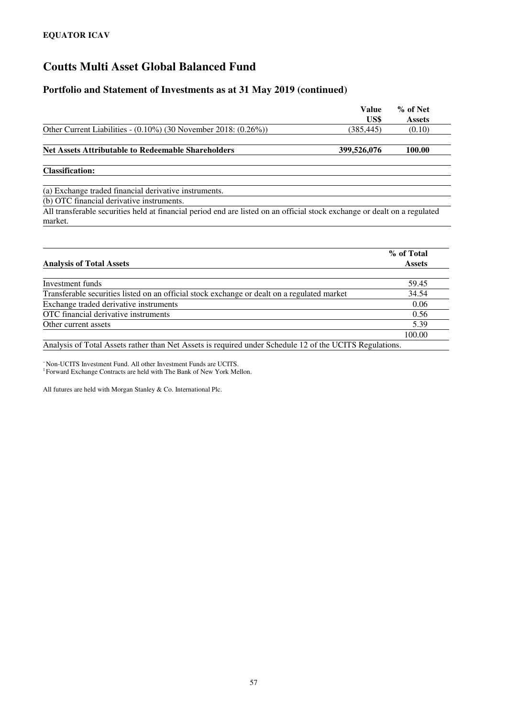#### **Portfolio and Statement of Investments as at 31 May 2019 (continued)**

|                                                                        | Value<br>US\$ | % of Net<br><b>Assets</b> |
|------------------------------------------------------------------------|---------------|---------------------------|
| Other Current Liabilities - $(0.10\%)$ (30 November 2018: $(0.26\%)$ ) | (385, 445)    | (0.10)                    |
| <b>Net Assets Attributable to Redeemable Shareholders</b>              | 399,526,076   | 100.00                    |
|                                                                        |               |                           |

**Classification:** 

(a) Exchange traded financial derivative instruments.

(b) OTC financial derivative instruments.

All transferable securities held at financial period end are listed on an official stock exchange or dealt on a regulated market.

| <b>Analysis of Total Assets</b>                                                             | % of Total<br><b>Assets</b> |
|---------------------------------------------------------------------------------------------|-----------------------------|
|                                                                                             |                             |
| Investment funds                                                                            | 59.45                       |
| Transferable securities listed on an official stock exchange or dealt on a regulated market | 34.54                       |
| Exchange traded derivative instruments                                                      | 0.06                        |
| OTC financial derivative instruments                                                        | 0.56                        |
| Other current assets                                                                        | 5.39                        |
|                                                                                             | 100.00                      |
| $\lambda$ $\lambda$                                                                         |                             |

Analysis of Total Assets rather than Net Assets is required under Schedule 12 of the UCITS Regulations.

<sup>~</sup>Non-UCITS Investment Fund. All other Investment Funds are UCITS.

<sup>1</sup> Forward Exchange Contracts are held with The Bank of New York Mellon.

All futures are held with Morgan Stanley & Co. International Plc.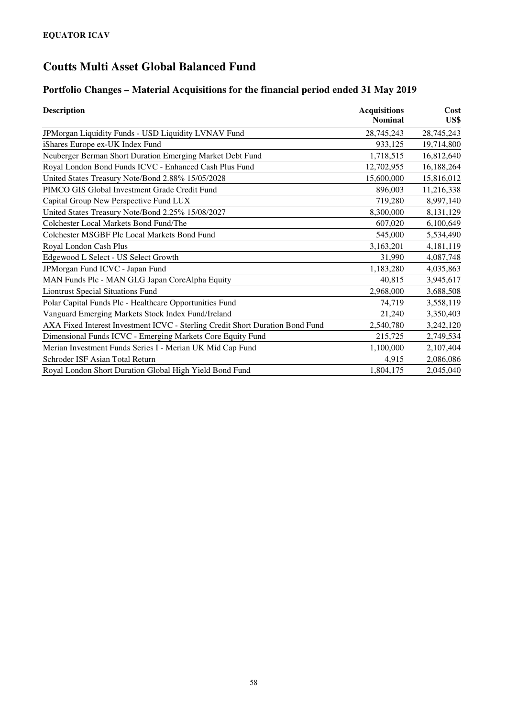### **Portfolio Changes – Material Acquisitions for the financial period ended 31 May 2019**

| <b>Description</b>                                                            | <b>Acquisitions</b><br><b>Nominal</b> | Cost<br>US\$ |
|-------------------------------------------------------------------------------|---------------------------------------|--------------|
| JPMorgan Liquidity Funds - USD Liquidity LVNAV Fund                           | 28,745,243                            | 28,745,243   |
| iShares Europe ex-UK Index Fund                                               | 933,125                               | 19,714,800   |
| Neuberger Berman Short Duration Emerging Market Debt Fund                     | 1,718,515                             | 16,812,640   |
| Royal London Bond Funds ICVC - Enhanced Cash Plus Fund                        | 12,702,955                            | 16,188,264   |
| United States Treasury Note/Bond 2.88% 15/05/2028                             | 15,600,000                            | 15,816,012   |
| PIMCO GIS Global Investment Grade Credit Fund                                 | 896,003                               | 11,216,338   |
| Capital Group New Perspective Fund LUX                                        | 719,280                               | 8,997,140    |
| United States Treasury Note/Bond 2.25% 15/08/2027                             | 8,300,000                             | 8,131,129    |
| Colchester Local Markets Bond Fund/The                                        | 607,020                               | 6,100,649    |
| Colchester MSGBF Plc Local Markets Bond Fund                                  | 545,000                               | 5,534,490    |
| Royal London Cash Plus                                                        | 3,163,201                             | 4,181,119    |
| Edgewood L Select - US Select Growth                                          | 31,990                                | 4,087,748    |
| JPMorgan Fund ICVC - Japan Fund                                               | 1,183,280                             | 4,035,863    |
| MAN Funds Plc - MAN GLG Japan CoreAlpha Equity                                | 40,815                                | 3,945,617    |
| <b>Liontrust Special Situations Fund</b>                                      | 2,968,000                             | 3,688,508    |
| Polar Capital Funds Plc - Healthcare Opportunities Fund                       | 74,719                                | 3,558,119    |
| Vanguard Emerging Markets Stock Index Fund/Ireland                            | 21,240                                | 3,350,403    |
| AXA Fixed Interest Investment ICVC - Sterling Credit Short Duration Bond Fund | 2,540,780                             | 3,242,120    |
| Dimensional Funds ICVC - Emerging Markets Core Equity Fund                    | 215,725                               | 2,749,534    |
| Merian Investment Funds Series I - Merian UK Mid Cap Fund                     | 1,100,000                             | 2,107,404    |
| Schroder ISF Asian Total Return                                               | 4,915                                 | 2,086,086    |
| Royal London Short Duration Global High Yield Bond Fund                       | 1,804,175                             | 2,045,040    |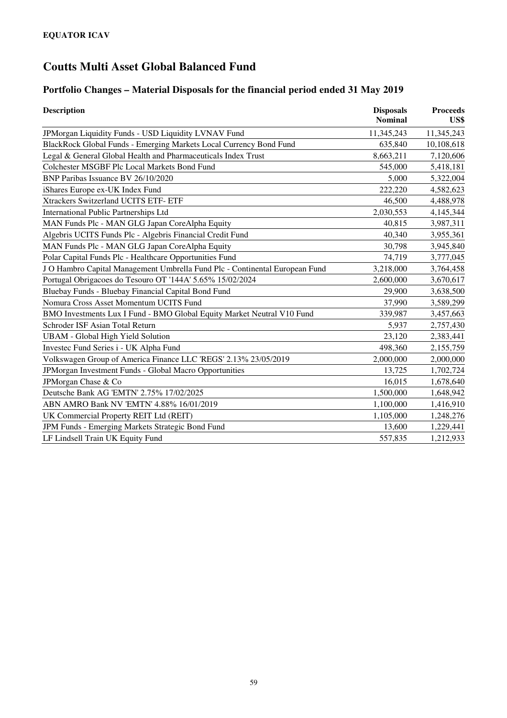### **Portfolio Changes – Material Disposals for the financial period ended 31 May 2019**

| <b>Description</b>                                                          | <b>Disposals</b><br>Nominal | <b>Proceeds</b><br>US\$ |
|-----------------------------------------------------------------------------|-----------------------------|-------------------------|
| JPMorgan Liquidity Funds - USD Liquidity LVNAV Fund                         | 11,345,243                  | 11,345,243              |
| BlackRock Global Funds - Emerging Markets Local Currency Bond Fund          | 635,840                     | 10,108,618              |
| Legal & General Global Health and Pharmaceuticals Index Trust               | 8,663,211                   | 7,120,606               |
| Colchester MSGBF Plc Local Markets Bond Fund                                | 545,000                     | 5,418,181               |
| BNP Paribas Issuance BV 26/10/2020                                          | 5,000                       | 5,322,004               |
| iShares Europe ex-UK Index Fund                                             | 222,220                     | 4,582,623               |
| Xtrackers Switzerland UCITS ETF- ETF                                        | 46,500                      | 4,488,978               |
| <b>International Public Partnerships Ltd</b>                                | 2,030,553                   | 4,145,344               |
| MAN Funds Plc - MAN GLG Japan CoreAlpha Equity                              | 40,815                      | 3,987,311               |
| Algebris UCITS Funds Plc - Algebris Financial Credit Fund                   | 40,340                      | 3,955,361               |
| MAN Funds Plc - MAN GLG Japan CoreAlpha Equity                              | 30,798                      | 3,945,840               |
| Polar Capital Funds Plc - Healthcare Opportunities Fund                     | 74,719                      | 3,777,045               |
| J O Hambro Capital Management Umbrella Fund Plc - Continental European Fund | 3,218,000                   | 3,764,458               |
| Portugal Obrigacoes do Tesouro OT '144A' 5.65% 15/02/2024                   | 2,600,000                   | 3,670,617               |
| Bluebay Funds - Bluebay Financial Capital Bond Fund                         | 29,900                      | 3,638,500               |
| Nomura Cross Asset Momentum UCITS Fund                                      | 37,990                      | 3,589,299               |
| BMO Investments Lux I Fund - BMO Global Equity Market Neutral V10 Fund      | 339,987                     | 3,457,663               |
| Schroder ISF Asian Total Return                                             | 5,937                       | 2,757,430               |
| <b>UBAM - Global High Yield Solution</b>                                    | 23,120                      | 2,383,441               |
| Investec Fund Series i - UK Alpha Fund                                      | 498,360                     | 2,155,759               |
| Volkswagen Group of America Finance LLC 'REGS' 2.13% 23/05/2019             | 2,000,000                   | 2,000,000               |
| JPMorgan Investment Funds - Global Macro Opportunities                      | 13,725                      | 1,702,724               |
| JPMorgan Chase & Co                                                         | 16,015                      | 1,678,640               |
| Deutsche Bank AG 'EMTN' 2.75% 17/02/2025                                    | 1,500,000                   | 1,648,942               |
| ABN AMRO Bank NV 'EMTN' 4.88% 16/01/2019                                    | 1,100,000                   | 1,416,910               |
| UK Commercial Property REIT Ltd (REIT)                                      | 1,105,000                   | 1,248,276               |
| JPM Funds - Emerging Markets Strategic Bond Fund                            | 13,600                      | 1,229,441               |
| LF Lindsell Train UK Equity Fund                                            | 557,835                     | 1,212,933               |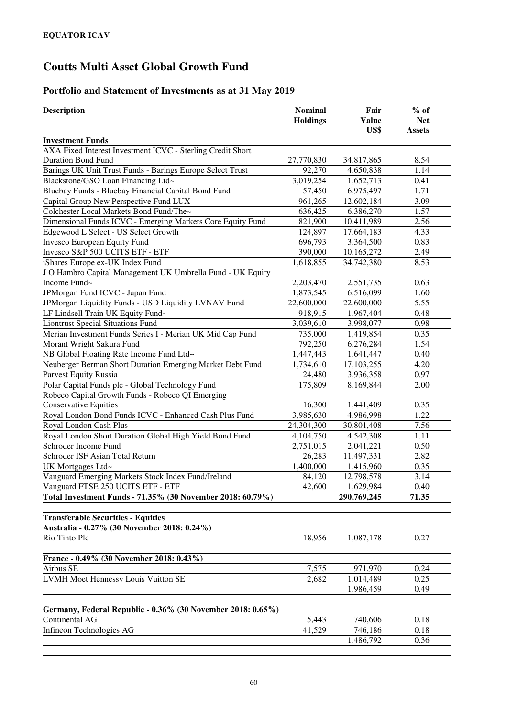### **Portfolio and Statement of Investments as at 31 May 2019**

| <b>Description</b>                                          | <b>Nominal</b>  | Fair         | $%$ of        |
|-------------------------------------------------------------|-----------------|--------------|---------------|
|                                                             | <b>Holdings</b> | <b>Value</b> | <b>Net</b>    |
|                                                             |                 | US\$         | <b>Assets</b> |
| <b>Investment Funds</b>                                     |                 |              |               |
| AXA Fixed Interest Investment ICVC - Sterling Credit Short  |                 |              |               |
| <b>Duration Bond Fund</b>                                   | 27,770,830      | 34,817,865   | 8.54          |
| Barings UK Unit Trust Funds - Barings Europe Select Trust   | 92,270          | 4,650,838    | 1.14          |
| Blackstone/GSO Loan Financing Ltd~                          | 3,019,254       | 1,652,713    | 0.41          |
| Bluebay Funds - Bluebay Financial Capital Bond Fund         | 57,450          | 6,975,497    | 1.71          |
| Capital Group New Perspective Fund LUX                      | 961,265         | 12,602,184   | 3.09          |
| Colchester Local Markets Bond Fund/The~                     | 636,425         | 6,386,270    | 1.57          |
| Dimensional Funds ICVC - Emerging Markets Core Equity Fund  | 821,900         | 10,411,989   | 2.56          |
| Edgewood L Select - US Select Growth                        | 124,897         | 17,664,183   | 4.33          |
| Invesco European Equity Fund                                | 696,793         | 3,364,500    | 0.83          |
| Invesco S&P 500 UCITS ETF - ETF                             | 390,000         | 10,165,272   | 2.49          |
| iShares Europe ex-UK Index Fund                             | 1,618,855       | 34,742,380   | 8.53          |
| J O Hambro Capital Management UK Umbrella Fund - UK Equity  |                 |              |               |
| Income Fund~                                                | 2,203,470       | 2,551,735    | 0.63          |
| JPMorgan Fund ICVC - Japan Fund                             | 1,873,545       | 6,516,099    | 1.60          |
| JPMorgan Liquidity Funds - USD Liquidity LVNAV Fund         | 22,600,000      | 22,600,000   | 5.55          |
| LF Lindsell Train UK Equity Fund~                           | 918,915         | 1,967,404    | 0.48          |
| <b>Liontrust Special Situations Fund</b>                    | 3,039,610       | 3,998,077    | 0.98          |
| Merian Investment Funds Series I - Merian UK Mid Cap Fund   | 735,000         | 1,419,854    | 0.35          |
| Morant Wright Sakura Fund                                   | 792,250         | 6,276,284    | 1.54          |
| NB Global Floating Rate Income Fund Ltd~                    | 1,447,443       | 1,641,447    | 0.40          |
| Neuberger Berman Short Duration Emerging Market Debt Fund   | 1,734,610       | 17,103,255   | 4.20          |
| Parvest Equity Russia                                       | 24,480          | 3,936,358    | 0.97          |
| Polar Capital Funds plc - Global Technology Fund            | 175,809         | 8,169,844    | 2.00          |
| Robeco Capital Growth Funds - Robeco QI Emerging            |                 |              |               |
| <b>Conservative Equities</b>                                | 16,300          | 1,441,409    | 0.35          |
| Royal London Bond Funds ICVC - Enhanced Cash Plus Fund      | 3,985,630       | 4,986,998    | 1.22          |
| Royal London Cash Plus                                      | 24,304,300      | 30,801,408   | 7.56          |
| Royal London Short Duration Global High Yield Bond Fund     | 4,104,750       | 4,542,308    | 1.11          |
| Schroder Income Fund                                        | 2,751,015       | 2,041,221    | 0.50          |
| Schroder ISF Asian Total Return                             | 26,283          | 11,497,331   | 2.82          |
| UK Mortgages Ltd~                                           | 1,400,000       | 1,415,960    | 0.35          |
| Vanguard Emerging Markets Stock Index Fund/Ireland          | 84,120          | 12,798,578   | 3.14          |
| Vanguard FTSE 250 UCITS ETF - ETF                           | 42,600          | 1,629,984    | 0.40          |
| Total Investment Funds - 71.35% (30 November 2018: 60.79%)  |                 | 290,769,245  | 71.35         |
|                                                             |                 |              |               |
| <b>Transferable Securities - Equities</b>                   |                 |              |               |
| Australia - 0.27% (30 November 2018: 0.24%)                 |                 |              |               |
| Rio Tinto Plc                                               | 18,956          | 1,087,178    | 0.27          |
|                                                             |                 |              |               |
| France - 0.49% (30 November 2018: 0.43%)                    |                 |              |               |
| Airbus SE                                                   | 7,575           | 971,970      | 0.24          |
| <b>LVMH Moet Hennessy Louis Vuitton SE</b>                  | 2,682           | 1,014,489    | 0.25          |
|                                                             |                 | 1,986,459    | 0.49          |
|                                                             |                 |              |               |
| Germany, Federal Republic - 0.36% (30 November 2018: 0.65%) |                 |              |               |
| Continental AG                                              | 5,443           | 740,606      | 0.18          |
| Infineon Technologies AG                                    | 41,529          | 746,186      | 0.18          |
|                                                             |                 | 1,486,792    | 0.36          |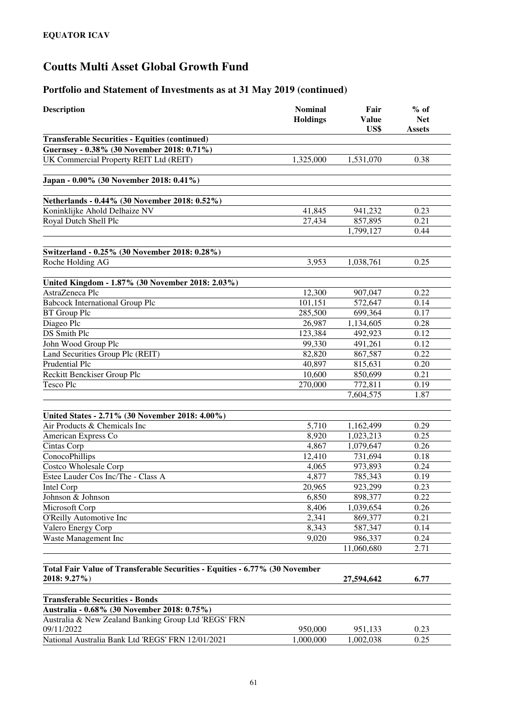| <b>Description</b>                                                                    | <b>Nominal</b><br><b>Holdings</b> | Fair<br><b>Value</b><br>US\$ | $%$ of<br><b>Net</b><br><b>Assets</b> |
|---------------------------------------------------------------------------------------|-----------------------------------|------------------------------|---------------------------------------|
| <b>Transferable Securities - Equities (continued)</b>                                 |                                   |                              |                                       |
| Guernsey - 0.38% (30 November 2018: 0.71%)                                            |                                   |                              |                                       |
| UK Commercial Property REIT Ltd (REIT)                                                | 1,325,000                         | 1,531,070                    | 0.38                                  |
| Japan - 0.00% (30 November 2018: 0.41%)                                               |                                   |                              |                                       |
| Netherlands - 0.44% (30 November 2018: 0.52%)                                         |                                   |                              |                                       |
| Koninklijke Ahold Delhaize NV                                                         | 41,845                            | 941,232                      | 0.23                                  |
| Royal Dutch Shell Plc                                                                 | 27,434                            | 857,895                      | 0.21                                  |
|                                                                                       |                                   | 1,799,127                    | 0.44                                  |
| Switzerland - 0.25% (30 November 2018: 0.28%)                                         |                                   |                              |                                       |
| Roche Holding AG                                                                      | 3,953                             | 1,038,761                    | 0.25                                  |
|                                                                                       |                                   |                              |                                       |
| United Kingdom - 1.87% (30 November 2018: 2.03%)                                      |                                   |                              |                                       |
| AstraZeneca Plc                                                                       | 12,300                            | 907,047                      | 0.22                                  |
| <b>Babcock International Group Plc</b>                                                | 101,151                           | 572,647                      | 0.14                                  |
| <b>BT</b> Group Plc                                                                   | 285,500                           | 699,364                      | 0.17                                  |
| Diageo Plc                                                                            | 26,987                            | 1,134,605                    | 0.28                                  |
| DS Smith Plc                                                                          | 123,384                           | 492,923                      | 0.12                                  |
| John Wood Group Plc                                                                   | 99,330                            | 491,261                      | 0.12                                  |
| Land Securities Group Plc (REIT)                                                      | 82,820                            | 867,587                      | 0.22                                  |
| Prudential Plc                                                                        | 40,897                            | 815,631                      | 0.20                                  |
| Reckitt Benckiser Group Plc                                                           | 10,600                            | 850,699                      | 0.21                                  |
| Tesco Plc                                                                             | 270,000                           | 772,811                      | 0.19                                  |
|                                                                                       |                                   | 7,604,575                    | 1.87                                  |
| United States - 2.71% (30 November 2018: 4.00%)                                       |                                   |                              |                                       |
| Air Products & Chemicals Inc                                                          | 5,710                             | 1,162,499                    | 0.29                                  |
| American Express Co                                                                   | 8,920                             | 1,023,213                    | 0.25                                  |
| Cintas Corp                                                                           | 4,867                             | 1,079,647                    | 0.26                                  |
| ConocoPhillips                                                                        | 12,410                            | 731,694                      | 0.18                                  |
| <b>Costco Wholesale Corp</b>                                                          | 4,065                             | 973,893                      | 0.24                                  |
| Estee Lauder Cos Inc/The - Class A                                                    | 4,877                             | 785,343                      | 0.19                                  |
| Intel Corp                                                                            | 20,965                            | 923,299                      | 0.23                                  |
| Johnson & Johnson                                                                     | 6,850                             | 898,377                      | 0.22                                  |
| Microsoft Corp                                                                        | 8,406                             | 1,039,654                    | 0.26                                  |
| O'Reilly Automotive Inc                                                               | 2,341                             | 869,377                      | 0.21                                  |
| Valero Energy Corp                                                                    | 8,343                             | 587,347                      | 0.14                                  |
| Waste Management Inc                                                                  | 9,020                             | 986,337                      | 0.24                                  |
|                                                                                       |                                   | 11,060,680                   | 2.71                                  |
| Total Fair Value of Transferable Securities - Equities - 6.77% (30 November           |                                   |                              |                                       |
| 2018: 9.27%)                                                                          |                                   | 27,594,642                   | 6.77                                  |
|                                                                                       |                                   |                              |                                       |
| <b>Transferable Securities - Bonds</b><br>Australia - 0.68% (30 November 2018: 0.75%) |                                   |                              |                                       |
| Australia & New Zealand Banking Group Ltd 'REGS' FRN                                  |                                   |                              |                                       |
| 09/11/2022                                                                            | 950,000                           | 951,133                      | 0.23                                  |
| National Australia Bank Ltd 'REGS' FRN 12/01/2021                                     | 1,000,000                         | 1,002,038                    | 0.25                                  |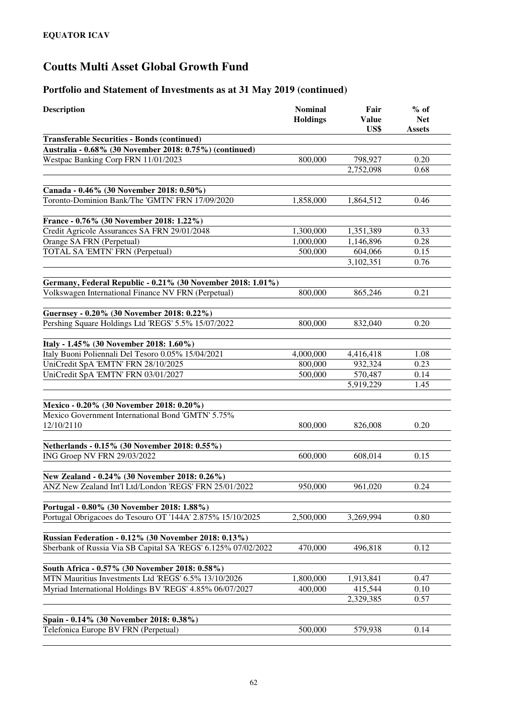| <b>Description</b>                                            | <b>Nominal</b><br><b>Holdings</b> | Fair<br><b>Value</b><br>US\$ | $%$ of<br><b>Net</b><br><b>Assets</b> |
|---------------------------------------------------------------|-----------------------------------|------------------------------|---------------------------------------|
| <b>Transferable Securities - Bonds (continued)</b>            |                                   |                              |                                       |
| Australia - 0.68% (30 November 2018: 0.75%) (continued)       |                                   |                              |                                       |
| Westpac Banking Corp FRN 11/01/2023                           | 800,000                           | 798,927                      | 0.20                                  |
|                                                               |                                   | 2,752,098                    | 0.68                                  |
|                                                               |                                   |                              |                                       |
| Canada - 0.46% (30 November 2018: 0.50%)                      |                                   |                              |                                       |
| Toronto-Dominion Bank/The 'GMTN' FRN 17/09/2020               | 1,858,000                         | 1,864,512                    | 0.46                                  |
|                                                               |                                   |                              |                                       |
| France - 0.76% (30 November 2018: 1.22%)                      |                                   |                              |                                       |
| Credit Agricole Assurances SA FRN 29/01/2048                  | 1,300,000                         | 1,351,389                    | 0.33                                  |
| Orange SA FRN (Perpetual)                                     | 1,000,000                         | 1,146,896                    | 0.28                                  |
| TOTAL SA 'EMTN' FRN (Perpetual)                               | 500,000                           | 604,066                      | 0.15                                  |
|                                                               |                                   | 3,102,351                    | 0.76                                  |
| Germany, Federal Republic - 0.21% (30 November 2018: 1.01%)   |                                   |                              |                                       |
| Volkswagen International Finance NV FRN (Perpetual)           | 800,000                           | 865,246                      | 0.21                                  |
|                                                               |                                   |                              |                                       |
| Guernsey - 0.20% (30 November 2018: 0.22%)                    |                                   |                              |                                       |
| Pershing Square Holdings Ltd 'REGS' 5.5% 15/07/2022           | 800,000                           | 832,040                      | 0.20                                  |
|                                                               |                                   |                              |                                       |
| Italy - 1.45% (30 November 2018: 1.60%)                       |                                   |                              |                                       |
| Italy Buoni Poliennali Del Tesoro 0.05% 15/04/2021            | 4,000,000                         | 4,416,418                    | 1.08                                  |
| UniCredit SpA 'EMTN' FRN 28/10/2025                           | 800,000                           | 932,324                      | 0.23                                  |
| UniCredit SpA 'EMTN' FRN 03/01/2027                           | 500,000                           | 570,487                      | 0.14                                  |
|                                                               |                                   | 5,919,229                    | 1.45                                  |
|                                                               |                                   |                              |                                       |
| Mexico - 0.20% (30 November 2018: 0.20%)                      |                                   |                              |                                       |
| Mexico Government International Bond 'GMTN' 5.75%             |                                   |                              |                                       |
| 12/10/2110                                                    | 800,000                           | 826,008                      | 0.20                                  |
| Netherlands - 0.15% (30 November 2018: 0.55%)                 |                                   |                              |                                       |
| ING Groep NV FRN 29/03/2022                                   | 600,000                           | 608,014                      | 0.15                                  |
|                                                               |                                   |                              |                                       |
| New Zealand - 0.24% (30 November 2018: 0.26%)                 |                                   |                              |                                       |
| ANZ New Zealand Int'l Ltd/London 'REGS' FRN 25/01/2022        | 950,000                           | 961,020                      | 0.24                                  |
|                                                               |                                   |                              |                                       |
| Portugal - 0.80% (30 November 2018: 1.88%)                    |                                   |                              |                                       |
| Portugal Obrigacoes do Tesouro OT '144A' 2.875% 15/10/2025    | 2,500,000                         | 3,269,994                    | 0.80                                  |
|                                                               |                                   |                              |                                       |
| Russian Federation - 0.12% (30 November 2018: 0.13%)          |                                   |                              |                                       |
| Sberbank of Russia Via SB Capital SA 'REGS' 6.125% 07/02/2022 | 470,000                           | 496,818                      | 0.12                                  |
| South Africa - 0.57% (30 November 2018: 0.58%)                |                                   |                              |                                       |
| MTN Mauritius Investments Ltd 'REGS' 6.5% 13/10/2026          | 1,800,000                         | 1,913,841                    | 0.47                                  |
| Myriad International Holdings BV 'REGS' 4.85% 06/07/2027      | 400,000                           | 415,544                      | 0.10                                  |
|                                                               |                                   | 2,329,385                    | 0.57                                  |
|                                                               |                                   |                              |                                       |
| Spain - 0.14% (30 November 2018: 0.38%)                       |                                   |                              |                                       |
| Telefonica Europe BV FRN (Perpetual)                          | 500,000                           | 579,938                      | 0.14                                  |
|                                                               |                                   |                              |                                       |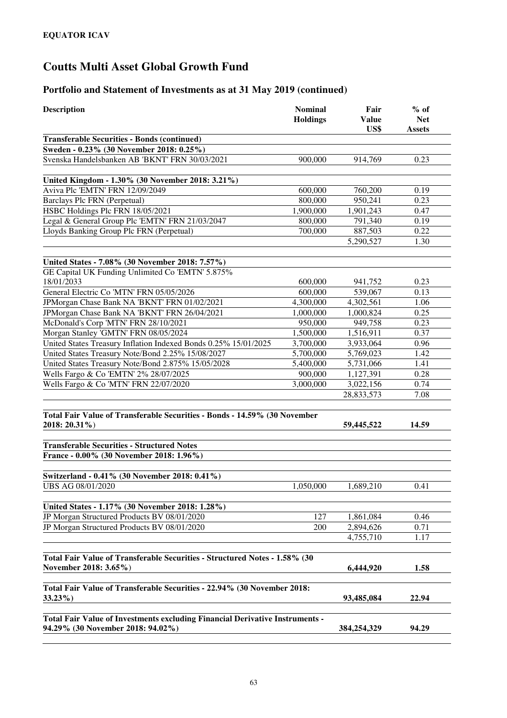| US\$<br>900,000<br>914,769<br>600,000<br>760,200<br>800,000<br>950,241<br>1,900,000<br>1,901,243<br>800,000<br>791,340<br>887,503<br>700,000<br>5,290,527<br>600,000<br>941,752<br>600,000<br>539,067<br>4,300,000<br>4,302,561<br>1,000,000<br>1,000,824 | <b>Assets</b><br>0.23<br>0.19<br>0.23<br>0.47<br>0.19<br>0.22<br>1.30<br>0.23<br>0.13<br>1.06                                                                                                                                      |
|-----------------------------------------------------------------------------------------------------------------------------------------------------------------------------------------------------------------------------------------------------------|------------------------------------------------------------------------------------------------------------------------------------------------------------------------------------------------------------------------------------|
|                                                                                                                                                                                                                                                           |                                                                                                                                                                                                                                    |
|                                                                                                                                                                                                                                                           |                                                                                                                                                                                                                                    |
|                                                                                                                                                                                                                                                           |                                                                                                                                                                                                                                    |
|                                                                                                                                                                                                                                                           |                                                                                                                                                                                                                                    |
|                                                                                                                                                                                                                                                           |                                                                                                                                                                                                                                    |
|                                                                                                                                                                                                                                                           |                                                                                                                                                                                                                                    |
|                                                                                                                                                                                                                                                           |                                                                                                                                                                                                                                    |
|                                                                                                                                                                                                                                                           |                                                                                                                                                                                                                                    |
|                                                                                                                                                                                                                                                           |                                                                                                                                                                                                                                    |
|                                                                                                                                                                                                                                                           |                                                                                                                                                                                                                                    |
|                                                                                                                                                                                                                                                           |                                                                                                                                                                                                                                    |
|                                                                                                                                                                                                                                                           |                                                                                                                                                                                                                                    |
|                                                                                                                                                                                                                                                           |                                                                                                                                                                                                                                    |
|                                                                                                                                                                                                                                                           |                                                                                                                                                                                                                                    |
|                                                                                                                                                                                                                                                           |                                                                                                                                                                                                                                    |
|                                                                                                                                                                                                                                                           |                                                                                                                                                                                                                                    |
|                                                                                                                                                                                                                                                           |                                                                                                                                                                                                                                    |
|                                                                                                                                                                                                                                                           | 0.25                                                                                                                                                                                                                               |
|                                                                                                                                                                                                                                                           | 0.23                                                                                                                                                                                                                               |
|                                                                                                                                                                                                                                                           | 0.37                                                                                                                                                                                                                               |
|                                                                                                                                                                                                                                                           | 0.96                                                                                                                                                                                                                               |
|                                                                                                                                                                                                                                                           | 1.42                                                                                                                                                                                                                               |
|                                                                                                                                                                                                                                                           | 1.41<br>0.28                                                                                                                                                                                                                       |
|                                                                                                                                                                                                                                                           | 0.74                                                                                                                                                                                                                               |
|                                                                                                                                                                                                                                                           | 7.08                                                                                                                                                                                                                               |
|                                                                                                                                                                                                                                                           |                                                                                                                                                                                                                                    |
| 59,445,522                                                                                                                                                                                                                                                | 14.59                                                                                                                                                                                                                              |
|                                                                                                                                                                                                                                                           |                                                                                                                                                                                                                                    |
|                                                                                                                                                                                                                                                           |                                                                                                                                                                                                                                    |
|                                                                                                                                                                                                                                                           |                                                                                                                                                                                                                                    |
| 1,050,000                                                                                                                                                                                                                                                 | 0.41                                                                                                                                                                                                                               |
|                                                                                                                                                                                                                                                           |                                                                                                                                                                                                                                    |
|                                                                                                                                                                                                                                                           |                                                                                                                                                                                                                                    |
| 127<br>1,861,084                                                                                                                                                                                                                                          | 0.46                                                                                                                                                                                                                               |
| 200<br>2,894,626                                                                                                                                                                                                                                          | 0.71                                                                                                                                                                                                                               |
| 4,755,710                                                                                                                                                                                                                                                 | 1.17                                                                                                                                                                                                                               |
|                                                                                                                                                                                                                                                           |                                                                                                                                                                                                                                    |
|                                                                                                                                                                                                                                                           |                                                                                                                                                                                                                                    |
|                                                                                                                                                                                                                                                           | 1.58                                                                                                                                                                                                                               |
|                                                                                                                                                                                                                                                           |                                                                                                                                                                                                                                    |
|                                                                                                                                                                                                                                                           | 22.94                                                                                                                                                                                                                              |
|                                                                                                                                                                                                                                                           |                                                                                                                                                                                                                                    |
| Total Fair Value of Investments excluding Financial Derivative Instruments -<br>384,254,329                                                                                                                                                               | 94.29                                                                                                                                                                                                                              |
|                                                                                                                                                                                                                                                           | 950,000<br>949,758<br>1,500,000<br>1,516,911<br>3,700,000<br>3,933,064<br>5,700,000<br>5,769,023<br>5,400,000<br>5,731,066<br>900,000<br>1,127,391<br>3,000,000<br>3,022,156<br>28,833,573<br>1,689,210<br>6,444,920<br>93,485,084 |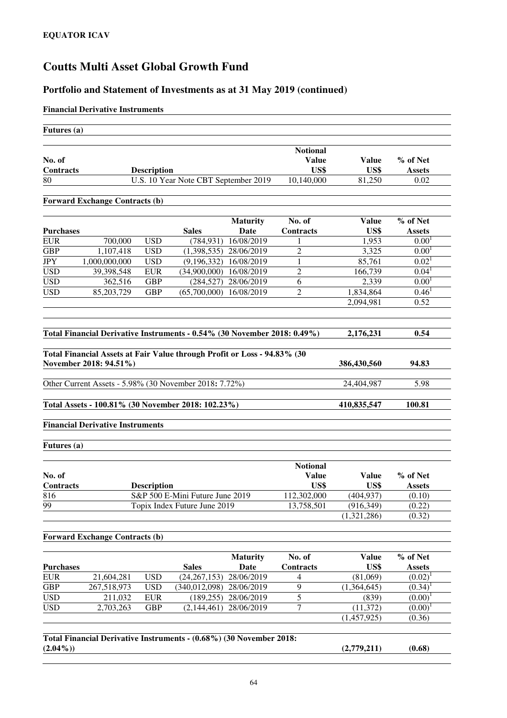#### **Portfolio and Statement of Investments as at 31 May 2019 (continued)**

#### **Financial Derivative Instruments**

| Futures (a)         |                                         |                    |                                                                          |                 |                                         |                      |                           |
|---------------------|-----------------------------------------|--------------------|--------------------------------------------------------------------------|-----------------|-----------------------------------------|----------------------|---------------------------|
| No. of<br>Contracts |                                         | <b>Description</b> |                                                                          |                 | <b>Notional</b><br><b>Value</b><br>US\$ | <b>Value</b><br>US\$ | % of Net<br><b>Assets</b> |
| 80                  |                                         |                    | U.S. 10 Year Note CBT September 2019                                     |                 | 10,140,000                              | 81,250               | 0.02                      |
|                     | <b>Forward Exchange Contracts (b)</b>   |                    |                                                                          |                 |                                         |                      |                           |
|                     |                                         |                    |                                                                          |                 |                                         |                      |                           |
|                     |                                         |                    |                                                                          | <b>Maturity</b> | No. of                                  | <b>Value</b>         | % of Net                  |
| <b>Purchases</b>    |                                         |                    | <b>Sales</b>                                                             | Date            | Contracts                               | US\$                 | <b>Assets</b>             |
| EUR                 | 700,000                                 | <b>USD</b>         | (784, 931)                                                               | 16/08/2019      | 1                                       | 1,953                | 0.00 <sup>1</sup>         |
| <b>GBP</b>          | 1,107,418                               | <b>USD</b>         | (1,398,535)                                                              | 28/06/2019      | $\overline{c}$                          | 3,325                | 0.00 <sup>1</sup>         |
| JPY                 | 1,000,000,000                           | <b>USD</b>         | (9,196,332)                                                              | 16/08/2019      | 1                                       | 85,761               | 0.02 <sup>T</sup>         |
| <b>USD</b>          | 39,398,548                              | <b>EUR</b>         | (34,900,000)                                                             | 16/08/2019      | 2                                       | 166,739              | $0.04^1$                  |
| <b>USD</b>          | 362,516                                 | <b>GBP</b>         | (284, 527)                                                               | 28/06/2019      | 6                                       | 2,339                | 0.00 <sup>1</sup>         |
| <b>USD</b>          | 85,203,729                              | <b>GBP</b>         | (65,700,000)                                                             | 16/08/2019      | 2                                       | 1,834,864            | 0.46 <sup>1</sup>         |
|                     |                                         |                    |                                                                          |                 |                                         | 2,094,981            | 0.52                      |
|                     |                                         |                    |                                                                          |                 |                                         |                      |                           |
|                     |                                         |                    |                                                                          |                 |                                         |                      |                           |
|                     |                                         |                    | Total Financial Derivative Instruments - 0.54% (30 November 2018: 0.49%) |                 |                                         | 2,176,231            | 0.54                      |
|                     | November 2018: 94.51%)                  |                    | Total Financial Assets at Fair Value through Profit or Loss - 94.83% (30 |                 |                                         | 386,430,560          | 94.83                     |
|                     |                                         |                    | Other Current Assets - 5.98% (30 November 2018: 7.72%)                   |                 |                                         | 24,404,987           | 5.98                      |
|                     |                                         |                    | Total Assets - 100.81% (30 November 2018: 102.23%)                       |                 |                                         | 410,835,547          | 100.81                    |
|                     | <b>Financial Derivative Instruments</b> |                    |                                                                          |                 |                                         |                      |                           |
| Futures (a)         |                                         |                    |                                                                          |                 |                                         |                      |                           |
|                     |                                         |                    |                                                                          |                 |                                         |                      |                           |
| No. of              |                                         |                    |                                                                          |                 | <b>Notional</b><br><b>Value</b>         | <b>Value</b>         | % of Net                  |
| Contracts           |                                         | <b>Description</b> |                                                                          |                 | US\$                                    | US\$                 | <b>Assets</b>             |
| 816                 |                                         |                    | S&P 500 E-Mini Future June 2019                                          |                 | 112,302,000                             | (404, 937)           | (0.10)                    |
| $\overline{99}$     |                                         |                    | Topix Index Future June 2019                                             |                 | 13,758,501                              | (916, 349)           | (0.22)                    |
|                     |                                         |                    |                                                                          |                 |                                         | (1,321,286)          | (0.32)                    |
|                     | <b>Forward Exchange Contracts (b)</b>   |                    |                                                                          |                 |                                         |                      |                           |
|                     |                                         |                    |                                                                          |                 |                                         |                      |                           |
|                     |                                         |                    |                                                                          | <b>Maturity</b> | No. of                                  | <b>Value</b>         | % of Net                  |
| <b>Purchases</b>    |                                         |                    | <b>Sales</b>                                                             | Date            | <b>Contracts</b>                        | US\$                 | <b>Assets</b>             |
| <b>EUR</b>          | 21,604,281                              | <b>USD</b>         | (24, 267, 153)                                                           | 28/06/2019      | 4                                       | (81,069)             | $(0.02)^1$                |
| <b>GBP</b>          | 267,518,973                             | <b>USD</b>         | (340, 012, 098)                                                          | 28/06/2019      | 9                                       | (1,364,645)          | $(0.34)^1$                |
| <b>USD</b>          | 211,032                                 | <b>EUR</b>         | (189, 255)                                                               | 28/06/2019      | 5                                       | (839)                | $(0.00)^1$                |
| <b>USD</b>          | 2,703,263                               | <b>GBP</b>         | (2, 144, 461)                                                            | 28/06/2019      | 7                                       | (11, 372)            | $(0.00)^1$                |
|                     |                                         |                    |                                                                          |                 |                                         | (1,457,925)          | (0.36)                    |
|                     |                                         |                    |                                                                          |                 |                                         |                      |                           |
| $(2.04\%)$          |                                         |                    | Total Financial Derivative Instruments - (0.68%) (30 November 2018:      |                 |                                         | (2,779,211)          | (0.68)                    |
|                     |                                         |                    |                                                                          |                 |                                         |                      |                           |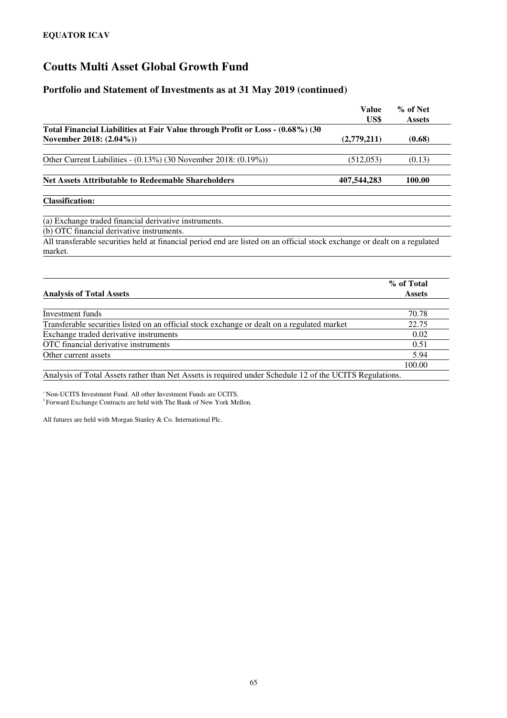#### **Portfolio and Statement of Investments as at 31 May 2019 (continued)**

|                                                                                                                           | Value<br>US\$ | % of Net<br><b>Assets</b> |
|---------------------------------------------------------------------------------------------------------------------------|---------------|---------------------------|
| Total Financial Liabilities at Fair Value through Profit or Loss - (0.68%) (30                                            |               |                           |
| November 2018: (2.04%))                                                                                                   | (2,779,211)   | (0.68)                    |
| Other Current Liabilities - $(0.13\%)$ (30 November 2018: $(0.19\%)$ )                                                    | (512, 053)    | (0.13)                    |
|                                                                                                                           |               |                           |
| <b>Net Assets Attributable to Redeemable Shareholders</b>                                                                 | 407,544,283   | 100.00                    |
| <b>Classification:</b>                                                                                                    |               |                           |
| (a) Exchange traded financial derivative instruments.                                                                     |               |                           |
| (b) OTC financial derivative instruments.                                                                                 |               |                           |
| All transferable securities held at financial period end are listed on an official stock exchange or dealt on a regulated |               |                           |
| market.                                                                                                                   |               |                           |

|                                                                                                         | % of Total    |
|---------------------------------------------------------------------------------------------------------|---------------|
| <b>Analysis of Total Assets</b>                                                                         | <b>Assets</b> |
|                                                                                                         |               |
| Investment funds                                                                                        | 70.78         |
| Transferable securities listed on an official stock exchange or dealt on a regulated market             | 22.75         |
| Exchange traded derivative instruments                                                                  | 0.02          |
| OTC financial derivative instruments                                                                    | 0.51          |
| Other current assets                                                                                    | 5.94          |
|                                                                                                         | 100.00        |
| Analysis of Total Assets rather than Net Assets is required under Schedule 12 of the UCITS Regulations. |               |

<sup>~</sup>Non-UCITS Investment Fund. All other Investment Funds are UCITS. <sup>1</sup> Forward Exchange Contracts are held with The Bank of New York Mellon.

All futures are held with Morgan Stanley & Co. International Plc.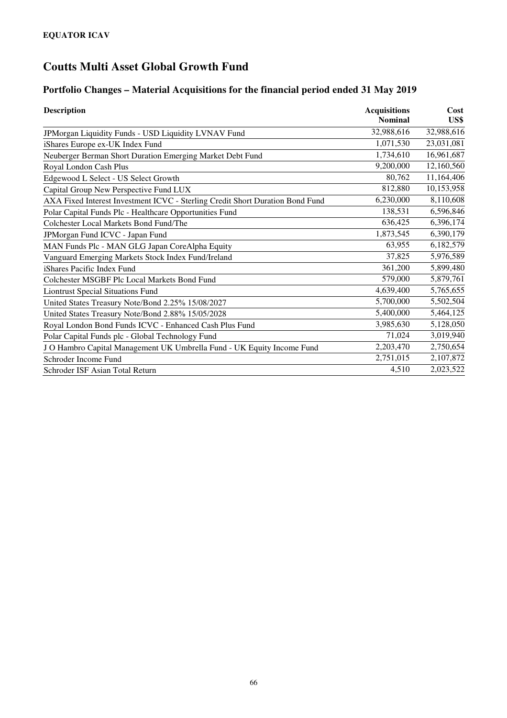### **Portfolio Changes – Material Acquisitions for the financial period ended 31 May 2019**

| <b>Description</b>                                                            | <b>Acquisitions</b><br><b>Nominal</b> | Cost<br>US\$ |
|-------------------------------------------------------------------------------|---------------------------------------|--------------|
| JPMorgan Liquidity Funds - USD Liquidity LVNAV Fund                           | 32,988,616                            | 32,988,616   |
|                                                                               | 1,071,530                             | 23,031,081   |
| iShares Europe ex-UK Index Fund                                               |                                       |              |
| Neuberger Berman Short Duration Emerging Market Debt Fund                     | 1,734,610                             | 16,961,687   |
| Royal London Cash Plus                                                        | 9,200,000                             | 12,160,560   |
| Edgewood L Select - US Select Growth                                          | 80,762                                | 11,164,406   |
| Capital Group New Perspective Fund LUX                                        | 812,880                               | 10,153,958   |
| AXA Fixed Interest Investment ICVC - Sterling Credit Short Duration Bond Fund | 6,230,000                             | 8,110,608    |
| Polar Capital Funds Plc - Healthcare Opportunities Fund                       | 138,531                               | 6,596,846    |
| Colchester Local Markets Bond Fund/The                                        | 636,425                               | 6,396,174    |
| JPMorgan Fund ICVC - Japan Fund                                               | 1,873,545                             | 6,390,179    |
| MAN Funds Plc - MAN GLG Japan CoreAlpha Equity                                | 63,955                                | 6,182,579    |
| Vanguard Emerging Markets Stock Index Fund/Ireland                            | 37,825                                | 5,976,589    |
| iShares Pacific Index Fund                                                    | 361,200                               | 5,899,480    |
| Colchester MSGBF Plc Local Markets Bond Fund                                  | 579,000                               | 5,879,761    |
| <b>Liontrust Special Situations Fund</b>                                      | 4,639,400                             | 5,765,655    |
| United States Treasury Note/Bond 2.25% 15/08/2027                             | 5,700,000                             | 5,502,504    |
| United States Treasury Note/Bond 2.88% 15/05/2028                             | 5,400,000                             | 5,464,125    |
| Royal London Bond Funds ICVC - Enhanced Cash Plus Fund                        | 3,985,630                             | 5,128,050    |
| Polar Capital Funds plc - Global Technology Fund                              | 71,024                                | 3,019,940    |
| J O Hambro Capital Management UK Umbrella Fund - UK Equity Income Fund        | 2,203,470                             | 2,750,654    |
| Schroder Income Fund                                                          | 2,751,015                             | 2,107,872    |
| Schroder ISF Asian Total Return                                               | 4,510                                 | 2,023,522    |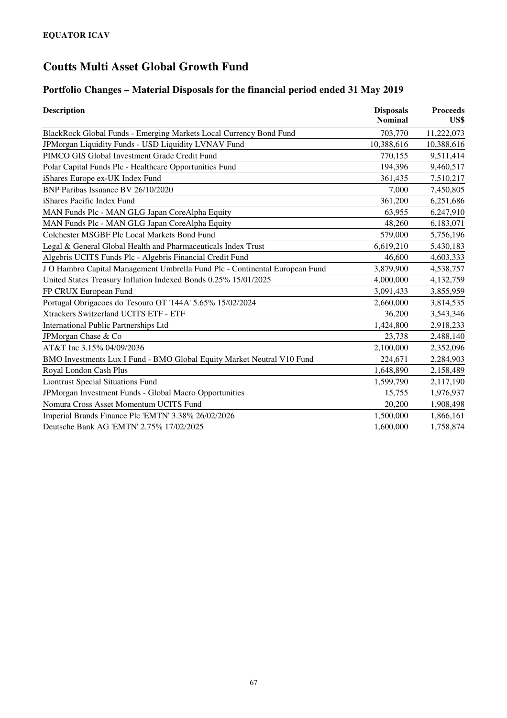### **Portfolio Changes – Material Disposals for the financial period ended 31 May 2019**

| <b>Description</b>                                                          | <b>Disposals</b><br><b>Nominal</b> | <b>Proceeds</b><br>US\$ |
|-----------------------------------------------------------------------------|------------------------------------|-------------------------|
| BlackRock Global Funds - Emerging Markets Local Currency Bond Fund          | 703,770                            | 11,222,073              |
| JPMorgan Liquidity Funds - USD Liquidity LVNAV Fund                         | 10,388,616                         | 10,388,616              |
| PIMCO GIS Global Investment Grade Credit Fund                               | 770,155                            | 9,511,414               |
| Polar Capital Funds Plc - Healthcare Opportunities Fund                     | 194,396                            | 9,460,517               |
| iShares Europe ex-UK Index Fund                                             | 361,435                            | 7,510,217               |
| BNP Paribas Issuance BV 26/10/2020                                          | 7,000                              | 7,450,805               |
| iShares Pacific Index Fund                                                  | 361,200                            | 6,251,686               |
| MAN Funds Plc - MAN GLG Japan CoreAlpha Equity                              | 63,955                             | 6,247,910               |
| MAN Funds Plc - MAN GLG Japan CoreAlpha Equity                              | 48,260                             | 6,183,071               |
| Colchester MSGBF Plc Local Markets Bond Fund                                | 579,000                            | 5,756,196               |
| Legal & General Global Health and Pharmaceuticals Index Trust               | 6,619,210                          | 5,430,183               |
| Algebris UCITS Funds Plc - Algebris Financial Credit Fund                   | 46,600                             | 4,603,333               |
| J O Hambro Capital Management Umbrella Fund Plc - Continental European Fund | 3,879,900                          | 4,538,757               |
| United States Treasury Inflation Indexed Bonds 0.25% 15/01/2025             | 4,000,000                          | 4,132,759               |
| FP CRUX European Fund                                                       | 3,091,433                          | 3,855,959               |
| Portugal Obrigacoes do Tesouro OT '144A' 5.65% 15/02/2024                   | 2,660,000                          | 3,814,535               |
| Xtrackers Switzerland UCITS ETF - ETF                                       | 36,200                             | 3,543,346               |
| <b>International Public Partnerships Ltd</b>                                | 1,424,800                          | 2,918,233               |
| JPMorgan Chase & Co                                                         | 23,738                             | 2,488,140               |
| AT&T Inc 3.15% 04/09/2036                                                   | 2,100,000                          | 2,352,096               |
| BMO Investments Lux I Fund - BMO Global Equity Market Neutral V10 Fund      | 224,671                            | 2,284,903               |
| Royal London Cash Plus                                                      | 1,648,890                          | 2,158,489               |
| <b>Liontrust Special Situations Fund</b>                                    | 1,599,790                          | 2,117,190               |
| JPMorgan Investment Funds - Global Macro Opportunities                      | 15,755                             | 1,976,937               |
| Nomura Cross Asset Momentum UCITS Fund                                      | 20,200                             | 1,908,498               |
| Imperial Brands Finance Plc 'EMTN' 3.38% 26/02/2026                         | 1,500,000                          | 1,866,161               |
| Deutsche Bank AG 'EMTN' 2.75% 17/02/2025                                    | 1,600,000                          | 1,758,874               |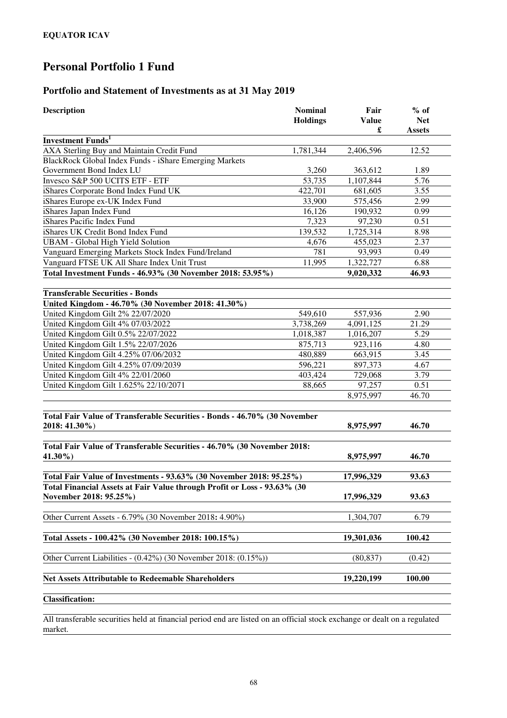### **Portfolio and Statement of Investments as at 31 May 2019**

| <b>Description</b>                                                                                 | <b>Nominal</b><br><b>Holdings</b> | Fair<br><b>Value</b><br>£ | $%$ of<br><b>Net</b><br><b>Assets</b> |
|----------------------------------------------------------------------------------------------------|-----------------------------------|---------------------------|---------------------------------------|
| <b>Investment Funds</b> <sup>1</sup>                                                               |                                   |                           |                                       |
| AXA Sterling Buy and Maintain Credit Fund                                                          | 1,781,344                         | 2,406,596                 | 12.52                                 |
| BlackRock Global Index Funds - iShare Emerging Markets                                             |                                   |                           |                                       |
| Government Bond Index LU                                                                           | 3,260                             | 363,612                   | 1.89                                  |
| Invesco S&P 500 UCITS ETF - ETF                                                                    | 53,735                            | 1,107,844                 | 5.76                                  |
| iShares Corporate Bond Index Fund UK                                                               | 422,701                           | 681,605                   | 3.55                                  |
| iShares Europe ex-UK Index Fund                                                                    | 33,900                            | 575,456                   | 2.99                                  |
| iShares Japan Index Fund                                                                           | 16,126                            | 190,932                   | 0.99                                  |
| iShares Pacific Index Fund                                                                         | 7,323                             | 97,230                    | 0.51                                  |
| iShares UK Credit Bond Index Fund                                                                  | 139,532                           | 1,725,314                 | 8.98                                  |
| <b>UBAM</b> - Global High Yield Solution                                                           | 4,676                             | 455,023                   | 2.37                                  |
| Vanguard Emerging Markets Stock Index Fund/Ireland                                                 | 781                               | 93,993                    | 0.49                                  |
| Vanguard FTSE UK All Share Index Unit Trust                                                        | 11,995                            | 1,322,727                 | 6.88                                  |
| Total Investment Funds - 46.93% (30 November 2018: 53.95%)                                         |                                   | 9,020,332                 | 46.93                                 |
| <b>Transferable Securities - Bonds</b>                                                             |                                   |                           |                                       |
| United Kingdom - 46.70% (30 November 2018: 41.30%)                                                 |                                   |                           |                                       |
| United Kingdom Gilt 2% 22/07/2020                                                                  | 549,610                           | 557,936                   | 2.90                                  |
| United Kingdom Gilt 4% 07/03/2022                                                                  | 3,738,269                         | 4,091,125                 | 21.29                                 |
| United Kingdom Gilt 0.5% 22/07/2022                                                                | 1,018,387                         | 1,016,207                 | 5.29                                  |
| United Kingdom Gilt 1.5% 22/07/2026                                                                | 875,713                           | 923,116                   | 4.80                                  |
| United Kingdom Gilt 4.25% 07/06/2032                                                               | 480,889                           | 663,915                   | 3.45                                  |
| United Kingdom Gilt 4.25% 07/09/2039                                                               | 596,221                           | 897,373                   | 4.67                                  |
| United Kingdom Gilt 4% 22/01/2060                                                                  | 403,424                           | 729,068                   | 3.79                                  |
| United Kingdom Gilt 1.625% 22/10/2071                                                              | 88,665                            | 97,257                    | 0.51                                  |
|                                                                                                    |                                   | 8,975,997                 | 46.70                                 |
| Total Fair Value of Transferable Securities - Bonds - 46.70% (30 November<br>2018: 41.30%)         |                                   | 8,975,997                 | 46.70                                 |
| Total Fair Value of Transferable Securities - 46.70% (30 November 2018:<br>41.30%)                 |                                   | 8,975,997                 | 46.70                                 |
| Total Fair Value of Investments - 93.63% (30 November 2018: 95.25%)                                |                                   | 17,996,329                | 93.63                                 |
| Total Financial Assets at Fair Value through Profit or Loss - 93.63% (30<br>November 2018: 95.25%) |                                   | 17,996,329                | 93.63                                 |
| Other Current Assets - 6.79% (30 November 2018: 4.90%)                                             |                                   | 1,304,707                 | 6.79                                  |
| Total Assets - 100.42% (30 November 2018: 100.15%)                                                 |                                   | 19,301,036                | 100.42                                |
| Other Current Liabilities - (0.42%) (30 November 2018: (0.15%))                                    |                                   | (80, 837)                 | (0.42)                                |
| <b>Net Assets Attributable to Redeemable Shareholders</b>                                          |                                   | 19,220,199                | 100.00                                |
| <b>Classification:</b>                                                                             |                                   |                           |                                       |

All transferable securities held at financial period end are listed on an official stock exchange or dealt on a regulated market.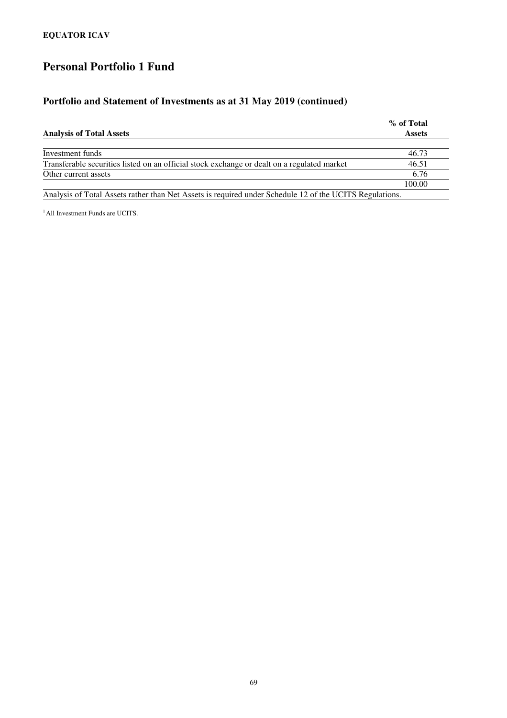### **Portfolio and Statement of Investments as at 31 May 2019 (continued)**

|                                                                                                       | % of Total    |
|-------------------------------------------------------------------------------------------------------|---------------|
| <b>Analysis of Total Assets</b>                                                                       | <b>Assets</b> |
|                                                                                                       |               |
| Investment funds                                                                                      | 46.73         |
| Transferable securities listed on an official stock exchange or dealt on a regulated market           | 46.51         |
| Other current assets                                                                                  | 6.76          |
|                                                                                                       | 100.00        |
| Analysis of Total Assets rather than Net Assets is required under Schedule 12 of the HCITS Requisions |               |

Analysis of Total Assets rather than Net Assets is required under Schedule 12 of the UCITS Regulations.

<sup>1</sup> All Investment Funds are UCITS.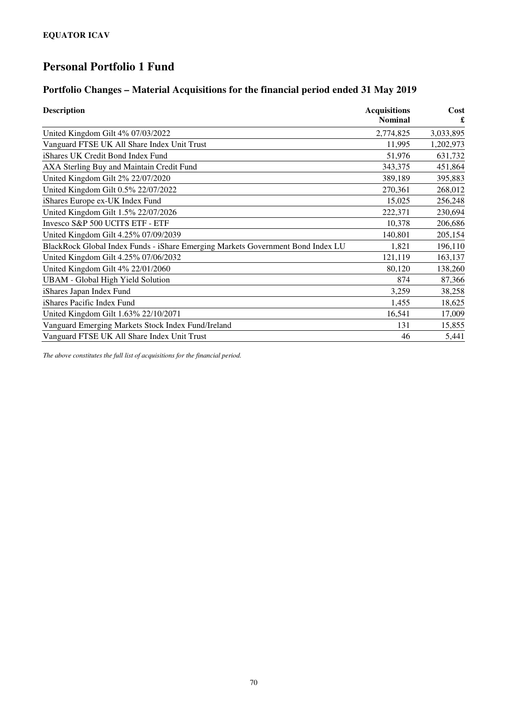# **Portfolio Changes – Material Acquisitions for the financial period ended 31 May 2019**

| <b>Description</b>                                                              | <b>Acquisitions</b><br><b>Nominal</b> | Cost<br>£ |
|---------------------------------------------------------------------------------|---------------------------------------|-----------|
| United Kingdom Gilt 4% 07/03/2022                                               | 2,774,825                             | 3,033,895 |
| Vanguard FTSE UK All Share Index Unit Trust                                     | 11,995                                | 1,202,973 |
| iShares UK Credit Bond Index Fund                                               | 51,976                                | 631,732   |
| AXA Sterling Buy and Maintain Credit Fund                                       | 343,375                               | 451,864   |
| United Kingdom Gilt 2% 22/07/2020                                               | 389,189                               | 395,883   |
| United Kingdom Gilt 0.5% 22/07/2022                                             | 270,361                               | 268,012   |
| iShares Europe ex-UK Index Fund                                                 | 15,025                                | 256,248   |
| United Kingdom Gilt 1.5% 22/07/2026                                             | 222,371                               | 230,694   |
| Invesco S&P 500 UCITS ETF - ETF                                                 | 10,378                                | 206,686   |
| United Kingdom Gilt 4.25% 07/09/2039                                            | 140,801                               | 205,154   |
| BlackRock Global Index Funds - iShare Emerging Markets Government Bond Index LU | 1,821                                 | 196,110   |
| United Kingdom Gilt 4.25% 07/06/2032                                            | 121,119                               | 163,137   |
| United Kingdom Gilt 4% 22/01/2060                                               | 80,120                                | 138,260   |
| <b>UBAM</b> - Global High Yield Solution                                        | 874                                   | 87,366    |
| iShares Japan Index Fund                                                        | 3,259                                 | 38,258    |
| iShares Pacific Index Fund                                                      | 1,455                                 | 18,625    |
| United Kingdom Gilt 1.63% 22/10/2071                                            | 16,541                                | 17,009    |
| Vanguard Emerging Markets Stock Index Fund/Ireland                              | 131                                   | 15,855    |
| Vanguard FTSE UK All Share Index Unit Trust                                     | 46                                    | 5,441     |

*The above constitutes the full list of acquisitions for the financial period.*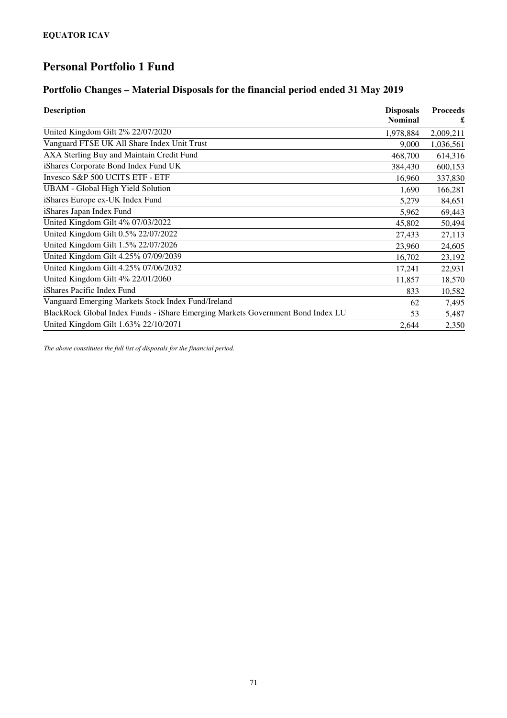#### **Portfolio Changes – Material Disposals for the financial period ended 31 May 2019**

| <b>Description</b>                                                              | <b>Disposals</b><br><b>Nominal</b> | <b>Proceeds</b> |
|---------------------------------------------------------------------------------|------------------------------------|-----------------|
| United Kingdom Gilt 2% 22/07/2020                                               | 1,978,884                          | 2,009,211       |
| Vanguard FTSE UK All Share Index Unit Trust                                     | 9,000                              | 1,036,561       |
| AXA Sterling Buy and Maintain Credit Fund                                       | 468,700                            | 614,316         |
| iShares Corporate Bond Index Fund UK                                            | 384,430                            | 600,153         |
| Invesco S&P 500 UCITS ETF - ETF                                                 | 16,960                             | 337,830         |
| <b>UBAM</b> - Global High Yield Solution                                        | 1,690                              | 166,281         |
| iShares Europe ex-UK Index Fund                                                 | 5,279                              | 84,651          |
| iShares Japan Index Fund                                                        | 5,962                              | 69,443          |
| United Kingdom Gilt 4% 07/03/2022                                               | 45,802                             | 50,494          |
| United Kingdom Gilt 0.5% 22/07/2022                                             | 27,433                             | 27,113          |
| United Kingdom Gilt 1.5% 22/07/2026                                             | 23,960                             | 24,605          |
| United Kingdom Gilt 4.25% 07/09/2039                                            | 16,702                             | 23,192          |
| United Kingdom Gilt 4.25% 07/06/2032                                            | 17,241                             | 22,931          |
| United Kingdom Gilt 4% 22/01/2060                                               | 11,857                             | 18,570          |
| iShares Pacific Index Fund                                                      | 833                                | 10,582          |
| Vanguard Emerging Markets Stock Index Fund/Ireland                              | 62                                 | 7,495           |
| BlackRock Global Index Funds - iShare Emerging Markets Government Bond Index LU | 53                                 | 5,487           |
| United Kingdom Gilt 1.63% 22/10/2071                                            | 2,644                              | 2,350           |

*The above constitutes the full list of disposals for the financial period.*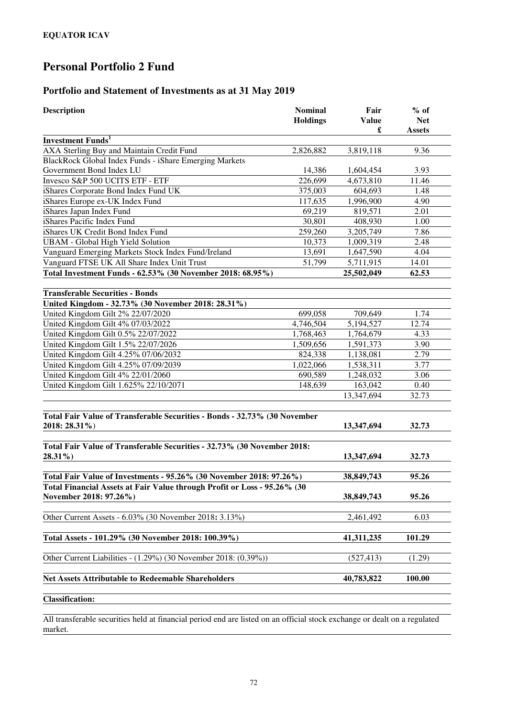### **Portfolio and Statement of Investments as at 31 May 2019**

| <b>Description</b>                                                                                 | <b>Nominal</b><br><b>Holdings</b> | Fair<br><b>Value</b><br>£ | $%$ of<br><b>Net</b><br><b>Assets</b> |
|----------------------------------------------------------------------------------------------------|-----------------------------------|---------------------------|---------------------------------------|
| <b>Investment Funds</b> <sup>1</sup>                                                               |                                   |                           |                                       |
| AXA Sterling Buy and Maintain Credit Fund                                                          | 2,826,882                         | 3,819,118                 | 9.36                                  |
| BlackRock Global Index Funds - iShare Emerging Markets                                             |                                   |                           |                                       |
| Government Bond Index LU                                                                           | 14,386                            | 1,604,454                 | 3.93                                  |
| Invesco S&P 500 UCITS ETF - ETF                                                                    | 226,699                           | 4,673,810                 | 11.46                                 |
| iShares Corporate Bond Index Fund UK                                                               | 375,003                           | 604,693                   | 1.48                                  |
| iShares Europe ex-UK Index Fund                                                                    | 117,635                           | 1,996,900                 | 4.90                                  |
| iShares Japan Index Fund                                                                           | 69,219                            | 819,571                   | 2.01                                  |
| iShares Pacific Index Fund                                                                         | 30,801                            | 408,930                   | 1.00                                  |
| iShares UK Credit Bond Index Fund                                                                  | 259,260                           | 3,205,749                 | 7.86                                  |
| <b>UBAM</b> - Global High Yield Solution                                                           | 10,373                            | 1,009,319                 | 2.48                                  |
| Vanguard Emerging Markets Stock Index Fund/Ireland                                                 | 13,691                            | 1,647,590                 | 4.04                                  |
| Vanguard FTSE UK All Share Index Unit Trust                                                        | 51,799                            | 5,711,915                 | 14.01                                 |
| Total Investment Funds - 62.53% (30 November 2018: 68.95%)                                         |                                   | 25,502,049                | 62.53                                 |
| <b>Transferable Securities - Bonds</b><br>United Kingdom - 32.73% (30 November 2018: 28.31%)       |                                   |                           |                                       |
| United Kingdom Gilt 2% 22/07/2020                                                                  | 699,058                           | 709,649                   | 1.74                                  |
| United Kingdom Gilt 4% 07/03/2022                                                                  | 4,746,504                         | 5,194,527                 | 12.74                                 |
| United Kingdom Gilt 0.5% 22/07/2022                                                                | 1,768,463                         | 1,764,679                 | 4.33                                  |
| United Kingdom Gilt 1.5% 22/07/2026                                                                | 1,509,656                         | 1,591,373                 | 3.90                                  |
| United Kingdom Gilt 4.25% 07/06/2032                                                               | 824,338                           | 1,138,081                 | 2.79                                  |
| United Kingdom Gilt 4.25% 07/09/2039                                                               | 1,022,066                         | 1,538,311                 | 3.77                                  |
| United Kingdom Gilt 4% 22/01/2060                                                                  | 690,589                           | 1,248,032                 | 3.06                                  |
| United Kingdom Gilt 1.625% 22/10/2071                                                              | 148,639                           | 163,042                   | 0.40                                  |
|                                                                                                    |                                   | 13,347,694                | 32.73                                 |
| Total Fair Value of Transferable Securities - Bonds - 32.73% (30 November                          |                                   |                           |                                       |
| 2018: 28.31%)                                                                                      |                                   | 13,347,694                | 32.73                                 |
| Total Fair Value of Transferable Securities - 32.73% (30 November 2018:                            |                                   |                           |                                       |
| 28.31%)                                                                                            |                                   | 13,347,694                | 32.73                                 |
| Total Fair Value of Investments - 95.26% (30 November 2018: 97.26%)                                |                                   | 38,849,743                | 95.26                                 |
| Total Financial Assets at Fair Value through Profit or Loss - 95.26% (30<br>November 2018: 97.26%) |                                   | 38,849,743                | 95.26                                 |
| Other Current Assets - 6.03% (30 November 2018: 3.13%)                                             |                                   | 2,461,492                 | 6.03                                  |
| Total Assets - 101.29% (30 November 2018: 100.39%)                                                 |                                   | 41, 311, 235              | 101.29                                |
| Other Current Liabilities - (1.29%) (30 November 2018: (0.39%))                                    |                                   | (527, 413)                | (1.29)                                |
| <b>Net Assets Attributable to Redeemable Shareholders</b>                                          |                                   | 40,783,822                | 100.00                                |
| <b>Classification:</b>                                                                             |                                   |                           |                                       |

All transferable securities held at financial period end are listed on an official stock exchange or dealt on a regulated market.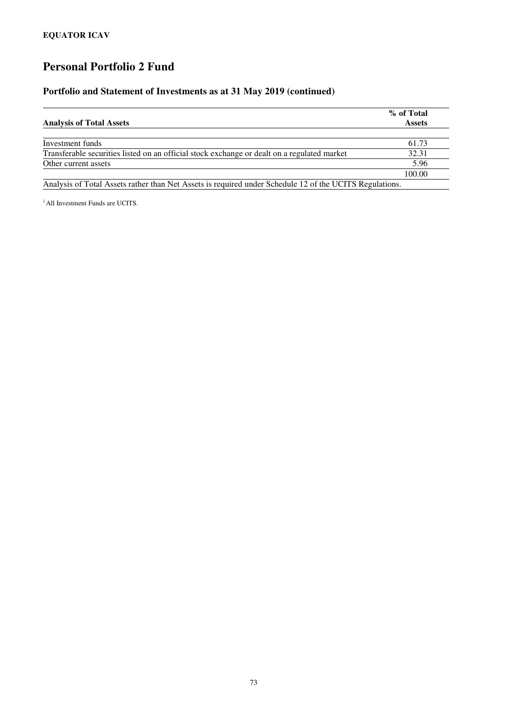#### **Portfolio and Statement of Investments as at 31 May 2019 (continued)**

| <b>Analysis of Total Assets</b>                                                                         | % of Total<br><b>Assets</b> |
|---------------------------------------------------------------------------------------------------------|-----------------------------|
|                                                                                                         |                             |
| Investment funds                                                                                        | 61.73                       |
| Transferable securities listed on an official stock exchange or dealt on a regulated market             | 32.31                       |
| Other current assets                                                                                    | 5.96                        |
|                                                                                                         | 100.00                      |
| Analysis of Total Assets rather than Net Assets is required under Schedule 12 of the UCITS Regulations. |                             |

<sup>1</sup> All Investment Funds are UCITS.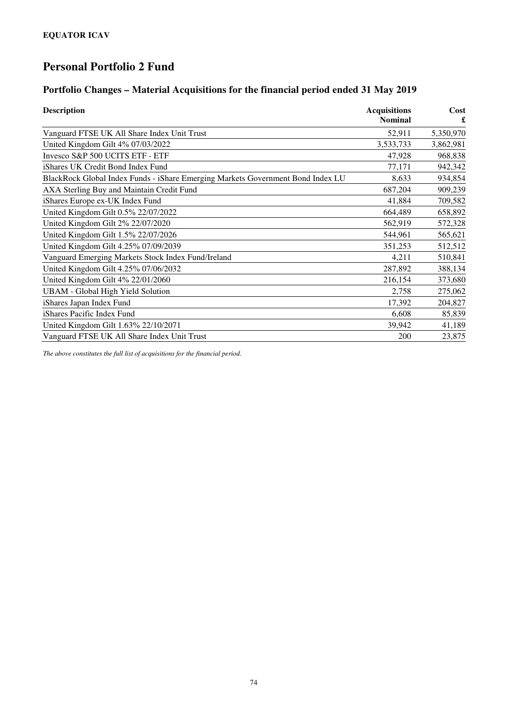# **Portfolio Changes – Material Acquisitions for the financial period ended 31 May 2019**

| <b>Description</b>                                                              | <b>Acquisitions</b><br><b>Nominal</b> | Cost<br>£ |
|---------------------------------------------------------------------------------|---------------------------------------|-----------|
| Vanguard FTSE UK All Share Index Unit Trust                                     | 52,911                                | 5,350,970 |
| United Kingdom Gilt 4% 07/03/2022                                               | 3,533,733                             | 3,862,981 |
| Invesco S&P 500 UCITS ETF - ETF                                                 | 47,928                                | 968,838   |
| iShares UK Credit Bond Index Fund                                               | 77,171                                | 942,342   |
| BlackRock Global Index Funds - iShare Emerging Markets Government Bond Index LU | 8,633                                 | 934,854   |
| AXA Sterling Buy and Maintain Credit Fund                                       | 687,204                               | 909,239   |
| iShares Europe ex-UK Index Fund                                                 | 41,884                                | 709,582   |
| United Kingdom Gilt 0.5% 22/07/2022                                             | 664,489                               | 658,892   |
| United Kingdom Gilt 2% 22/07/2020                                               | 562,919                               | 572,328   |
| United Kingdom Gilt 1.5% 22/07/2026                                             | 544,961                               | 565,621   |
| United Kingdom Gilt 4.25% 07/09/2039                                            | 351,253                               | 512,512   |
| Vanguard Emerging Markets Stock Index Fund/Ireland                              | 4,211                                 | 510,841   |
| United Kingdom Gilt 4.25% 07/06/2032                                            | 287,892                               | 388,134   |
| United Kingdom Gilt 4% 22/01/2060                                               | 216,154                               | 373,680   |
| <b>UBAM</b> - Global High Yield Solution                                        | 2,758                                 | 275,062   |
| iShares Japan Index Fund                                                        | 17,392                                | 204,827   |
| iShares Pacific Index Fund                                                      | 6,608                                 | 85,839    |
| United Kingdom Gilt 1.63% 22/10/2071                                            | 39,942                                | 41,189    |
| Vanguard FTSE UK All Share Index Unit Trust                                     | 200                                   | 23,875    |

*The above constitutes the full list of acquisitions for the financial period.*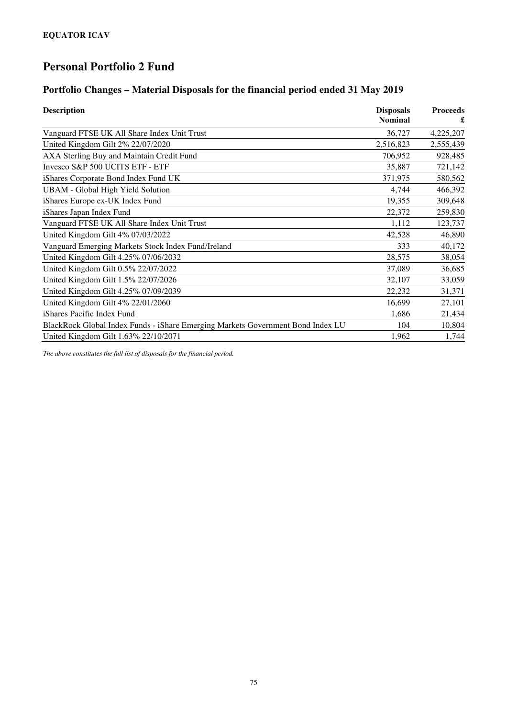#### **Portfolio Changes – Material Disposals for the financial period ended 31 May 2019**

| <b>Description</b>                                                              | <b>Disposals</b> | <b>Proceeds</b> |
|---------------------------------------------------------------------------------|------------------|-----------------|
|                                                                                 | <b>Nominal</b>   | £               |
| Vanguard FTSE UK All Share Index Unit Trust                                     | 36,727           | 4,225,207       |
| United Kingdom Gilt 2% 22/07/2020                                               | 2,516,823        | 2,555,439       |
| AXA Sterling Buy and Maintain Credit Fund                                       | 706,952          | 928,485         |
| Invesco S&P 500 UCITS ETF - ETF                                                 | 35,887           | 721,142         |
| iShares Corporate Bond Index Fund UK                                            | 371,975          | 580,562         |
| <b>UBAM</b> - Global High Yield Solution                                        | 4,744            | 466,392         |
| iShares Europe ex-UK Index Fund                                                 | 19,355           | 309,648         |
| iShares Japan Index Fund                                                        | 22,372           | 259,830         |
| Vanguard FTSE UK All Share Index Unit Trust                                     | 1,112            | 123,737         |
| United Kingdom Gilt 4% 07/03/2022                                               | 42,528           | 46,890          |
| Vanguard Emerging Markets Stock Index Fund/Ireland                              | 333              | 40,172          |
| United Kingdom Gilt 4.25% 07/06/2032                                            | 28,575           | 38,054          |
| United Kingdom Gilt 0.5% 22/07/2022                                             | 37,089           | 36,685          |
| United Kingdom Gilt 1.5% 22/07/2026                                             | 32,107           | 33,059          |
| United Kingdom Gilt 4.25% 07/09/2039                                            | 22,232           | 31,371          |
| United Kingdom Gilt 4% 22/01/2060                                               | 16,699           | 27,101          |
| iShares Pacific Index Fund                                                      | 1,686            | 21,434          |
| BlackRock Global Index Funds - iShare Emerging Markets Government Bond Index LU | 104              | 10,804          |
| United Kingdom Gilt 1.63% 22/10/2071                                            | 1,962            | 1,744           |

*The above constitutes the full list of disposals for the financial period.*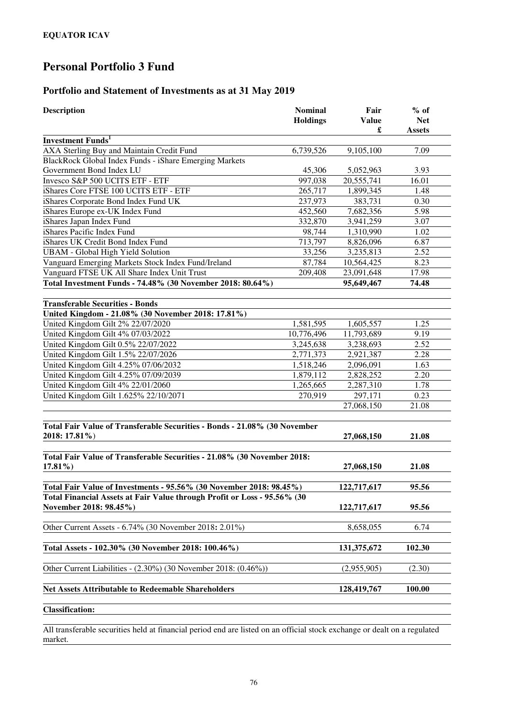### **Portfolio and Statement of Investments as at 31 May 2019**

| <b>Description</b>                                                                                 | <b>Nominal</b><br><b>Holdings</b> | Fair<br><b>Value</b><br>£ | $%$ of<br><b>Net</b><br><b>Assets</b> |
|----------------------------------------------------------------------------------------------------|-----------------------------------|---------------------------|---------------------------------------|
| <b>Investment Funds</b> <sup>1</sup>                                                               |                                   |                           |                                       |
| AXA Sterling Buy and Maintain Credit Fund                                                          | 6,739,526                         | 9,105,100                 | 7.09                                  |
| BlackRock Global Index Funds - iShare Emerging Markets                                             |                                   |                           |                                       |
| Government Bond Index LU                                                                           | 45,306                            | 5,052,963                 | 3.93                                  |
| Invesco S&P 500 UCITS ETF - ETF                                                                    | 997,038                           | 20,555,741                | 16.01                                 |
| iShares Core FTSE 100 UCITS ETF - ETF                                                              | 265,717                           | 1,899,345                 | 1.48                                  |
| iShares Corporate Bond Index Fund UK                                                               | 237,973                           | 383,731                   | 0.30                                  |
| iShares Europe ex-UK Index Fund                                                                    | 452,560                           | 7,682,356                 | 5.98                                  |
| iShares Japan Index Fund                                                                           | 332,870                           | 3,941,259                 | 3.07                                  |
| iShares Pacific Index Fund                                                                         | 98,744                            | 1,310,990                 | 1.02                                  |
| iShares UK Credit Bond Index Fund                                                                  | 713,797                           | 8,826,096                 | 6.87                                  |
| <b>UBAM - Global High Yield Solution</b>                                                           | 33,256                            | 3,235,813                 | 2.52                                  |
| Vanguard Emerging Markets Stock Index Fund/Ireland                                                 | 87,784                            | 10,564,425                | 8.23                                  |
| Vanguard FTSE UK All Share Index Unit Trust                                                        | 209,408                           | 23,091,648                | 17.98                                 |
| Total Investment Funds - 74.48% (30 November 2018: 80.64%)                                         |                                   | 95,649,467                | 74.48                                 |
| <b>Transferable Securities - Bonds</b>                                                             |                                   |                           |                                       |
| United Kingdom - 21.08% (30 November 2018: 17.81%)                                                 |                                   |                           |                                       |
| United Kingdom Gilt 2% 22/07/2020                                                                  | 1,581,595                         | 1,605,557                 | 1.25                                  |
| United Kingdom Gilt 4% 07/03/2022                                                                  | 10,776,496                        | 11,793,689                | 9.19                                  |
| United Kingdom Gilt 0.5% 22/07/2022                                                                | 3,245,638                         | 3,238,693                 | 2.52                                  |
| United Kingdom Gilt 1.5% 22/07/2026                                                                | 2,771,373                         | 2,921,387                 | 2.28                                  |
| United Kingdom Gilt 4.25% 07/06/2032                                                               | 1,518,246                         | 2,096,091                 | 1.63                                  |
| United Kingdom Gilt 4.25% 07/09/2039                                                               | 1,879,112                         | 2,828,252                 | 2.20                                  |
| United Kingdom Gilt 4% 22/01/2060                                                                  | 1,265,665                         | 2,287,310                 | 1.78                                  |
| United Kingdom Gilt 1.625% 22/10/2071                                                              | 270,919                           | 297,171                   | 0.23                                  |
|                                                                                                    |                                   | 27,068,150                | 21.08                                 |
| Total Fair Value of Transferable Securities - Bonds - 21.08% (30 November<br>2018: 17.81%)         |                                   | 27,068,150                | 21.08                                 |
| Total Fair Value of Transferable Securities - 21.08% (30 November 2018:<br>$17.81\%$               |                                   | 27,068,150                | 21.08                                 |
| Total Fair Value of Investments - 95.56% (30 November 2018: 98.45%)                                |                                   | 122,717,617               | 95.56                                 |
| Total Financial Assets at Fair Value through Profit or Loss - 95.56% (30<br>November 2018: 98.45%) |                                   | 122,717,617               | 95.56                                 |
| Other Current Assets - 6.74% (30 November 2018: 2.01%)                                             |                                   | 8,658,055                 | 6.74                                  |
| Total Assets - 102.30% (30 November 2018: 100.46%)                                                 |                                   | 131, 375, 672             | 102.30                                |
| Other Current Liabilities - $(2.30\%)$ (30 November 2018: $(0.46\%)$ )                             |                                   | (2,955,905)               | (2.30)                                |
| <b>Net Assets Attributable to Redeemable Shareholders</b>                                          |                                   | 128,419,767               | 100.00                                |
| <b>Classification:</b>                                                                             |                                   |                           |                                       |

All transferable securities held at financial period end are listed on an official stock exchange or dealt on a regulated market.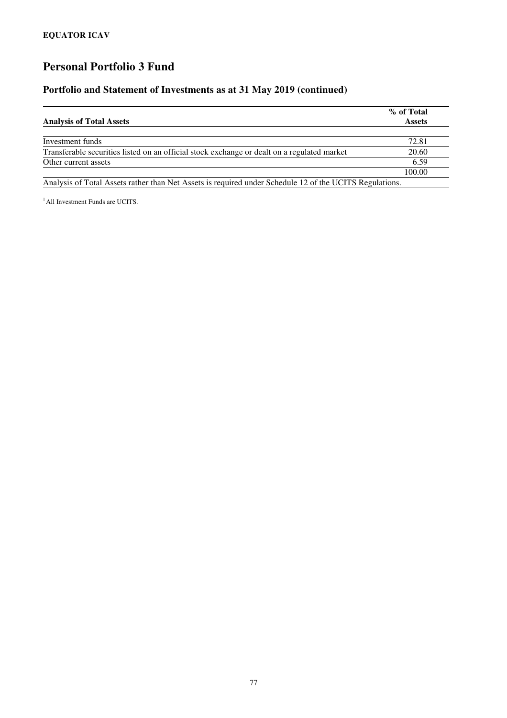### **Portfolio and Statement of Investments as at 31 May 2019 (continued)**

|                                                                                                         | % of Total    |
|---------------------------------------------------------------------------------------------------------|---------------|
| <b>Analysis of Total Assets</b>                                                                         | <b>Assets</b> |
|                                                                                                         |               |
| Investment funds                                                                                        | 72.81         |
| Transferable securities listed on an official stock exchange or dealt on a regulated market             | 20.60         |
| Other current assets                                                                                    | 6.59          |
|                                                                                                         | 100.00        |
| Analysis of Total Assets rather than Net Assets is required under Schedule 12 of the UCITS Regulations. |               |

<sup>1</sup> All Investment Funds are UCITS.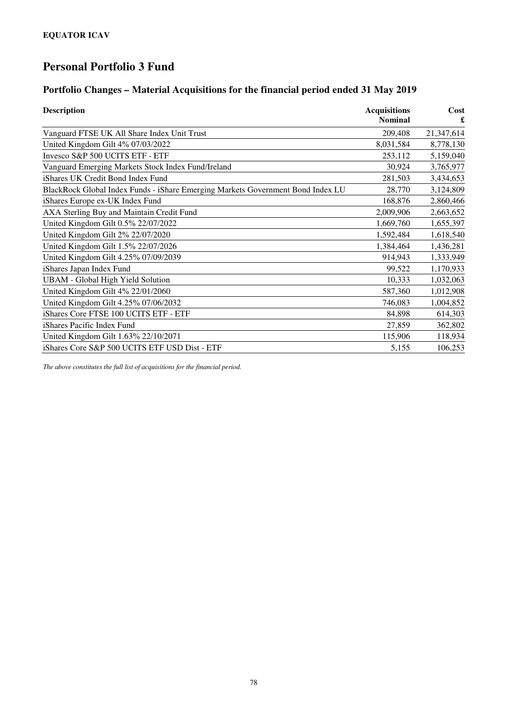### **Portfolio Changes – Material Acquisitions for the financial period ended 31 May 2019**

| <b>Description</b>                                                              | <b>Acquisitions</b><br><b>Nominal</b> | Cost<br>£  |
|---------------------------------------------------------------------------------|---------------------------------------|------------|
| Vanguard FTSE UK All Share Index Unit Trust                                     | 209,408                               | 21,347,614 |
| United Kingdom Gilt 4% 07/03/2022                                               | 8,031,584                             | 8,778,130  |
| Invesco S&P 500 UCITS ETF - ETF                                                 | 253,112                               | 5,159,040  |
| Vanguard Emerging Markets Stock Index Fund/Ireland                              | 30,924                                | 3,765,977  |
| iShares UK Credit Bond Index Fund                                               | 281,503                               | 3,434,653  |
| BlackRock Global Index Funds - iShare Emerging Markets Government Bond Index LU | 28,770                                | 3,124,809  |
| iShares Europe ex-UK Index Fund                                                 | 168,876                               | 2,860,466  |
| AXA Sterling Buy and Maintain Credit Fund                                       | 2,009,906                             | 2,663,652  |
| United Kingdom Gilt 0.5% 22/07/2022                                             | 1,669,760                             | 1,655,397  |
| United Kingdom Gilt 2% 22/07/2020                                               | 1,592,484                             | 1,618,540  |
| United Kingdom Gilt 1.5% 22/07/2026                                             | 1,384,464                             | 1,436,281  |
| United Kingdom Gilt 4.25% 07/09/2039                                            | 914,943                               | 1,333,949  |
| iShares Japan Index Fund                                                        | 99,522                                | 1,170,933  |
| <b>UBAM</b> - Global High Yield Solution                                        | 10,333                                | 1,032,063  |
| United Kingdom Gilt 4% 22/01/2060                                               | 587,360                               | 1,012,908  |
| United Kingdom Gilt 4.25% 07/06/2032                                            | 746,083                               | 1,004,852  |
| iShares Core FTSE 100 UCITS ETF - ETF                                           | 84,898                                | 614,303    |
| iShares Pacific Index Fund                                                      | 27,859                                | 362,802    |
| United Kingdom Gilt 1.63% 22/10/2071                                            | 115,906                               | 118,934    |
| iShares Core S&P 500 UCITS ETF USD Dist - ETF                                   | 5,155                                 | 106,253    |

*The above constitutes the full list of acquisitions for the financial period.*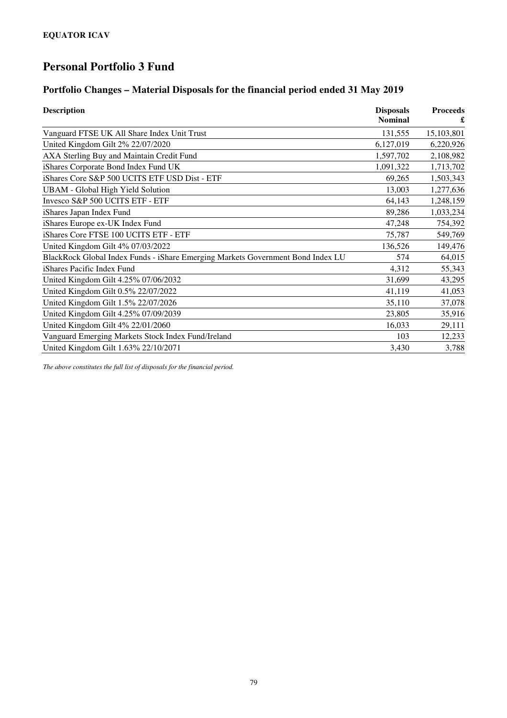#### **Portfolio Changes – Material Disposals for the financial period ended 31 May 2019**

| <b>Description</b>                                                              | <b>Disposals</b><br><b>Nominal</b> | <b>Proceeds</b> |
|---------------------------------------------------------------------------------|------------------------------------|-----------------|
|                                                                                 |                                    |                 |
| Vanguard FTSE UK All Share Index Unit Trust                                     | 131,555                            | 15,103,801      |
| United Kingdom Gilt 2% 22/07/2020                                               | 6,127,019                          | 6,220,926       |
| AXA Sterling Buy and Maintain Credit Fund                                       | 1,597,702                          | 2,108,982       |
| iShares Corporate Bond Index Fund UK                                            | 1,091,322                          | 1,713,702       |
| iShares Core S&P 500 UCITS ETF USD Dist - ETF                                   | 69,265                             | 1,503,343       |
| <b>UBAM</b> - Global High Yield Solution                                        | 13,003                             | 1,277,636       |
| Invesco S&P 500 UCITS ETF - ETF                                                 | 64,143                             | 1,248,159       |
| iShares Japan Index Fund                                                        | 89,286                             | 1,033,234       |
| iShares Europe ex-UK Index Fund                                                 | 47,248                             | 754,392         |
| iShares Core FTSE 100 UCITS ETF - ETF                                           | 75,787                             | 549,769         |
| United Kingdom Gilt 4% 07/03/2022                                               | 136,526                            | 149,476         |
| BlackRock Global Index Funds - iShare Emerging Markets Government Bond Index LU | 574                                | 64,015          |
| iShares Pacific Index Fund                                                      | 4,312                              | 55,343          |
| United Kingdom Gilt 4.25% 07/06/2032                                            | 31,699                             | 43,295          |
| United Kingdom Gilt 0.5% 22/07/2022                                             | 41,119                             | 41,053          |
| United Kingdom Gilt 1.5% 22/07/2026                                             | 35,110                             | 37,078          |
| United Kingdom Gilt 4.25% 07/09/2039                                            | 23,805                             | 35,916          |
| United Kingdom Gilt 4% 22/01/2060                                               | 16,033                             | 29,111          |
| Vanguard Emerging Markets Stock Index Fund/Ireland                              | 103                                | 12,233          |
| United Kingdom Gilt 1.63% 22/10/2071                                            | 3,430                              | 3,788           |

*The above constitutes the full list of disposals for the financial period.*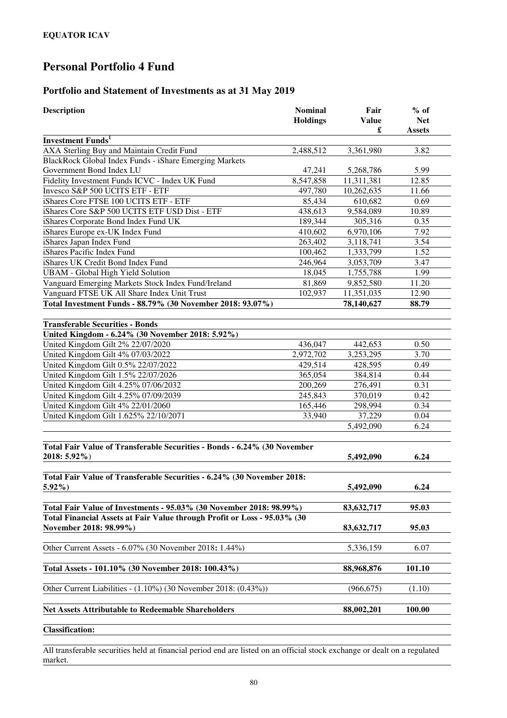### **Portfolio and Statement of Investments as at 31 May 2019**

| <b>Description</b>                                                                       | <b>Nominal</b><br><b>Holdings</b> | Fair<br><b>Value</b><br>£ | $%$ of<br><b>Net</b><br><b>Assets</b> |
|------------------------------------------------------------------------------------------|-----------------------------------|---------------------------|---------------------------------------|
| <b>Investment Funds</b> <sup>1</sup>                                                     |                                   |                           |                                       |
| AXA Sterling Buy and Maintain Credit Fund                                                | 2,488,512                         | 3,361,980                 | 3.82                                  |
| BlackRock Global Index Funds - iShare Emerging Markets                                   |                                   |                           |                                       |
| Government Bond Index LU                                                                 | 47,241                            | 5,268,786                 | 5.99                                  |
| Fidelity Investment Funds ICVC - Index UK Fund                                           | 8,547,858                         | 11,311,381                | 12.85                                 |
| Invesco S&P 500 UCITS ETF - ETF                                                          | 497,780                           | 10,262,635                | 11.66                                 |
| iShares Core FTSE 100 UCITS ETF - ETF                                                    | 85,434                            | 610,682                   | 0.69                                  |
| iShares Core S&P 500 UCITS ETF USD Dist - ETF                                            | 438,613                           | 9,584,089                 | 10.89                                 |
| iShares Corporate Bond Index Fund UK                                                     | 189,344                           | 305,316                   | 0.35                                  |
| iShares Europe ex-UK Index Fund                                                          | 410,602                           | 6,970,106                 | 7.92                                  |
| iShares Japan Index Fund                                                                 | 263,402                           | 3,118,741                 | 3.54                                  |
| iShares Pacific Index Fund                                                               | 100,462                           | 1,333,799                 | 1.52                                  |
| iShares UK Credit Bond Index Fund                                                        | 246,964                           | 3,053,709                 | 3.47                                  |
| <b>UBAM</b> - Global High Yield Solution                                                 | 18,045                            | 1,755,788                 | 1.99                                  |
| Vanguard Emerging Markets Stock Index Fund/Ireland                                       | 81,869                            | 9,852,580                 | 11.20                                 |
| Vanguard FTSE UK All Share Index Unit Trust                                              | 102,937                           | 11,351,035                | 12.90                                 |
| Total Investment Funds - 88.79% (30 November 2018: 93.07%)                               |                                   | 78,140,627                | 88.79                                 |
|                                                                                          |                                   |                           |                                       |
| <b>Transferable Securities - Bonds</b>                                                   |                                   |                           |                                       |
| United Kingdom - 6.24% (30 November 2018: 5.92%)                                         |                                   |                           |                                       |
| United Kingdom Gilt 2% 22/07/2020                                                        | 436,047                           | 442,653                   | 0.50                                  |
| United Kingdom Gilt 4% 07/03/2022                                                        | 2,972,702                         | 3,253,295                 | 3.70                                  |
| United Kingdom Gilt 0.5% 22/07/2022                                                      | 429,514                           | 428,595                   | 0.49                                  |
| United Kingdom Gilt 1.5% 22/07/2026                                                      | 365,054                           | 384,814                   | 0.44                                  |
| United Kingdom Gilt 4.25% 07/06/2032                                                     | 200,269                           | 276,491                   | 0.31                                  |
| United Kingdom Gilt 4.25% 07/09/2039                                                     | 245,843                           | 370,019                   | 0.42                                  |
| United Kingdom Gilt 4% 22/01/2060                                                        | 165,446                           | 298,994                   | 0.34                                  |
| United Kingdom Gilt 1.625% 22/10/2071                                                    | 33,940                            | 37,229                    | 0.04                                  |
|                                                                                          |                                   | 5,492,090                 | 6.24                                  |
| Total Fair Value of Transferable Securities - Bonds - 6.24% (30 November<br>2018: 5.92%) |                                   | 5,492,090                 | 6.24                                  |
|                                                                                          |                                   |                           |                                       |
| Total Fair Value of Transferable Securities - 6.24% (30 November 2018:<br>$5.92\%$ )     |                                   | 5,492,090                 | 6.24                                  |
|                                                                                          |                                   |                           |                                       |
| Total Fair Value of Investments - 95.03% (30 November 2018: 98.99%)                      |                                   | 83,632,717                | 95.03                                 |
| Total Financial Assets at Fair Value through Profit or Loss - 95.03% (30                 |                                   |                           |                                       |
| November 2018: 98.99%)                                                                   |                                   | 83, 632, 717              | 95.03                                 |
| Other Current Assets - 6.07% (30 November 2018: 1.44%)                                   |                                   | 5,336,159                 | 6.07                                  |
| Total Assets - 101.10% (30 November 2018: 100.43%)                                       |                                   | 88,968,876                | 101.10                                |
| Other Current Liabilities - (1.10%) (30 November 2018: (0.43%))                          |                                   | (966, 675)                | (1.10)                                |
| <b>Net Assets Attributable to Redeemable Shareholders</b>                                |                                   | 88,002,201                | 100.00                                |
| Clossification:                                                                          |                                   |                           |                                       |

**Classification:** 

All transferable securities held at financial period end are listed on an official stock exchange or dealt on a regulated market.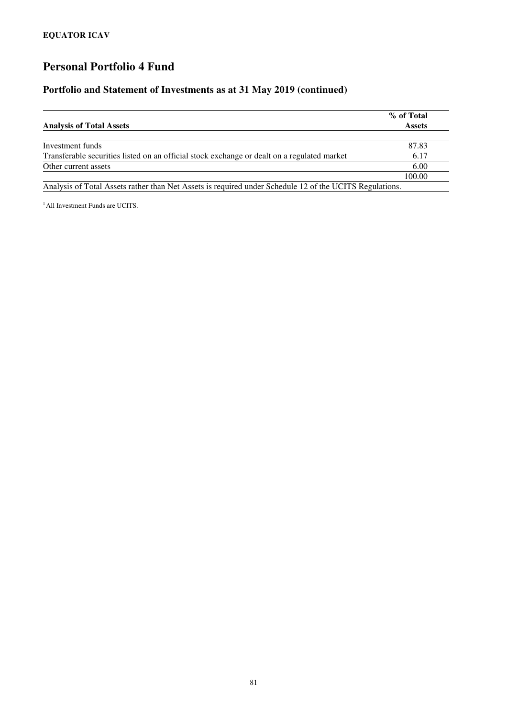#### **Portfolio and Statement of Investments as at 31 May 2019 (continued)**

| <b>Analysis of Total Assets</b>                                                                         | % of Total<br><b>Assets</b> |
|---------------------------------------------------------------------------------------------------------|-----------------------------|
|                                                                                                         |                             |
| Investment funds                                                                                        | 87.83                       |
| Transferable securities listed on an official stock exchange or dealt on a regulated market             | 6.17                        |
| Other current assets                                                                                    | 6.00                        |
|                                                                                                         | 100.00                      |
| Analysis of Total Assets rather than Net Assets is required under Schedule 12 of the UCITS Regulations. |                             |

<sup>1</sup> All Investment Funds are UCITS.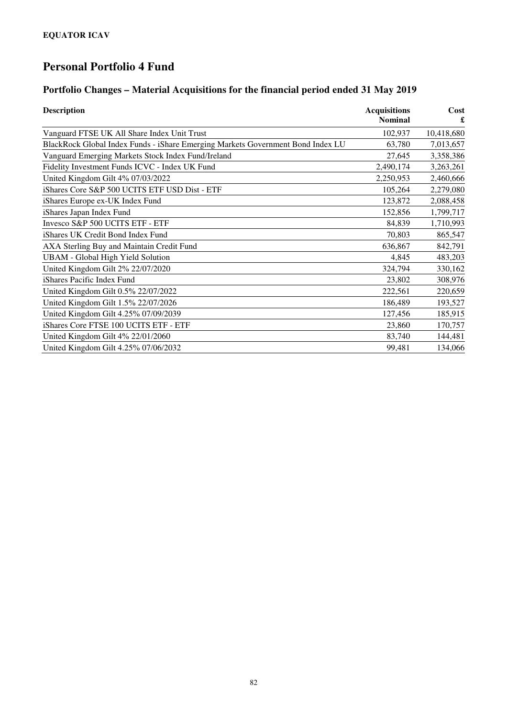### **Portfolio Changes – Material Acquisitions for the financial period ended 31 May 2019**

| <b>Description</b>                                                              | <b>Acquisitions</b><br><b>Nominal</b> | Cost<br>£  |
|---------------------------------------------------------------------------------|---------------------------------------|------------|
| Vanguard FTSE UK All Share Index Unit Trust                                     | 102,937                               | 10,418,680 |
| BlackRock Global Index Funds - iShare Emerging Markets Government Bond Index LU | 63,780                                | 7,013,657  |
| Vanguard Emerging Markets Stock Index Fund/Ireland                              | 27,645                                | 3,358,386  |
| Fidelity Investment Funds ICVC - Index UK Fund                                  | 2,490,174                             | 3,263,261  |
| United Kingdom Gilt 4% 07/03/2022                                               | 2,250,953                             | 2,460,666  |
| iShares Core S&P 500 UCITS ETF USD Dist - ETF                                   | 105,264                               | 2,279,080  |
| iShares Europe ex-UK Index Fund                                                 | 123,872                               | 2,088,458  |
| iShares Japan Index Fund                                                        | 152,856                               | 1,799,717  |
| Invesco S&P 500 UCITS ETF - ETF                                                 | 84,839                                | 1,710,993  |
| iShares UK Credit Bond Index Fund                                               | 70,803                                | 865,547    |
| AXA Sterling Buy and Maintain Credit Fund                                       | 636,867                               | 842,791    |
| <b>UBAM</b> - Global High Yield Solution                                        | 4,845                                 | 483,203    |
| United Kingdom Gilt 2% 22/07/2020                                               | 324,794                               | 330,162    |
| iShares Pacific Index Fund                                                      | 23,802                                | 308,976    |
| United Kingdom Gilt 0.5% 22/07/2022                                             | 222,561                               | 220,659    |
| United Kingdom Gilt 1.5% 22/07/2026                                             | 186,489                               | 193,527    |
| United Kingdom Gilt 4.25% 07/09/2039                                            | 127,456                               | 185,915    |
| iShares Core FTSE 100 UCITS ETF - ETF                                           | 23,860                                | 170,757    |
| United Kingdom Gilt 4% 22/01/2060                                               | 83,740                                | 144,481    |
| United Kingdom Gilt 4.25% 07/06/2032                                            | 99,481                                | 134,066    |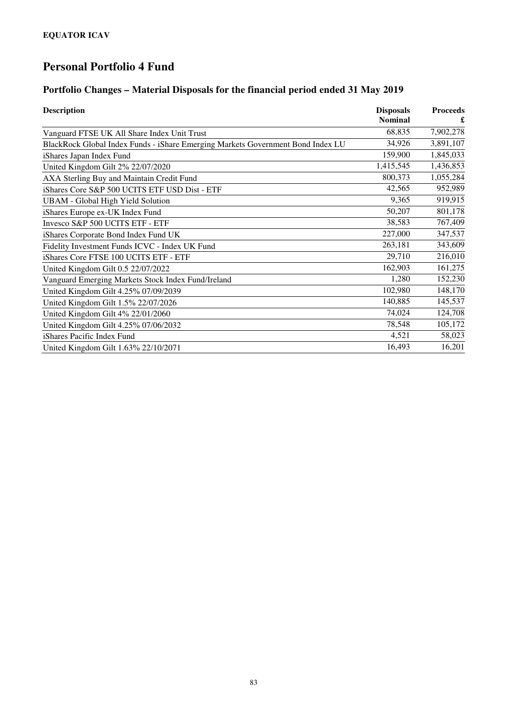### **Portfolio Changes – Material Disposals for the financial period ended 31 May 2019**

| <b>Description</b>                                                              | <b>Disposals</b> | <b>Proceeds</b> |
|---------------------------------------------------------------------------------|------------------|-----------------|
|                                                                                 | <b>Nominal</b>   |                 |
| Vanguard FTSE UK All Share Index Unit Trust                                     | 68,835           | 7,902,278       |
| BlackRock Global Index Funds - iShare Emerging Markets Government Bond Index LU | 34,926           | 3,891,107       |
| iShares Japan Index Fund                                                        | 159,900          | 1,845,033       |
| United Kingdom Gilt 2% 22/07/2020                                               | 1,415,545        | 1,436,853       |
| AXA Sterling Buy and Maintain Credit Fund                                       | 800,373          | 1,055,284       |
| iShares Core S&P 500 UCITS ETF USD Dist - ETF                                   | 42,565           | 952,989         |
| <b>UBAM</b> - Global High Yield Solution                                        | 9,365            | 919,915         |
| iShares Europe ex-UK Index Fund                                                 | 50,207           | 801,178         |
| Invesco S&P 500 UCITS ETF - ETF                                                 | 38,583           | 767,409         |
| iShares Corporate Bond Index Fund UK                                            | 227,000          | 347,537         |
| Fidelity Investment Funds ICVC - Index UK Fund                                  | 263,181          | 343,609         |
| iShares Core FTSE 100 UCITS ETF - ETF                                           | 29,710           | 216,010         |
| United Kingdom Gilt 0.5 22/07/2022                                              | 162,903          | 161,275         |
| Vanguard Emerging Markets Stock Index Fund/Ireland                              | 1,280            | 152,230         |
| United Kingdom Gilt 4.25% 07/09/2039                                            | 102,980          | 148,170         |
| United Kingdom Gilt 1.5% 22/07/2026                                             | 140,885          | 145,537         |
| United Kingdom Gilt 4% 22/01/2060                                               | 74,024           | 124,708         |
| United Kingdom Gilt 4.25% 07/06/2032                                            | 78,548           | 105,172         |
| iShares Pacific Index Fund                                                      | 4,521            | 58,023          |
| United Kingdom Gilt 1.63% 22/10/2071                                            | 16,493           | 16,201          |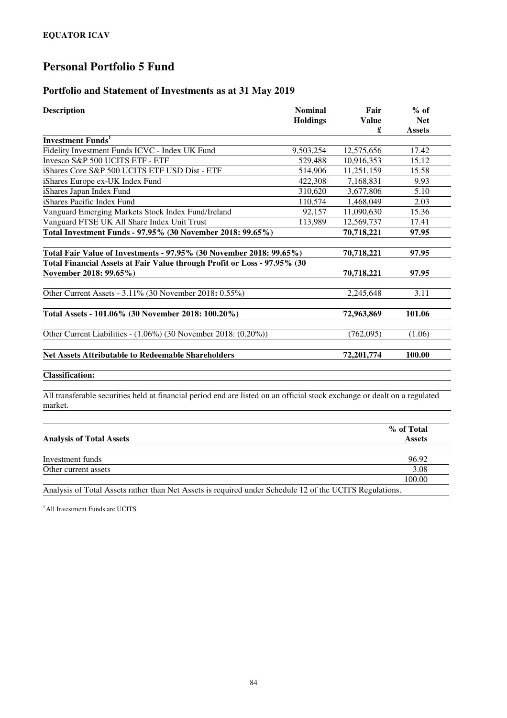### **Portfolio and Statement of Investments as at 31 May 2019**

| <b>Description</b>                                                                                                                   | <b>Nominal</b><br><b>Holdings</b> | Fair<br>Value<br>£ | $%$ of<br><b>Net</b><br><b>Assets</b> |
|--------------------------------------------------------------------------------------------------------------------------------------|-----------------------------------|--------------------|---------------------------------------|
| <b>Investment Funds</b> <sup>1</sup>                                                                                                 |                                   |                    |                                       |
| Fidelity Investment Funds ICVC - Index UK Fund                                                                                       | 9,503,254                         | 12,575,656         | 17.42                                 |
| Invesco S&P 500 UCITS ETF - ETF                                                                                                      | 529,488                           | 10,916,353         | 15.12                                 |
| iShares Core S&P 500 UCITS ETF USD Dist - ETF                                                                                        | 514,906                           | 11,251,159         | 15.58                                 |
| iShares Europe ex-UK Index Fund                                                                                                      | 422,308                           | 7,168,831          | 9.93                                  |
| iShares Japan Index Fund                                                                                                             | 310,620                           | 3,677,806          | 5.10                                  |
| iShares Pacific Index Fund                                                                                                           | 110,574                           | 1,468,049          | 2.03                                  |
| Vanguard Emerging Markets Stock Index Fund/Ireland                                                                                   | 92,157                            | 11,090,630         | 15.36                                 |
| Vanguard FTSE UK All Share Index Unit Trust                                                                                          | 113,989                           | 12,569,737         | 17.41                                 |
| Total Investment Funds - 97.95% (30 November 2018: 99.65%)                                                                           |                                   | 70,718,221         | 97.95                                 |
| Total Fair Value of Investments - 97.95% (30 November 2018: 99.65%)                                                                  |                                   | 70,718,221         | 97.95                                 |
| Total Financial Assets at Fair Value through Profit or Loss - 97.95% (30<br>November 2018: 99.65%)                                   |                                   | 70,718,221         | 97.95                                 |
| Other Current Assets - 3.11% (30 November 2018: 0.55%)                                                                               |                                   | 2,245,648          | 3.11                                  |
| Total Assets - 101.06% (30 November 2018: 100.20%)                                                                                   |                                   | 72,963,869         | 101.06                                |
| Other Current Liabilities - (1.06%) (30 November 2018: (0.20%))                                                                      |                                   | (762,095)          | (1.06)                                |
| <b>Net Assets Attributable to Redeemable Shareholders</b>                                                                            |                                   | 72,201,774         | 100.00                                |
| <b>Classification:</b>                                                                                                               |                                   |                    |                                       |
| All transferable securities held at financial period end are listed on an official stock exchange or dealt on a regulated<br>market. |                                   |                    |                                       |

|                                                                                                         | % of Total    |
|---------------------------------------------------------------------------------------------------------|---------------|
| <b>Analysis of Total Assets</b>                                                                         | <b>Assets</b> |
| Investment funds                                                                                        | 96.92         |
| Other current assets                                                                                    | 3.08          |
|                                                                                                         | 100.00        |
| Analysis of Total Assets rather than Net Assets is required under Schedule 12 of the UCITS Regulations. |               |

<sup>1</sup> All Investment Funds are UCITS.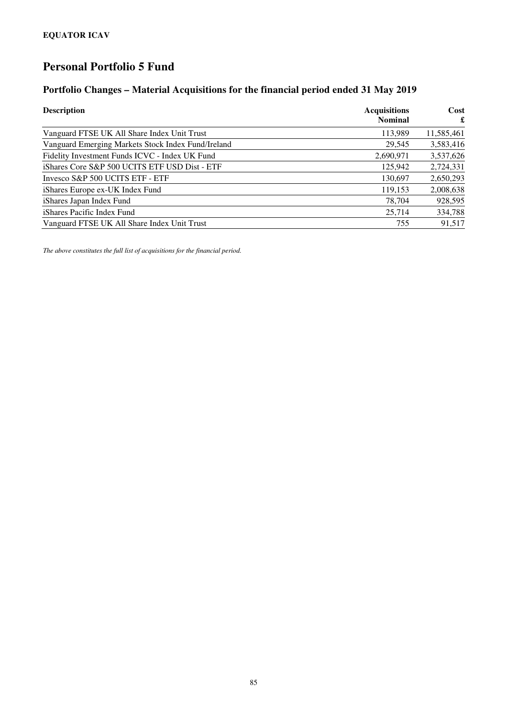### **Portfolio Changes – Material Acquisitions for the financial period ended 31 May 2019**

| <b>Description</b>                                 | <b>Acquisitions</b> | Cost       |  |
|----------------------------------------------------|---------------------|------------|--|
|                                                    | <b>Nominal</b>      | £          |  |
| Vanguard FTSE UK All Share Index Unit Trust        | 113,989             | 11,585,461 |  |
| Vanguard Emerging Markets Stock Index Fund/Ireland | 29,545              | 3,583,416  |  |
| Fidelity Investment Funds ICVC - Index UK Fund     | 2,690,971           | 3,537,626  |  |
| iShares Core S&P 500 UCITS ETF USD Dist - ETF      | 125,942             | 2,724,331  |  |
| Invesco S&P 500 UCITS ETF - ETF                    | 130,697             | 2,650,293  |  |
| iShares Europe ex-UK Index Fund                    | 119,153             | 2,008,638  |  |
| iShares Japan Index Fund                           | 78,704              | 928,595    |  |
| iShares Pacific Index Fund                         | 25,714              | 334,788    |  |
| Vanguard FTSE UK All Share Index Unit Trust        | 755                 | 91,517     |  |

*The above constitutes the full list of acquisitions for the financial period.*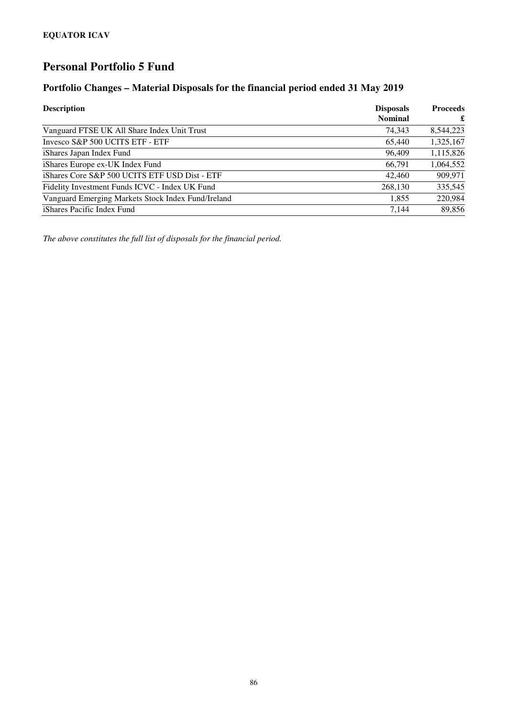# **Portfolio Changes – Material Disposals for the financial period ended 31 May 2019**

| <b>Description</b>                                 | <b>Disposals</b><br><b>Nominal</b> | <b>Proceeds</b><br>£ |
|----------------------------------------------------|------------------------------------|----------------------|
| Vanguard FTSE UK All Share Index Unit Trust        | 74.343                             | 8.544.223            |
| Invesco S&P 500 UCITS ETF - ETF                    | 65,440                             | 1,325,167            |
| iShares Japan Index Fund                           | 96,409                             | 1,115,826            |
| iShares Europe ex-UK Index Fund                    | 66,791                             | 1,064,552            |
| iShares Core S&P 500 UCITS ETF USD Dist - ETF      | 42,460                             | 909,971              |
| Fidelity Investment Funds ICVC - Index UK Fund     | 268,130                            | 335,545              |
| Vanguard Emerging Markets Stock Index Fund/Ireland | 1.855                              | 220,984              |
| iShares Pacific Index Fund                         | 7.144                              | 89,856               |

*The above constitutes the full list of disposals for the financial period.*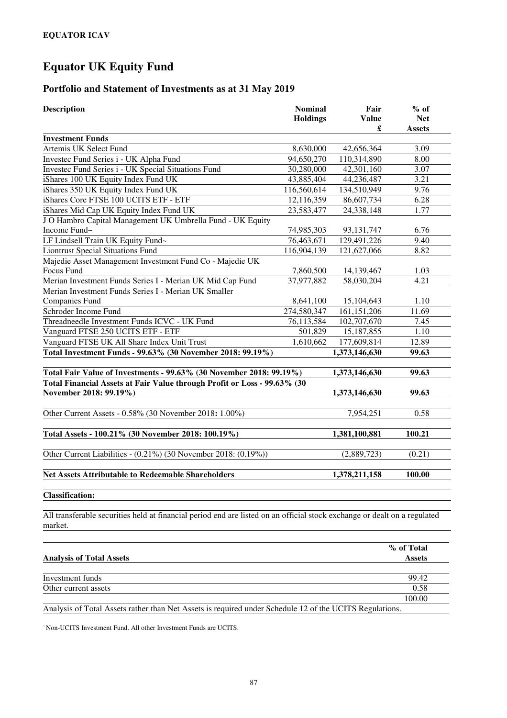#### **Portfolio and Statement of Investments as at 31 May 2019**

| <b>Description</b>                                                                                 | <b>Nominal</b><br><b>Holdings</b> | Fair<br><b>Value</b><br>£ | $%$ of<br><b>Net</b><br><b>Assets</b> |
|----------------------------------------------------------------------------------------------------|-----------------------------------|---------------------------|---------------------------------------|
| <b>Investment Funds</b>                                                                            |                                   |                           |                                       |
| Artemis UK Select Fund                                                                             | 8,630,000                         | 42,656,364                | 3.09                                  |
| Investec Fund Series i - UK Alpha Fund                                                             | 94,650,270                        | 110,314,890               | 8.00                                  |
| Investec Fund Series i - UK Special Situations Fund                                                | 30,280,000                        | 42,301,160                | 3.07                                  |
| iShares 100 UK Equity Index Fund UK                                                                | 43,885,404                        | 44,236,487                | 3.21                                  |
| iShares 350 UK Equity Index Fund UK                                                                | 116,560,614                       | 134,510,949               | 9.76                                  |
| iShares Core FTSE 100 UCITS ETF - ETF                                                              | 12,116,359                        | 86,607,734                | 6.28                                  |
| iShares Mid Cap UK Equity Index Fund UK                                                            | 23,583,477                        | 24,338,148                | 1.77                                  |
| J O Hambro Capital Management UK Umbrella Fund - UK Equity                                         |                                   |                           |                                       |
| Income Fund~                                                                                       | 74,985,303                        | 93, 131, 747              | 6.76                                  |
| LF Lindsell Train UK Equity Fund~                                                                  | 76,463,671                        | 129,491,226               | 9.40                                  |
| <b>Liontrust Special Situations Fund</b>                                                           | 116,904,139                       | 121,627,066               | 8.82                                  |
| Majedie Asset Management Investment Fund Co - Majedie UK                                           |                                   |                           |                                       |
| Focus Fund                                                                                         | 7,860,500                         | 14,139,467                | 1.03                                  |
| Merian Investment Funds Series I - Merian UK Mid Cap Fund                                          | 37,977,882                        | 58,030,204                | 4.21                                  |
| Merian Investment Funds Series I - Merian UK Smaller                                               |                                   |                           |                                       |
| <b>Companies Fund</b>                                                                              | 8,641,100                         | 15,104,643                | 1.10                                  |
| Schroder Income Fund                                                                               | 274,580,347                       | 161, 151, 206             | 11.69                                 |
| Threadneedle Investment Funds ICVC - UK Fund                                                       | 76,113,584                        | 102,707,670               | 7.45                                  |
| Vanguard FTSE 250 UCITS ETF - ETF                                                                  | 501,829                           | 15,187,855                | 1.10                                  |
| Vanguard FTSE UK All Share Index Unit Trust                                                        | 1,610,662                         | 177,609,814               | 12.89                                 |
| Total Investment Funds - 99.63% (30 November 2018: 99.19%)                                         |                                   | 1,373,146,630             | 99.63                                 |
| Total Fair Value of Investments - 99.63% (30 November 2018: 99.19%)                                |                                   | 1,373,146,630             | 99.63                                 |
| Total Financial Assets at Fair Value through Profit or Loss - 99.63% (30<br>November 2018: 99.19%) |                                   | 1,373,146,630             | 99.63                                 |
| Other Current Assets - 0.58% (30 November 2018: 1.00%)                                             |                                   | 7,954,251                 | 0.58                                  |
| Total Assets - 100.21% (30 November 2018: 100.19%)                                                 |                                   | 1,381,100,881             | 100.21                                |
| Other Current Liabilities - $(0.21\%)$ (30 November 2018: $(0.19\%)$ )                             |                                   | (2,889,723)               | (0.21)                                |
| <b>Net Assets Attributable to Redeemable Shareholders</b>                                          |                                   | 1,378,211,158             | 100.00                                |
| <b>Classification:</b>                                                                             |                                   |                           |                                       |

All transferable securities held at financial period end are listed on an official stock exchange or dealt on a regulated market.

| <b>Analysis of Total Assets</b>                                                                         | % of Total<br><b>Assets</b> |
|---------------------------------------------------------------------------------------------------------|-----------------------------|
|                                                                                                         |                             |
| Investment funds                                                                                        | 99.42                       |
| Other current assets                                                                                    | 0.58                        |
|                                                                                                         | 100.00                      |
| Analysis of Total Assets rather than Net Assets is required under Schedule 12 of the UCITS Regulations. |                             |

<sup>~</sup>Non-UCITS Investment Fund. All other Investment Funds are UCITS.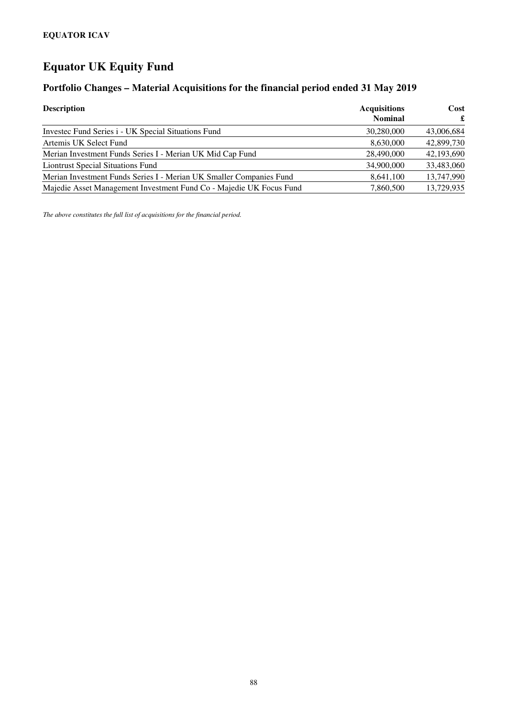### **Portfolio Changes – Material Acquisitions for the financial period ended 31 May 2019**

| <b>Description</b>                                                  | <b>Acquisitions</b><br><b>Nominal</b> | Cost<br>£  |
|---------------------------------------------------------------------|---------------------------------------|------------|
| Invested Fund Series i - UK Special Situations Fund                 | 30,280,000                            | 43,006,684 |
| Artemis UK Select Fund                                              | 8,630,000                             | 42,899,730 |
| Merian Investment Funds Series I - Merian UK Mid Cap Fund           | 28,490,000                            | 42,193,690 |
| <b>Liontrust Special Situations Fund</b>                            | 34,900,000                            | 33,483,060 |
| Merian Investment Funds Series I - Merian UK Smaller Companies Fund | 8,641,100                             | 13,747,990 |
| Majedie Asset Management Investment Fund Co - Majedie UK Focus Fund | 7.860.500                             | 13,729,935 |

*The above constitutes the full list of acquisitions for the financial period.*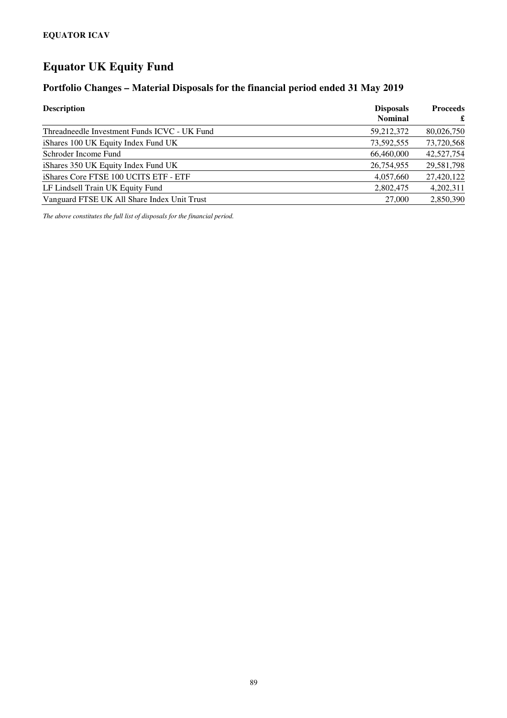#### **Portfolio Changes – Material Disposals for the financial period ended 31 May 2019**

| <b>Description</b>                           | <b>Disposals</b><br><b>Nominal</b> | <b>Proceeds</b><br>£ |
|----------------------------------------------|------------------------------------|----------------------|
| Threadneedle Investment Funds ICVC - UK Fund | 59,212,372                         | 80,026,750           |
| iShares 100 UK Equity Index Fund UK          | 73,592,555                         | 73,720,568           |
| Schroder Income Fund                         | 66,460,000                         | 42,527,754           |
| iShares 350 UK Equity Index Fund UK          | 26,754,955                         | 29,581,798           |
| iShares Core FTSE 100 UCITS ETF - ETF        | 4,057,660                          | 27,420,122           |
| LF Lindsell Train UK Equity Fund             | 2,802,475                          | 4,202,311            |
| Vanguard FTSE UK All Share Index Unit Trust  | 27,000                             | 2,850,390            |

*The above constitutes the full list of disposals for the financial period.*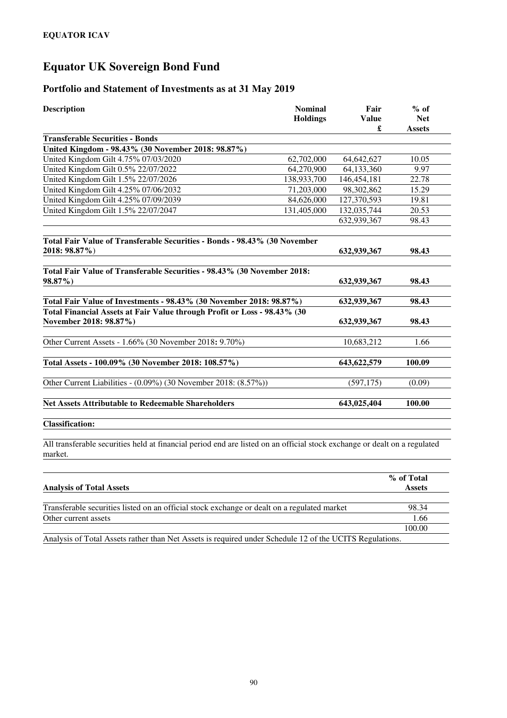# **Equator UK Sovereign Bond Fund**

#### **Portfolio and Statement of Investments as at 31 May 2019**

| <b>Description</b>                                                                                 | <b>Nominal</b><br><b>Holdings</b> | Fair<br><b>Value</b><br>£ | $%$ of<br><b>Net</b><br><b>Assets</b> |
|----------------------------------------------------------------------------------------------------|-----------------------------------|---------------------------|---------------------------------------|
| <b>Transferable Securities - Bonds</b>                                                             |                                   |                           |                                       |
| United Kingdom - 98.43% (30 November 2018: 98.87%)                                                 |                                   |                           |                                       |
| United Kingdom Gilt 4.75% 07/03/2020                                                               | 62,702,000                        | 64,642,627                | 10.05                                 |
| United Kingdom Gilt 0.5% 22/07/2022                                                                | 64,270,900                        | 64,133,360                | 9.97                                  |
| United Kingdom Gilt 1.5% 22/07/2026                                                                | 138,933,700                       | 146,454,181               | 22.78                                 |
| United Kingdom Gilt 4.25% 07/06/2032                                                               | 71,203,000                        | 98, 302, 862              | 15.29                                 |
| United Kingdom Gilt 4.25% 07/09/2039                                                               | 84,626,000                        | 127,370,593               | 19.81                                 |
| United Kingdom Gilt 1.5% 22/07/2047                                                                | 131,405,000                       | 132,035,744               | 20.53                                 |
|                                                                                                    |                                   | 632,939,367               | 98.43                                 |
| Total Fair Value of Transferable Securities - Bonds - 98.43% (30 November<br>2018: 98.87%)         |                                   | 632,939,367               | 98.43                                 |
| Total Fair Value of Transferable Securities - 98.43% (30 November 2018:<br>98.87%)                 |                                   | 632,939,367               | 98.43                                 |
| Total Fair Value of Investments - 98.43% (30 November 2018: 98.87%)                                |                                   | 632,939,367               | 98.43                                 |
| Total Financial Assets at Fair Value through Profit or Loss - 98.43% (30<br>November 2018: 98.87%) |                                   | 632,939,367               | 98.43                                 |
| Other Current Assets - 1.66% (30 November 2018: 9.70%)                                             |                                   | 10,683,212                | 1.66                                  |
| Total Assets - 100.09% (30 November 2018: 108.57%)                                                 |                                   | 643,622,579               | 100.09                                |
| Other Current Liabilities - (0.09%) (30 November 2018: (8.57%))                                    |                                   | (597, 175)                | (0.09)                                |
| <b>Net Assets Attributable to Redeemable Shareholders</b>                                          |                                   | 643,025,404               | 100.00                                |
| <b>Classification:</b>                                                                             |                                   |                           |                                       |

All transferable securities held at financial period end are listed on an official stock exchange or dealt on a regulated market.

|                                                                                                         | % of Total    |
|---------------------------------------------------------------------------------------------------------|---------------|
| <b>Analysis of Total Assets</b>                                                                         | <b>Assets</b> |
|                                                                                                         |               |
| Transferable securities listed on an official stock exchange or dealt on a regulated market             | 98.34         |
| Other current assets                                                                                    | 1.66          |
|                                                                                                         | 100.00        |
| Analysis of Total Assets rather than Net Assets is required under Schedule 12 of the UCITS Regulations. |               |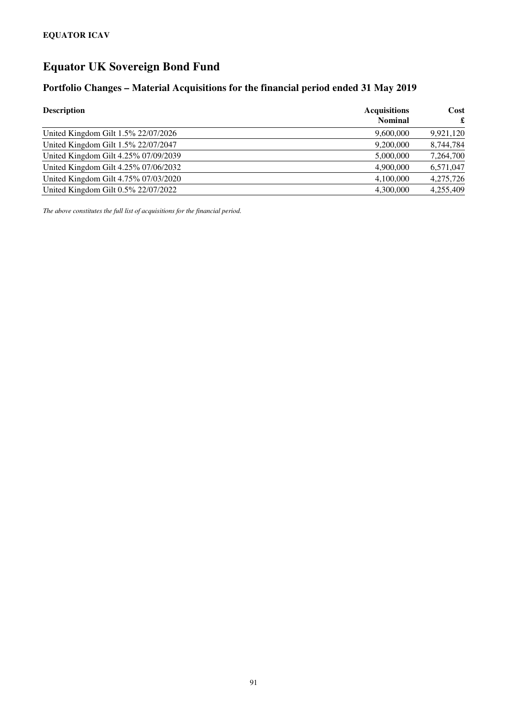# **Equator UK Sovereign Bond Fund**

### **Portfolio Changes – Material Acquisitions for the financial period ended 31 May 2019**

| <b>Description</b>                   | <b>Acquisitions</b><br><b>Nominal</b> | Cost<br>£ |
|--------------------------------------|---------------------------------------|-----------|
| United Kingdom Gilt 1.5% 22/07/2026  | 9,600,000                             | 9,921,120 |
| United Kingdom Gilt 1.5% 22/07/2047  | 9,200,000                             | 8,744,784 |
| United Kingdom Gilt 4.25% 07/09/2039 | 5,000,000                             | 7,264,700 |
| United Kingdom Gilt 4.25% 07/06/2032 | 4.900,000                             | 6,571,047 |
| United Kingdom Gilt 4.75% 07/03/2020 | 4,100,000                             | 4,275,726 |
| United Kingdom Gilt 0.5% 22/07/2022  | 4.300,000                             | 4.255.409 |

*The above constitutes the full list of acquisitions for the financial period.*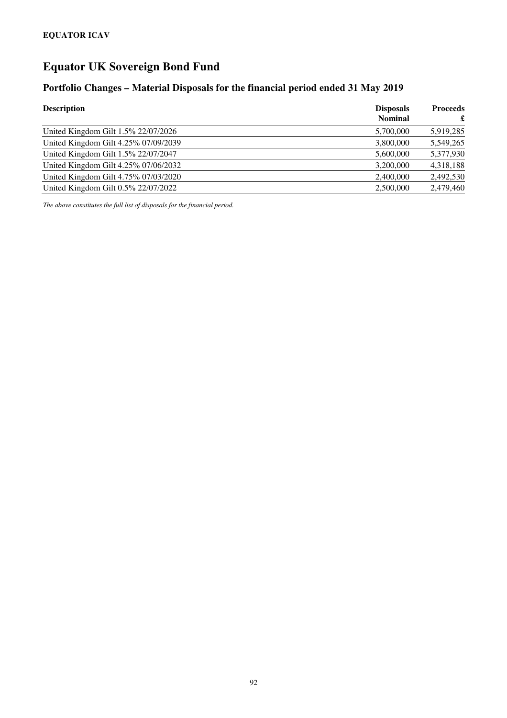# **Equator UK Sovereign Bond Fund**

#### **Portfolio Changes – Material Disposals for the financial period ended 31 May 2019**

| <b>Description</b>                   | <b>Disposals</b><br><b>Nominal</b> | <b>Proceeds</b><br>£ |
|--------------------------------------|------------------------------------|----------------------|
| United Kingdom Gilt 1.5% 22/07/2026  | 5,700,000                          | 5,919,285            |
| United Kingdom Gilt 4.25% 07/09/2039 | 3,800,000                          | 5,549,265            |
| United Kingdom Gilt 1.5% 22/07/2047  | 5,600,000                          | 5,377,930            |
| United Kingdom Gilt 4.25% 07/06/2032 | 3,200,000                          | 4,318,188            |
| United Kingdom Gilt 4.75% 07/03/2020 | 2,400,000                          | 2,492,530            |
| United Kingdom Gilt 0.5% 22/07/2022  | 2,500,000                          | 2.479.460            |

*The above constitutes the full list of disposals for the financial period.*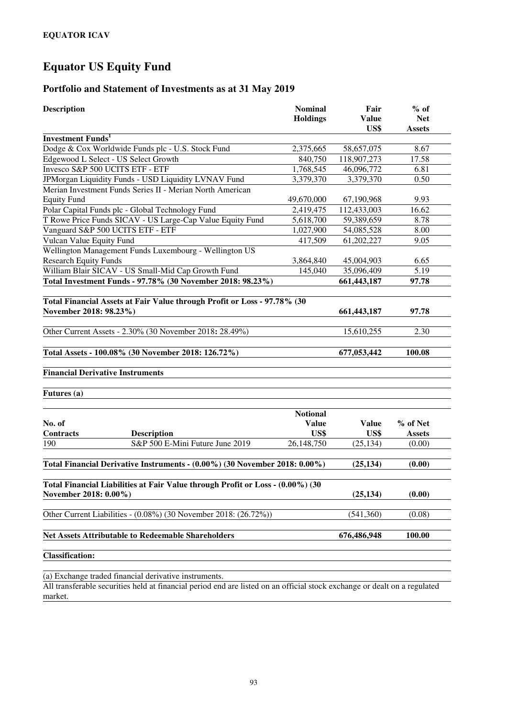#### **Portfolio and Statement of Investments as at 31 May 2019**

| <b>Description</b>                                                                                      | Fair<br><b>Value</b><br>US\$ | $%$ of<br><b>Net</b><br><b>Assets</b> |               |
|---------------------------------------------------------------------------------------------------------|------------------------------|---------------------------------------|---------------|
| <b>Investment Funds</b> <sup>1</sup>                                                                    |                              |                                       |               |
| Dodge & Cox Worldwide Funds plc - U.S. Stock Fund                                                       | 2,375,665                    | 58,657,075                            | 8.67          |
| Edgewood L Select - US Select Growth                                                                    | 840,750                      | 118,907,273                           | 17.58         |
| Invesco S&P 500 UCITS ETF - ETF                                                                         | 1,768,545                    | 46,096,772                            | 6.81          |
| JPMorgan Liquidity Funds - USD Liquidity LVNAV Fund                                                     | 3,379,370                    | 3,379,370                             | 0.50          |
| Merian Investment Funds Series II - Merian North American<br><b>Equity Fund</b>                         | 49,670,000                   | 67,190,968                            | 9.93          |
| Polar Capital Funds plc - Global Technology Fund                                                        | 2,419,475                    | 112,433,003                           | 16.62         |
| T Rowe Price Funds SICAV - US Large-Cap Value Equity Fund                                               | 5,618,700                    | 59,389,659                            | 8.78          |
| Vanguard S&P 500 UCITS ETF - ETF                                                                        | 1,027,900                    | 54,085,528                            | 8.00          |
| Vulcan Value Equity Fund                                                                                | 417,509                      | 61,202,227                            | 9.05          |
| Wellington Management Funds Luxembourg - Wellington US                                                  |                              |                                       |               |
| <b>Research Equity Funds</b>                                                                            | 3,864,840                    | 45,004,903                            | 6.65          |
| William Blair SICAV - US Small-Mid Cap Growth Fund                                                      | 145,040                      | 35,096,409                            | 5.19          |
| Total Investment Funds - 97.78% (30 November 2018: 98.23%)                                              |                              | 661,443,187                           | 97.78         |
| Total Financial Assets at Fair Value through Profit or Loss - 97.78% (30<br>November 2018: 98.23%)      |                              | 661, 443, 187                         | 97.78         |
| Other Current Assets - 2.30% (30 November 2018: 28.49%)                                                 |                              | 15,610,255                            | 2.30          |
| Total Assets - 100.08% (30 November 2018: 126.72%)                                                      |                              | 677,053,442                           | 100.08        |
| <b>Financial Derivative Instruments</b>                                                                 |                              |                                       |               |
| Futures (a)                                                                                             |                              |                                       |               |
|                                                                                                         | <b>Notional</b>              |                                       |               |
| No. of                                                                                                  | <b>Value</b>                 | <b>Value</b>                          | % of Net      |
| <b>Contracts</b><br><b>Description</b>                                                                  | US\$                         | US\$                                  | <b>Assets</b> |
| S&P 500 E-Mini Future June 2019<br>190                                                                  | 26,148,750                   | (25, 134)                             | (0.00)        |
| Total Financial Derivative Instruments - (0.00%) (30 November 2018: 0.00%)                              |                              | (25, 134)                             | (0.00)        |
| Total Financial Liabilities at Fair Value through Profit or Loss - (0.00%) (30<br>November 2018: 0.00%) |                              | (25, 134)                             | (0.00)        |
| Other Current Liabilities - (0.08%) (30 November 2018: (26.72%))                                        | (541,360)                    | (0.08)                                |               |
| <b>Net Assets Attributable to Redeemable Shareholders</b>                                               |                              | 676,486,948                           | 100.00        |
| <b>Classification:</b>                                                                                  |                              |                                       |               |
| $(a)$ Exchange traded financial de                                                                      |                              |                                       |               |

(a) Exchange traded financial derivative instruments.

All transferable securities held at financial period end are listed on an official stock exchange or dealt on a regulated market.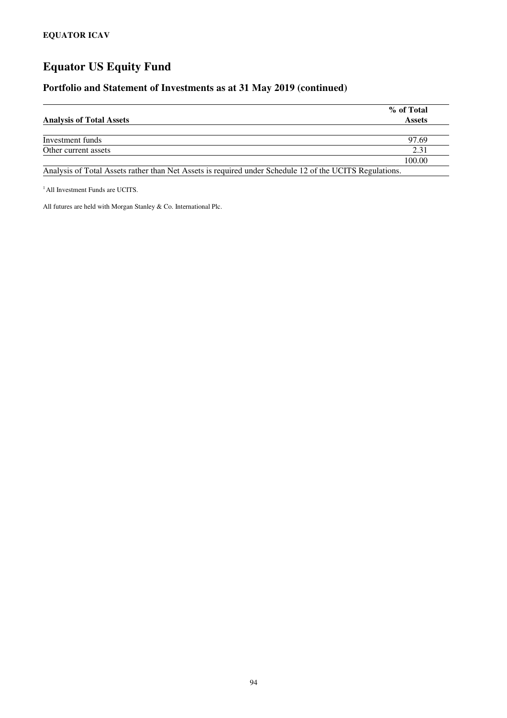#### **Portfolio and Statement of Investments as at 31 May 2019 (continued)**

| <b>Analysis of Total Assets</b>                                                                         | % of Total<br><b>Assets</b> |
|---------------------------------------------------------------------------------------------------------|-----------------------------|
|                                                                                                         |                             |
| Investment funds                                                                                        | 97.69                       |
| Other current assets                                                                                    | 2.31                        |
|                                                                                                         | 100.00                      |
| Analysis of Total Assets rather than Net Assets is required under Schedule 12 of the UCITS Regulations. |                             |

<sup>1</sup> All Investment Funds are UCITS.

All futures are held with Morgan Stanley & Co. International Plc.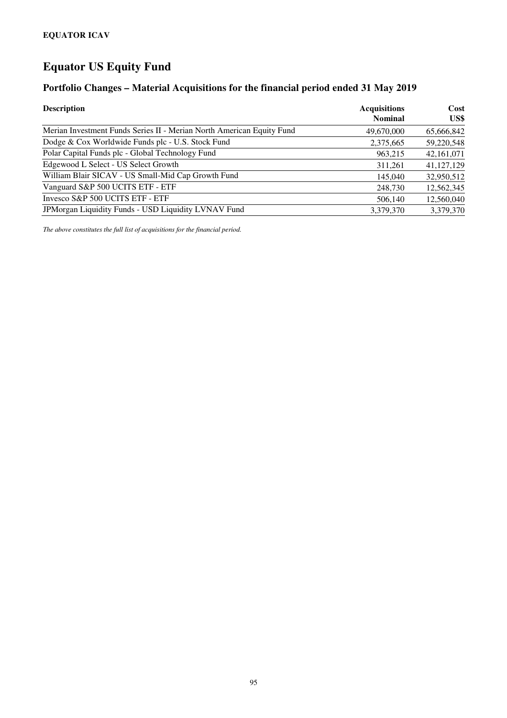### **Portfolio Changes – Material Acquisitions for the financial period ended 31 May 2019**

| <b>Description</b>                                                    | <b>Acquisitions</b><br><b>Nominal</b> | Cost<br>US\$ |
|-----------------------------------------------------------------------|---------------------------------------|--------------|
| Merian Investment Funds Series II - Merian North American Equity Fund | 49,670,000                            | 65,666,842   |
| Dodge & Cox Worldwide Funds plc - U.S. Stock Fund                     | 2,375,665                             | 59,220,548   |
| Polar Capital Funds plc - Global Technology Fund                      | 963,215                               | 42,161,071   |
| Edgewood L Select - US Select Growth                                  | 311,261                               | 41,127,129   |
| William Blair SICAV - US Small-Mid Cap Growth Fund                    | 145,040                               | 32,950,512   |
| Vanguard S&P 500 UCITS ETF - ETF                                      | 248,730                               | 12,562,345   |
| Invesco S&P 500 UCITS ETF - ETF                                       | 506,140                               | 12,560,040   |
| JPMorgan Liquidity Funds - USD Liquidity LVNAV Fund                   | 3,379,370                             | 3,379,370    |

*The above constitutes the full list of acquisitions for the financial period.*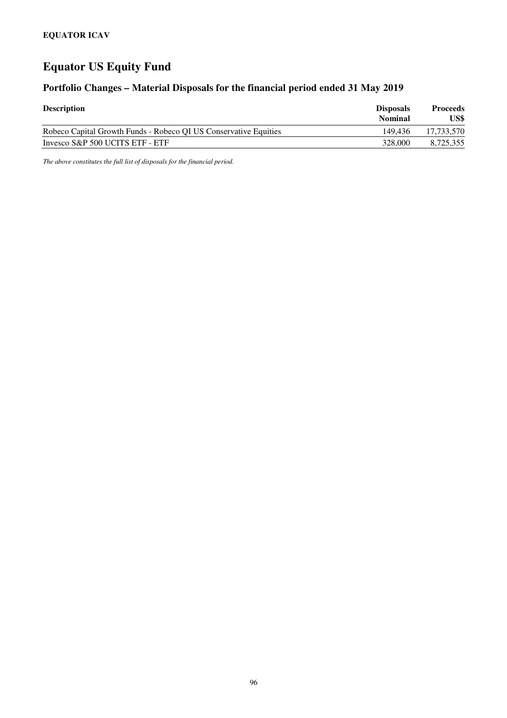### **Portfolio Changes – Material Disposals for the financial period ended 31 May 2019**

| <b>Description</b>                                               | <b>Disposals</b><br><b>Nominal</b> | <b>Proceeds</b><br>US\$ |
|------------------------------------------------------------------|------------------------------------|-------------------------|
| Robeco Capital Growth Funds - Robeco QI US Conservative Equities | 149.436                            | 17.733.570              |
| Invesco S&P 500 UCITS ETF - ETF                                  | 328,000                            | 8,725,355               |

*The above constitutes the full list of disposals for the financial period.*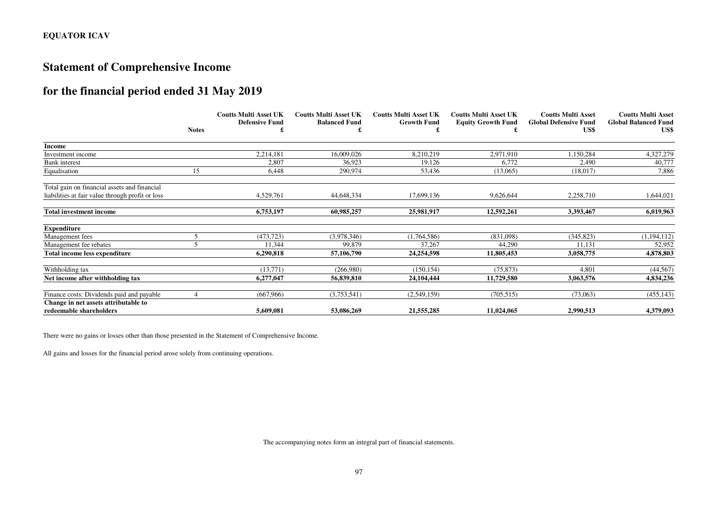### **Statement of Comprehensive Income**

### **for the financial period ended 31 May 2019**

|                                                                 |              | <b>Coutts Multi Asset UK</b> | <b>Coutts Multi Asset UK</b> | <b>Coutts Multi Asset UK</b> | <b>Coutts Multi Asset UK</b> | <b>Coutts Multi Asset</b>            | <b>Coutts Multi Asset</b>           |
|-----------------------------------------------------------------|--------------|------------------------------|------------------------------|------------------------------|------------------------------|--------------------------------------|-------------------------------------|
|                                                                 | <b>Notes</b> | <b>Defensive Fund</b>        | <b>Balanced Fund</b>         | <b>Growth Fund</b>           | <b>Equity Growth Fund</b>    | <b>Global Defensive Fund</b><br>US\$ | <b>Global Balanced Fund</b><br>US\$ |
| <b>Income</b>                                                   |              |                              |                              |                              |                              |                                      |                                     |
| Investment income                                               |              | 2,214,181                    | 16,009,026                   | 8,210,219                    | 2,971,910                    | 150,284                              | 4,327,279                           |
| <b>Bank</b> interest                                            |              | 2,807                        | 36,923                       | 19,126                       | 6,772                        | 2,490                                | 40,777                              |
| Equalisation                                                    | 15           | 6,448                        | 290,974                      | 53,436                       | (13,065)                     | (18,017)                             | 7,886                               |
| Total gain on financial assets and financial                    |              |                              |                              |                              |                              |                                      |                                     |
| liabilities at fair value through profit or loss                |              | 4,529,761                    | 44,648,334                   | 17,699,136                   | 9,626,644                    | 2,258,710                            | 1,644,021                           |
| <b>Total investment income</b>                                  |              | 6,753,197                    | 60,985,257                   | 25,981,917                   | 12,592,261                   | 3,393,467                            | 6,019,963                           |
| <b>Expenditure</b>                                              |              |                              |                              |                              |                              |                                      |                                     |
| Management fees                                                 |              | (473, 723)                   | (3,978,346)                  | (1,764,586)                  | (831,098)                    | (345, 823)                           | (1,194,112)                         |
| Management fee rebates                                          |              | 11,344                       | 99.879                       | 37,267                       | 44,290                       | 11,131                               | 52,952                              |
| Total income less expenditure                                   |              | 6,290,818                    | 57,106,790                   | 24,254,598                   | 11,805,453                   | 3,058,775                            | 4,878,803                           |
| Withholding tax                                                 |              | (13, 771)                    | (266,980)                    | (150, 154)                   | (75, 873)                    | 4.801                                | (44, 567)                           |
| Net income after withholding tax                                |              | 6,277,047                    | 56,839,810                   | 24,104,444                   | 11,729,580                   | 3,063,576                            | 4,834,236                           |
| Finance costs: Dividends paid and payable                       |              | (667,966)                    | (3,753,541)                  | (2,549,159)                  | (705, 515)                   | (73,063)                             | (455, 143)                          |
| Change in net assets attributable to<br>redeemable shareholders |              | 5,609,081                    | 53,086,269                   | 21,555,285                   | 11,024,065                   | 2,990,513                            | 4,379,093                           |

There were no gains or losses other than those presented in the Statement of Comprehensive Income.

All gains and losses for the financial period arose solely from continuing operations.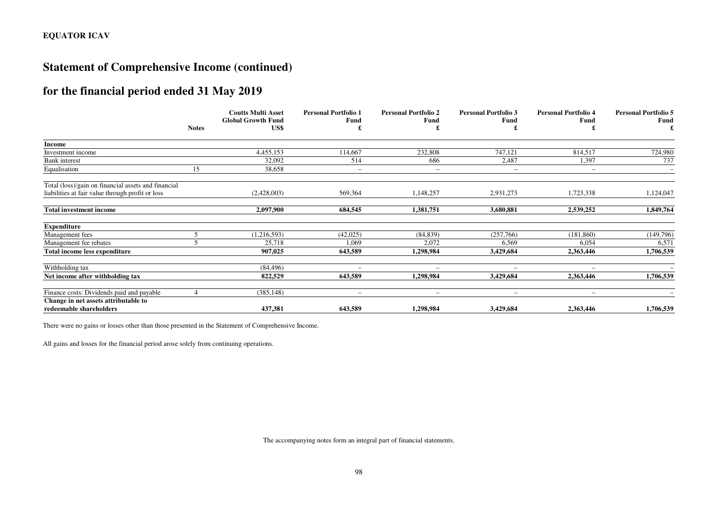### **Statement of Comprehensive Income (continued)**

### **for the financial period ended 31 May 2019**

|                                                     |              | <b>Coutts Multi Asset</b>         | <b>Personal Portfolio 1</b> | <b>Personal Portfolio 2</b>     | <b>Personal Portfolio 3</b> | <b>Personal Portfolio 4</b> | <b>Personal Portfolio 5</b> |
|-----------------------------------------------------|--------------|-----------------------------------|-----------------------------|---------------------------------|-----------------------------|-----------------------------|-----------------------------|
|                                                     | <b>Notes</b> | <b>Global Growth Fund</b><br>US\$ | Fund                        | Fund                            | Fund                        | Fund                        | Fund                        |
|                                                     |              |                                   |                             |                                 |                             |                             |                             |
| <b>Income</b>                                       |              |                                   |                             |                                 |                             |                             |                             |
| Investment income                                   |              | 4,455,153                         | 114,667                     | 232,808                         | 747,121                     | 814,517                     | 724,980                     |
| <b>Bank</b> interest                                |              | 32,092                            | 514                         | 686                             | 2,487                       | 1,397                       | 737                         |
| Equalisation                                        | 15           | 38,658                            | $\overline{\phantom{0}}$    | $\hspace{0.1mm}-\hspace{0.1mm}$ | $\qquad \qquad -$           | $\overline{\phantom{a}}$    | $\overline{\phantom{0}}$    |
| Total (loss)/gain on financial assets and financial |              |                                   |                             |                                 |                             |                             |                             |
| liabilities at fair value through profit or loss    |              | (2,428,003)                       | 569,364                     | 1,148,257                       | 2,931,273                   | 1,723,338                   | 1,124,047                   |
| <b>Total investment income</b>                      |              | 2,097,900                         | 684,545                     | 1,381,751                       | 3,680,881                   | 2,539,252                   | 1,849,764                   |
| <b>Expenditure</b>                                  |              |                                   |                             |                                 |                             |                             |                             |
| Management fees                                     |              | (1, 216, 593)                     | (42,025)                    | (84, 839)                       | (257,766)                   | (181, 860)                  | (149,796)                   |
| Management fee rebates                              |              | 25,718                            | 1,069                       | 2,072                           | 6,569                       | 6,054                       | 6,571                       |
| Total income less expenditure                       |              | 907,025                           | 643,589                     | 1,298,984                       | 3,429,684                   | 2,363,446                   | 1,706,539                   |
| Withholding tax                                     |              | (84, 496)                         |                             | $\overline{\phantom{a}}$        | $\overline{\phantom{m}}$    | $\overline{\phantom{a}}$    |                             |
| Net income after withholding tax                    |              | 822,529                           | 643,589                     | 1,298,984                       | 3,429,684                   | 2,363,446                   | 1,706,539                   |
| Finance costs: Dividends paid and payable           |              | (385, 148)                        | -                           | $\overline{\phantom{a}}$        | $\overline{\phantom{0}}$    | $\overline{\phantom{a}}$    |                             |
| Change in net assets attributable to                |              |                                   |                             |                                 |                             |                             |                             |
| redeemable shareholders                             |              | 437,381                           | 643,589                     | 1,298,984                       | 3,429,684                   | 2,363,446                   | 1,706,539                   |

There were no gains or losses other than those presented in the Statement of Comprehensive Income.

All gains and losses for the financial period arose solely from continuing operations.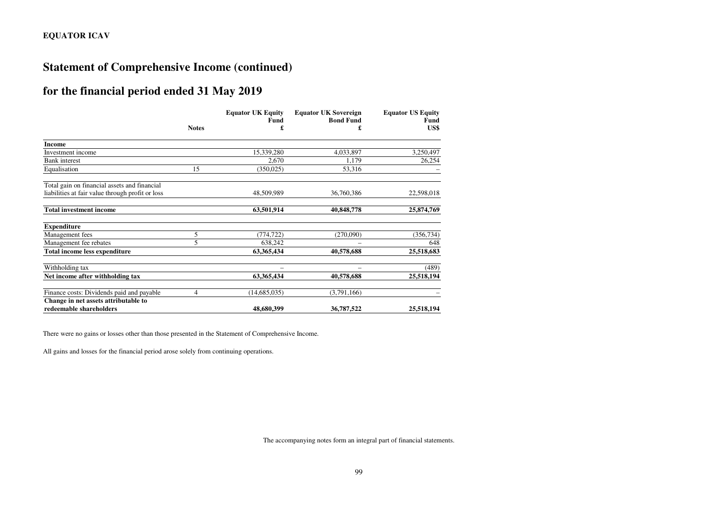### **Statement of Comprehensive Income (continued)**

### **for the financial period ended 31 May 2019**

|                                                                 |                | <b>Equator UK Equity</b> | <b>Equator UK Sovereign</b> | <b>Equator US Equity</b> |
|-----------------------------------------------------------------|----------------|--------------------------|-----------------------------|--------------------------|
|                                                                 | <b>Notes</b>   | <b>Fund</b><br>£         | <b>Bond Fund</b><br>£       | Fund<br>US\$             |
| <b>Income</b>                                                   |                |                          |                             |                          |
| Investment income                                               |                | 15,339,280               | 4,033,897                   | 3,250,497                |
| <b>Bank</b> interest                                            |                | 2,670                    | 1,179                       | 26,254                   |
| Equalisation                                                    | 15             | (350, 025)               | 53,316                      |                          |
| Total gain on financial assets and financial                    |                |                          |                             |                          |
| liabilities at fair value through profit or loss                |                | 48,509,989               | 36,760,386                  | 22,598,018               |
| <b>Total investment income</b>                                  |                | 63,501,914               | 40,848,778                  | 25,874,769               |
| <b>Expenditure</b>                                              |                |                          |                             |                          |
| Management fees                                                 | 5              | (774, 722)               | (270,090)                   | (356, 734)               |
| Management fee rebates                                          | 5              | 638,242                  |                             | 648                      |
| <b>Total income less expenditure</b>                            |                | 63,365,434               | 40,578,688                  | 25,518,683               |
| Withholding tax                                                 |                |                          |                             | (489)                    |
| Net income after withholding tax                                |                | 63,365,434               | 40,578,688                  | 25,518,194               |
| Finance costs: Dividends paid and payable                       | $\overline{4}$ | (14, 685, 035)           | (3,791,166)                 |                          |
| Change in net assets attributable to<br>redeemable shareholders |                | 48,680,399               | 36,787,522                  | 25,518,194               |

There were no gains or losses other than those presented in the Statement of Comprehensive Income.

All gains and losses for the financial period arose solely from continuing operations.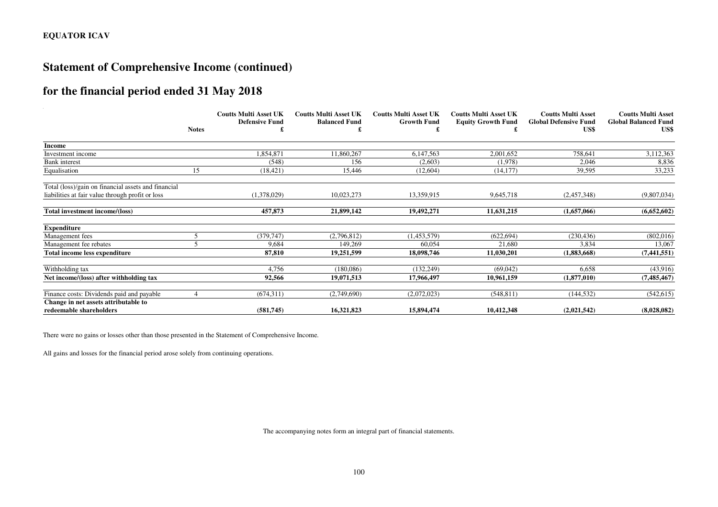### **Statement of Comprehensive Income (continued)**

### **for the financial period ended 31 May 2018**

|                                                                 |              | <b>Coutts Multi Asset UK</b> | <b>Coutts Multi Asset UK</b> | <b>Coutts Multi Asset UK</b> | <b>Coutts Multi Asset UK</b> | <b>Coutts Multi Asset</b>            | <b>Coutts Multi Asset</b>           |
|-----------------------------------------------------------------|--------------|------------------------------|------------------------------|------------------------------|------------------------------|--------------------------------------|-------------------------------------|
|                                                                 | <b>Notes</b> | <b>Defensive Fund</b>        | <b>Balanced Fund</b>         | <b>Growth Fund</b>           | <b>Equity Growth Fund</b>    | <b>Global Defensive Fund</b><br>US\$ | <b>Global Balanced Fund</b><br>US\$ |
| Income                                                          |              |                              |                              |                              |                              |                                      |                                     |
| Investment income                                               |              | 1,854,871                    | 11,860,267                   | 6,147,563                    | 2,001,652                    | 758,641                              | 3,112,363                           |
| <b>Bank</b> interest                                            |              | (548)                        | 156                          | (2,603)                      | (1,978)                      | 2,046                                | 8,836                               |
| Equalisation                                                    | 15           | (18, 421)                    | 15,446                       | (12,604)                     | (14, 177)                    | 39,595                               | 33,233                              |
| Total (loss)/gain on financial assets and financial             |              |                              |                              |                              |                              |                                      |                                     |
| liabilities at fair value through profit or loss                |              | (1,378,029)                  | 10,023,273                   | 13,359,915                   | 9,645,718                    | (2,457,348)                          | (9,807,034)                         |
| Total investment income/(loss)                                  |              | 457,873                      | 21,899,142                   | 19,492,271                   | 11,631,215                   | (1,657,066)                          | (6,652,602)                         |
| <b>Expenditure</b>                                              |              |                              |                              |                              |                              |                                      |                                     |
| Management fees                                                 |              | (379, 747)                   | (2,796,812)                  | (1,453,579)                  | (622, 694)                   | (230, 436)                           | (802,016)                           |
| Management fee rebates                                          |              | 9,684                        | 149.269                      | 60,054                       | 21,680                       | 3,834                                | 13,067                              |
| Total income less expenditure                                   |              | 87,810                       | 19,251,599                   | 18,098,746                   | 11,030,201                   | (1,883,668)                          | (7, 441, 551)                       |
| Withholding tax                                                 |              | 4,756                        | (180, 086)                   | (132, 249)                   | (69,042)                     | 6,658                                | (43,916)                            |
| Net income/(loss) after withholding tax                         |              | 92,566                       | 19,071,513                   | 17,966,497                   | 10,961,159                   | (1,877,010)                          | (7, 485, 467)                       |
| Finance costs: Dividends paid and payable                       |              | (674, 311)                   | (2,749,690)                  | (2,072,023)                  | (548, 811)                   | (144, 532)                           | (542, 615)                          |
| Change in net assets attributable to<br>redeemable shareholders |              | (581,745)                    | 16,321,823                   | 15,894,474                   | 10,412,348                   | (2,021,542)                          | (8,028,082)                         |

There were no gains or losses other than those presented in the Statement of Comprehensive Income.

All gains and losses for the financial period arose solely from continuing operations.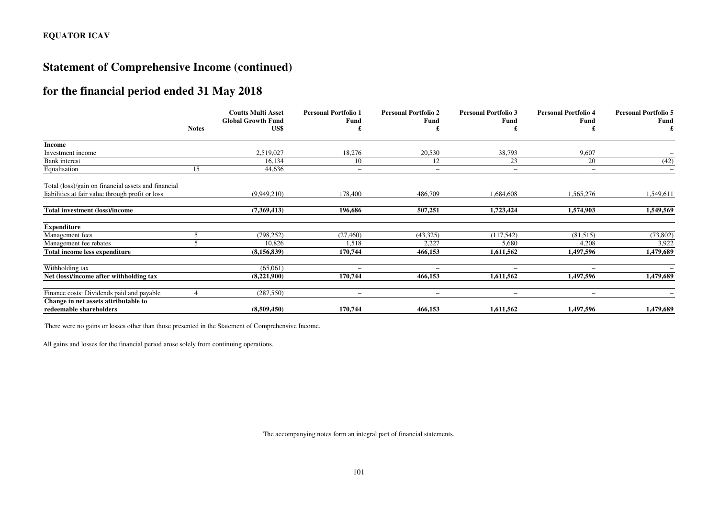### **Statement of Comprehensive Income (continued)**

### **for the financial period ended 31 May 2018**

|                                                     |              | <b>Coutts Multi Asset</b>         | <b>Personal Portfolio 1</b> | <b>Personal Portfolio 2</b> | <b>Personal Portfolio 3</b> | <b>Personal Portfolio 4</b> | <b>Personal Portfolio 5</b> |
|-----------------------------------------------------|--------------|-----------------------------------|-----------------------------|-----------------------------|-----------------------------|-----------------------------|-----------------------------|
|                                                     | <b>Notes</b> | <b>Global Growth Fund</b><br>US\$ | Fund                        | <b>Fund</b>                 | Fund                        | Fund                        | Fund                        |
|                                                     |              |                                   |                             |                             |                             |                             |                             |
| Income                                              |              |                                   |                             |                             |                             |                             |                             |
| Investment income                                   |              | 2,519,027                         | 18,276                      | 20,530                      | 38,793                      | 9,607                       |                             |
| <b>Bank</b> interest                                |              | 16,134                            | 10                          | 12                          | 23                          | 20                          | (42)                        |
| Equalisation                                        | 15           | 44,636                            | $\overline{\phantom{a}}$    | $\overline{\phantom{a}}$    | $\overline{\phantom{m}}$    | $\overline{\phantom{0}}$    | $\overline{\phantom{0}}$    |
| Total (loss)/gain on financial assets and financial |              |                                   |                             |                             |                             |                             |                             |
| liabilities at fair value through profit or loss    |              | (9,949,210)                       | 178,400                     | 486,709                     | 1,684,608                   | 1,565,276                   | 1,549,611                   |
| <b>Total investment (loss)/income</b>               |              | (7,369,413)                       | 196.686                     | 507,251                     | 1,723,424                   | 1.574.903                   | 1,549,569                   |
| <b>Expenditure</b>                                  |              |                                   |                             |                             |                             |                             |                             |
| Management fees                                     |              | (798, 252)                        | (27, 460)                   | (43,325)                    | (117,542)                   | (81,515)                    | (73, 802)                   |
| Management fee rebates                              |              | 10,826                            | 1,518                       | 2,227                       | 5,680                       | 4,208                       | 3,922                       |
| Total income less expenditure                       |              | (8, 156, 839)                     | 170,744                     | 466,153                     | 1,611,562                   | 1,497,596                   | 1,479,689                   |
| Withholding tax                                     |              | (65,061)                          |                             | $\overline{\phantom{0}}$    |                             | $\overline{\phantom{0}}$    |                             |
| Net (loss)/income after withholding tax             |              | (8,221,900)                       | 170,744                     | 466,153                     | 1,611,562                   | 1,497,596                   | 1,479,689                   |
| Finance costs: Dividends paid and payable           |              | (287, 550)                        |                             | $\overline{\phantom{a}}$    | $\overline{\phantom{0}}$    | -                           |                             |
| Change in net assets attributable to                |              |                                   |                             |                             |                             |                             | 1,479,689                   |
| redeemable shareholders                             |              | (8,509,450)                       | 170,744                     | 466,153                     | 1,611,562                   | 1,497,596                   |                             |

There were no gains or losses other than those presented in the Statement of Comprehensive Income.

All gains and losses for the financial period arose solely from continuing operations.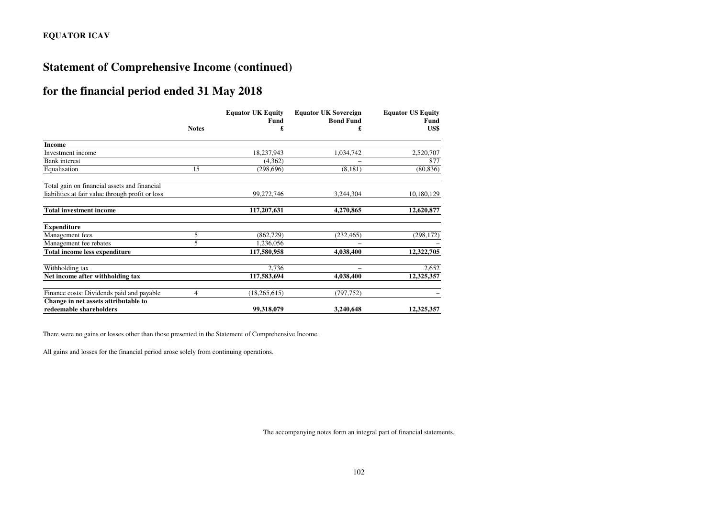### **Statement of Comprehensive Income (continued)**

### **for the financial period ended 31 May 2018**

|                                                                 |              | <b>Equator UK Equity</b> | <b>Equator UK Sovereign</b> | <b>Equator US Equity</b> |
|-----------------------------------------------------------------|--------------|--------------------------|-----------------------------|--------------------------|
|                                                                 | <b>Notes</b> | Fund<br>£                | <b>Bond Fund</b><br>£       | Fund<br>US\$             |
| <b>Income</b>                                                   |              |                          |                             |                          |
| Investment income                                               |              | 18,237,943               | 1,034,742                   | 2,520,707                |
| <b>Bank</b> interest                                            |              | (4,362)                  |                             | 877                      |
| Equalisation                                                    | 15           | (298, 696)               | (8, 181)                    | (80, 836)                |
| Total gain on financial assets and financial                    |              |                          |                             |                          |
| liabilities at fair value through profit or loss                |              | 99,272,746               | 3,244,304                   | 10,180,129               |
| <b>Total investment income</b>                                  |              | 117,207,631              | 4,270,865                   | 12,620,877               |
| <b>Expenditure</b>                                              |              |                          |                             |                          |
| Management fees                                                 | 5            | (862, 729)               | (232, 465)                  | (298, 172)               |
| Management fee rebates                                          | 5            | 1,236,056                |                             |                          |
| <b>Total income less expenditure</b>                            |              | 117,580,958              | 4,038,400                   | 12,322,705               |
| Withholding tax                                                 |              | 2,736                    |                             | 2,652                    |
| Net income after withholding tax                                |              | 117,583,694              | 4,038,400                   | 12,325,357               |
| Finance costs: Dividends paid and payable                       | 4            | (18, 265, 615)           | (797, 752)                  |                          |
| Change in net assets attributable to<br>redeemable shareholders |              | 99,318,079               | 3,240,648                   | 12,325,357               |

There were no gains or losses other than those presented in the Statement of Comprehensive Income.

All gains and losses for the financial period arose solely from continuing operations.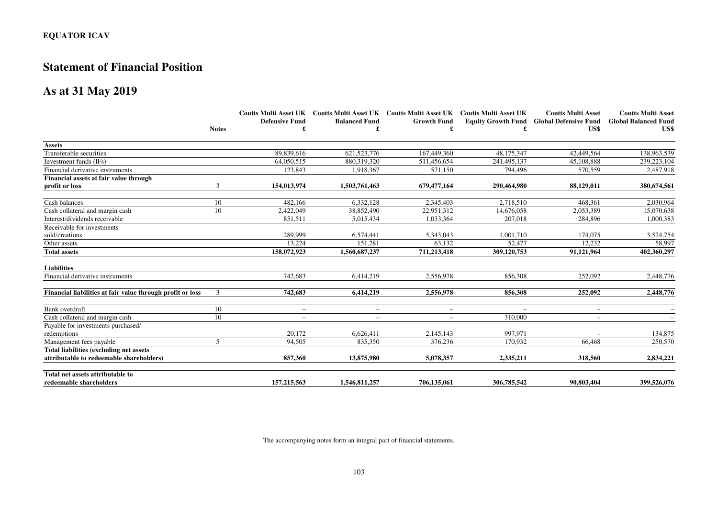### **Statement of Financial Position**

### **As at 31 May 2019**

|                                                            |              |                          |                          | Coutts Multi Asset UK Coutts Multi Asset UK Coutts Multi Asset UK Coutts Multi Asset UK |             | <b>Coutts Multi Asset</b>                       | <b>Coutts Multi Asset</b>   |
|------------------------------------------------------------|--------------|--------------------------|--------------------------|-----------------------------------------------------------------------------------------|-------------|-------------------------------------------------|-----------------------------|
|                                                            |              | <b>Defensive Fund</b>    | <b>Balanced Fund</b>     | <b>Growth Fund</b>                                                                      |             | <b>Equity Growth Fund Global Defensive Fund</b> | <b>Global Balanced Fund</b> |
|                                                            | <b>Notes</b> |                          |                          |                                                                                         |             | US\$                                            | US\$                        |
| <b>Assets</b>                                              |              |                          |                          |                                                                                         |             |                                                 |                             |
| Transferable securities                                    |              | 89,839,616               | 621, 523, 776            | 167,449,360                                                                             | 48,175,347  | 42,449,564                                      | 138,963,539                 |
| Investment funds (IFs)                                     |              | 64,050,515               | 880,319,320              | 511,456,654                                                                             | 241,495,137 | 45,108,888                                      | 239, 223, 104               |
| Financial derivative instruments                           |              | 123,843                  | 1,918,367                | 571,150                                                                                 | 794,496     | 570,559                                         | 2,487,918                   |
| Financial assets at fair value through                     |              |                          |                          |                                                                                         |             |                                                 |                             |
| profit or loss                                             | 3            | 154,013,974              | 1,503,761,463            | 679,477,164                                                                             | 290,464,980 | 88,129,011                                      | 380,674,561                 |
| Cash balances                                              | 10           | 482.166                  | 6,332,128                | 2,345,403                                                                               | 2,718,510   | 468,361                                         | 2,030,964                   |
| Cash collateral and margin cash                            | 10           | 2,422,049                | 38,852,490               | 22,951,312                                                                              | 14,676,058  | 2,053,389                                       | 15,070,638                  |
| Interest/dividends receivable                              |              | 851.511                  | 5,015,434                | 1,033,364                                                                               | 207,018     | 284,896                                         | 1,000,383                   |
| Receivable for investments                                 |              |                          |                          |                                                                                         |             |                                                 |                             |
| sold/creations                                             |              | 289,999                  | 6,574,441                | 5,343,043                                                                               | 1,001,710   | 174,075                                         | 3,524,754                   |
| Other assets                                               |              | 13,224                   | 151,281                  | 63.132                                                                                  | 52,477      | 12,232                                          | 58,997                      |
| <b>Total assets</b>                                        |              | 158,072,923              | 1,560,687,237            | 711,213,418                                                                             | 309,120,753 | 91,121,964                                      | 402,360,297                 |
| <b>Liabilities</b>                                         |              |                          |                          |                                                                                         |             |                                                 |                             |
| Financial derivative instruments                           |              | 742,683                  | 6,414,219                | 2,556,978                                                                               | 856,308     | 252,092                                         | 2,448,776                   |
| Financial liabilities at fair value through profit or loss | 3            | 742,683                  | 6,414,219                | 2,556,978                                                                               | 856,308     | 252,092                                         | 2,448,776                   |
| Bank overdraft                                             | 10           | $\overline{\phantom{m}}$ | $\overline{\phantom{0}}$ | $\overline{\phantom{m}}$                                                                |             |                                                 |                             |
| Cash collateral and margin cash                            | 10           | $\overline{\phantom{0}}$ | $\overline{\phantom{0}}$ | $\overline{\phantom{a}}$                                                                | 310,000     | $\qquad \qquad -$                               |                             |
| Payable for investments purchased/                         |              |                          |                          |                                                                                         |             |                                                 |                             |
| redemptions                                                |              | 20,172                   | 6,626,411                | 2,145,143                                                                               | 997,971     |                                                 | 134,875                     |
| Management fees payable                                    | 5            | 94,505                   | 835,350                  | 376,236                                                                                 | 170.932     | 66,468                                          | 250,570                     |
| <b>Total liabilities (excluding net assets)</b>            |              |                          |                          |                                                                                         |             |                                                 |                             |
| attributable to redeemable shareholders)                   |              | 857,360                  | 13,875,980               | 5,078,357                                                                               | 2,335,211   | 318,560                                         | 2,834,221                   |
| Total net assets attributable to                           |              |                          |                          |                                                                                         |             |                                                 |                             |
| redeemable shareholders                                    |              | 157,215,563              | 1,546,811,257            | 706,135,061                                                                             | 306,785,542 | 90,803,404                                      | 399,526,076                 |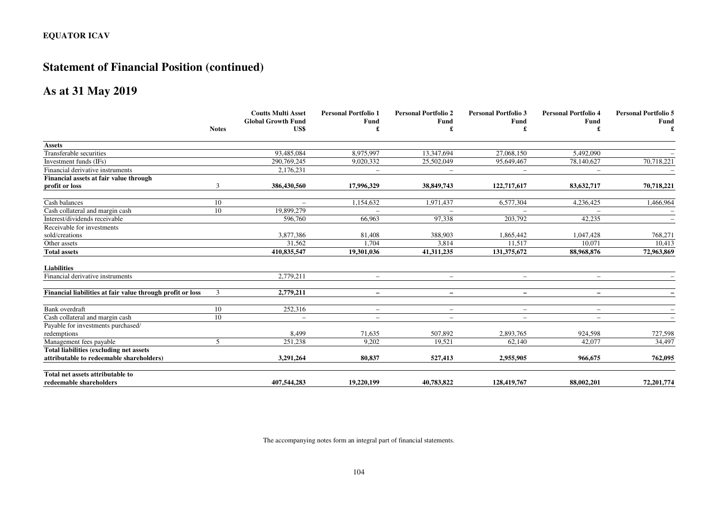## **Statement of Financial Position (continued)**

### **As at 31 May 2019**

|                                                            |              | <b>Coutts Multi Asset</b> | <b>Personal Portfolio 1</b> | <b>Personal Portfolio 2</b> | <b>Personal Portfolio 3</b> | <b>Personal Portfolio 4</b> | <b>Personal Portfolio 5</b> |
|------------------------------------------------------------|--------------|---------------------------|-----------------------------|-----------------------------|-----------------------------|-----------------------------|-----------------------------|
|                                                            |              | <b>Global Growth Fund</b> | Fund                        | Fund                        | Fund                        | Fund                        | <b>Fund</b>                 |
|                                                            | <b>Notes</b> | US\$                      |                             |                             |                             |                             |                             |
| <b>Assets</b>                                              |              |                           |                             |                             |                             |                             |                             |
| Transferable securities                                    |              | 93,485,084                | 8,975,997                   | 13,347,694                  | 27,068,150                  | 5,492,090                   |                             |
| Investment funds (IFs)                                     |              | 290,769,245               | 9,020,332                   | 25,502,049                  | 95,649,467                  | 78,140,627                  | 70,718,221                  |
| Financial derivative instruments                           |              | 2,176,231                 | $\overline{\phantom{m}}$    | $\qquad \qquad -$           | $\qquad \qquad -$           | $\overline{\phantom{m}}$    |                             |
| Financial assets at fair value through                     |              |                           |                             |                             |                             |                             |                             |
| profit or loss                                             | 3            | 386,430,560               | 17,996,329                  | 38,849,743                  | 122,717,617                 | 83,632,717                  | 70,718,221                  |
| Cash balances                                              | 10           | $\overline{\phantom{m}}$  | 1,154,632                   | 1,971,437                   | 6,577,304                   | 4,236,425                   | 1,466,964                   |
| Cash collateral and margin cash                            | 10           | 19,899,279                |                             |                             |                             |                             |                             |
| Interest/dividends receivable                              |              | 596,760                   | 66.963                      | 97.338                      | 203,792                     | 42,235                      |                             |
| Receivable for investments                                 |              |                           |                             |                             |                             |                             |                             |
| sold/creations                                             |              | 3,877,386                 | 81,408                      | 388,903                     | 1,865,442                   | 1,047,428                   | 768,271                     |
| Other assets                                               |              | 31,562                    | 1.704                       | 3,814                       | 11,517                      | 10,071                      | 10,413                      |
| <b>Total assets</b>                                        |              | 410,835,547               | 19,301,036                  | 41,311,235                  | 131,375,672                 | 88,968,876                  | 72,963,869                  |
| <b>Liabilities</b>                                         |              |                           |                             |                             |                             |                             |                             |
| Financial derivative instruments                           |              | 2,779,211                 | $\overline{\phantom{0}}$    | $-$                         |                             |                             |                             |
| Financial liabilities at fair value through profit or loss | 3            | 2,779,211                 | $-$                         | $-$                         | $\equiv$                    | $\overline{\phantom{0}}$    |                             |
| Bank overdraft                                             | 10           | 252,316                   | $\overline{\phantom{m}}$    | $\overline{\phantom{m}}$    |                             | $\overline{\phantom{a}}$    |                             |
| Cash collateral and margin cash                            | 10           | $\overline{\phantom{0}}$  | $\overline{\phantom{0}}$    | $\overline{\phantom{a}}$    | $\overline{\phantom{m}}$    | $\overline{\phantom{0}}$    |                             |
| Payable for investments purchased/                         |              |                           |                             |                             |                             |                             |                             |
| redemptions                                                |              | 8,499                     | 71,635                      | 507,892                     | 2,893,765                   | 924,598                     | 727,598                     |
| Management fees payable                                    | 5            | 251,238                   | 9.202                       | 19.521                      | 62.140                      | 42,077                      | 34,497                      |
| Total liabilities (excluding net assets                    |              |                           |                             |                             |                             |                             |                             |
| attributable to redeemable shareholders)                   |              | 3,291,264                 | 80,837                      | 527,413                     | 2,955,905                   | 966,675                     | 762,095                     |
| Total net assets attributable to                           |              |                           |                             |                             |                             |                             |                             |
| redeemable shareholders                                    |              | 407,544,283               | 19,220,199                  | 40,783,822                  | 128,419,767                 | 88.002.201                  | 72,201,774                  |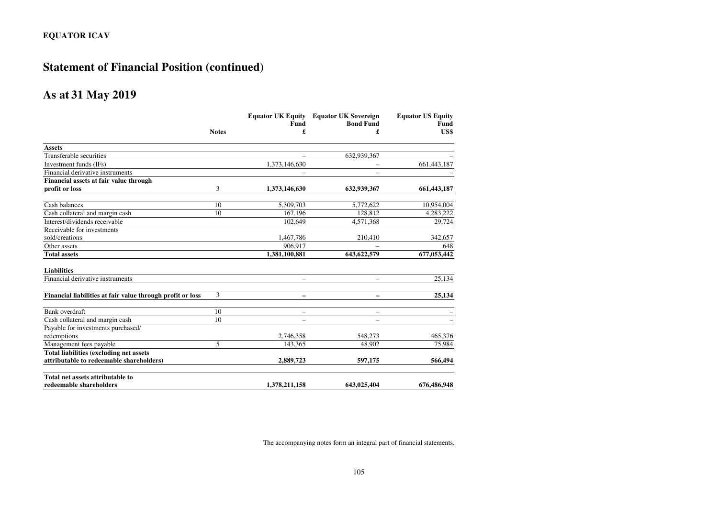## **Statement of Financial Position (continued)**

### **As at 31 May 2019**

|                                                            |              |                          | <b>Equator UK Equity Equator UK Sovereign</b> | <b>Equator US Equity</b> |  |
|------------------------------------------------------------|--------------|--------------------------|-----------------------------------------------|--------------------------|--|
|                                                            |              | Fund                     | <b>Bond Fund</b>                              | Fund                     |  |
|                                                            | <b>Notes</b> | £                        | £                                             | US\$                     |  |
| <b>Assets</b>                                              |              |                          |                                               |                          |  |
| Transferable securities                                    |              |                          | 632,939,367                                   |                          |  |
| Investment funds (IFs)                                     |              | 1,373,146,630            |                                               | 661,443,187              |  |
| Financial derivative instruments                           |              |                          |                                               |                          |  |
| Financial assets at fair value through                     |              |                          |                                               |                          |  |
| profit or loss                                             | 3            | 1,373,146,630            | 632,939,367                                   | 661,443,187              |  |
| Cash balances                                              | 10           | 5,309,703                | 5.772.622                                     | 10,954,004               |  |
| Cash collateral and margin cash                            | 10           | 167,196                  | 128,812                                       | 4,283,222                |  |
| Interest/dividends receivable                              |              | 102,649                  | 4,571,368                                     | 29,724                   |  |
| Receivable for investments                                 |              |                          |                                               |                          |  |
| sold/creations                                             |              | 1,467,786                | 210,410                                       | 342,657                  |  |
| Other assets                                               |              | 906,917                  |                                               | 648                      |  |
| <b>Total assets</b>                                        |              | 1,381,100,881            | 643, 622, 579                                 | 677,053,442              |  |
| <b>Liabilities</b>                                         |              |                          |                                               |                          |  |
| Financial derivative instruments                           |              | ۰                        |                                               | 25,134                   |  |
|                                                            |              |                          |                                               |                          |  |
| Financial liabilities at fair value through profit or loss | 3            | $\overline{\phantom{m}}$ | -                                             | 25,134                   |  |
| Bank overdraft                                             | 10           | $\overline{\phantom{0}}$ |                                               |                          |  |
| Cash collateral and margin cash                            | 10           | $\overline{\phantom{0}}$ |                                               |                          |  |
| Payable for investments purchased/                         |              |                          |                                               |                          |  |
| redemptions                                                |              | 2,746,358                | 548,273                                       | 465,376                  |  |
| Management fees payable                                    | 5            | 143,365                  | 48,902                                        | 75,984                   |  |
| Total liabilities (excluding net assets                    |              |                          |                                               |                          |  |
| attributable to redeemable shareholders)                   |              | 2,889,723                | 597,175                                       | 566,494                  |  |
| Total net assets attributable to                           |              |                          |                                               |                          |  |
| redeemable shareholders                                    |              | 1,378,211,158            | 643,025,404                                   | 676,486,948              |  |
|                                                            |              |                          |                                               |                          |  |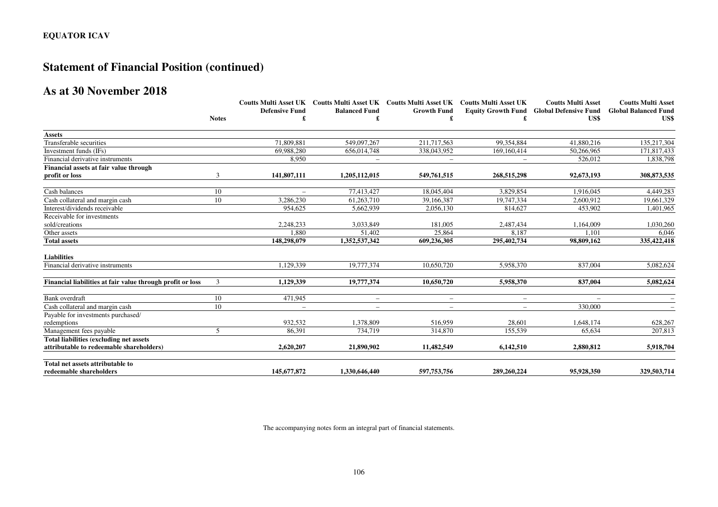## **Statement of Financial Position (continued)**

## **As at 30 November 2018**

|                                                            | <b>Notes</b> |                          | Coutts Multi Asset UK Coutts Multi Asset UK Coutts Multi Asset UK Coutts Multi Asset UK<br><b>Balanced Fund</b><br>£ | <b>Growth Fund</b>       |             | <b>Coutts Multi Asset</b><br><b>Equity Growth Fund Global Defensive Fund</b><br>US\$ | <b>Coutts Multi Asset</b><br><b>Global Balanced Fund</b><br>US\$ |
|------------------------------------------------------------|--------------|--------------------------|----------------------------------------------------------------------------------------------------------------------|--------------------------|-------------|--------------------------------------------------------------------------------------|------------------------------------------------------------------|
|                                                            |              | <b>Defensive Fund</b>    |                                                                                                                      |                          |             |                                                                                      |                                                                  |
|                                                            |              |                          |                                                                                                                      |                          |             |                                                                                      |                                                                  |
| <b>Assets</b>                                              |              |                          |                                                                                                                      |                          |             |                                                                                      |                                                                  |
| Transferable securities                                    |              | 71,809,881               | 549,097,267                                                                                                          | 211,717,563              | 99,354,884  | 41,880,216                                                                           | 135,217,304                                                      |
| Investment funds (IFs)                                     |              | 69.988.280               | 656,014,748                                                                                                          | 338,043,952              | 169,160,414 | 50,266,965                                                                           | 171,817,433                                                      |
| Financial derivative instruments                           |              | 8,950                    | $\overline{\phantom{0}}$                                                                                             | $\qquad \qquad -$        |             | 526,012                                                                              | 1,838,798                                                        |
| Financial assets at fair value through                     |              |                          |                                                                                                                      |                          |             |                                                                                      |                                                                  |
| profit or loss                                             | 3            | 141,807,111              | 1,205,112,015                                                                                                        | 549,761,515              | 268,515,298 | 92,673,193                                                                           | 308,873,535                                                      |
| Cash balances                                              | 10           |                          | 77,413,427                                                                                                           | 18,045,404               | 3.829.854   | 1.916.045                                                                            | 4,449,283                                                        |
| Cash collateral and margin cash                            | 10           | 3,286,230                | 61,263,710                                                                                                           | 39,166,387               | 19,747,334  | 2,600,912                                                                            | 19,661,329                                                       |
| Interest/dividends receivable                              |              | 954.625                  | 5.662.939                                                                                                            | 2.056.130                | 814.627     | 453.902                                                                              | 1,401,965                                                        |
| Receivable for investments                                 |              |                          |                                                                                                                      |                          |             |                                                                                      |                                                                  |
| sold/creations                                             |              | 2,248,233                | 3,033,849                                                                                                            | 181.005                  | 2,487,434   | 1,164,009                                                                            | 1,030,260                                                        |
| Other assets                                               |              | 1.880                    | 51,402                                                                                                               | 25,864                   | 8.187       | 1.101                                                                                | 6,046                                                            |
| <b>Total assets</b>                                        |              | 148,298,079              | 1,352,537,342                                                                                                        | 609,236,305              | 295,402,734 | 98,809,162                                                                           | 335,422,418                                                      |
| <b>Liabilities</b>                                         |              |                          |                                                                                                                      |                          |             |                                                                                      |                                                                  |
| Financial derivative instruments                           |              | 1.129.339                | 19,777,374                                                                                                           | 10.650.720               | 5,958,370   | 837,004                                                                              | 5,082,624                                                        |
| Financial liabilities at fair value through profit or loss | 3            | 1,129,339                | 19,777,374                                                                                                           | 10,650,720               | 5,958,370   | 837,004                                                                              | 5,082,624                                                        |
| Bank overdraft                                             | 10           | 471,945                  | $\overline{\phantom{0}}$                                                                                             | $\qquad \qquad -$        |             |                                                                                      |                                                                  |
| Cash collateral and margin cash                            | 10           | $\overline{\phantom{a}}$ | $\overline{\phantom{0}}$                                                                                             | $\overline{\phantom{a}}$ |             | 330,000                                                                              |                                                                  |
| Payable for investments purchased/                         |              |                          |                                                                                                                      |                          |             |                                                                                      |                                                                  |
| redemptions                                                |              | 932,532                  | 1,378,809                                                                                                            | 516,959                  | 28,601      | 1,648,174                                                                            | 628,267                                                          |
| Management fees payable                                    | 5            | 86.391                   | 734,719                                                                                                              | 314,870                  | 155.539     | 65.634                                                                               | 207,813                                                          |
| <b>Total liabilities (excluding net assets)</b>            |              |                          |                                                                                                                      |                          |             |                                                                                      |                                                                  |
| attributable to redeemable shareholders)                   |              | 2,620,207                | 21,890,902                                                                                                           | 11,482,549               | 6,142,510   | 2,880,812                                                                            | 5,918,704                                                        |
| Total net assets attributable to                           |              |                          |                                                                                                                      |                          |             |                                                                                      |                                                                  |
| redeemable shareholders                                    |              | 145,677,872              | 1.330.646.440                                                                                                        | 597,753,756              | 289,260,224 | 95,928,350                                                                           | 329,503,714                                                      |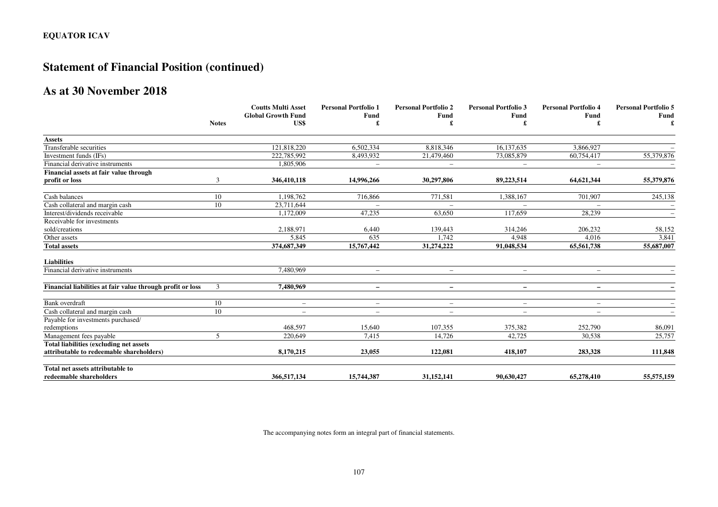## **Statement of Financial Position (continued)**

## **As at 30 November 2018**

|                                                            | <b>Notes</b> |                                   | <b>Coutts Multi Asset</b><br><b>Personal Portfolio 1</b> | <b>Personal Portfolio 2</b> | <b>Personal Portfolio 3</b> | <b>Personal Portfolio 4</b><br>Fund | <b>Personal Portfolio 5</b><br><b>Fund</b> |
|------------------------------------------------------------|--------------|-----------------------------------|----------------------------------------------------------|-----------------------------|-----------------------------|-------------------------------------|--------------------------------------------|
|                                                            |              | <b>Global Growth Fund</b><br>US\$ | Fund                                                     | Fund                        | <b>Fund</b>                 |                                     |                                            |
|                                                            |              |                                   |                                                          |                             |                             |                                     |                                            |
| <b>Assets</b>                                              |              |                                   |                                                          |                             |                             |                                     |                                            |
| Transferable securities                                    |              | 121,818,220                       | 6,502,334                                                | 8,818,346                   | 16,137,635                  | 3,866,927                           |                                            |
| Investment funds (IFs)                                     |              | 222,785,992                       | 8,493,932                                                | 21,479,460                  | 73,085,879                  | 60,754,417                          | 55,379,876                                 |
| Financial derivative instruments                           |              | 1,805,906                         | $\overline{\phantom{m}}$                                 | $\overline{\phantom{m}}$    | $-$                         | $\overline{\phantom{m}}$            | $\overline{\phantom{a}}$                   |
| Financial assets at fair value through                     |              |                                   |                                                          |                             |                             |                                     |                                            |
| profit or loss                                             | 3            | 346,410,118                       | 14,996,266                                               | 30,297,806                  | 89,223,514                  | 64,621,344                          | 55,379,876                                 |
| Cash balances                                              | 10           | 1.198.762                         | 716,866                                                  | 771,581                     | 1,388,167                   | 701,907                             | 245,138                                    |
| Cash collateral and margin cash                            | 10           | 23,711,644                        | $\overline{\phantom{m}}$                                 |                             |                             |                                     |                                            |
| Interest/dividends receivable                              |              | 1,172,009                         | 47,235                                                   | 63,650                      | 117,659                     | 28,239                              |                                            |
| Receivable for investments                                 |              |                                   |                                                          |                             |                             |                                     |                                            |
| sold/creations                                             |              | 2,188,971                         | 6,440                                                    | 139,443                     | 314,246                     | 206,232                             | 58,152                                     |
| Other assets                                               |              | 5,845                             | 635                                                      | 1,742                       | 4,948                       | 4,016                               | 3,841                                      |
| <b>Total assets</b>                                        |              | 374,687,349                       | 15,767,442                                               | 31,274,222                  | 91,048,534                  | 65,561,738                          | 55,687,007                                 |
| <b>Liabilities</b>                                         |              |                                   |                                                          |                             |                             |                                     |                                            |
| Financial derivative instruments                           |              | 7.480.969                         | $\overline{\phantom{0}}$                                 | $\equiv$                    | $\overline{\phantom{a}}$    | $\overline{\phantom{a}}$            |                                            |
| Financial liabilities at fair value through profit or loss | 3            | 7,480,969                         | $\qquad \qquad -$                                        | $\qquad \qquad -$           | $\qquad \qquad -$           | $\qquad \qquad -$                   |                                            |
| Bank overdraft                                             | 10           | $\qquad \qquad -$                 | $\overline{\phantom{0}}$                                 | $\qquad \qquad -$           |                             | $\overline{\phantom{0}}$            |                                            |
| Cash collateral and margin cash                            | 10           | $\qquad \qquad -$                 | $\overline{\phantom{0}}$                                 | $\overline{\phantom{a}}$    | $\overline{\phantom{m}}$    | $\qquad \qquad -$                   |                                            |
| Payable for investments purchased/                         |              |                                   |                                                          |                             |                             |                                     |                                            |
| redemptions                                                |              | 468,597                           | 15,640                                                   | 107,355                     | 375,382                     | 252,790                             | 86,091                                     |
| Management fees payable                                    | 5            | 220,649                           | 7.415                                                    | 14.726                      | 42.725                      | 30,538                              | 25,757                                     |
| <b>Total liabilities (excluding net assets)</b>            |              |                                   |                                                          |                             |                             |                                     |                                            |
| attributable to redeemable shareholders)                   |              | 8,170,215                         | 23,055                                                   | 122,081                     | 418,107                     | 283,328                             | 111,848                                    |
| Total net assets attributable to                           |              |                                   |                                                          |                             |                             |                                     |                                            |
| redeemable shareholders                                    |              | 366,517,134                       | 15,744,387                                               | 31,152,141                  | 90.630.427                  | 65,278,410                          | 55,575,159                                 |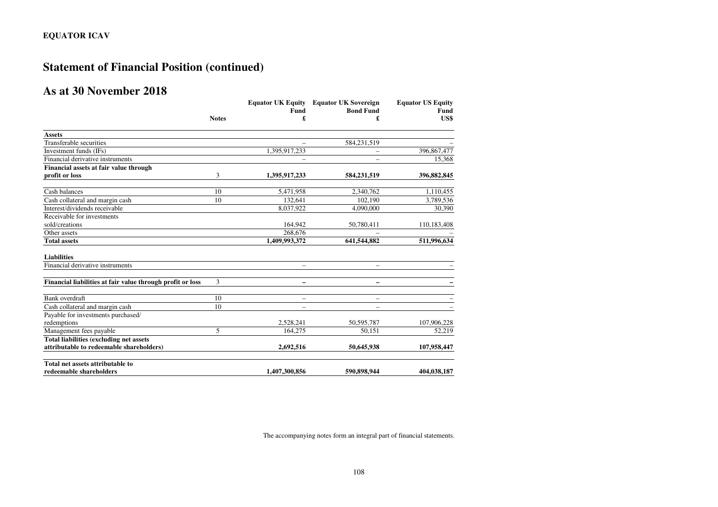# **Statement of Financial Position (continued)**

# **As at 30 November 2018**

|                                                            |              | <b>Equator UK Equity</b> | <b>Equator UK Sovereign</b> | <b>Equator US Equity</b> |  |
|------------------------------------------------------------|--------------|--------------------------|-----------------------------|--------------------------|--|
|                                                            |              | Fund                     | <b>Bond Fund</b>            | Fund                     |  |
|                                                            | <b>Notes</b> | £                        | £                           | US\$                     |  |
| <b>Assets</b>                                              |              |                          |                             |                          |  |
| Transferable securities                                    |              |                          | 584,231,519                 |                          |  |
| Investment funds (IFs)                                     |              | 1,395,917,233            |                             | 396,867,477              |  |
| Financial derivative instruments                           |              | $\overline{\phantom{0}}$ | $\overline{\phantom{0}}$    | 15,368                   |  |
| Financial assets at fair value through                     |              |                          |                             |                          |  |
| profit or loss                                             | 3            | 1,395,917,233            | 584,231,519                 | 396,882,845              |  |
| Cash balances                                              | 10           | 5,471,958                | 2,340,762                   | 1,110,455                |  |
| Cash collateral and margin cash                            | 10           | 132,641                  | 102,190                     | 3,789,536                |  |
| Interest/dividends receivable                              |              | 8,037,922                | 4.090.000                   | 30,390                   |  |
| Receivable for investments                                 |              |                          |                             |                          |  |
| sold/creations                                             |              | 164,942                  | 50,780,411                  | 110,183,408              |  |
| Other assets                                               |              | 268,676                  |                             |                          |  |
| <b>Total assets</b>                                        |              | 1,409,993,372            | 641,544,882                 | 511,996,634              |  |
| <b>Liabilities</b>                                         |              |                          |                             |                          |  |
| Financial derivative instruments                           |              | $\overline{\phantom{0}}$ |                             |                          |  |
| Financial liabilities at fair value through profit or loss | 3            | -                        | -                           |                          |  |
| Bank overdraft                                             | 10           | $\overline{\phantom{0}}$ | $\overline{\phantom{0}}$    |                          |  |
| Cash collateral and margin cash                            | 10           | $\overline{\phantom{0}}$ | $\overline{\phantom{0}}$    |                          |  |
| Payable for investments purchased/                         |              |                          |                             |                          |  |
| redemptions                                                |              | 2,528,241                | 50,595,787                  | 107,906,228              |  |
| Management fees payable                                    | 5            | 164,275                  | 50.151                      | 52,219                   |  |
| Total liabilities (excluding net assets                    |              |                          |                             |                          |  |
| attributable to redeemable shareholders)                   |              | 2,692,516                | 50,645,938                  | 107,958,447              |  |
| Total net assets attributable to                           |              |                          |                             |                          |  |
| redeemable shareholders                                    |              | 1,407,300,856            | 590,898,944                 | 404,038,187              |  |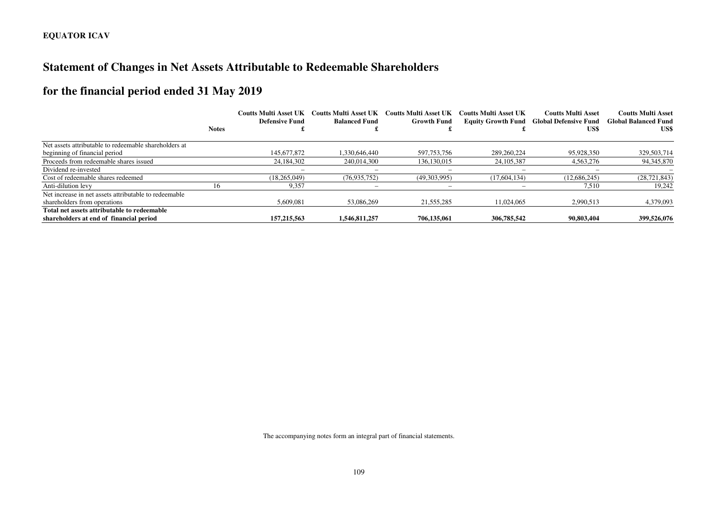# **Statement of Changes in Net Assets Attributable to Redeemable Shareholders**

# **for the financial period ended 31 May 2019**

|                                                       |              | <b>Coutts Multi Asset UK</b><br>Defensive Fund | <b>Coutts Multi Asset UK</b><br><b>Balanced Fund</b> | <b>Coutts Multi Asset UK</b><br><b>Growth Fund</b> | Coutts Multi Asset UK | <b>Coutts Multi Asset</b><br><b>Equity Growth Fund Global Defensive Fund</b> | <b>Coutts Multi Asset</b><br><b>Global Balanced Fund</b> |
|-------------------------------------------------------|--------------|------------------------------------------------|------------------------------------------------------|----------------------------------------------------|-----------------------|------------------------------------------------------------------------------|----------------------------------------------------------|
|                                                       | <b>Notes</b> |                                                |                                                      |                                                    |                       | US\$                                                                         | US\$                                                     |
| Net assets attributable to redeemable shareholders at |              |                                                |                                                      |                                                    |                       |                                                                              |                                                          |
| beginning of financial period                         |              | 145,677,872                                    | 1.330.646.440                                        | 597,753,756                                        | 289,260,224           | 95,928,350                                                                   | 329,503,714                                              |
| Proceeds from redeemable shares issued                |              | 24.184.302                                     | 240,014,300                                          | 136, 130, 015                                      | 24, 105, 387          | 4,563,276                                                                    | 94,345,870                                               |
| Dividend re-invested                                  |              |                                                |                                                      |                                                    |                       |                                                                              |                                                          |
| Cost of redeemable shares redeemed                    |              | (18.265.049)                                   | (76, 935, 752)                                       | (49,303,995)                                       | (17.604.134)          | (12,686,245)                                                                 | (28, 721, 843)                                           |
| Anti-dilution levy                                    | 16           | 9,357                                          |                                                      | -                                                  |                       | 7,510                                                                        | 19,242                                                   |
| Net increase in net assets attributable to redeemable |              |                                                |                                                      |                                                    |                       |                                                                              |                                                          |
| shareholders from operations                          |              | 5,609,081                                      | 53,086,269                                           | 21,555,285                                         | 11.024.065            | 2,990,513                                                                    | 4,379,093                                                |
| Total net assets attributable to redeemable           |              |                                                |                                                      |                                                    |                       |                                                                              |                                                          |
| shareholders at end of financial period               |              | 157,215,563                                    | 1.546.811.257                                        | 706.135.061                                        | 306,785,542           | 90,803,404                                                                   | 399,526,076                                              |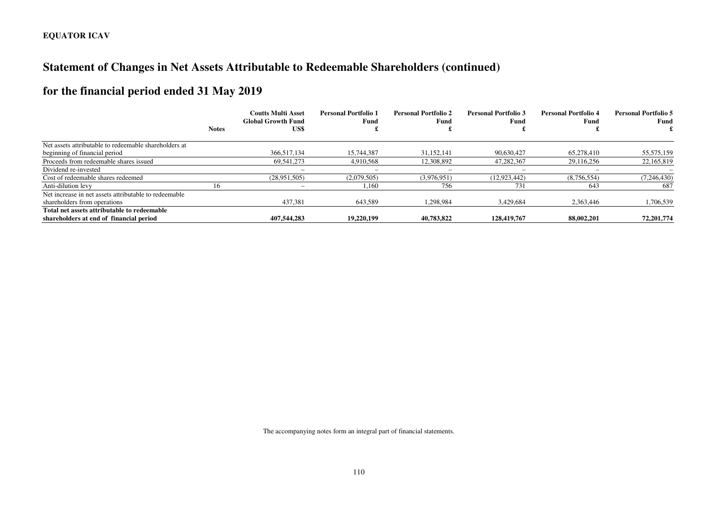# **Statement of Changes in Net Assets Attributable to Redeemable Shareholders (continued)**

# **for the financial period ended 31 May 2019**

|                                                       | <b>Notes</b> | <b>Coutts Multi Asset</b><br><b>Global Growth Fund</b><br>US\$ | <b>Personal Portfolio 1</b><br>Fund | <b>Personal Portfolio 2</b><br>Fund | <b>Personal Portfolio 3</b><br>Fund | <b>Personal Portfolio 4</b><br>Fund | <b>Personal Portfolio 5</b><br>Fund |
|-------------------------------------------------------|--------------|----------------------------------------------------------------|-------------------------------------|-------------------------------------|-------------------------------------|-------------------------------------|-------------------------------------|
|                                                       |              |                                                                |                                     |                                     |                                     |                                     |                                     |
| Net assets attributable to redeemable shareholders at |              |                                                                |                                     |                                     |                                     |                                     |                                     |
| beginning of financial period                         |              | 366,517,134                                                    | 15,744,387                          | 31.152.141                          | 90.630.427                          | 65,278,410                          | 55,575,159                          |
| Proceeds from redeemable shares issued                |              | 69.541.273                                                     | 4.910.568                           | 12.308.892                          | 47.282.367                          | 29.116.256                          | 22,165,819                          |
| Dividend re-invested                                  |              | $\overline{\phantom{0}}$                                       | $\overline{\phantom{0}}$            | -                                   |                                     | $\overline{\phantom{m}}$            |                                     |
| Cost of redeemable shares redeemed                    |              | (28,951,505)                                                   | (2,079,505)                         | (3,976,951)                         | (12, 923, 442)                      | (8,756,554)                         | (7,246,430)                         |
| Anti-dilution levy                                    | 16           | $\overline{\phantom{a}}$                                       | 1,160                               | 756                                 | 731                                 | 643                                 | 687                                 |
| Net increase in net assets attributable to redeemable |              |                                                                |                                     |                                     |                                     |                                     |                                     |
| shareholders from operations                          |              | 437,381                                                        | 643,589                             | 1,298,984                           | 3,429,684                           | 2,363,446                           | 1,706,539                           |
| Total net assets attributable to redeemable           |              |                                                                |                                     |                                     |                                     |                                     |                                     |
| shareholders at end of financial period               |              | 407.544.283                                                    | 19,220,199                          | 40.783.822                          | 128,419,767                         | 88,002,201                          | 72,201,774                          |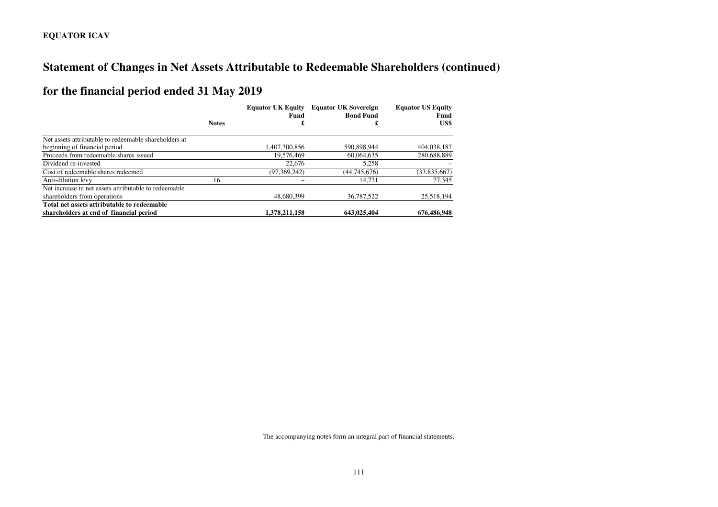# **Statement of Changes in Net Assets Attributable to Redeemable Shareholders (continued)**

# **for the financial period ended 31 May 2019**

|                                                       |              | <b>Equator UK Sovereign</b><br><b>Equator UK Equity</b><br><b>Bond Fund</b><br>Fund |              | <b>Equator US Equity</b><br>Fund |
|-------------------------------------------------------|--------------|-------------------------------------------------------------------------------------|--------------|----------------------------------|
|                                                       | <b>Notes</b> | £                                                                                   | £            | US\$                             |
| Net assets attributable to redeemable shareholders at |              |                                                                                     |              |                                  |
| beginning of financial period                         |              | 1,407,300,856                                                                       | 590.898.944  | 404,038,187                      |
| Proceeds from redeemable shares issued                |              | 19.576.469                                                                          | 60,064,635   | 280,688,889                      |
| Dividend re-invested                                  |              | 22,676                                                                              | 5,258        |                                  |
| Cost of redeemable shares redeemed                    |              | (97, 369, 242)                                                                      | (44.745.676) | (33,835,667)                     |
| Anti-dilution levy                                    | 16           |                                                                                     | 14.721       | 77,345                           |
| Net increase in net assets attributable to redeemable |              |                                                                                     |              |                                  |
| shareholders from operations                          |              | 48,680,399                                                                          | 36,787,522   | 25,518,194                       |
| Total net assets attributable to redeemable           |              |                                                                                     |              |                                  |
| shareholders at end of financial period               |              | 1,378,211,158                                                                       | 643,025,404  | 676,486,948                      |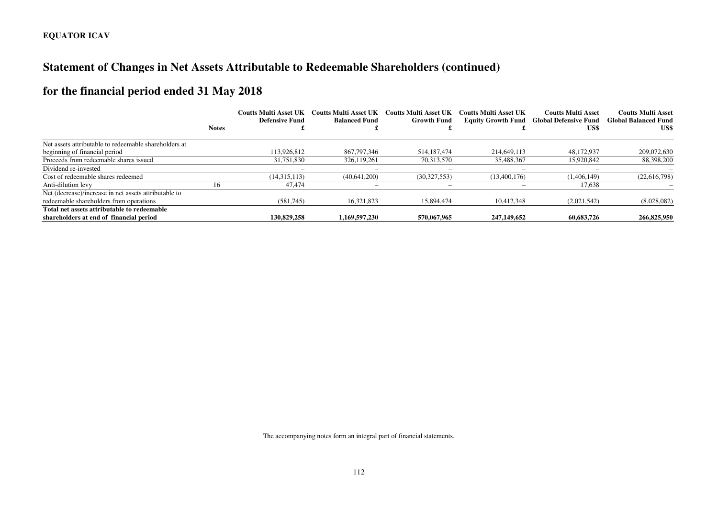# **Statement of Changes in Net Assets Attributable to Redeemable Shareholders (continued)**

# **for the financial period ended 31 May 2018**

|                                                       |              | <b>Coutts Multi Asset UK</b> | <b>Coutts Multi Asset UK</b> | Coutts Multi Asset UK | Coutts Multi Asset UK | <b>Coutts Multi Asset</b>                               | <b>Coutts Multi Asset</b>           |
|-------------------------------------------------------|--------------|------------------------------|------------------------------|-----------------------|-----------------------|---------------------------------------------------------|-------------------------------------|
|                                                       | <b>Notes</b> | <b>Defensive Fund</b>        | <b>Balanced Fund</b>         | <b>Growth Fund</b>    |                       | <b>Equity Growth Fund Global Defensive Fund</b><br>US\$ | <b>Global Balanced Fund</b><br>US\$ |
|                                                       |              |                              |                              |                       |                       |                                                         |                                     |
| Net assets attributable to redeemable shareholders at |              |                              |                              |                       |                       |                                                         |                                     |
| beginning of financial period                         |              | 113,926,812                  | 867,797,346                  | 514, 187, 474         | 214,649,113           | 48.172.937                                              | 209,072,630                         |
| Proceeds from redeemable shares issued                |              | 31,751,830                   | 326.119.261                  | 70,313,570            | 35,488,367            | 15,920,842                                              | 88,398,200                          |
| Dividend re-invested                                  |              |                              |                              |                       |                       |                                                         |                                     |
| Cost of redeemable shares redeemed                    |              | (14,315,113)                 | (40,641,200)                 | (30,327,553)          | (13,400,176)          | (1,406,149)                                             | (22,616,798)                        |
| Anti-dilution levy                                    | 16           | 47,474                       | -                            |                       |                       | 17,638                                                  |                                     |
| Net (decrease)/increase in net assets attributable to |              |                              |                              |                       |                       |                                                         |                                     |
| redeemable shareholders from operations               |              | (581,745)                    | 16.321.823                   | 15,894,474            | 10.412.348            | (2,021,542)                                             | (8,028,082)                         |
| Total net assets attributable to redeemable           |              |                              |                              |                       |                       |                                                         |                                     |
| shareholders at end of financial period               |              | 130,829,258                  | 1.169.597.230                | 570,067,965           | 247,149,652           | 60,683,726                                              | 266,825,950                         |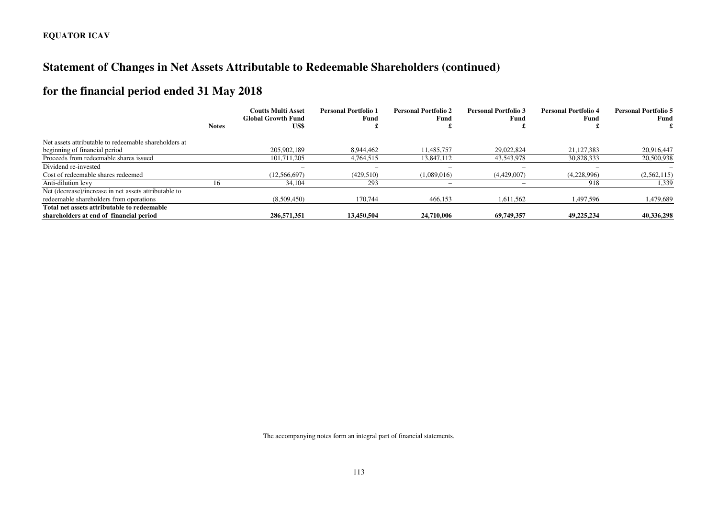# **Statement of Changes in Net Assets Attributable to Redeemable Shareholders (continued)**

# **for the financial period ended 31 May 2018**

|                                                       |              | <b>Coutts Multi Asset</b><br><b>Global Growth Fund</b> | <b>Personal Portfolio 1</b><br>Fund | <b>Personal Portfolio 2</b><br>Fund | <b>Personal Portfolio 3</b><br>Fund | <b>Personal Portfolio 4</b><br>Fund | <b>Personal Portfolio 5</b><br>Fund |
|-------------------------------------------------------|--------------|--------------------------------------------------------|-------------------------------------|-------------------------------------|-------------------------------------|-------------------------------------|-------------------------------------|
|                                                       | <b>Notes</b> | US\$                                                   |                                     |                                     |                                     |                                     |                                     |
| Net assets attributable to redeemable shareholders at |              |                                                        |                                     |                                     |                                     |                                     |                                     |
| beginning of financial period                         |              | 205,902,189                                            | 8.944.462                           | 11.485.757                          | 29,022,824                          | 21,127,383                          | 20.916.447                          |
| Proceeds from redeemable shares issued                |              | 101.711.205                                            | 4,764,515                           | 13.847.112                          | 43.543.978                          | 30.828.333                          | 20,500,938                          |
| Dividend re-invested                                  |              |                                                        |                                     | -                                   |                                     |                                     |                                     |
| Cost of redeemable shares redeemed                    |              | (12,566,697)                                           | (429,510)                           | (1,089,016)                         | (4,429,007)                         | (4,228,996)                         | (2,562,115)                         |
| Anti-dilution levy                                    | 16           | 34,104                                                 | 293                                 | $\overline{\phantom{a}}$            |                                     | 918                                 | 1,339                               |
| Net (decrease)/increase in net assets attributable to |              |                                                        |                                     |                                     |                                     |                                     |                                     |
| redeemable shareholders from operations               |              | (8,509,450)                                            | 170,744                             | 466,153                             | 1,611,562                           | 1,497,596                           | 1,479,689                           |
| Total net assets attributable to redeemable           |              |                                                        |                                     |                                     |                                     |                                     |                                     |
| shareholders at end of financial period               |              | 286,571,351                                            | 13,450,504                          | 24,710,006                          | 69,749,357                          | 49.225.234                          | 40,336,298                          |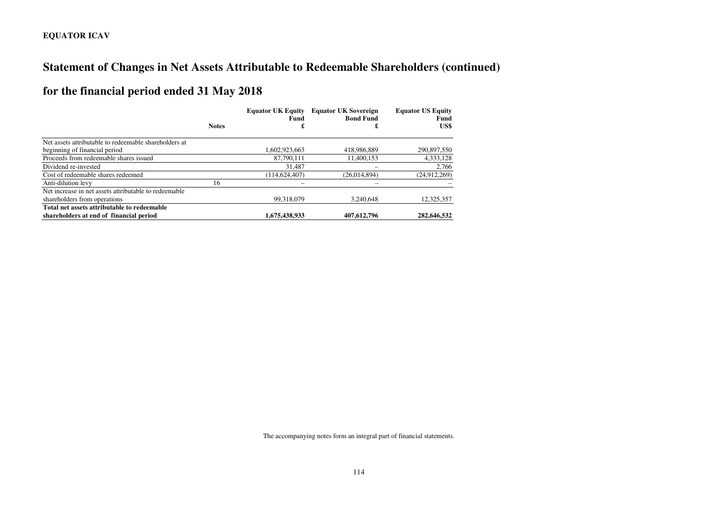# **Statement of Changes in Net Assets Attributable to Redeemable Shareholders (continued)**

# **for the financial period ended 31 May 2018**

|                                                       |              | <b>Equator UK Equity</b><br>Fund | <b>Equator UK Sovereign</b><br><b>Bond Fund</b> | <b>Equator US Equity</b><br>Fund |
|-------------------------------------------------------|--------------|----------------------------------|-------------------------------------------------|----------------------------------|
|                                                       | <b>Notes</b> | £                                | £                                               | US\$                             |
| Net assets attributable to redeemable shareholders at |              |                                  |                                                 |                                  |
| beginning of financial period                         |              | 1,602,923,663                    | 418,986,889                                     | 290,897,550                      |
| Proceeds from redeemable shares issued                |              | 87,790,111                       | 11.400.153                                      | 4,333,128                        |
| Dividend re-invested                                  |              | 31.487                           |                                                 | 2,766                            |
| Cost of redeemable shares redeemed                    |              | (114.624.407)                    | (26.014.894)                                    | (24,912,269)                     |
| Anti-dilution levy                                    | 16           |                                  |                                                 |                                  |
| Net increase in net assets attributable to redeemable |              |                                  |                                                 |                                  |
| shareholders from operations                          |              | 99.318.079                       | 3.240.648                                       | 12,325,357                       |
| Total net assets attributable to redeemable           |              |                                  |                                                 |                                  |
| shareholders at end of financial period               |              | 1,675,438,933                    | 407,612,796                                     | 282,646,532                      |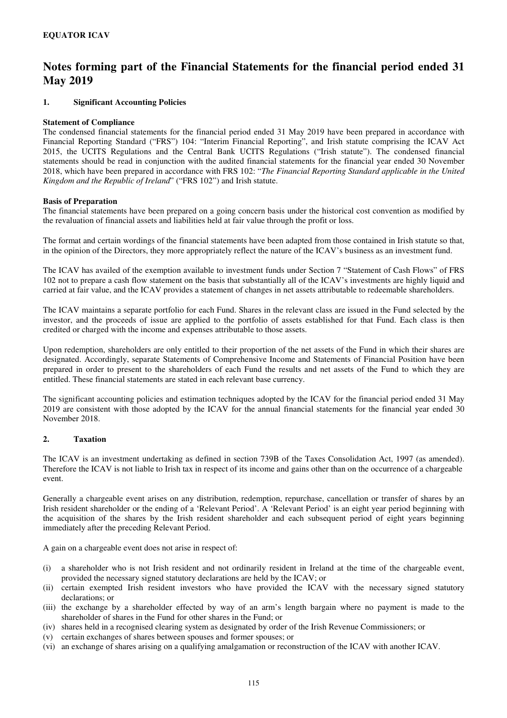### **1. Significant Accounting Policies**

#### **Statement of Compliance**

The condensed financial statements for the financial period ended 31 May 2019 have been prepared in accordance with Financial Reporting Standard ("FRS") 104: "Interim Financial Reporting", and Irish statute comprising the ICAV Act 2015, the UCITS Regulations and the Central Bank UCITS Regulations ("Irish statute"). The condensed financial statements should be read in conjunction with the audited financial statements for the financial year ended 30 November 2018, which have been prepared in accordance with FRS 102: "*The Financial Reporting Standard applicable in the United Kingdom and the Republic of Ireland*" ("FRS 102") and Irish statute.

#### **Basis of Preparation**

The financial statements have been prepared on a going concern basis under the historical cost convention as modified by the revaluation of financial assets and liabilities held at fair value through the profit or loss.

The format and certain wordings of the financial statements have been adapted from those contained in Irish statute so that, in the opinion of the Directors, they more appropriately reflect the nature of the ICAV's business as an investment fund.

The ICAV has availed of the exemption available to investment funds under Section 7 "Statement of Cash Flows" of FRS 102 not to prepare a cash flow statement on the basis that substantially all of the ICAV's investments are highly liquid and carried at fair value, and the ICAV provides a statement of changes in net assets attributable to redeemable shareholders.

The ICAV maintains a separate portfolio for each Fund. Shares in the relevant class are issued in the Fund selected by the investor, and the proceeds of issue are applied to the portfolio of assets established for that Fund. Each class is then credited or charged with the income and expenses attributable to those assets.

Upon redemption, shareholders are only entitled to their proportion of the net assets of the Fund in which their shares are designated. Accordingly, separate Statements of Comprehensive Income and Statements of Financial Position have been prepared in order to present to the shareholders of each Fund the results and net assets of the Fund to which they are entitled. These financial statements are stated in each relevant base currency.

The significant accounting policies and estimation techniques adopted by the ICAV for the financial period ended 31 May 2019 are consistent with those adopted by the ICAV for the annual financial statements for the financial year ended 30 November 2018.

### **2. Taxation**

The ICAV is an investment undertaking as defined in section 739B of the Taxes Consolidation Act, 1997 (as amended). Therefore the ICAV is not liable to Irish tax in respect of its income and gains other than on the occurrence of a chargeable event.

Generally a chargeable event arises on any distribution, redemption, repurchase, cancellation or transfer of shares by an Irish resident shareholder or the ending of a 'Relevant Period'. A 'Relevant Period' is an eight year period beginning with the acquisition of the shares by the Irish resident shareholder and each subsequent period of eight years beginning immediately after the preceding Relevant Period.

A gain on a chargeable event does not arise in respect of:

- (i) a shareholder who is not Irish resident and not ordinarily resident in Ireland at the time of the chargeable event, provided the necessary signed statutory declarations are held by the ICAV; or
- (ii) certain exempted Irish resident investors who have provided the ICAV with the necessary signed statutory declarations; or
- (iii) the exchange by a shareholder effected by way of an arm's length bargain where no payment is made to the shareholder of shares in the Fund for other shares in the Fund; or
- (iv) shares held in a recognised clearing system as designated by order of the Irish Revenue Commissioners; or
- (v) certain exchanges of shares between spouses and former spouses; or
- (vi) an exchange of shares arising on a qualifying amalgamation or reconstruction of the ICAV with another ICAV.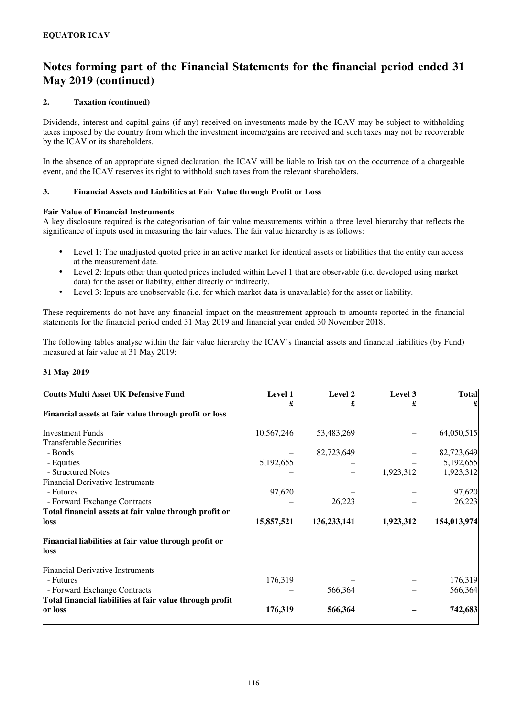### **2. Taxation (continued)**

Dividends, interest and capital gains (if any) received on investments made by the ICAV may be subject to withholding taxes imposed by the country from which the investment income/gains are received and such taxes may not be recoverable by the ICAV or its shareholders.

In the absence of an appropriate signed declaration, the ICAV will be liable to Irish tax on the occurrence of a chargeable event, and the ICAV reserves its right to withhold such taxes from the relevant shareholders.

### **3. Financial Assets and Liabilities at Fair Value through Profit or Loss**

### **Fair Value of Financial Instruments**

A key disclosure required is the categorisation of fair value measurements within a three level hierarchy that reflects the significance of inputs used in measuring the fair values. The fair value hierarchy is as follows:

- Level 1: The unadjusted quoted price in an active market for identical assets or liabilities that the entity can access at the measurement date.
- Level 2: Inputs other than quoted prices included within Level 1 that are observable (i.e. developed using market data) for the asset or liability, either directly or indirectly.
- Level 3: Inputs are unobservable (i.e. for which market data is unavailable) for the asset or liability.

These requirements do not have any financial impact on the measurement approach to amounts reported in the financial statements for the financial period ended 31 May 2019 and financial year ended 30 November 2018.

The following tables analyse within the fair value hierarchy the ICAV's financial assets and financial liabilities (by Fund) measured at fair value at 31 May 2019:

### **31 May 2019**

| <b>Coutts Multi Asset UK Defensive Fund</b>                   | Level 1    | Level 2     | Level 3   | <b>Total</b> |
|---------------------------------------------------------------|------------|-------------|-----------|--------------|
|                                                               | £          | £           | £         | £            |
| Financial assets at fair value through profit or loss         |            |             |           |              |
| <b>Investment Funds</b>                                       | 10,567,246 | 53,483,269  |           | 64,050,515   |
| <b>Transferable Securities</b>                                |            |             |           |              |
| - Bonds                                                       |            | 82,723,649  |           | 82,723,649   |
| - Equities                                                    | 5,192,655  |             |           | 5,192,655    |
| - Structured Notes                                            |            |             | 1,923,312 | 1,923,312    |
| <b>Financial Derivative Instruments</b>                       |            |             |           |              |
| - Futures                                                     | 97,620     |             |           | 97,620       |
| - Forward Exchange Contracts                                  |            | 26,223      |           | 26,223       |
| Total financial assets at fair value through profit or        |            |             |           |              |
| loss                                                          | 15,857,521 | 136,233,141 | 1,923,312 | 154,013,974  |
| Financial liabilities at fair value through profit or<br>loss |            |             |           |              |
| <b>Financial Derivative Instruments</b>                       |            |             |           |              |
| - Futures                                                     | 176,319    |             |           | 176,319      |
| - Forward Exchange Contracts                                  |            | 566,364     |           | 566,364      |
| Total financial liabilities at fair value through profit      |            |             |           |              |
| or loss                                                       | 176,319    | 566,364     |           | 742,683      |
|                                                               |            |             |           |              |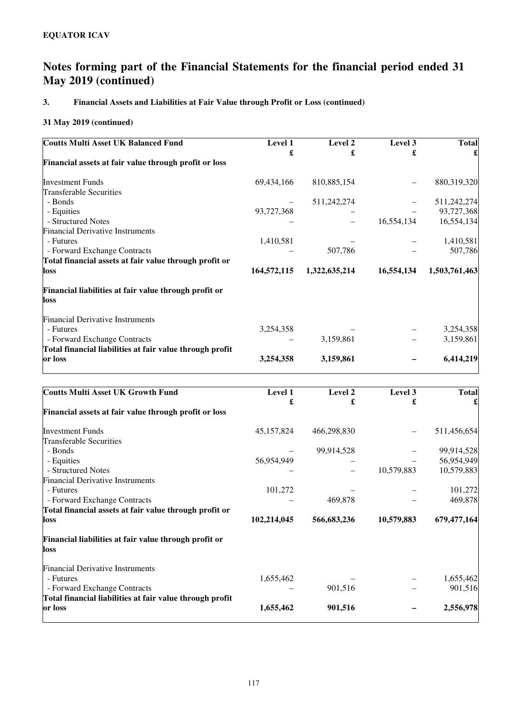## **3. Financial Assets and Liabilities at Fair Value through Profit or Loss (continued)**

| <b>Coutts Multi Asset UK Balanced Fund</b>                    | Level 1     | Level 2       | Level 3    | <b>Total</b>  |
|---------------------------------------------------------------|-------------|---------------|------------|---------------|
|                                                               | £           | £             | £          |               |
| Financial assets at fair value through profit or loss         |             |               |            |               |
| <b>Investment Funds</b>                                       | 69,434,166  | 810,885,154   |            | 880,319,320   |
| <b>Transferable Securities</b>                                |             |               |            |               |
| - Bonds                                                       |             | 511,242,274   |            | 511,242,274   |
| - Equities                                                    | 93,727,368  |               |            | 93,727,368    |
| - Structured Notes                                            |             |               | 16,554,134 | 16,554,134    |
| <b>Financial Derivative Instruments</b>                       |             |               |            |               |
| - Futures                                                     | 1,410,581   |               |            | 1,410,581     |
| - Forward Exchange Contracts                                  |             | 507,786       |            | 507,786       |
| Total financial assets at fair value through profit or        |             |               |            |               |
| loss                                                          | 164,572,115 | 1,322,635,214 | 16,554,134 | 1,503,761,463 |
| Financial liabilities at fair value through profit or<br>loss |             |               |            |               |
| <b>Financial Derivative Instruments</b>                       |             |               |            |               |
| - Futures                                                     | 3,254,358   |               |            | 3,254,358     |
| - Forward Exchange Contracts                                  |             | 3,159,861     |            | 3,159,861     |
| Total financial liabilities at fair value through profit      |             |               |            |               |
| or loss                                                       | 3,254,358   | 3,159,861     |            | 6,414,219     |

| <b>Coutts Multi Asset UK Growth Fund</b>                 | Level 1     | Level 2     | Level 3    | <b>Total</b> |
|----------------------------------------------------------|-------------|-------------|------------|--------------|
|                                                          | £           | £           | £          |              |
| Financial assets at fair value through profit or loss    |             |             |            |              |
| <b>Investment Funds</b>                                  | 45,157,824  | 466,298,830 |            | 511,456,654  |
| <b>Transferable Securities</b>                           |             |             |            |              |
| - Bonds                                                  |             | 99,914,528  |            | 99,914,528   |
| - Equities                                               | 56,954,949  |             |            | 56,954,949   |
| - Structured Notes                                       |             |             | 10,579,883 | 10,579,883   |
| <b>Financial Derivative Instruments</b>                  |             |             |            |              |
| - Futures                                                | 101,272     |             |            | 101,272      |
| - Forward Exchange Contracts                             |             | 469,878     |            | 469,878      |
| Total financial assets at fair value through profit or   |             |             |            |              |
| loss                                                     | 102,214,045 | 566,683,236 | 10,579,883 | 679,477,164  |
| Financial liabilities at fair value through profit or    |             |             |            |              |
| loss                                                     |             |             |            |              |
| <b>Financial Derivative Instruments</b>                  |             |             |            |              |
| - Futures                                                | 1,655,462   |             |            | 1,655,462    |
| - Forward Exchange Contracts                             |             | 901,516     |            | 901,516      |
| Total financial liabilities at fair value through profit |             |             |            |              |
| or loss                                                  | 1,655,462   | 901,516     |            | 2,556,978    |
|                                                          |             |             |            |              |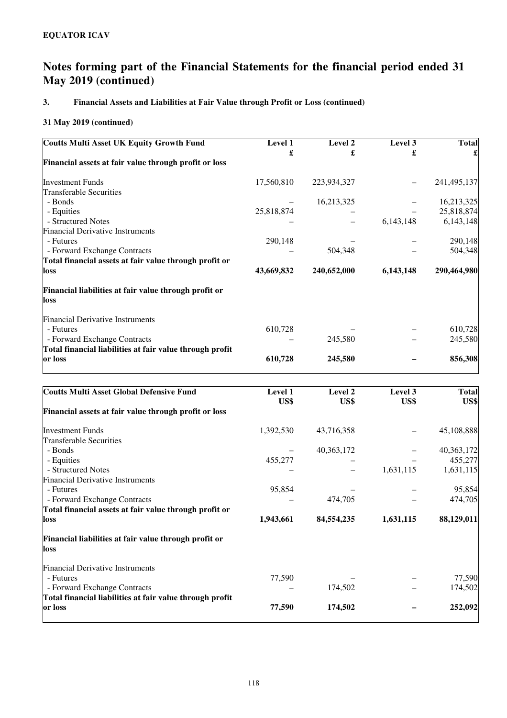## **3. Financial Assets and Liabilities at Fair Value through Profit or Loss (continued)**

| <b>Coutts Multi Asset UK Equity Growth Fund</b>          | Level 1    | Level 2     | Level 3   | <b>Total</b> |
|----------------------------------------------------------|------------|-------------|-----------|--------------|
|                                                          | £          | £           | £         |              |
| Financial assets at fair value through profit or loss    |            |             |           |              |
| <b>Investment Funds</b>                                  | 17,560,810 | 223,934,327 |           | 241,495,137  |
| <b>Transferable Securities</b>                           |            |             |           |              |
| - Bonds                                                  |            | 16,213,325  |           | 16,213,325   |
| - Equities                                               | 25,818,874 |             |           | 25,818,874   |
| - Structured Notes                                       |            |             | 6,143,148 | 6,143,148    |
| <b>Financial Derivative Instruments</b>                  |            |             |           |              |
| - Futures                                                | 290,148    |             |           | 290,148      |
| - Forward Exchange Contracts                             |            | 504,348     |           | 504,348      |
| Total financial assets at fair value through profit or   |            |             |           |              |
| loss                                                     | 43,669,832 | 240,652,000 | 6,143,148 | 290,464,980  |
| Financial liabilities at fair value through profit or    |            |             |           |              |
| loss                                                     |            |             |           |              |
| <b>Financial Derivative Instruments</b>                  |            |             |           |              |
| - Futures                                                | 610,728    |             |           | 610,728      |
| - Forward Exchange Contracts                             |            | 245,580     |           | 245,580      |
| Total financial liabilities at fair value through profit |            |             |           |              |
| or loss                                                  | 610,728    | 245,580     |           | 856,308      |

| <b>Coutts Multi Asset Global Defensive Fund</b>          | Level 1   | Level 2      | Level 3   | <b>Total</b> |
|----------------------------------------------------------|-----------|--------------|-----------|--------------|
|                                                          | US\$      | US\$         | US\$      | US\$         |
| Financial assets at fair value through profit or loss    |           |              |           |              |
| <b>Investment Funds</b>                                  | 1,392,530 | 43,716,358   |           | 45,108,888   |
| <b>Transferable Securities</b>                           |           |              |           |              |
| - Bonds                                                  |           | 40, 363, 172 |           | 40, 363, 172 |
| - Equities                                               | 455,277   |              |           | 455,277      |
| - Structured Notes                                       |           |              | 1,631,115 | 1,631,115    |
| <b>Financial Derivative Instruments</b>                  |           |              |           |              |
| - Futures                                                | 95,854    |              |           | 95,854       |
| - Forward Exchange Contracts                             |           | 474,705      |           | 474,705      |
| Total financial assets at fair value through profit or   |           |              |           |              |
| loss                                                     | 1,943,661 | 84,554,235   | 1,631,115 | 88,129,011   |
| Financial liabilities at fair value through profit or    |           |              |           |              |
| loss                                                     |           |              |           |              |
| <b>Financial Derivative Instruments</b>                  |           |              |           |              |
| - Futures                                                | 77,590    |              |           | 77,590       |
| - Forward Exchange Contracts                             |           | 174,502      |           | 174,502      |
| Total financial liabilities at fair value through profit |           |              |           |              |
| or loss                                                  | 77,590    | 174,502      |           | 252,092      |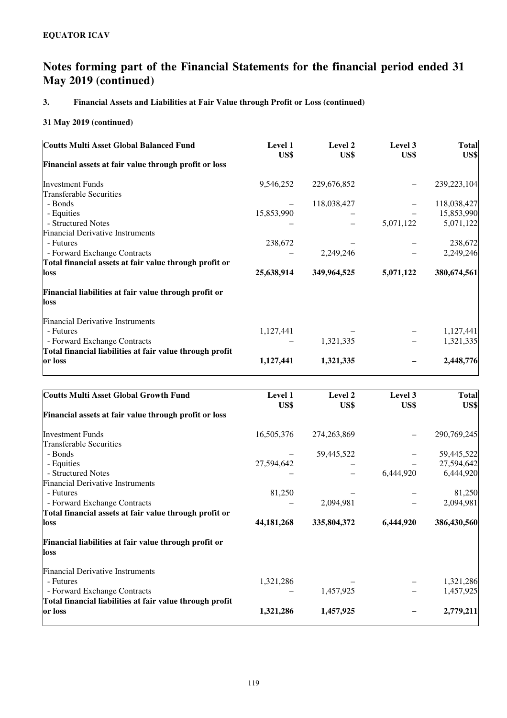## **3. Financial Assets and Liabilities at Fair Value through Profit or Loss (continued)**

| <b>Coutts Multi Asset Global Balanced Fund</b>                | Level 1<br>US\$ | Level 2<br>US\$ | Level 3<br>US\$ | <b>Total</b><br>US\$ |
|---------------------------------------------------------------|-----------------|-----------------|-----------------|----------------------|
| Financial assets at fair value through profit or loss         |                 |                 |                 |                      |
| <b>Investment Funds</b>                                       | 9,546,252       | 229,676,852     |                 | 239,223,104          |
| <b>Transferable Securities</b>                                |                 |                 |                 |                      |
| - Bonds                                                       |                 | 118,038,427     |                 | 118,038,427          |
| - Equities                                                    | 15,853,990      |                 |                 | 15,853,990           |
| - Structured Notes                                            |                 |                 | 5,071,122       | 5,071,122            |
| <b>Financial Derivative Instruments</b>                       |                 |                 |                 |                      |
| - Futures                                                     | 238,672         |                 |                 | 238,672              |
| - Forward Exchange Contracts                                  |                 | 2,249,246       |                 | 2,249,246            |
| Total financial assets at fair value through profit or        |                 |                 |                 |                      |
| loss                                                          | 25,638,914      | 349,964,525     | 5,071,122       | 380,674,561          |
| Financial liabilities at fair value through profit or<br>loss |                 |                 |                 |                      |
| <b>Financial Derivative Instruments</b>                       |                 |                 |                 |                      |
| - Futures                                                     | 1,127,441       |                 |                 | 1,127,441            |
| - Forward Exchange Contracts                                  |                 | 1,321,335       |                 | 1,321,335            |
| Total financial liabilities at fair value through profit      |                 |                 |                 |                      |
| or loss                                                       | 1,127,441       | 1,321,335       |                 | 2,448,776            |

| Level 1      | Level 2       | Level 3   | <b>Total</b><br>US\$ |
|--------------|---------------|-----------|----------------------|
|              |               |           |                      |
| 16,505,376   | 274, 263, 869 |           | 290,769,245          |
|              |               |           |                      |
|              | 59,445,522    |           | 59,445,522           |
| 27,594,642   |               |           | 27,594,642           |
|              |               | 6,444,920 | 6,444,920            |
|              |               |           |                      |
| 81,250       |               |           | 81,250               |
|              | 2,094,981     |           | 2,094,981            |
|              |               |           |                      |
| 44, 181, 268 | 335,804,372   | 6,444,920 | 386,430,560          |
|              |               |           |                      |
|              |               |           |                      |
|              |               |           |                      |
| 1,321,286    |               |           | 1,321,286            |
|              | 1,457,925     |           | 1,457,925            |
|              |               |           |                      |
| 1,321,286    | 1,457,925     |           | 2,779,211            |
|              | US\$          | US\$      | US\$                 |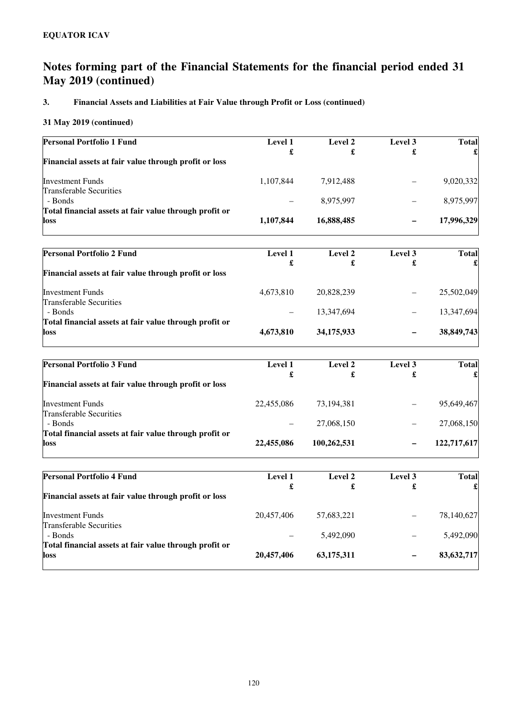## **3. Financial Assets and Liabilities at Fair Value through Profit or Loss (continued)**

| <b>Personal Portfolio 1 Fund</b>                       | <b>Level 1</b> | Level 2    | Level 3 | <b>Total</b> |
|--------------------------------------------------------|----------------|------------|---------|--------------|
|                                                        | £              | £          | £       |              |
| Financial assets at fair value through profit or loss  |                |            |         |              |
| <b>Investment Funds</b>                                | 1,107,844      | 7,912,488  |         | 9,020,332    |
| <b>Transferable Securities</b>                         |                |            |         |              |
| - Bonds                                                | -              | 8,975,997  |         | 8,975,997    |
| Total financial assets at fair value through profit or |                |            |         |              |
| loss                                                   | 1,107,844      | 16,888,485 |         | 17,996,329   |

| <b>Level 1</b> | Level 2    | Level 3 | <b>Total</b> |
|----------------|------------|---------|--------------|
|                |            |         |              |
| 4,673,810      | 20,828,239 |         | 25,502,049   |
|                | 13.347.694 |         | 13,347,694   |
| 4,673,810      | 34,175,933 | -       | 38,849,743   |
|                | £          | £       | £            |

| <b>Personal Portfolio 3 Fund</b>                       | <b>Level 1</b> | Level 2     | Level 3 | <b>Total</b> |
|--------------------------------------------------------|----------------|-------------|---------|--------------|
|                                                        | £              | £           | £       |              |
| Financial assets at fair value through profit or loss  |                |             |         |              |
| <b>Investment Funds</b>                                | 22,455,086     | 73,194,381  | —       | 95,649,467   |
| <b>Transferable Securities</b>                         |                |             |         |              |
| - Bonds                                                |                | 27,068,150  | —       | 27,068,150   |
| Total financial assets at fair value through profit or |                |             |         |              |
| loss                                                   | 22,455,086     | 100,262,531 | -       | 122,717,617  |

| <b>Personal Portfolio 4 Fund</b>                       | <b>Level 1</b> | Level 2    | Level 3 | <b>Total</b> |
|--------------------------------------------------------|----------------|------------|---------|--------------|
| Financial assets at fair value through profit or loss  | £              | £          | £       |              |
|                                                        |                |            |         |              |
| <b>Investment Funds</b>                                | 20,457,406     | 57,683,221 |         | 78,140,627   |
| <b>Transferable Securities</b>                         |                |            |         |              |
| - Bonds                                                |                | 5,492,090  |         | 5,492,090    |
| Total financial assets at fair value through profit or |                |            |         |              |
| loss                                                   | 20,457,406     | 63,175,311 | -       | 83,632,717   |
|                                                        |                |            |         |              |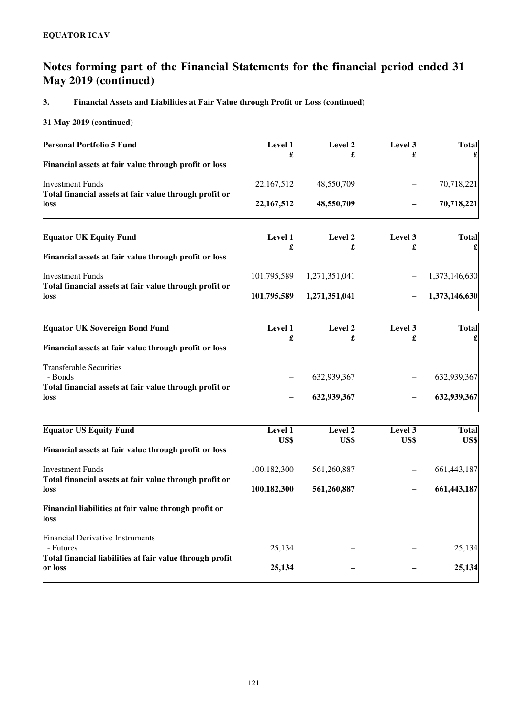## **3. Financial Assets and Liabilities at Fair Value through Profit or Loss (continued)**

| <b>Personal Portfolio 5 Fund</b>                                                  | Level 1      | Level 2       | Level 3 | <b>Total</b>  |
|-----------------------------------------------------------------------------------|--------------|---------------|---------|---------------|
| Financial assets at fair value through profit or loss                             | £            | £             | £       |               |
| <b>Investment Funds</b><br>Total financial assets at fair value through profit or | 22,167,512   | 48,550,709    |         | 70,718,221    |
| loss                                                                              | 22, 167, 512 | 48,550,709    |         | 70,718,221    |
| <b>Equator UK Equity Fund</b>                                                     | Level 1      | Level 2       | Level 3 | <b>Total</b>  |
| Financial assets at fair value through profit or loss                             | £            | £             | £       |               |
| Investment Funds<br>Total financial assets at fair value through profit or        | 101,795,589  | 1,271,351,041 |         | 1,373,146,630 |
| loss                                                                              | 101,795,589  | 1,271,351,041 |         | 1,373,146,630 |
| <b>Equator UK Sovereign Bond Fund</b>                                             | Level 1      | Level 2       | Level 3 | <b>Total</b>  |
| Financial assets at fair value through profit or loss                             | £            | £             | £       |               |
| <b>Transferable Securities</b><br>- Bonds                                         |              | 632,939,367   |         | 632,939,367   |
| Total financial assets at fair value through profit or<br>loss                    |              | 632,939,367   |         | 632,939,367   |
| <b>Equator US Equity Fund</b>                                                     | Level 1      | Level 2       | Level 3 | <b>Total</b>  |
| Financial assets at fair value through profit or loss                             | US\$         | US\$          | US\$    | US\$          |
| <b>Investment Funds</b><br>Total financial assets at fair value through profit or | 100,182,300  | 561,260,887   |         | 661,443,187   |
| loss                                                                              | 100,182,300  | 561,260,887   |         | 661,443,187   |
| Financial liabilities at fair value through profit or<br>loss                     |              |               |         |               |
| <b>Financial Derivative Instruments</b><br>- Futures                              | 25,134       |               |         | 25,134        |
| Total financial liabilities at fair value through profit<br>or loss               | 25,134       |               |         | 25,134        |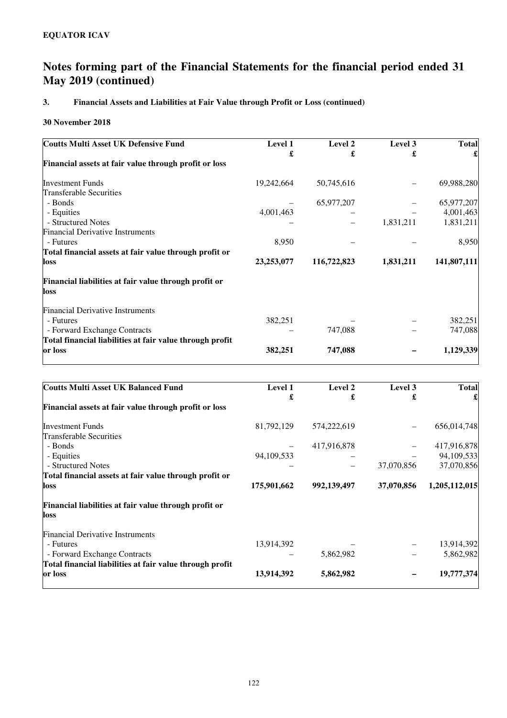## **3. Financial Assets and Liabilities at Fair Value through Profit or Loss (continued)**

### **30 November 2018**

| <b>Coutts Multi Asset UK Defensive Fund</b>              | Level 1    | Level 2     | Level 3   | <b>Total</b> |
|----------------------------------------------------------|------------|-------------|-----------|--------------|
|                                                          | £          | £           | £         |              |
| Financial assets at fair value through profit or loss    |            |             |           |              |
| <b>Investment Funds</b>                                  | 19,242,664 | 50,745,616  |           | 69,988,280   |
| Transferable Securities                                  |            |             |           |              |
| - Bonds                                                  |            | 65,977,207  |           | 65,977,207   |
| - Equities                                               | 4,001,463  |             |           | 4,001,463    |
| - Structured Notes                                       |            |             | 1,831,211 | 1,831,211    |
| <b>Financial Derivative Instruments</b>                  |            |             |           |              |
| - Futures                                                | 8,950      |             |           | 8,950        |
| Total financial assets at fair value through profit or   |            |             |           |              |
| loss                                                     | 23,253,077 | 116,722,823 | 1,831,211 | 141,807,111  |
| Financial liabilities at fair value through profit or    |            |             |           |              |
| loss                                                     |            |             |           |              |
| <b>Financial Derivative Instruments</b>                  |            |             |           |              |
| - Futures                                                | 382,251    |             |           | 382,251      |
| - Forward Exchange Contracts                             |            | 747,088     |           | 747,088      |
| Total financial liabilities at fair value through profit |            |             |           |              |
| or loss                                                  | 382,251    | 747,088     |           | 1,129,339    |

| £<br>574,222,619<br>417,916,878 | £<br>37,070,856        | <b>Total</b><br>656,014,748<br>94,109,533<br>37,070,856 |
|---------------------------------|------------------------|---------------------------------------------------------|
|                                 |                        |                                                         |
|                                 |                        |                                                         |
|                                 |                        |                                                         |
|                                 |                        | 417,916,878                                             |
|                                 |                        |                                                         |
|                                 |                        |                                                         |
|                                 |                        |                                                         |
|                                 |                        |                                                         |
| 992,139,497                     | 37,070,856             | 1,205,112,015                                           |
|                                 |                        |                                                         |
|                                 |                        |                                                         |
|                                 |                        |                                                         |
|                                 |                        | 13,914,392                                              |
|                                 |                        | 5,862,982                                               |
|                                 |                        |                                                         |
|                                 |                        | 19,777,374                                              |
|                                 | 5,862,982<br>5,862,982 |                                                         |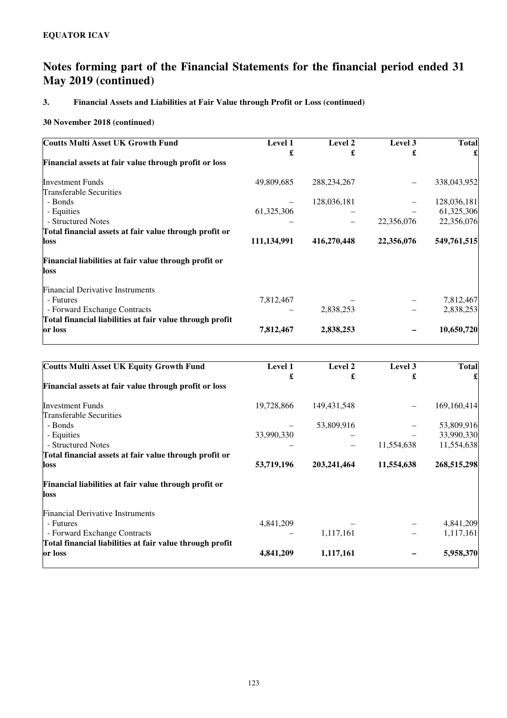## **3. Financial Assets and Liabilities at Fair Value through Profit or Loss (continued)**

| <b>Coutts Multi Asset UK Growth Fund</b>                 | Level 1     | Level 2       | Level 3    | <b>Total</b> |
|----------------------------------------------------------|-------------|---------------|------------|--------------|
|                                                          | £           | £             | £          |              |
| Financial assets at fair value through profit or loss    |             |               |            |              |
| <b>Investment Funds</b>                                  | 49,809,685  | 288, 234, 267 |            | 338,043,952  |
| Transferable Securities                                  |             |               |            |              |
| - Bonds                                                  |             | 128,036,181   |            | 128,036,181  |
| - Equities                                               | 61,325,306  |               |            | 61,325,306   |
| - Structured Notes                                       |             |               | 22,356,076 | 22,356,076   |
| Total financial assets at fair value through profit or   |             |               |            |              |
| loss                                                     | 111,134,991 | 416,270,448   | 22,356,076 | 549,761,515  |
| Financial liabilities at fair value through profit or    |             |               |            |              |
| loss                                                     |             |               |            |              |
| <b>Financial Derivative Instruments</b>                  |             |               |            |              |
| - Futures                                                | 7,812,467   |               |            | 7,812,467    |
| - Forward Exchange Contracts                             |             | 2,838,253     |            | 2,838,253    |
| Total financial liabilities at fair value through profit |             |               |            |              |
| or loss                                                  | 7,812,467   | 2,838,253     |            | 10,650,720   |

| <b>Coutts Multi Asset UK Equity Growth Fund</b>               | <b>Level 1</b> | Level 2     | Level 3    | <b>Total</b> |
|---------------------------------------------------------------|----------------|-------------|------------|--------------|
|                                                               | £              | £           | £          |              |
| Financial assets at fair value through profit or loss         |                |             |            |              |
| <b>Investment Funds</b>                                       | 19,728,866     | 149,431,548 |            | 169,160,414  |
| Transferable Securities                                       |                |             |            |              |
| - Bonds                                                       |                | 53,809,916  |            | 53,809,916   |
| - Equities                                                    | 33,990,330     |             |            | 33,990,330   |
| - Structured Notes                                            |                |             | 11,554,638 | 11,554,638   |
| Total financial assets at fair value through profit or        |                |             |            |              |
| loss                                                          | 53,719,196     | 203,241,464 | 11,554,638 | 268,515,298  |
| Financial liabilities at fair value through profit or<br>loss |                |             |            |              |
|                                                               |                |             |            |              |
| <b>Financial Derivative Instruments</b>                       |                |             |            |              |
| - Futures                                                     | 4,841,209      |             |            | 4,841,209    |
| - Forward Exchange Contracts                                  |                | 1,117,161   |            | 1,117,161    |
| Total financial liabilities at fair value through profit      |                |             |            |              |
| or loss                                                       | 4,841,209      | 1,117,161   |            | 5,958,370    |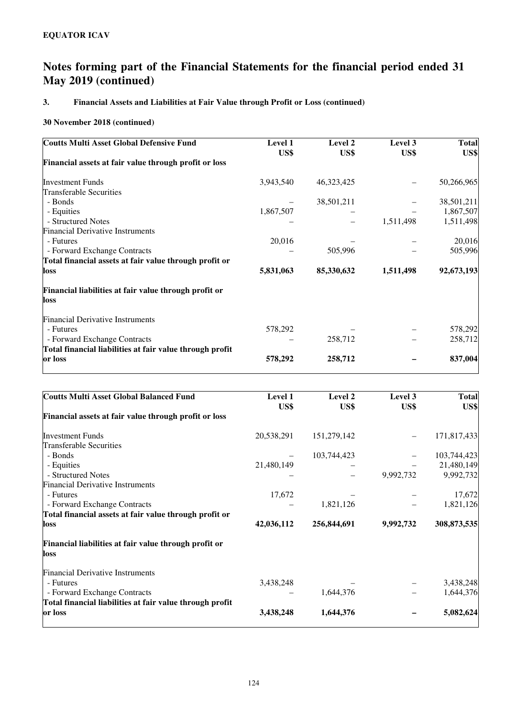## **3. Financial Assets and Liabilities at Fair Value through Profit or Loss (continued)**

| <b>Coutts Multi Asset Global Defensive Fund</b>               | Level 1   | Level 2    | Level 3   | <b>Total</b> |
|---------------------------------------------------------------|-----------|------------|-----------|--------------|
|                                                               | US\$      | US\$       | US\$      | US\$         |
| Financial assets at fair value through profit or loss         |           |            |           |              |
| <b>Investment Funds</b>                                       | 3,943,540 | 46,323,425 |           | 50,266,965   |
| Transferable Securities                                       |           |            |           |              |
| - Bonds                                                       |           | 38,501,211 |           | 38,501,211   |
| - Equities                                                    | 1,867,507 |            |           | 1,867,507    |
| - Structured Notes                                            |           |            | 1,511,498 | 1,511,498    |
| <b>Financial Derivative Instruments</b>                       |           |            |           |              |
| - Futures                                                     | 20,016    |            |           | 20,016       |
| - Forward Exchange Contracts                                  |           | 505,996    |           | 505,996      |
| Total financial assets at fair value through profit or        |           |            |           |              |
| loss                                                          | 5,831,063 | 85,330,632 | 1,511,498 | 92,673,193   |
| Financial liabilities at fair value through profit or<br>loss |           |            |           |              |
| <b>Financial Derivative Instruments</b>                       |           |            |           |              |
| - Futures                                                     | 578,292   |            |           | 578,292      |
| - Forward Exchange Contracts                                  |           | 258,712    |           | 258,712      |
| Total financial liabilities at fair value through profit      |           |            |           |              |
| or loss                                                       | 578,292   | 258,712    |           | 837,004      |

| <b>Coutts Multi Asset Global Balanced Fund</b>           | Level 1<br>US\$ | Level 2<br>US\$ | Level 3<br>US\$ | <b>Total</b><br>US\$ |
|----------------------------------------------------------|-----------------|-----------------|-----------------|----------------------|
| Financial assets at fair value through profit or loss    |                 |                 |                 |                      |
| <b>Investment Funds</b>                                  | 20,538,291      | 151,279,142     |                 | 171,817,433          |
| <b>Transferable Securities</b>                           |                 |                 |                 |                      |
| - Bonds                                                  |                 | 103,744,423     |                 | 103,744,423          |
| - Equities                                               | 21,480,149      |                 |                 | 21,480,149           |
| - Structured Notes                                       |                 |                 | 9,992,732       | 9,992,732            |
| <b>Financial Derivative Instruments</b>                  |                 |                 |                 |                      |
| - Futures                                                | 17,672          |                 |                 | 17,672               |
| - Forward Exchange Contracts                             |                 | 1,821,126       |                 | 1,821,126            |
| Total financial assets at fair value through profit or   |                 |                 |                 |                      |
| loss                                                     | 42,036,112      | 256,844,691     | 9,992,732       | 308,873,535          |
| Financial liabilities at fair value through profit or    |                 |                 |                 |                      |
| loss                                                     |                 |                 |                 |                      |
| <b>Financial Derivative Instruments</b>                  |                 |                 |                 |                      |
| - Futures                                                | 3,438,248       |                 |                 | 3,438,248            |
| - Forward Exchange Contracts                             |                 | 1,644,376       |                 | 1,644,376            |
| Total financial liabilities at fair value through profit |                 |                 |                 |                      |
| or loss                                                  | 3,438,248       | 1,644,376       |                 | 5,082,624            |
|                                                          |                 |                 |                 |                      |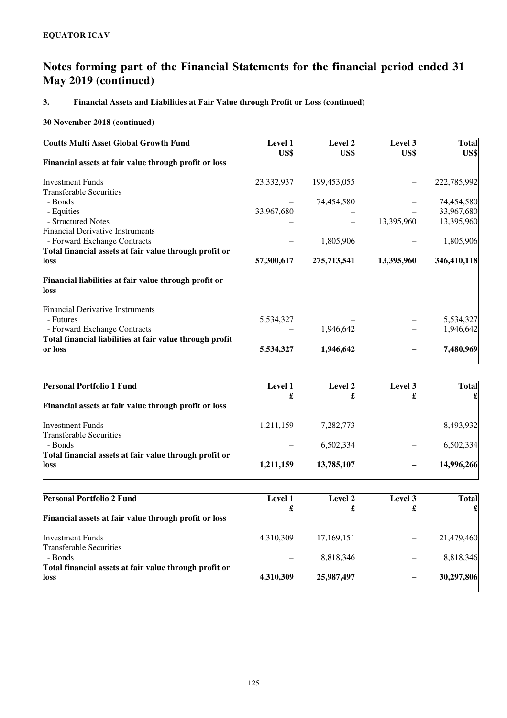## **3. Financial Assets and Liabilities at Fair Value through Profit or Loss (continued)**

| Level 1    | Level 2     | Level 3    | <b>Total</b>       |
|------------|-------------|------------|--------------------|
|            |             |            | US\$               |
|            |             |            |                    |
| 23,332,937 | 199,453,055 |            | 222,785,992        |
|            |             |            |                    |
|            | 74,454,580  |            | 74,454,580         |
| 33,967,680 |             |            | 33,967,680         |
|            |             |            | 13,395,960         |
|            |             |            |                    |
|            | 1,805,906   |            | 1,805,906          |
|            |             |            |                    |
| 57,300,617 | 275,713,541 | 13,395,960 | 346,410,118        |
|            |             |            |                    |
|            |             |            |                    |
|            |             |            |                    |
| 5,534,327  |             |            | 5,534,327          |
|            | 1,946,642   |            | 1,946,642          |
|            |             |            |                    |
| 5,534,327  | 1,946,642   |            | 7,480,969          |
|            | US\$        | US\$       | US\$<br>13,395,960 |

| <b>Personal Portfolio 1 Fund</b>                       | <b>Level 1</b> | Level 2    | Level 3 | <b>Total</b> |
|--------------------------------------------------------|----------------|------------|---------|--------------|
|                                                        | £              | £          | £       |              |
| Financial assets at fair value through profit or loss  |                |            |         |              |
| <b>Investment Funds</b>                                | 1,211,159      | 7,282,773  |         | 8,493,932    |
| <b>Transferable Securities</b>                         |                |            |         |              |
| - Bonds                                                |                | 6.502.334  |         | 6,502,334    |
| Total financial assets at fair value through profit or |                |            |         |              |
| loss                                                   | 1,211,159      | 13,785,107 |         | 14,996,266   |

| <b>Personal Portfolio 2 Fund</b>                                  | Level 1   | Level 2      | Level 3 | <b>Total</b> |
|-------------------------------------------------------------------|-----------|--------------|---------|--------------|
|                                                                   | £         |              |         |              |
| Financial assets at fair value through profit or loss             |           |              |         |              |
| <b>Investment Funds</b>                                           | 4.310.309 | 17, 169, 151 |         | 21,479,460   |
| <b>Transferable Securities</b>                                    |           |              |         |              |
| - Bonds<br>Total financial assets at fair value through profit or |           | 8,818,346    |         | 8,818,346    |
| loss                                                              | 4,310,309 | 25,987,497   | -       | 30,297,806   |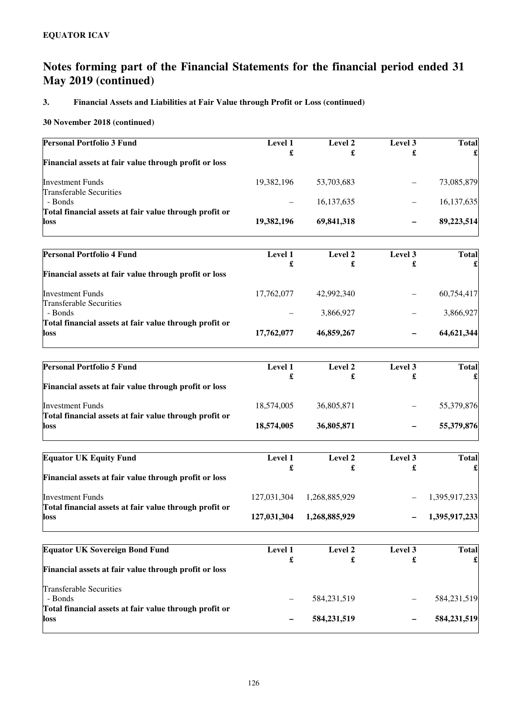## **3. Financial Assets and Liabilities at Fair Value through Profit or Loss (continued)**

| Personal Portfolio 3 Fund                                         | Level 1     | Level 2       | Level 3 | <b>Total</b>  |
|-------------------------------------------------------------------|-------------|---------------|---------|---------------|
| Financial assets at fair value through profit or loss             | £           | £             | £       |               |
| <b>Investment Funds</b>                                           | 19,382,196  | 53,703,683    |         | 73,085,879    |
| <b>Transferable Securities</b><br>- Bonds                         |             | 16,137,635    |         | 16,137,635    |
| Total financial assets at fair value through profit or            |             |               |         |               |
| loss                                                              | 19,382,196  | 69,841,318    |         | 89,223,514    |
| <b>Personal Portfolio 4 Fund</b>                                  | Level 1     | Level 2       | Level 3 | <b>Total</b>  |
|                                                                   | £           | £             | £       |               |
| Financial assets at fair value through profit or loss             |             |               |         |               |
| <b>Investment Funds</b><br><b>Transferable Securities</b>         | 17,762,077  | 42,992,340    |         | 60,754,417    |
| - Bonds                                                           |             | 3,866,927     |         | 3,866,927     |
| Total financial assets at fair value through profit or<br>loss    | 17,762,077  | 46,859,267    |         | 64,621,344    |
|                                                                   |             |               |         |               |
| <b>Personal Portfolio 5 Fund</b>                                  | Level 1     | Level 2       | Level 3 | <b>Total</b>  |
|                                                                   | £           | £             | £       |               |
| Financial assets at fair value through profit or loss             |             |               |         |               |
| <b>Investment Funds</b>                                           | 18,574,005  | 36,805,871    |         | 55,379,876    |
| Total financial assets at fair value through profit or<br>loss    | 18,574,005  | 36,805,871    |         | 55,379,876    |
|                                                                   |             |               |         |               |
| <b>Equator UK Equity Fund</b>                                     | Level 1     | Level 2       | Level 3 | <b>Total</b>  |
|                                                                   | £           | £             | £       |               |
| Financial assets at fair value through profit or loss             |             |               |         |               |
| <b>Investment Funds</b>                                           | 127,031,304 | 1,268,885,929 |         | 1,395,917,233 |
| Total financial assets at fair value through profit or<br>IOSS    | 127,031,304 | 1,268,885,929 |         | 1,395,917,233 |
| <b>Equator UK Sovereign Bond Fund</b>                             | Level 1     | Level 2       | Level 3 | <b>Total</b>  |
|                                                                   | £           | £             | £       |               |
| Financial assets at fair value through profit or loss             |             |               |         |               |
| <b>Transferable Securities</b>                                    |             |               |         |               |
| - Bonds<br>Total financial assets at fair value through profit or |             | 584, 231, 519 |         | 584,231,519   |
| loss                                                              |             | 584,231,519   |         | 584,231,519   |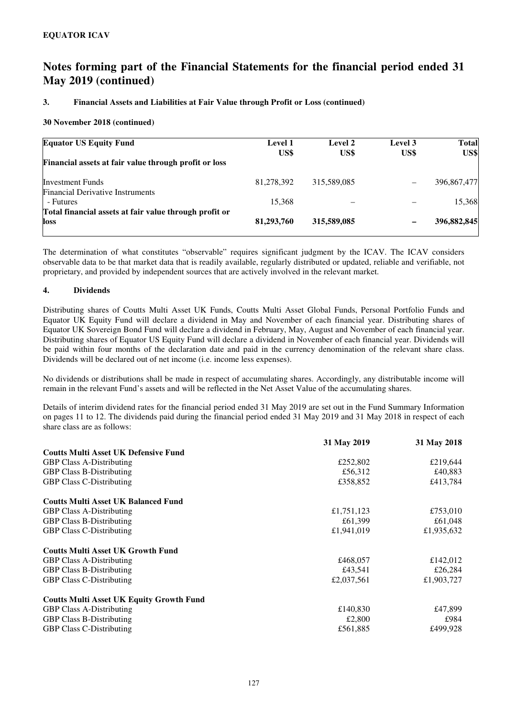### **3. Financial Assets and Liabilities at Fair Value through Profit or Loss (continued)**

### **30 November 2018 (continued)**

| <b>Equator US Equity Fund</b>                                      | <b>Level 1</b><br>US\$ | Level 2<br>US\$ | Level 3<br>US\$ | <b>Total</b><br>US\$ |
|--------------------------------------------------------------------|------------------------|-----------------|-----------------|----------------------|
| Financial assets at fair value through profit or loss              |                        |                 |                 |                      |
| <b>Investment Funds</b><br><b>Financial Derivative Instruments</b> | 81,278,392             | 315,589,085     | $\qquad \qquad$ | 396,867,477          |
| - Futures                                                          | 15.368                 |                 |                 | 15,368               |
| Total financial assets at fair value through profit or<br>loss     | 81,293,760             | 315,589,085     |                 | 396,882,845          |

The determination of what constitutes "observable" requires significant judgment by the ICAV. The ICAV considers observable data to be that market data that is readily available, regularly distributed or updated, reliable and verifiable, not proprietary, and provided by independent sources that are actively involved in the relevant market.

### **4. Dividends**

Distributing shares of Coutts Multi Asset UK Funds, Coutts Multi Asset Global Funds, Personal Portfolio Funds and Equator UK Equity Fund will declare a dividend in May and November of each financial year. Distributing shares of Equator UK Sovereign Bond Fund will declare a dividend in February, May, August and November of each financial year. Distributing shares of Equator US Equity Fund will declare a dividend in November of each financial year. Dividends will be paid within four months of the declaration date and paid in the currency denomination of the relevant share class. Dividends will be declared out of net income (i.e. income less expenses).

No dividends or distributions shall be made in respect of accumulating shares. Accordingly, any distributable income will remain in the relevant Fund's assets and will be reflected in the Net Asset Value of the accumulating shares.

Details of interim dividend rates for the financial period ended 31 May 2019 are set out in the Fund Summary Information on pages 11 to 12. The dividends paid during the financial period ended 31 May 2019 and 31 May 2018 in respect of each share class are as follows:

|                                                 | 31 May 2019 | 31 May 2018 |
|-------------------------------------------------|-------------|-------------|
| <b>Coutts Multi Asset UK Defensive Fund</b>     |             |             |
| <b>GBP Class A-Distributing</b>                 | £252,802    | £219,644    |
| <b>GBP Class B-Distributing</b>                 | £56,312     | £40,883     |
| <b>GBP Class C-Distributing</b>                 | £358,852    | £413,784    |
| <b>Coutts Multi Asset UK Balanced Fund</b>      |             |             |
| <b>GBP Class A-Distributing</b>                 | £1,751,123  | £753,010    |
| <b>GBP Class B-Distributing</b>                 | £61,399     | £61,048     |
| <b>GBP Class C-Distributing</b>                 | £1,941,019  | £1,935,632  |
| <b>Coutts Multi Asset UK Growth Fund</b>        |             |             |
| <b>GBP Class A-Distributing</b>                 | £468,057    | £142,012    |
| <b>GBP Class B-Distributing</b>                 | £43,541     | £26,284     |
| <b>GBP Class C-Distributing</b>                 | £2,037,561  | £1,903,727  |
| <b>Coutts Multi Asset UK Equity Growth Fund</b> |             |             |
| <b>GBP Class A-Distributing</b>                 | £140,830    | £47,899     |
| <b>GBP Class B-Distributing</b>                 | £2,800      | £984        |
| <b>GBP Class C-Distributing</b>                 | £561,885    | £499.928    |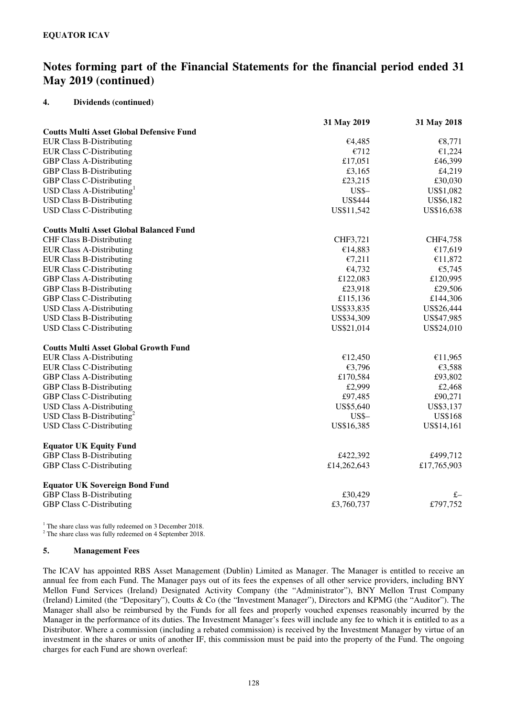### **4. Dividends (continued)**

|                                                 | 31 May 2019    | 31 May 2018    |
|-------------------------------------------------|----------------|----------------|
| <b>Coutts Multi Asset Global Defensive Fund</b> |                |                |
| <b>EUR Class B-Distributing</b>                 | €4,485         | €8,771         |
| <b>EUR Class C-Distributing</b>                 | €712           | €1,224         |
| <b>GBP Class A-Distributing</b>                 | £17,051        | £46,399        |
| <b>GBP Class B-Distributing</b>                 | £3,165         | £4,219         |
| <b>GBP Class C-Distributing</b>                 | £23,215        | £30,030        |
| USD Class A-Distributing <sup>1</sup>           | $USS -$        | US\$1,082      |
| <b>USD Class B-Distributing</b>                 | <b>US\$444</b> | US\$6,182      |
| <b>USD Class C-Distributing</b>                 | US\$11,542     | US\$16,638     |
| <b>Coutts Multi Asset Global Balanced Fund</b>  |                |                |
| <b>CHF Class B-Distributing</b>                 | CHF3,721       | CHF4,758       |
| <b>EUR Class A-Distributing</b>                 | €14,883        | €17,619        |
| <b>EUR Class B-Distributing</b>                 | €7,211         | €11,872        |
| <b>EUR Class C-Distributing</b>                 | €4,732         | €5,745         |
| <b>GBP Class A-Distributing</b>                 | £122,083       | £120,995       |
| <b>GBP Class B-Distributing</b>                 | £23,918        | £29,506        |
| <b>GBP Class C-Distributing</b>                 | £115,136       | £144,306       |
| <b>USD Class A-Distributing</b>                 | US\$33,835     | US\$26,444     |
| <b>USD Class B-Distributing</b>                 | US\$34,309     | US\$47,985     |
| <b>USD Class C-Distributing</b>                 | US\$21,014     | US\$24,010     |
| <b>Coutts Multi Asset Global Growth Fund</b>    |                |                |
| <b>EUR Class A-Distributing</b>                 | €12,450        | €11,965        |
| <b>EUR Class C-Distributing</b>                 | €3,796         | €3,588         |
| <b>GBP Class A-Distributing</b>                 | £170,584       | £93,802        |
| <b>GBP Class B-Distributing</b>                 | £2,999         | £2,468         |
| <b>GBP Class C-Distributing</b>                 | £97,485        | £90,271        |
| <b>USD Class A-Distributing</b>                 | US\$5,640      | US\$3,137      |
| USD Class B-Distributing <sup>2</sup>           | $USS -$        | <b>US\$168</b> |
| <b>USD Class C-Distributing</b>                 | US\$16,385     | US\$14,161     |
| <b>Equator UK Equity Fund</b>                   |                |                |
| <b>GBP Class B-Distributing</b>                 | £422,392       | £499,712       |
| <b>GBP Class C-Distributing</b>                 | £14,262,643    | £17,765,903    |
| <b>Equator UK Sovereign Bond Fund</b>           |                |                |
| GBP Class B-Distributing                        | £30,429        | $f -$          |
| <b>GBP Class C-Distributing</b>                 | £3,760,737     | £797,752       |

<sup>1</sup> The share class was fully redeemed on 3 December 2018.

<sup>2</sup> The share class was fully redeemed on 4 September 2018.

### **5. Management Fees**

The ICAV has appointed RBS Asset Management (Dublin) Limited as Manager. The Manager is entitled to receive an annual fee from each Fund. The Manager pays out of its fees the expenses of all other service providers, including BNY Mellon Fund Services (Ireland) Designated Activity Company (the "Administrator"), BNY Mellon Trust Company (Ireland) Limited (the "Depositary"), Coutts & Co (the "Investment Manager"), Directors and KPMG (the "Auditor"). The Manager shall also be reimbursed by the Funds for all fees and properly vouched expenses reasonably incurred by the Manager in the performance of its duties. The Investment Manager's fees will include any fee to which it is entitled to as a Distributor. Where a commission (including a rebated commission) is received by the Investment Manager by virtue of an investment in the shares or units of another IF, this commission must be paid into the property of the Fund. The ongoing charges for each Fund are shown overleaf: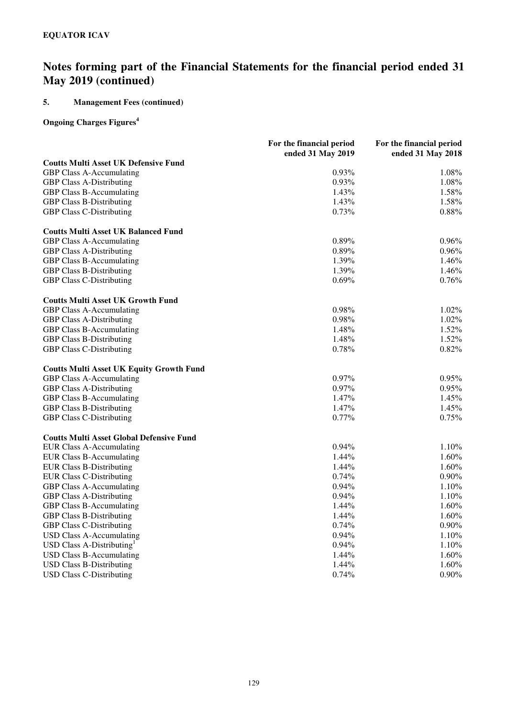## **5. Management Fees (continued)**

## **Ongoing Charges Figures<sup>4</sup>**

|                                                 | For the financial period | For the financial period |
|-------------------------------------------------|--------------------------|--------------------------|
|                                                 | ended 31 May 2019        | ended 31 May 2018        |
| <b>Coutts Multi Asset UK Defensive Fund</b>     |                          |                          |
| GBP Class A-Accumulating                        | $0.93\%$                 | 1.08%                    |
| <b>GBP Class A-Distributing</b>                 | 0.93%                    | 1.08%                    |
| <b>GBP Class B-Accumulating</b>                 | 1.43%                    | 1.58%                    |
| <b>GBP Class B-Distributing</b>                 | 1.43%                    | 1.58%                    |
| <b>GBP Class C-Distributing</b>                 | 0.73%                    | 0.88%                    |
| <b>Coutts Multi Asset UK Balanced Fund</b>      |                          |                          |
| <b>GBP Class A-Accumulating</b>                 | 0.89%                    | $0.96\%$                 |
| <b>GBP Class A-Distributing</b>                 | 0.89%                    | 0.96%                    |
| <b>GBP Class B-Accumulating</b>                 | 1.39%                    | 1.46%                    |
| <b>GBP Class B-Distributing</b>                 | 1.39%                    | 1.46%                    |
| <b>GBP Class C-Distributing</b>                 | 0.69%                    | 0.76%                    |
| <b>Coutts Multi Asset UK Growth Fund</b>        |                          |                          |
| <b>GBP Class A-Accumulating</b>                 | 0.98%                    | 1.02%                    |
| <b>GBP Class A-Distributing</b>                 | 0.98%                    | 1.02%                    |
| <b>GBP Class B-Accumulating</b>                 | 1.48%                    | 1.52%                    |
| <b>GBP Class B-Distributing</b>                 | 1.48%                    | 1.52%                    |
| <b>GBP Class C-Distributing</b>                 | 0.78%                    | 0.82%                    |
| <b>Coutts Multi Asset UK Equity Growth Fund</b> |                          |                          |
| <b>GBP Class A-Accumulating</b>                 | 0.97%                    | 0.95%                    |
| <b>GBP Class A-Distributing</b>                 | 0.97%                    | 0.95%                    |
| <b>GBP Class B-Accumulating</b>                 | 1.47%                    | 1.45%                    |
| <b>GBP Class B-Distributing</b>                 | 1.47%                    | 1.45%                    |
| <b>GBP Class C-Distributing</b>                 | 0.77%                    | 0.75%                    |
| <b>Coutts Multi Asset Global Defensive Fund</b> |                          |                          |
| <b>EUR Class A-Accumulating</b>                 | $0.94\%$                 | 1.10%                    |
| <b>EUR Class B-Accumulating</b>                 | 1.44%                    | 1.60%                    |
| <b>EUR Class B-Distributing</b>                 | 1.44%                    | 1.60%                    |
| <b>EUR Class C-Distributing</b>                 | 0.74%                    | $0.90\%$                 |
| GBP Class A-Accumulating                        | $0.94\%$                 | 1.10%                    |
| <b>GBP Class A-Distributing</b>                 | 0.94%                    | 1.10%                    |
| <b>GBP Class B-Accumulating</b>                 | 1.44%                    | 1.60%                    |
| <b>GBP Class B-Distributing</b>                 | 1.44%                    | 1.60%                    |
| <b>GBP Class C-Distributing</b>                 | 0.74%                    | $0.90\%$                 |
| <b>USD Class A-Accumulating</b>                 | 0.94%                    | 1.10%                    |
| USD Class A-Distributing $1$                    | 0.94%                    | 1.10%                    |
| <b>USD Class B-Accumulating</b>                 | 1.44%                    | 1.60%                    |
| <b>USD Class B-Distributing</b>                 | 1.44%                    | 1.60%                    |
| <b>USD Class C-Distributing</b>                 | 0.74%                    | $0.90\%$                 |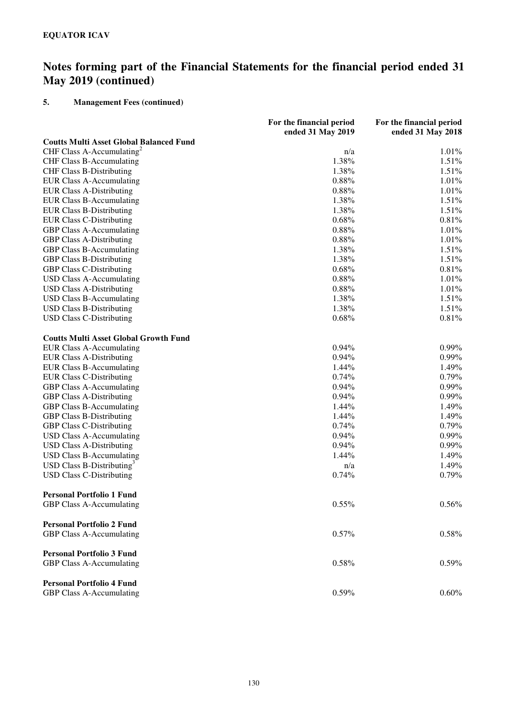## **5. Management Fees (continued)**

|                                                | For the financial period<br>ended 31 May 2019 | For the financial period<br>ended 31 May 2018 |
|------------------------------------------------|-----------------------------------------------|-----------------------------------------------|
| <b>Coutts Multi Asset Global Balanced Fund</b> |                                               |                                               |
| CHF Class A-Accumulating <sup>2</sup>          | n/a                                           | 1.01%                                         |
| <b>CHF Class B-Accumulating</b>                | 1.38%                                         | 1.51%                                         |
| <b>CHF Class B-Distributing</b>                | 1.38%                                         | 1.51%                                         |
| <b>EUR Class A-Accumulating</b>                | 0.88%                                         | 1.01%                                         |
| <b>EUR Class A-Distributing</b>                | 0.88%                                         | 1.01%                                         |
| <b>EUR Class B-Accumulating</b>                | 1.38%                                         | 1.51%                                         |
| <b>EUR Class B-Distributing</b>                | 1.38%                                         | 1.51%                                         |
| <b>EUR Class C-Distributing</b>                | 0.68%                                         | 0.81%                                         |
| <b>GBP Class A-Accumulating</b>                | 0.88%                                         | 1.01%                                         |
| <b>GBP Class A-Distributing</b>                | 0.88%                                         | 1.01%                                         |
| <b>GBP Class B-Accumulating</b>                | 1.38%                                         | 1.51%                                         |
| <b>GBP Class B-Distributing</b>                | 1.38%                                         | 1.51%                                         |
| <b>GBP Class C-Distributing</b>                | 0.68%                                         | 0.81%                                         |
| <b>USD Class A-Accumulating</b>                | 0.88%                                         | 1.01%                                         |
| <b>USD Class A-Distributing</b>                | 0.88%                                         | 1.01%                                         |
| <b>USD Class B-Accumulating</b>                | 1.38%                                         | 1.51%                                         |
| <b>USD Class B-Distributing</b>                | 1.38%                                         | 1.51%                                         |
| <b>USD Class C-Distributing</b>                | 0.68%                                         | 0.81%                                         |
| <b>Coutts Multi Asset Global Growth Fund</b>   |                                               |                                               |
| <b>EUR Class A-Accumulating</b>                | 0.94%                                         | 0.99%                                         |
| <b>EUR Class A-Distributing</b>                | 0.94%                                         | 0.99%                                         |
| <b>EUR Class B-Accumulating</b>                | 1.44%                                         | 1.49%                                         |
| <b>EUR Class C-Distributing</b>                | 0.74%                                         | 0.79%                                         |
| GBP Class A-Accumulating                       | 0.94%                                         | 0.99%                                         |
| <b>GBP Class A-Distributing</b>                | 0.94%                                         | 0.99%                                         |
| GBP Class B-Accumulating                       | 1.44%                                         | 1.49%                                         |
| <b>GBP Class B-Distributing</b>                | 1.44%                                         | 1.49%                                         |
| <b>GBP Class C-Distributing</b>                | 0.74%                                         | 0.79%                                         |
| <b>USD Class A-Accumulating</b>                | 0.94%                                         | 0.99%                                         |
| <b>USD Class A-Distributing</b>                | 0.94%                                         | 0.99%                                         |
| <b>USD Class B-Accumulating</b>                | 1.44%                                         | 1.49%                                         |
| USD Class B-Distributing <sup>3</sup>          | n/a                                           | 1.49%                                         |
| <b>USD Class C-Distributing</b>                | 0.74%                                         | 0.79%                                         |
| <b>Personal Portfolio 1 Fund</b>               |                                               |                                               |
| GBP Class A-Accumulating                       | 0.55%                                         | 0.56%                                         |
| <b>Personal Portfolio 2 Fund</b>               |                                               |                                               |
| GBP Class A-Accumulating                       | 0.57%                                         | 0.58%                                         |
| <b>Personal Portfolio 3 Fund</b>               |                                               |                                               |
| GBP Class A-Accumulating                       | 0.58%                                         | 0.59%                                         |
| <b>Personal Portfolio 4 Fund</b>               |                                               |                                               |
| GBP Class A-Accumulating                       | 0.59%                                         | 0.60%                                         |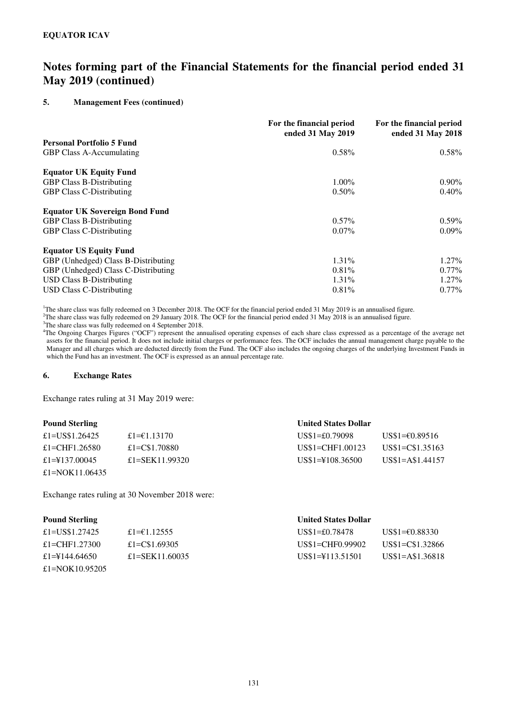### **5. Management Fees (continued)**

|                                       | For the financial period<br>ended 31 May 2019 | For the financial period<br>ended 31 May 2018 |
|---------------------------------------|-----------------------------------------------|-----------------------------------------------|
| <b>Personal Portfolio 5 Fund</b>      |                                               |                                               |
| <b>GBP Class A-Accumulating</b>       | $0.58\%$                                      | $0.58\%$                                      |
| <b>Equator UK Equity Fund</b>         |                                               |                                               |
| <b>GBP Class B-Distributing</b>       | $1.00\%$                                      | $0.90\%$                                      |
| <b>GBP Class C-Distributing</b>       | $0.50\%$                                      | $0.40\%$                                      |
| <b>Equator UK Sovereign Bond Fund</b> |                                               |                                               |
| <b>GBP Class B-Distributing</b>       | $0.57\%$                                      | $0.59\%$                                      |
| <b>GBP Class C-Distributing</b>       | $0.07\%$                                      | $0.09\%$                                      |
| <b>Equator US Equity Fund</b>         |                                               |                                               |
| GBP (Unhedged) Class B-Distributing   | 1.31%                                         | $1.27\%$                                      |
| GBP (Unhedged) Class C-Distributing   | $0.81\%$                                      | $0.77\%$                                      |
| <b>USD Class B-Distributing</b>       | 1.31%                                         | $1.27\%$                                      |
| USD Class C-Distributing              | $0.81\%$                                      | $0.77\%$                                      |

<sup>1</sup>The share class was fully redeemed on 3 December 2018. The OCF for the financial period ended 31 May 2019 is an annualised figure.

<sup>2</sup>The share class was fully redeemed on 29 January 2018. The OCF for the financial period ended 31 May 2018 is an annualised figure.

<sup>3</sup>The share class was fully redeemed on 4 September 2018.

<sup>4</sup>The Ongoing Charges Figures ("OCF") represent the annualised operating expenses of each share class expressed as a percentage of the average net assets for the financial period. It does not include initial charges or performance fees. The OCF includes the annual management charge payable to the Manager and all charges which are deducted directly from the Fund. The OCF also includes the ongoing charges of the underlying Investment Funds in which the Fund has an investment. The OCF is expressed as an annual percentage rate.

#### **6. Exchange Rates**

Exchange rates ruling at 31 May 2019 were:

| <b>Pound Sterling</b> |                | <b>United States Dollar</b>  |                  |
|-----------------------|----------------|------------------------------|------------------|
| £1=US\$1.26425        | £1= $€1.13170$ | $US$1=£0.79098$              | US\$1=€0.89516   |
| £1=CHF1.26580         | £1=C\$1.70880  | US\$1=CHF1.00123             | US\$1=C\$1.35163 |
| £1= $4137.00045$      | £1=SEK11.99320 | $US$1=\tfrac{1}{2}108.36500$ | US\$1=A\$1.44157 |
| £1=NOK11.06435        |                |                              |                  |

Exchange rates ruling at 30 November 2018 were:

### **Pound Sterling United States Dollar**

| £1=US\$1.27425  | £1= $€1.12555$ | $US$1 = £0.78478$            | US\$1=€0.88330   |
|-----------------|----------------|------------------------------|------------------|
| £1=CHF1.27300   | £1=C\$1.69305  | US\$1=CHF0.99902             | US\$1=C\$1.32866 |
| £1=\\$144.64650 | £1=SEK11.60035 | $US$1=\tfrac{1}{2}113.51501$ | US\$1=A\$1.36818 |
| £1=NOK10.95205  |                |                              |                  |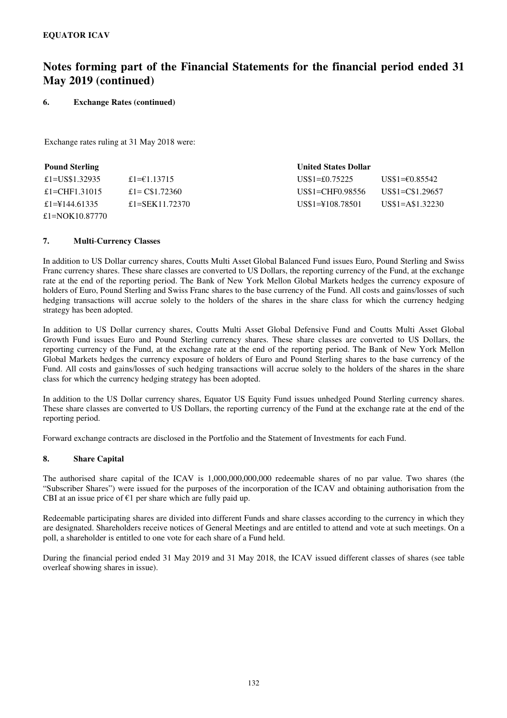### **6. Exchange Rates (continued)**

Exchange rates ruling at 31 May 2018 were:

| <b>Pound Sterling</b> |                 | <b>United States Dollar</b> |                  |
|-----------------------|-----------------|-----------------------------|------------------|
| £1=US\$1.32935        | £1= $€1.13715$  | $US\$ 1=£0.75225            | US\$1=€0.85542   |
| £1=CHF1.31015         | £1= $C$1.72360$ | US\$1=CHF0.98556            | US\$1=C\$1.29657 |
| £1=44.61335           | £1=SEK11.72370  | US\$1=\\$108.78501          | $US$1=AS1.32230$ |
| £1=NOK10.87770        |                 |                             |                  |

### **7. Multi**-**Currency Classes**

In addition to US Dollar currency shares, Coutts Multi Asset Global Balanced Fund issues Euro, Pound Sterling and Swiss Franc currency shares. These share classes are converted to US Dollars, the reporting currency of the Fund, at the exchange rate at the end of the reporting period. The Bank of New York Mellon Global Markets hedges the currency exposure of holders of Euro, Pound Sterling and Swiss Franc shares to the base currency of the Fund. All costs and gains/losses of such hedging transactions will accrue solely to the holders of the shares in the share class for which the currency hedging strategy has been adopted.

In addition to US Dollar currency shares, Coutts Multi Asset Global Defensive Fund and Coutts Multi Asset Global Growth Fund issues Euro and Pound Sterling currency shares. These share classes are converted to US Dollars, the reporting currency of the Fund, at the exchange rate at the end of the reporting period. The Bank of New York Mellon Global Markets hedges the currency exposure of holders of Euro and Pound Sterling shares to the base currency of the Fund. All costs and gains/losses of such hedging transactions will accrue solely to the holders of the shares in the share class for which the currency hedging strategy has been adopted.

In addition to the US Dollar currency shares, Equator US Equity Fund issues unhedged Pound Sterling currency shares. These share classes are converted to US Dollars, the reporting currency of the Fund at the exchange rate at the end of the reporting period.

Forward exchange contracts are disclosed in the Portfolio and the Statement of Investments for each Fund.

### **8. Share Capital**

The authorised share capital of the ICAV is 1,000,000,000,000 redeemable shares of no par value. Two shares (the "Subscriber Shares") were issued for the purposes of the incorporation of the ICAV and obtaining authorisation from the CBI at an issue price of  $\epsilon$ 1 per share which are fully paid up.

Redeemable participating shares are divided into different Funds and share classes according to the currency in which they are designated. Shareholders receive notices of General Meetings and are entitled to attend and vote at such meetings. On a poll, a shareholder is entitled to one vote for each share of a Fund held.

During the financial period ended 31 May 2019 and 31 May 2018, the ICAV issued different classes of shares (see table overleaf showing shares in issue).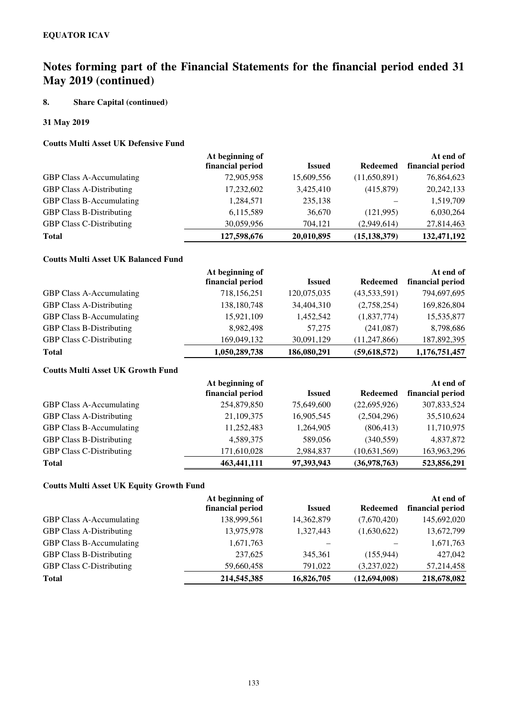## **8. Share Capital (continued)**

### **31 May 2019**

### **Coutts Multi Asset UK Defensive Fund**

|                                 | At beginning of  |               |                | At end of        |
|---------------------------------|------------------|---------------|----------------|------------------|
|                                 | financial period | <b>Issued</b> | Redeemed       | financial period |
| <b>GBP Class A-Accumulating</b> | 72,905,958       | 15,609,556    | (11,650,891)   | 76,864,623       |
| <b>GBP Class A-Distributing</b> | 17,232,602       | 3,425,410     | (415, 879)     | 20, 242, 133     |
| <b>GBP Class B-Accumulating</b> | 1,284,571        | 235,138       |                | 1,519,709        |
| <b>GBP Class B-Distributing</b> | 6,115,589        | 36,670        | (121,995)      | 6,030,264        |
| <b>GBP Class C-Distributing</b> | 30,059,956       | 704.121       | (2,949,614)    | 27,814,463       |
| <b>Total</b>                    | 127,598,676      | 20,010,895    | (15, 138, 379) | 132,471,192      |

## **Coutts Multi Asset UK Balanced Fund**

|                                 | At beginning of  |               | At end of       |                  |
|---------------------------------|------------------|---------------|-----------------|------------------|
|                                 | financial period | <b>Issued</b> | <b>Redeemed</b> | financial period |
| <b>GBP Class A-Accumulating</b> | 718,156,251      | 120,075,035   | (43,533,591)    | 794,697,695      |
| <b>GBP Class A-Distributing</b> | 138,180,748      | 34,404,310    | (2,758,254)     | 169,826,804      |
| <b>GBP Class B-Accumulating</b> | 15,921,109       | 1,452,542     | (1,837,774)     | 15,535,877       |
| <b>GBP Class B-Distributing</b> | 8,982,498        | 57,275        | (241,087)       | 8,798,686        |
| <b>GBP Class C-Distributing</b> | 169,049,132      | 30,091,129    | (11, 247, 866)  | 187,892,395      |
| <b>Total</b>                    | 1,050,289,738    | 186,080,291   | (59,618,572)    | 1,176,751,457    |

## **Coutts Multi Asset UK Growth Fund**

|                                 | At beginning of  |               |                 | At end of        |
|---------------------------------|------------------|---------------|-----------------|------------------|
|                                 | financial period | <b>Issued</b> | <b>Redeemed</b> | financial period |
| <b>GBP Class A-Accumulating</b> | 254,879,850      | 75,649,600    | (22,695,926)    | 307,833,524      |
| <b>GBP Class A-Distributing</b> | 21,109,375       | 16,905,545    | (2,504,296)     | 35,510,624       |
| <b>GBP Class B-Accumulating</b> | 11,252,483       | 1,264,905     | (806, 413)      | 11,710,975       |
| <b>GBP Class B-Distributing</b> | 4,589,375        | 589,056       | (340, 559)      | 4,837,872        |
| <b>GBP Class C-Distributing</b> | 171,610,028      | 2,984,837     | (10,631,569)    | 163,963,296      |
| <b>Total</b>                    | 463, 441, 111    | 97,393,943    | (36,978,763)    | 523,856,291      |

### **Coutts Multi Asset UK Equity Growth Fund**

|                                 | At beginning of  |               |                 | At end of        |
|---------------------------------|------------------|---------------|-----------------|------------------|
|                                 | financial period | <b>Issued</b> | <b>Redeemed</b> | financial period |
| <b>GBP Class A-Accumulating</b> | 138,999,561      | 14,362,879    | (7,670,420)     | 145,692,020      |
| <b>GBP Class A-Distributing</b> | 13,975,978       | 1,327,443     | (1,630,622)     | 13,672,799       |
| GBP Class B-Accumulating        | 1,671,763        |               |                 | 1,671,763        |
| <b>GBP Class B-Distributing</b> | 237,625          | 345.361       | (155, 944)      | 427,042          |
| <b>GBP Class C-Distributing</b> | 59,660,458       | 791,022       | (3,237,022)     | 57,214,458       |
| <b>Total</b>                    | 214,545,385      | 16,826,705    | (12,694,008)    | 218,678,082      |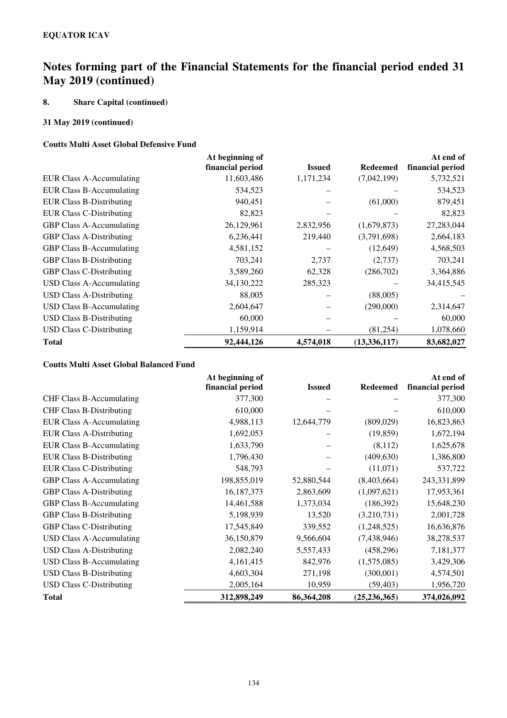## **8. Share Capital (continued)**

### **31 May 2019 (continued)**

### **Coutts Multi Asset Global Defensive Fund**

|                                 | At beginning of  |               |                 | At end of        |
|---------------------------------|------------------|---------------|-----------------|------------------|
|                                 | financial period | <b>Issued</b> | <b>Redeemed</b> | financial period |
| EUR Class A-Accumulating        | 11,603,486       | 1,171,234     | (7,042,199)     | 5,732,521        |
| <b>EUR Class B-Accumulating</b> | 534,523          |               |                 | 534,523          |
| <b>EUR Class B-Distributing</b> | 940,451          |               | (61,000)        | 879,451          |
| <b>EUR Class C-Distributing</b> | 82,823           |               |                 | 82,823           |
| <b>GBP Class A-Accumulating</b> | 26,129,961       | 2,832,956     | (1,679,873)     | 27,283,044       |
| <b>GBP Class A-Distributing</b> | 6,236,441        | 219,440       | (3,791,698)     | 2,664,183        |
| <b>GBP Class B-Accumulating</b> | 4,581,152        |               | (12, 649)       | 4,568,503        |
| <b>GBP Class B-Distributing</b> | 703,241          | 2,737         | (2,737)         | 703,241          |
| <b>GBP Class C-Distributing</b> | 3,589,260        | 62,328        | (286,702)       | 3,364,886        |
| USD Class A-Accumulating        | 34,130,222       | 285,323       |                 | 34,415,545       |
| <b>USD Class A-Distributing</b> | 88,005           |               | (88,005)        |                  |
| <b>USD Class B-Accumulating</b> | 2,604,647        |               | (290,000)       | 2,314,647        |
| <b>USD Class B-Distributing</b> | 60,000           |               |                 | 60,000           |
| <b>USD Class C-Distributing</b> | 1,159,914        |               | (81,254)        | 1,078,660        |
| <b>Total</b>                    | 92,444,126       | 4,574,018     | (13, 336, 117)  | 83,682,027       |

### **Coutts Multi Asset Global Balanced Fund**

|                                 | At beginning of  |               |                 | At end of        |
|---------------------------------|------------------|---------------|-----------------|------------------|
|                                 | financial period | <b>Issued</b> | <b>Redeemed</b> | financial period |
| <b>CHF Class B-Accumulating</b> | 377,300          |               |                 | 377,300          |
| <b>CHF Class B-Distributing</b> | 610,000          |               |                 | 610,000          |
| <b>EUR Class A-Accumulating</b> | 4,988,113        | 12,644,779    | (809, 029)      | 16,823,863       |
| <b>EUR Class A-Distributing</b> | 1,692,053        |               | (19, 859)       | 1,672,194        |
| <b>EUR Class B-Accumulating</b> | 1,633,790        |               | (8,112)         | 1,625,678        |
| <b>EUR Class B-Distributing</b> | 1,796,430        |               | (409, 630)      | 1,386,800        |
| <b>EUR Class C-Distributing</b> | 548,793          |               | (11,071)        | 537,722          |
| <b>GBP Class A-Accumulating</b> | 198,855,019      | 52,880,544    | (8,403,664)     | 243,331,899      |
| <b>GBP Class A-Distributing</b> | 16,187,373       | 2,863,609     | (1,097,621)     | 17,953,361       |
| GBP Class B-Accumulating        | 14,461,588       | 1,373,034     | (186,392)       | 15,648,230       |
| <b>GBP Class B-Distributing</b> | 5,198,939        | 13,520        | (3,210,731)     | 2,001,728        |
| <b>GBP Class C-Distributing</b> | 17,545,849       | 339,552       | (1,248,525)     | 16,636,876       |
| <b>USD Class A-Accumulating</b> | 36,150,879       | 9,566,604     | (7,438,946)     | 38,278,537       |
| <b>USD Class A-Distributing</b> | 2,082,240        | 5,557,433     | (458, 296)      | 7,181,377        |
| <b>USD Class B-Accumulating</b> | 4,161,415        | 842,976       | (1,575,085)     | 3,429,306        |
| <b>USD Class B-Distributing</b> | 4,603,304        | 271,198       | (300,001)       | 4,574,501        |
| <b>USD Class C-Distributing</b> | 2,005,164        | 10,959        | (59, 403)       | 1,956,720        |
| <b>Total</b>                    | 312,898,249      | 86,364,208    | (25, 236, 365)  | 374,026,092      |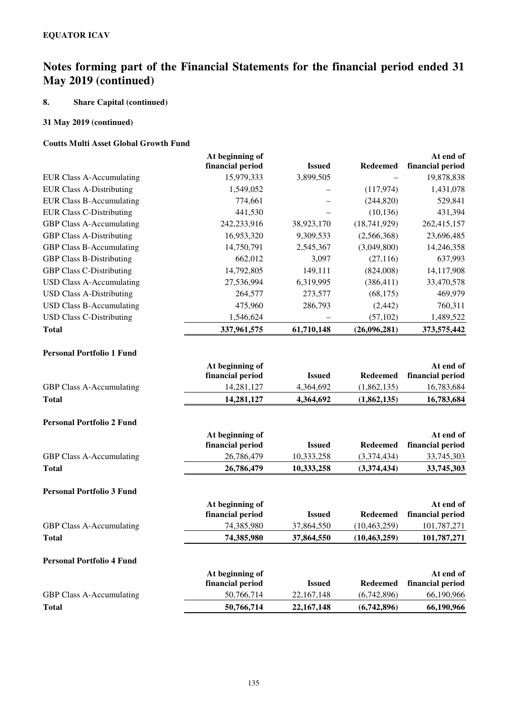## **8. Share Capital (continued)**

## **31 May 2019 (continued)**

### **Coutts Multi Asset Global Growth Fund**

|                                  | At beginning of  |               |                 | At end of        |
|----------------------------------|------------------|---------------|-----------------|------------------|
|                                  | financial period | <b>Issued</b> | <b>Redeemed</b> | financial period |
| <b>EUR Class A-Accumulating</b>  | 15,979,333       | 3,899,505     |                 | 19,878,838       |
| <b>EUR Class A-Distributing</b>  | 1,549,052        |               | (117,974)       | 1,431,078        |
| <b>EUR Class B-Accumulating</b>  | 774,661          |               | (244, 820)      | 529,841          |
| <b>EUR Class C-Distributing</b>  | 441,530          |               | (10, 136)       | 431,394          |
| GBP Class A-Accumulating         | 242,233,916      | 38,923,170    | (18, 741, 929)  | 262,415,157      |
| <b>GBP Class A-Distributing</b>  | 16,953,320       | 9,309,533     | (2,566,368)     | 23,696,485       |
| <b>GBP Class B-Accumulating</b>  | 14,750,791       | 2,545,367     | (3,049,800)     | 14,246,358       |
| <b>GBP Class B-Distributing</b>  | 662,012          | 3,097         | (27, 116)       | 637,993          |
| <b>GBP Class C-Distributing</b>  | 14,792,805       | 149,111       | (824,008)       | 14,117,908       |
| <b>USD Class A-Accumulating</b>  | 27,536,994       | 6,319,995     | (386, 411)      | 33,470,578       |
| <b>USD Class A-Distributing</b>  | 264,577          | 273,577       | (68, 175)       | 469,979          |
| <b>USD Class B-Accumulating</b>  | 475,960          | 286,793       | (2, 442)        | 760,311          |
| <b>USD Class C-Distributing</b>  | 1,546,624        |               | (57, 102)       | 1,489,522        |
| <b>Total</b>                     | 337,961,575      | 61,710,148    | (26,096,281)    | 373,575,442      |
|                                  |                  |               |                 |                  |
| <b>Personal Portfolio 1 Fund</b> |                  |               |                 |                  |
|                                  | At beginning of  |               |                 | At end of        |
|                                  | financial period | <b>Issued</b> | <b>Redeemed</b> | financial period |
| GBP Class A-Accumulating         | 14,281,127       | 4,364,692     | (1,862,135)     | 16,783,684       |
| <b>Total</b>                     | 14,281,127       | 4,364,692     | (1,862,135)     | 16,783,684       |
|                                  |                  |               |                 |                  |
| <b>Personal Portfolio 2 Fund</b> |                  |               |                 |                  |
|                                  | At beginning of  |               |                 | At end of        |
|                                  | financial period | <b>Issued</b> | <b>Redeemed</b> | financial period |
| GBP Class A-Accumulating         | 26,786,479       | 10,333,258    | (3,374,434)     | 33,745,303       |
| <b>Total</b>                     | 26,786,479       | 10,333,258    | (3,374,434)     | 33,745,303       |
| <b>Personal Portfolio 3 Fund</b> |                  |               |                 |                  |
|                                  | At beginning of  |               |                 | At end of        |
|                                  | financial period | <b>Issued</b> | <b>Redeemed</b> | financial period |
| GBP Class A-Accumulating         | 74,385,980       | 37,864,550    | (10, 463, 259)  | 101,787,271      |
| Total                            | 74,385,980       | 37,864,550    | (10, 463, 259)  | 101,787,271      |
|                                  |                  |               |                 |                  |
| <b>Personal Portfolio 4 Fund</b> |                  |               |                 |                  |
|                                  | At beginning of  |               |                 | At end of        |
|                                  | financial period | <b>Issued</b> | <b>Redeemed</b> | financial period |
| GBP Class A-Accumulating         | 50,766,714       | 22, 167, 148  | (6,742,896)     | 66,190,966       |
| <b>Total</b>                     | 50,766,714       | 22, 167, 148  | (6,742,896)     | 66,190,966       |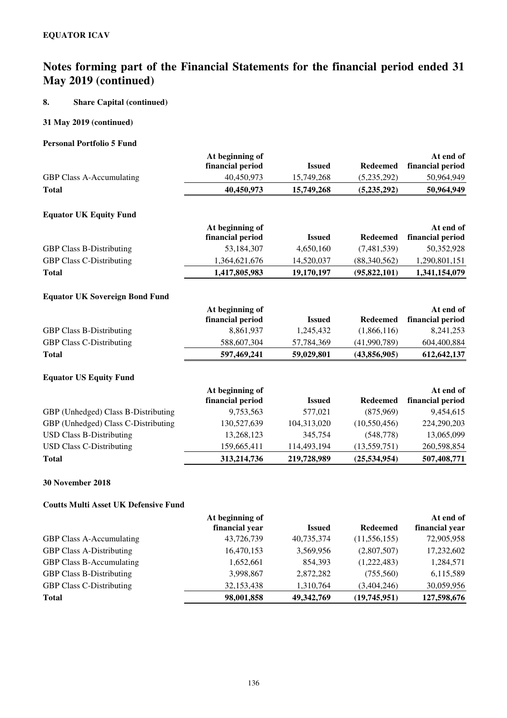## **8. Share Capital (continued)**

### **31 May 2019 (continued)**

### **Personal Portfolio 5 Fund**

|                                       | At beginning of  |               |                 | At end of        |
|---------------------------------------|------------------|---------------|-----------------|------------------|
|                                       | financial period | <b>Issued</b> | <b>Redeemed</b> | financial period |
| GBP Class A-Accumulating              | 40,450,973       | 15,749,268    | (5,235,292)     | 50,964,949       |
| <b>Total</b>                          | 40,450,973       | 15,749,268    | (5,235,292)     | 50,964,949       |
| <b>Equator UK Equity Fund</b>         |                  |               |                 |                  |
|                                       | At beginning of  |               |                 | At end of        |
|                                       | financial period | <b>Issued</b> | <b>Redeemed</b> | financial period |
| <b>GBP Class B-Distributing</b>       | 53,184,307       | 4,650,160     | (7,481,539)     | 50,352,928       |
| <b>GBP Class C-Distributing</b>       | 1,364,621,676    | 14,520,037    | (88,340,562)    | 1,290,801,151    |
| <b>Total</b>                          | 1,417,805,983    | 19,170,197    | (95, 822, 101)  | 1,341,154,079    |
| <b>Equator UK Sovereign Bond Fund</b> |                  |               |                 |                  |
|                                       | At beginning of  |               |                 | At end of        |
|                                       | financial period | <b>Issued</b> | <b>Redeemed</b> | financial period |
| <b>GBP Class B-Distributing</b>       | 8,861,937        | 1,245,432     | (1,866,116)     | 8,241,253        |
| <b>GBP Class C-Distributing</b>       | 588,607,304      | 57,784,369    | (41,990,789)    | 604,400,884      |
| <b>Total</b>                          | 597,469,241      | 59,029,801    | (43,856,905)    | 612,642,137      |
| <b>Equator US Equity Fund</b>         |                  |               |                 |                  |
|                                       | At beginning of  |               |                 | At end of        |
|                                       | financial period | <b>Issued</b> | <b>Redeemed</b> | financial period |
| GBP (Unhedged) Class B-Distributing   | 9,753,563        | 577,021       | (875,969)       | 9,454,615        |
| GBP (Unhedged) Class C-Distributing   | 130,527,639      | 104,313,020   | (10, 550, 456)  | 224,290,203      |
| <b>USD Class B-Distributing</b>       | 13,268,123       | 345,754       | (548, 778)      | 13,065,099       |
| <b>USD Class C-Distributing</b>       | 159,665,411      | 114,493,194   | (13, 559, 751)  | 260,598,854      |
| <b>Total</b>                          | 313,214,736      | 219,728,989   | (25, 534, 954)  | 507,408,771      |

## **30 November 2018**

## **Coutts Multi Asset UK Defensive Fund**

|                                 | At beginning of |               |                 | At end of      |
|---------------------------------|-----------------|---------------|-----------------|----------------|
|                                 | financial year  | <b>Issued</b> | <b>Redeemed</b> | financial year |
| <b>GBP Class A-Accumulating</b> | 43,726,739      | 40,735,374    | (11, 556, 155)  | 72,905,958     |
| <b>GBP Class A-Distributing</b> | 16,470,153      | 3,569,956     | (2,807,507)     | 17,232,602     |
| <b>GBP Class B-Accumulating</b> | 1,652,661       | 854,393       | (1,222,483)     | 1,284,571      |
| <b>GBP Class B-Distributing</b> | 3,998,867       | 2,872,282     | (755,560)       | 6,115,589      |
| <b>GBP Class C-Distributing</b> | 32,153,438      | 1,310,764     | (3,404,246)     | 30,059,956     |
| <b>Total</b>                    | 98,001,858      | 49, 342, 769  | (19,745,951)    | 127,598,676    |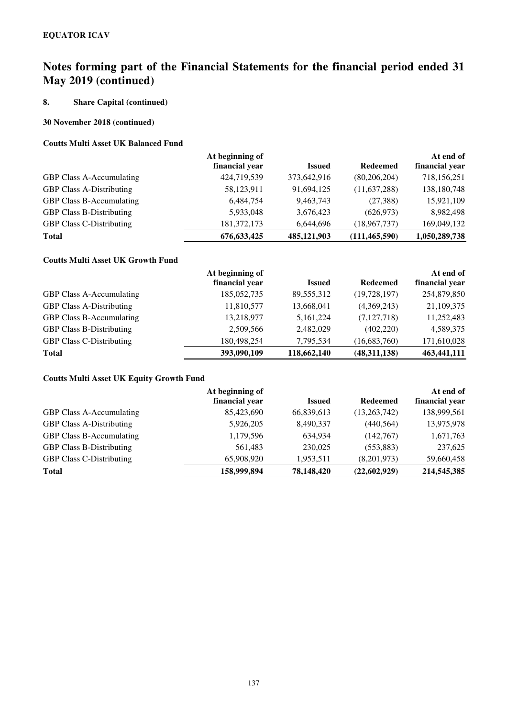## **8. Share Capital (continued)**

### **30 November 2018 (continued)**

### **Coutts Multi Asset UK Balanced Fund**

|                                 | At beginning of |               |                 | At end of      |
|---------------------------------|-----------------|---------------|-----------------|----------------|
|                                 | financial year  | <b>Issued</b> | <b>Redeemed</b> | financial year |
| <b>GBP Class A-Accumulating</b> | 424,719,539     | 373,642,916   | (80, 206, 204)  | 718,156,251    |
| <b>GBP Class A-Distributing</b> | 58,123,911      | 91,694,125    | (11, 637, 288)  | 138,180,748    |
| <b>GBP Class B-Accumulating</b> | 6,484,754       | 9,463,743     | (27, 388)       | 15,921,109     |
| <b>GBP Class B-Distributing</b> | 5,933,048       | 3,676,423     | (626, 973)      | 8,982,498      |
| <b>GBP Class C-Distributing</b> | 181, 372, 173   | 6,644,696     | (18, 967, 737)  | 169,049,132    |
| <b>Total</b>                    | 676, 633, 425   | 485,121,903   | (111, 465, 590) | 1,050,289,738  |

## **Coutts Multi Asset UK Growth Fund**

|                                 | At beginning of |               |                 | At end of      |
|---------------------------------|-----------------|---------------|-----------------|----------------|
|                                 | financial year  | <b>Issued</b> | <b>Redeemed</b> | financial year |
| <b>GBP Class A-Accumulating</b> | 185,052,735     | 89,555,312    | (19, 728, 197)  | 254,879,850    |
| <b>GBP Class A-Distributing</b> | 11,810,577      | 13,668,041    | (4,369,243)     | 21,109,375     |
| <b>GBP Class B-Accumulating</b> | 13,218,977      | 5,161,224     | (7,127,718)     | 11,252,483     |
| <b>GBP Class B-Distributing</b> | 2,509,566       | 2,482,029     | (402, 220)      | 4,589,375      |
| <b>GBP Class C-Distributing</b> | 180,498,254     | 7,795,534     | (16,683,760)    | 171,610,028    |
| <b>Total</b>                    | 393,090,109     | 118,662,140   | (48,311,138)    | 463,441,111    |

### **Coutts Multi Asset UK Equity Growth Fund**

|                                 | At beginning of |               |                 | At end of      |
|---------------------------------|-----------------|---------------|-----------------|----------------|
|                                 | financial year  | <b>Issued</b> | <b>Redeemed</b> | financial year |
| <b>GBP Class A-Accumulating</b> | 85,423,690      | 66,839,613    | (13,263,742)    | 138,999,561    |
| <b>GBP Class A-Distributing</b> | 5,926,205       | 8,490,337     | (440, 564)      | 13,975,978     |
| GBP Class B-Accumulating        | 1,179,596       | 634,934       | (142,767)       | 1,671,763      |
| <b>GBP Class B-Distributing</b> | 561,483         | 230,025       | (553, 883)      | 237,625        |
| <b>GBP Class C-Distributing</b> | 65,908,920      | 1,953,511     | (8,201,973)     | 59,660,458     |
| <b>Total</b>                    | 158,999,894     | 78,148,420    | (22,602,929)    | 214,545,385    |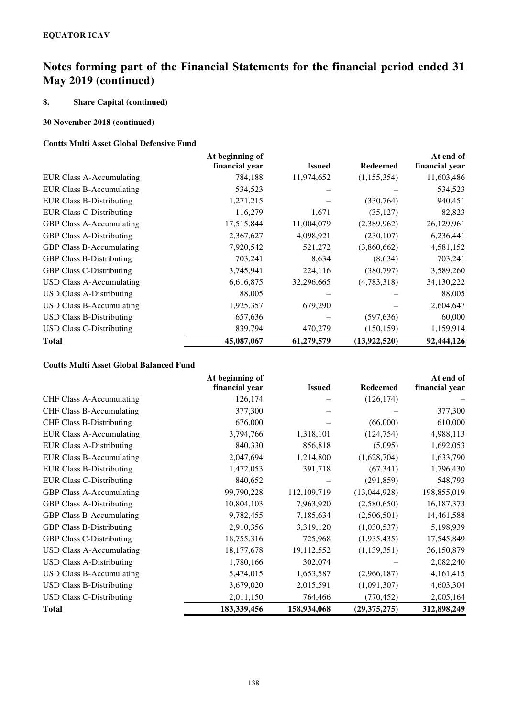## **8. Share Capital (continued)**

### **30 November 2018 (continued)**

### **Coutts Multi Asset Global Defensive Fund**

|                                 | At beginning of |               |                 | At end of      |
|---------------------------------|-----------------|---------------|-----------------|----------------|
|                                 | financial year  | <b>Issued</b> | <b>Redeemed</b> | financial year |
| <b>EUR Class A-Accumulating</b> | 784,188         | 11,974,652    | (1,155,354)     | 11,603,486     |
| <b>EUR Class B-Accumulating</b> | 534,523         |               |                 | 534,523        |
| <b>EUR Class B-Distributing</b> | 1,271,215       |               | (330,764)       | 940,451        |
| <b>EUR Class C-Distributing</b> | 116,279         | 1,671         | (35, 127)       | 82,823         |
| <b>GBP Class A-Accumulating</b> | 17,515,844      | 11,004,079    | (2,389,962)     | 26,129,961     |
| <b>GBP Class A-Distributing</b> | 2,367,627       | 4,098,921     | (230, 107)      | 6,236,441      |
| GBP Class B-Accumulating        | 7,920,542       | 521,272       | (3,860,662)     | 4,581,152      |
| <b>GBP Class B-Distributing</b> | 703,241         | 8,634         | (8,634)         | 703,241        |
| <b>GBP Class C-Distributing</b> | 3,745,941       | 224,116       | (380,797)       | 3,589,260      |
| <b>USD Class A-Accumulating</b> | 6,616,875       | 32,296,665    | (4,783,318)     | 34,130,222     |
| <b>USD Class A-Distributing</b> | 88,005          |               |                 | 88,005         |
| <b>USD Class B-Accumulating</b> | 1,925,357       | 679,290       |                 | 2,604,647      |
| <b>USD Class B-Distributing</b> | 657,636         |               | (597, 636)      | 60,000         |
| <b>USD Class C-Distributing</b> | 839,794         | 470,279       | (150, 159)      | 1,159,914      |
| <b>Total</b>                    | 45,087,067      | 61,279,579    | (13,922,520)    | 92,444,126     |

### **Coutts Multi Asset Global Balanced Fund**

|                                 | At beginning of |               |                 | At end of      |
|---------------------------------|-----------------|---------------|-----------------|----------------|
|                                 | financial year  | <b>Issued</b> | <b>Redeemed</b> | financial year |
| <b>CHF Class A-Accumulating</b> | 126,174         |               | (126, 174)      |                |
| <b>CHF Class B-Accumulating</b> | 377,300         |               |                 | 377,300        |
| <b>CHF Class B-Distributing</b> | 676,000         |               | (66,000)        | 610,000        |
| <b>EUR Class A-Accumulating</b> | 3,794,766       | 1,318,101     | (124, 754)      | 4,988,113      |
| <b>EUR Class A-Distributing</b> | 840,330         | 856,818       | (5,095)         | 1,692,053      |
| <b>EUR Class B-Accumulating</b> | 2,047,694       | 1,214,800     | (1,628,704)     | 1,633,790      |
| <b>EUR Class B-Distributing</b> | 1,472,053       | 391,718       | (67, 341)       | 1,796,430      |
| <b>EUR Class C-Distributing</b> | 840,652         |               | (291, 859)      | 548,793        |
| <b>GBP Class A-Accumulating</b> | 99,790,228      | 112,109,719   | (13,044,928)    | 198,855,019    |
| <b>GBP Class A-Distributing</b> | 10,804,103      | 7,963,920     | (2,580,650)     | 16,187,373     |
| <b>GBP Class B-Accumulating</b> | 9,782,455       | 7,185,634     | (2,506,501)     | 14,461,588     |
| <b>GBP Class B-Distributing</b> | 2,910,356       | 3,319,120     | (1,030,537)     | 5,198,939      |
| <b>GBP Class C-Distributing</b> | 18,755,316      | 725,968       | (1,935,435)     | 17,545,849     |
| <b>USD Class A-Accumulating</b> | 18,177,678      | 19,112,552    | (1, 139, 351)   | 36,150,879     |
| <b>USD Class A-Distributing</b> | 1,780,166       | 302,074       |                 | 2,082,240      |
| <b>USD Class B-Accumulating</b> | 5,474,015       | 1,653,587     | (2,966,187)     | 4,161,415      |
| <b>USD Class B-Distributing</b> | 3,679,020       | 2,015,591     | (1,091,307)     | 4,603,304      |
| <b>USD Class C-Distributing</b> | 2,011,150       | 764,466       | (770, 452)      | 2,005,164      |
| <b>Total</b>                    | 183,339,456     | 158,934,068   | (29, 375, 275)  | 312,898,249    |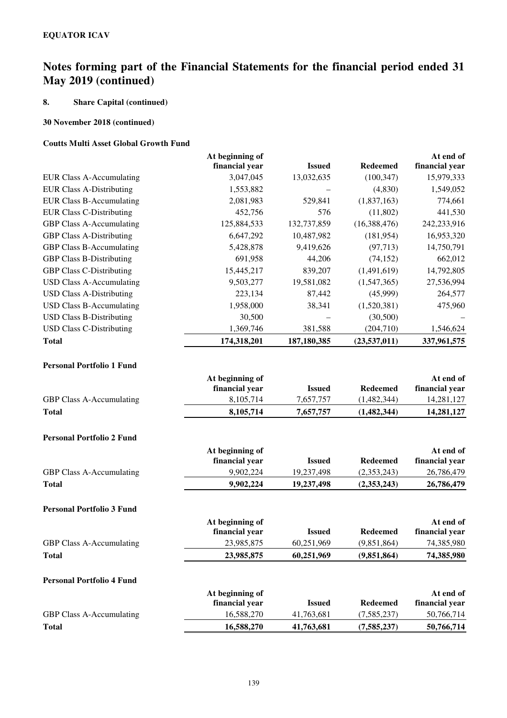## **8. Share Capital (continued)**

### **30 November 2018 (continued)**

### **Coutts Multi Asset Global Growth Fund**

|                                  | At beginning of<br>financial year | <b>Issued</b> | <b>Redeemed</b> | At end of<br>financial year |
|----------------------------------|-----------------------------------|---------------|-----------------|-----------------------------|
| EUR Class A-Accumulating         | 3,047,045                         | 13,032,635    | (100, 347)      | 15,979,333                  |
| <b>EUR Class A-Distributing</b>  | 1,553,882                         |               | (4,830)         | 1,549,052                   |
| <b>EUR Class B-Accumulating</b>  | 2,081,983                         | 529,841       | (1,837,163)     | 774,661                     |
| <b>EUR Class C-Distributing</b>  | 452,756                           | 576           | (11,802)        | 441,530                     |
| <b>GBP Class A-Accumulating</b>  | 125,884,533                       | 132,737,859   | (16,388,476)    | 242,233,916                 |
| <b>GBP Class A-Distributing</b>  | 6,647,292                         | 10,487,982    | (181, 954)      | 16,953,320                  |
| <b>GBP Class B-Accumulating</b>  | 5,428,878                         | 9,419,626     | (97, 713)       | 14,750,791                  |
| <b>GBP Class B-Distributing</b>  | 691,958                           | 44,206        | (74, 152)       | 662,012                     |
| <b>GBP Class C-Distributing</b>  | 15,445,217                        | 839,207       | (1,491,619)     | 14,792,805                  |
| <b>USD Class A-Accumulating</b>  | 9,503,277                         | 19,581,082    | (1,547,365)     | 27,536,994                  |
| <b>USD Class A-Distributing</b>  | 223,134                           | 87,442        | (45,999)        | 264,577                     |
| <b>USD Class B-Accumulating</b>  | 1,958,000                         | 38,341        | (1,520,381)     | 475,960                     |
| <b>USD Class B-Distributing</b>  | 30,500                            |               | (30, 500)       |                             |
| <b>USD Class C-Distributing</b>  | 1,369,746                         | 381,588       | (204, 710)      | 1,546,624                   |
| <b>Total</b>                     | 174,318,201                       | 187,180,385   | (23,537,011)    | 337,961,575                 |
| <b>Personal Portfolio 1 Fund</b> |                                   |               |                 |                             |
|                                  | At beginning of<br>financial vear | <b>Issued</b> | <b>Redeemed</b> | At end of<br>financial vear |

|                                  | IIIIaiiviai vual | 135 u.C       | nuuvinu         | THRUCIAL YEAL  |
|----------------------------------|------------------|---------------|-----------------|----------------|
| <b>GBP Class A-Accumulating</b>  | 8,105,714        | 7,657,757     | (1,482,344)     | 14,281,127     |
| <b>Total</b>                     | 8,105,714        | 7,657,757     | (1,482,344)     | 14,281,127     |
| <b>Personal Portfolio 2 Fund</b> |                  |               |                 |                |
|                                  | At beginning of  |               |                 | At end of      |
|                                  | financial vear   | <b>Issued</b> | <b>Redeemed</b> | financial year |
| <b>GBP Class A-Accumulating</b>  | 9,902,224        | 19,237,498    | (2,353,243)     | 26,786,479     |
| <b>Total</b>                     | 9,902,224        | 19,237,498    | (2,353,243)     | 26,786,479     |
| <b>Personal Portfolio 3 Fund</b> |                  |               |                 |                |
|                                  |                  |               |                 | At end of      |
|                                  | At beginning of  |               |                 |                |
|                                  | financial year   | <b>Issued</b> | <b>Redeemed</b> | financial year |
| <b>GBP Class A-Accumulating</b>  | 23,985,875       | 60,251,969    | (9,851,864)     | 74,385,980     |

|                                 | At beginning of |               |               | At end of      |
|---------------------------------|-----------------|---------------|---------------|----------------|
|                                 | financial vear  | <b>Issued</b> | Redeemed      | financial vear |
| <b>GBP Class A-Accumulating</b> | 16.588.270      | 41.763.681    | (7.585.237)   | 50,766,714     |
| Total                           | 16,588,270      | 41,763,681    | (7, 585, 237) | 50,766,714     |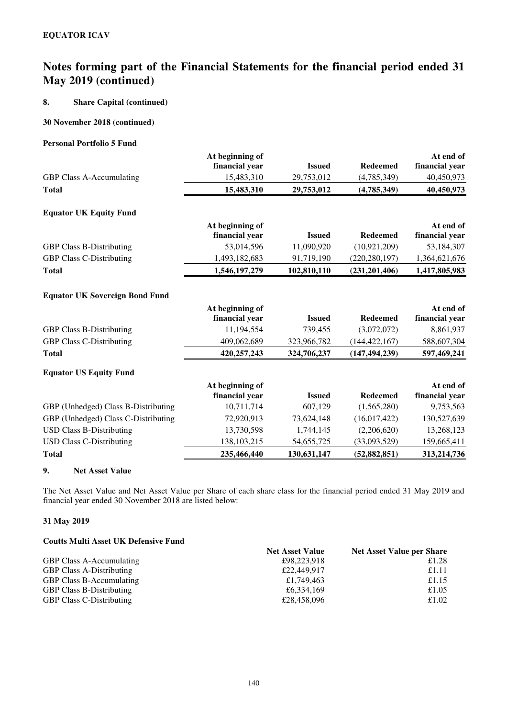### **8. Share Capital (continued)**

### **30 November 2018 (continued)**

### **Personal Portfolio 5 Fund**

|                                       | At beginning of |               |                 | At end of      |
|---------------------------------------|-----------------|---------------|-----------------|----------------|
|                                       | financial year  | <b>Issued</b> | <b>Redeemed</b> | financial year |
| <b>GBP Class A-Accumulating</b>       | 15,483,310      | 29,753,012    | (4,785,349)     | 40,450,973     |
| <b>Total</b>                          | 15,483,310      | 29,753,012    | (4,785,349)     | 40,450,973     |
| <b>Equator UK Equity Fund</b>         |                 |               |                 |                |
|                                       | At beginning of |               |                 | At end of      |
|                                       | financial year  | <b>Issued</b> | <b>Redeemed</b> | financial year |
| <b>GBP Class B-Distributing</b>       | 53,014,596      | 11,090,920    | (10, 921, 209)  | 53,184,307     |
| <b>GBP Class C-Distributing</b>       | 1,493,182,683   | 91,719,190    | (220, 280, 197) | 1,364,621,676  |
| <b>Total</b>                          | 1,546,197,279   | 102,810,110   | (231, 201, 406) | 1,417,805,983  |
| <b>Equator UK Sovereign Bond Fund</b> |                 |               |                 |                |
|                                       | At beginning of |               |                 | At end of      |
|                                       | financial year  | <b>Issued</b> | <b>Redeemed</b> | financial year |
| <b>GBP Class B-Distributing</b>       | 11,194,554      | 739,455       | (3,072,072)     | 8,861,937      |
| <b>GBP Class C-Distributing</b>       | 409,062,689     | 323,966,782   | (144, 422, 167) | 588,607,304    |
| <b>Total</b>                          | 420,257,243     | 324,706,237   | (147, 494, 239) | 597,469,241    |
| <b>Equator US Equity Fund</b>         |                 |               |                 |                |
|                                       | At beginning of |               |                 | At end of      |
|                                       | financial year  | <b>Issued</b> | <b>Redeemed</b> | financial year |
| GBP (Unhedged) Class B-Distributing   | 10,711,714      | 607,129       | (1,565,280)     | 9,753,563      |
| GBP (Unhedged) Class C-Distributing   | 72,920,913      | 73,624,148    | (16,017,422)    | 130,527,639    |
| <b>USD Class B-Distributing</b>       | 13,730,598      | 1,744,145     | (2,206,620)     | 13,268,123     |
| <b>USD Class C-Distributing</b>       | 138, 103, 215   | 54,655,725    | (33,093,529)    | 159,665,411    |
| <b>Total</b>                          | 235,466,440     | 130,631,147   | (52, 882, 851)  | 313,214,736    |

### **9. Net Asset Value**

The Net Asset Value and Net Asset Value per Share of each share class for the financial period ended 31 May 2019 and financial year ended 30 November 2018 are listed below:

### **31 May 2019**

### **Coutts Multi Asset UK Defensive Fund**

| Couns Mund Asset OR Defensive Fund |                        |                                  |
|------------------------------------|------------------------|----------------------------------|
|                                    | <b>Net Asset Value</b> | <b>Net Asset Value per Share</b> |
| <b>GBP Class A-Accumulating</b>    | £98,223,918            | £1.28                            |
| <b>GBP Class A-Distributing</b>    | £22,449,917            | £1.11                            |
| <b>GBP Class B-Accumulating</b>    | £1,749,463             | £1.15                            |
| <b>GBP Class B-Distributing</b>    | £6,334,169             | £1.05                            |
| <b>GBP Class C-Distributing</b>    | £28,458,096            | £1.02                            |
|                                    |                        |                                  |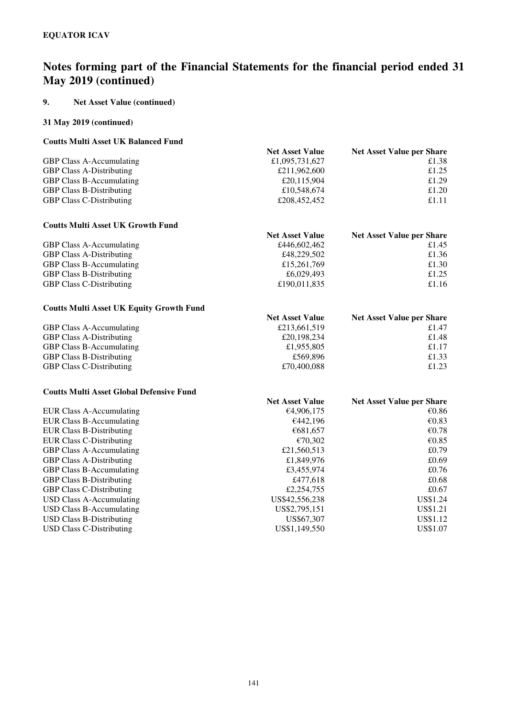### **9. Net Asset Value (continued)**

### **31 May 2019 (continued)**

### **Coutts Multi Asset UK Balanced Fund**

| <b>Net Asset Value</b> | <b>Net Asset Value per Share</b> |
|------------------------|----------------------------------|
| £1,095,731,627         | £1.38                            |
| £211,962,600           | £1.25                            |
| £20,115,904            | £1.29                            |
| £10,548,674            | £1.20                            |
| £208,452,452           | £1.11                            |
|                        |                                  |

### **Coutts Multi Asset UK Growth Fund**

| <u>County mann mount on show in a unu</u> |                        |                                  |
|-------------------------------------------|------------------------|----------------------------------|
|                                           | <b>Net Asset Value</b> | <b>Net Asset Value per Share</b> |
| <b>GBP Class A-Accumulating</b>           | £446,602,462           | £1.45                            |
| <b>GBP Class A-Distributing</b>           | £48,229,502            | £1.36                            |
| <b>GBP Class B-Accumulating</b>           | £15,261,769            | £1.30                            |
| <b>GBP Class B-Distributing</b>           | £6,029,493             | £1.25                            |
| <b>GBP Class C-Distributing</b>           | £190,011,835           | £1.16                            |
|                                           |                        |                                  |

### **Coutts Multi Asset UK Equity Growth Fund**

| Counts muiti Asset Cavalgary Growth I und |                        |                                  |
|-------------------------------------------|------------------------|----------------------------------|
|                                           | <b>Net Asset Value</b> | <b>Net Asset Value per Share</b> |
| <b>GBP Class A-Accumulating</b>           | £213,661,519           | £1.47                            |
| <b>GBP Class A-Distributing</b>           | £20,198,234            | £1.48                            |
| <b>GBP Class B-Accumulating</b>           | £1,955,805             | £1.17                            |
| <b>GBP Class B-Distributing</b>           | £569,896               | £1.33                            |
| <b>GBP Class C-Distributing</b>           | £70,400,088            | £1.23                            |
|                                           |                        |                                  |

### **Coutts Multi Asset Global Defensive Fund**

|                                 | <b>Net Asset Value</b> | <b>Net Asset Value per Share</b> |
|---------------------------------|------------------------|----------------------------------|
| EUR Class A-Accumulating        | €4,906,175             | €0.86                            |
| EUR Class B-Accumulating        | €442.196               | € $0.83$                         |
| EUR Class B-Distributing        | €681,657               | €0.78                            |
| <b>EUR Class C-Distributing</b> | €70.302                | € $0.85$                         |
| <b>GBP Class A-Accumulating</b> | £21,560,513            | £0.79                            |
| <b>GBP Class A-Distributing</b> | £1,849,976             | £0.69                            |
| <b>GBP Class B-Accumulating</b> | £3,455,974             | £0.76                            |
| <b>GBP Class B-Distributing</b> | £477.618               | £0.68                            |
| <b>GBP Class C-Distributing</b> | £2,254,755             | £0.67                            |
| USD Class A-Accumulating        | US\$42,556,238         | US\$1.24                         |
| USD Class B-Accumulating        | US\$2,795,151          | US\$1.21                         |
| USD Class B-Distributing        | US\$67.307             | US\$1.12                         |
| USD Class C-Distributing        | US\$1,149,550          | US\$1.07                         |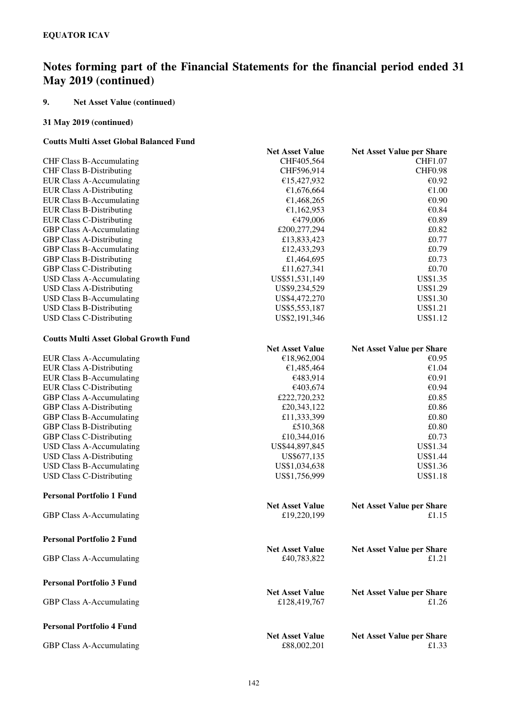## **9. Net Asset Value (continued)**

## **31 May 2019 (continued)**

### **Coutts Multi Asset Global Balanced Fund**

| Coutts Muiti Asset Giobal Dalanceu Fund      |                        |                                  |
|----------------------------------------------|------------------------|----------------------------------|
|                                              | <b>Net Asset Value</b> | <b>Net Asset Value per Share</b> |
| <b>CHF Class B-Accumulating</b>              | CHF405,564             | CHF1.07                          |
| <b>CHF Class B-Distributing</b>              | CHF596,914             | <b>CHF0.98</b>                   |
| <b>EUR Class A-Accumulating</b>              | €15,427,932            | €0.92                            |
| <b>EUR Class A-Distributing</b>              | €1,676,664             | €1.00                            |
| <b>EUR Class B-Accumulating</b>              | €1,468,265             | €0.90                            |
| <b>EUR Class B-Distributing</b>              | €1,162,953             | €0.84                            |
| <b>EUR Class C-Distributing</b>              | €479,006               | €0.89                            |
| <b>GBP Class A-Accumulating</b>              | £200,277,294           | £0.82                            |
| <b>GBP Class A-Distributing</b>              | £13,833,423            | £0.77                            |
| <b>GBP Class B-Accumulating</b>              | £12,433,293            | £0.79                            |
| <b>GBP Class B-Distributing</b>              | £1,464,695             | £0.73                            |
| <b>GBP Class C-Distributing</b>              | £11,627,341            | £0.70                            |
| <b>USD Class A-Accumulating</b>              | US\$51,531,149         | US\$1.35                         |
| <b>USD Class A-Distributing</b>              | US\$9,234,529          | US\$1.29                         |
| <b>USD Class B-Accumulating</b>              | US\$4,472,270          | US\$1.30                         |
| <b>USD Class B-Distributing</b>              | US\$5,553,187          | US\$1.21                         |
| <b>USD Class C-Distributing</b>              | US\$2,191,346          | US\$1.12                         |
| <b>Coutts Multi Asset Global Growth Fund</b> |                        |                                  |
|                                              | <b>Net Asset Value</b> | <b>Net Asset Value per Share</b> |
| <b>EUR Class A-Accumulating</b>              | €18,962,004            | €0.95                            |
| <b>EUR Class A-Distributing</b>              | €1,485,464             | €1.04                            |
| <b>EUR Class B-Accumulating</b>              | €483,914               | €0.91                            |
| <b>EUR Class C-Distributing</b>              | €403,674               | €0.94                            |
| GBP Class A-Accumulating                     | £222,720,232           | £0.85                            |
| <b>GBP Class A-Distributing</b>              | £20,343,122            | £0.86                            |
| <b>GBP Class B-Accumulating</b>              | £11,333,399            | £0.80                            |
| <b>GBP Class B-Distributing</b>              | £510,368               | £0.80                            |
| <b>GBP Class C-Distributing</b>              | £10,344,016            | £0.73                            |
| <b>USD Class A-Accumulating</b>              | US\$44,897,845         | US\$1.34                         |
| <b>USD Class A-Distributing</b>              | US\$677,135            | US\$1.44                         |
| <b>USD Class B-Accumulating</b>              | US\$1,034,638          | US\$1.36                         |
| <b>USD Class C-Distributing</b>              | US\$1,756,999          | <b>US\$1.18</b>                  |
| <b>Personal Portfolio 1 Fund</b>             |                        |                                  |
|                                              | <b>Net Asset Value</b> | <b>Net Asset Value per Share</b> |
| GBP Class A-Accumulating                     | £19,220,199            | £1.15                            |
| <b>Personal Portfolio 2 Fund</b>             |                        |                                  |
|                                              | <b>Net Asset Value</b> | <b>Net Asset Value per Share</b> |
| GBP Class A-Accumulating                     | £40,783,822            | £1.21                            |
| <b>Personal Portfolio 3 Fund</b>             |                        |                                  |
|                                              | <b>Net Asset Value</b> | <b>Net Asset Value per Share</b> |
| GBP Class A-Accumulating                     | £128,419,767           | £1.26                            |
| <b>Personal Portfolio 4 Fund</b>             |                        |                                  |
|                                              | <b>Net Asset Value</b> | <b>Net Asset Value per Share</b> |
| GBP Class A-Accumulating                     | £88,002,201            | £1.33                            |
|                                              |                        |                                  |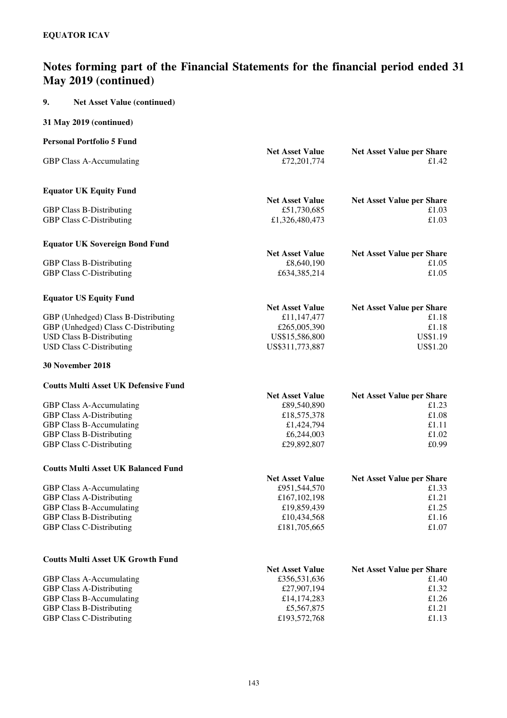## **9. Net Asset Value (continued)**

| <b>Personal Portfolio 5 Fund</b>                                           |                                       |                                           |
|----------------------------------------------------------------------------|---------------------------------------|-------------------------------------------|
| <b>GBP Class A-Accumulating</b>                                            | <b>Net Asset Value</b><br>£72,201,774 | <b>Net Asset Value per Share</b><br>£1.42 |
| <b>Equator UK Equity Fund</b>                                              |                                       |                                           |
| <b>GBP Class B-Distributing</b>                                            | <b>Net Asset Value</b><br>£51,730,685 | <b>Net Asset Value per Share</b><br>£1.03 |
| <b>GBP Class C-Distributing</b>                                            | £1,326,480,473                        | £1.03                                     |
| <b>Equator UK Sovereign Bond Fund</b>                                      |                                       |                                           |
|                                                                            | <b>Net Asset Value</b>                | <b>Net Asset Value per Share</b>          |
| <b>GBP Class B-Distributing</b><br><b>GBP Class C-Distributing</b>         | £8,640,190<br>£634,385,214            | £1.05<br>£1.05                            |
| <b>Equator US Equity Fund</b>                                              |                                       |                                           |
|                                                                            | <b>Net Asset Value</b>                | <b>Net Asset Value per Share</b>          |
| GBP (Unhedged) Class B-Distributing<br>GBP (Unhedged) Class C-Distributing | £11,147,477<br>£265,005,390           | £1.18<br>£1.18                            |
| <b>USD Class B-Distributing</b>                                            | US\$15,586,800                        | US\$1.19                                  |
| <b>USD Class C-Distributing</b>                                            | US\$311,773,887                       | <b>US\$1.20</b>                           |
| 30 November 2018                                                           |                                       |                                           |
| <b>Coutts Multi Asset UK Defensive Fund</b>                                |                                       |                                           |
|                                                                            | <b>Net Asset Value</b>                | <b>Net Asset Value per Share</b>          |
| GBP Class A-Accumulating                                                   | £89,540,890                           | £1.23<br>£1.08                            |
| <b>GBP Class A-Distributing</b><br><b>GBP Class B-Accumulating</b>         | £18,575,378<br>£1,424,794             | £1.11                                     |
| <b>GBP Class B-Distributing</b>                                            | £6,244,003                            | £1.02                                     |
| <b>GBP Class C-Distributing</b>                                            | £29,892,807                           | £0.99                                     |
| <b>Coutts Multi Asset UK Balanced Fund</b>                                 |                                       |                                           |
|                                                                            | <b>Net Asset Value</b>                | <b>Net Asset Value per Share</b>          |
| <b>GBP Class A-Accumulating</b>                                            | £951,544,570                          | £1.33                                     |
| <b>GBP Class A-Distributing</b>                                            | £167,102,198                          | £1.21                                     |
| <b>GBP Class B-Accumulating</b>                                            | £19,859,439                           | £1.25                                     |
| <b>GBP Class B-Distributing</b>                                            | £10,434,568                           | £1.16                                     |
| <b>GBP Class C-Distributing</b>                                            | £181,705,665                          | £1.07                                     |
| <b>Coutts Multi Asset UK Growth Fund</b>                                   |                                       |                                           |
|                                                                            | <b>Net Asset Value</b>                | <b>Net Asset Value per Share</b>          |
| <b>GBP Class A-Accumulating</b>                                            | £356,531,636                          | £1.40                                     |
| <b>GBP Class A-Distributing</b>                                            | £27,907,194                           | £1.32                                     |
| <b>GBP Class B-Accumulating</b>                                            | £14,174,283                           | £1.26                                     |
| <b>GBP Class B-Distributing</b>                                            | £5,567,875                            | £1.21                                     |
| <b>GBP Class C-Distributing</b>                                            | £193,572,768                          | £1.13                                     |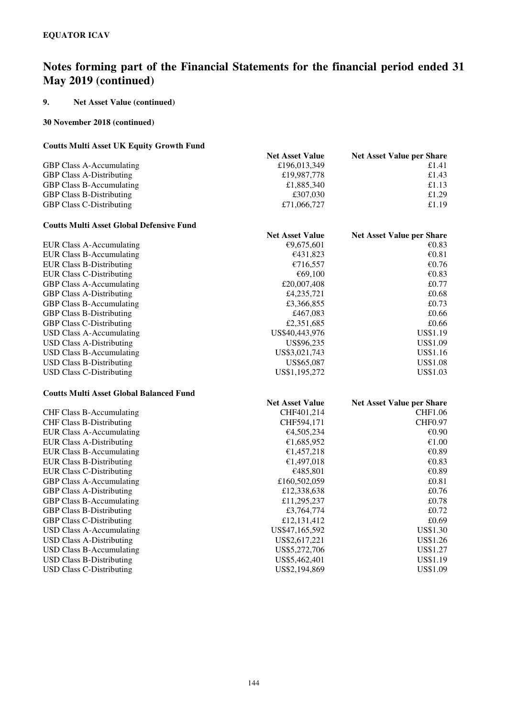### **9. Net Asset Value (continued)**

#### **30 November 2018 (continued)**

#### **Coutts Multi Asset UK Equity Growth Fund**

|                                 | <b>Net Asset Value</b> | <b>Net Asset Value per Share</b> |
|---------------------------------|------------------------|----------------------------------|
| <b>GBP Class A-Accumulating</b> | £196,013,349           | £1.41                            |
| <b>GBP Class A-Distributing</b> | £19,987,778            | £1.43                            |
| <b>GBP Class B-Accumulating</b> | £1,885,340             | £1.13                            |
| <b>GBP Class B-Distributing</b> | £307,030               | £1.29                            |
| <b>GBP Class C-Distributing</b> | £71,066,727            | £1.19                            |

#### **Coutts Multi Asset Global Defensive Fund**

| Coutto mand more choodi Defensive I unu |                        |                                  |
|-----------------------------------------|------------------------|----------------------------------|
|                                         | <b>Net Asset Value</b> | <b>Net Asset Value per Share</b> |
| EUR Class A-Accumulating                | €9.675.601             | €0.83                            |
| EUR Class B-Accumulating                | €431.823               | € $0.81$                         |
| <b>EUR Class B-Distributing</b>         | €716.557               | €0.76                            |
| EUR Class C-Distributing                | €69.100                | €0.83                            |
| <b>GBP Class A-Accumulating</b>         | £20,007,408            | £0.77                            |
| <b>GBP Class A-Distributing</b>         | £4,235,721             | £0.68                            |
| <b>GBP Class B-Accumulating</b>         | £3,366,855             | £0.73                            |
| <b>GBP Class B-Distributing</b>         | £467,083               | £0.66                            |
| <b>GBP Class C-Distributing</b>         | £2,351,685             | £0.66                            |
| USD Class A-Accumulating                | US\$40,443,976         | <b>US\$1.19</b>                  |
| <b>USD Class A-Distributing</b>         | US\$96,235             | US\$1.09                         |
| USD Class B-Accumulating                | US\$3,021,743          | US\$1.16                         |
| USD Class B-Distributing                | US\$65,087             | US\$1.08                         |
| USD Class C-Distributing                | US\$1,195,272          | US\$1.03                         |
|                                         |                        |                                  |

#### **Coutts Multi Asset Global Balanced Fund**

|                                 | <b>Net Asset Value</b> | <b>Net Asset Value per Share</b> |
|---------------------------------|------------------------|----------------------------------|
| <b>CHF Class B-Accumulating</b> | CHF401.214             | CHF1.06                          |
| <b>CHF Class B-Distributing</b> | CHF594,171             | <b>CHF0.97</b>                   |
| <b>EUR Class A-Accumulating</b> | €4,505,234             | €0.90                            |
| <b>EUR Class A-Distributing</b> | €1,685,952             | €1.00                            |
| <b>EUR Class B-Accumulating</b> | €1,457,218             | €0.89                            |
| <b>EUR Class B-Distributing</b> | €1,497,018             | €0.83                            |
| <b>EUR Class C-Distributing</b> | €485,801               | €0.89                            |
| <b>GBP Class A-Accumulating</b> | £160,502,059           | £0.81                            |
| <b>GBP Class A-Distributing</b> | £12,338,638            | £0.76                            |
| <b>GBP Class B-Accumulating</b> | £11,295,237            | £0.78                            |
| <b>GBP Class B-Distributing</b> | £3,764,774             | £0.72                            |
| <b>GBP Class C-Distributing</b> | £12,131,412            | £0.69                            |
| USD Class A-Accumulating        | US\$47,165,592         | US\$1.30                         |
| <b>USD Class A-Distributing</b> | US\$2,617,221          | US\$1.26                         |
| USD Class B-Accumulating        | US\$5,272,706          | US\$1.27                         |
| <b>USD Class B-Distributing</b> | US\$5,462,401          | US\$1.19                         |
| <b>USD Class C-Distributing</b> | US\$2,194,869          | US\$1.09                         |
|                                 |                        |                                  |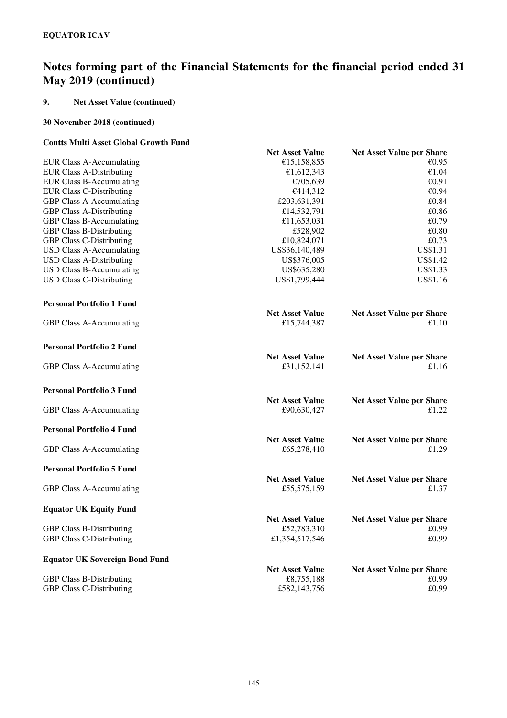## **9. Net Asset Value (continued)**

### **30 November 2018 (continued)**

### **Coutts Multi Asset Global Growth Fund**

| aus Mani Assu Giobal Glowin Fang      |                        |                                  |
|---------------------------------------|------------------------|----------------------------------|
|                                       | <b>Net Asset Value</b> | <b>Net Asset Value per Share</b> |
| EUR Class A-Accumulating              | €15,158,855            | €0.95                            |
| <b>EUR Class A-Distributing</b>       | €1,612,343             | €1.04                            |
| <b>EUR Class B-Accumulating</b>       | €705,639               | €0.91                            |
| <b>EUR Class C-Distributing</b>       | €414,312               | €0.94                            |
| GBP Class A-Accumulating              | £203,631,391           | £0.84                            |
| <b>GBP Class A-Distributing</b>       | £14,532,791            | £0.86                            |
| <b>GBP Class B-Accumulating</b>       | £11,653,031            | £0.79                            |
| <b>GBP Class B-Distributing</b>       | £528,902               | £0.80                            |
| <b>GBP Class C-Distributing</b>       | £10,824,071            | £0.73                            |
| <b>USD Class A-Accumulating</b>       | US\$36,140,489         | US\$1.31                         |
| <b>USD Class A-Distributing</b>       | US\$376,005            | US\$1.42                         |
| <b>USD Class B-Accumulating</b>       | US\$635,280            | US\$1.33                         |
|                                       | US\$1,799,444          | US\$1.16                         |
| <b>USD Class C-Distributing</b>       |                        |                                  |
| <b>Personal Portfolio 1 Fund</b>      |                        |                                  |
|                                       | <b>Net Asset Value</b> | <b>Net Asset Value per Share</b> |
| GBP Class A-Accumulating              | £15,744,387            | £1.10                            |
|                                       |                        |                                  |
| <b>Personal Portfolio 2 Fund</b>      |                        |                                  |
|                                       | <b>Net Asset Value</b> | <b>Net Asset Value per Share</b> |
| GBP Class A-Accumulating              | £31,152,141            | £1.16                            |
|                                       |                        |                                  |
| <b>Personal Portfolio 3 Fund</b>      |                        |                                  |
|                                       | <b>Net Asset Value</b> | <b>Net Asset Value per Share</b> |
| GBP Class A-Accumulating              | £90,630,427            | £1.22                            |
|                                       |                        |                                  |
| <b>Personal Portfolio 4 Fund</b>      |                        |                                  |
|                                       | <b>Net Asset Value</b> | <b>Net Asset Value per Share</b> |
| GBP Class A-Accumulating              | £65,278,410            | £1.29                            |
| <b>Personal Portfolio 5 Fund</b>      |                        |                                  |
|                                       | <b>Net Asset Value</b> | <b>Net Asset Value per Share</b> |
|                                       | £55,575,159            | £1.37                            |
| GBP Class A-Accumulating              |                        |                                  |
| <b>Equator UK Equity Fund</b>         |                        |                                  |
|                                       | <b>Net Asset Value</b> | <b>Net Asset Value per Share</b> |
| <b>GBP Class B-Distributing</b>       | £52,783,310            | £0.99                            |
| <b>GBP Class C-Distributing</b>       | £1,354,517,546         | £0.99                            |
|                                       |                        |                                  |
| <b>Equator UK Sovereign Bond Fund</b> |                        |                                  |
|                                       | <b>Net Asset Value</b> | <b>Net Asset Value per Share</b> |
| <b>GBP Class B-Distributing</b>       | £8,755,188             | £0.99                            |
| <b>GBP Class C-Distributing</b>       | £582,143,756           | £0.99                            |
|                                       |                        |                                  |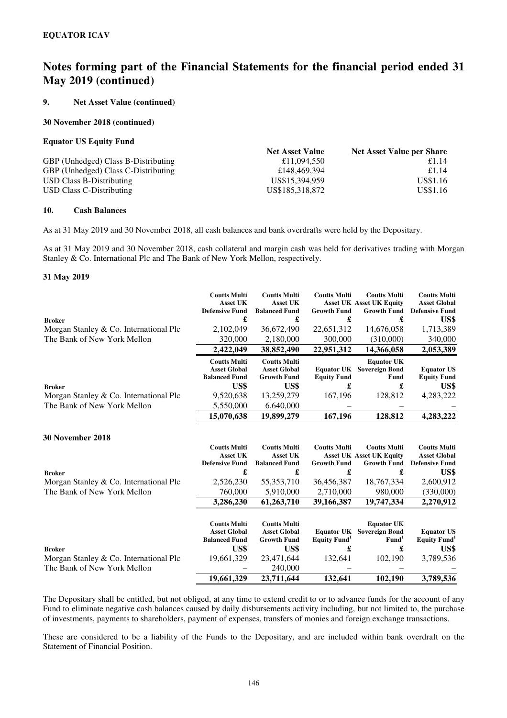#### **9. Net Asset Value (continued)**

#### **30 November 2018 (continued)**

#### **Equator US Equity Fund**

|                                     | <b>Net Asset Value</b> | <b>Net Asset Value per Share</b> |
|-------------------------------------|------------------------|----------------------------------|
| GBP (Unhedged) Class B-Distributing | £11,094,550            | £1.14                            |
| GBP (Unhedged) Class C-Distributing | £148,469,394           | £1.14                            |
| USD Class B-Distributing            | US\$15.394.959         | US\$1.16                         |
| USD Class C-Distributing            | US\$185,318,872        | US\$1.16                         |

#### **10. Cash Balances**

As at 31 May 2019 and 30 November 2018, all cash balances and bank overdrafts were held by the Depositary.

As at 31 May 2019 and 30 November 2018, cash collateral and margin cash was held for derivatives trading with Morgan Stanley & Co. International Plc and The Bank of New York Mellon, respectively.

#### **31 May 2019**

|                                          | <b>Coutts Multi</b>   | <b>Coutts Multi</b>  | <b>Coutts Multi</b>             | <b>Coutts Multi</b>             | <b>Coutts Multi</b>      |
|------------------------------------------|-----------------------|----------------------|---------------------------------|---------------------------------|--------------------------|
|                                          | <b>Asset UK</b>       | <b>Asset UK</b>      |                                 | <b>Asset UK Asset UK Equity</b> | <b>Asset Global</b>      |
|                                          | <b>Defensive Fund</b> | <b>Balanced Fund</b> | <b>Growth Fund</b>              | <b>Growth Fund</b>              | <b>Defensive Fund</b>    |
| <b>Broker</b>                            | £                     | £                    | £                               | £                               | US\$                     |
| Morgan Stanley & Co. International Plc   | 2,102,049             | 36,672,490           | 22,651,312                      | 14,676,058                      | 1,713,389                |
| The Bank of New York Mellon              | 320,000               | 2,180,000            | 300,000                         | (310,000)                       | 340,000                  |
|                                          | 2,422,049             | 38,852,490           | 22,951,312                      | 14,366,058                      | 2,053,389                |
|                                          | <b>Coutts Multi</b>   | <b>Coutts Multi</b>  |                                 | <b>Equator UK</b>               |                          |
|                                          | <b>Asset Global</b>   | <b>Asset Global</b>  | <b>Equator UK</b>               | <b>Sovereign Bond</b>           | <b>Equator US</b>        |
|                                          | <b>Balanced Fund</b>  | <b>Growth Fund</b>   | <b>Equity Fund</b>              | Fund                            | <b>Equity Fund</b>       |
| <b>Broker</b>                            | US\$                  | US\$                 | £                               | £                               | US\$                     |
| Morgan Stanley & Co. International Plc   | 9,520,638             | 13,259,279           | 167,196                         | 128,812                         | 4,283,222                |
| The Bank of New York Mellon              | 5,550,000             | 6,640,000            |                                 |                                 |                          |
|                                          | 15,070,638            | 19,899,279           | 167,196                         | 128,812                         | 4,283,222                |
|                                          |                       |                      |                                 |                                 |                          |
| <b>30 November 2018</b>                  |                       |                      |                                 |                                 |                          |
|                                          | <b>Coutts Multi</b>   | <b>Coutts Multi</b>  | <b>Coutts Multi</b>             | <b>Coutts Multi</b>             | <b>Coutts Multi</b>      |
|                                          | <b>Asset UK</b>       | <b>Asset UK</b>      |                                 | <b>Asset UK Asset UK Equity</b> | <b>Asset Global</b>      |
|                                          | <b>Defensive Fund</b> | <b>Balanced Fund</b> | <b>Growth Fund</b>              | <b>Growth Fund</b>              | <b>Defensive Fund</b>    |
| <b>Broker</b>                            | £                     | £                    | £                               | £                               | US\$                     |
| Morgan Stanley $& Co.$ International Plc | 2,526,230             | 55, 353, 710         | 36,456,387                      | 18,767,334                      | 2,600,912                |
| The Bank of New York Mellon              | 760,000               | 5,910,000            | 2,710,000                       | 980,000                         | (330,000)                |
|                                          | 3,286,230             | 61,263,710           | 39,166,387                      | 19,747,334                      | 2,270,912                |
|                                          |                       |                      |                                 |                                 |                          |
|                                          | <b>Coutts Multi</b>   | <b>Coutts Multi</b>  |                                 | <b>Equator UK</b>               |                          |
|                                          | <b>Asset Global</b>   | <b>Asset Global</b>  | <b>Equator UK</b>               | <b>Sovereign Bond</b>           | <b>Equator US</b>        |
|                                          | <b>Balanced Fund</b>  | <b>Growth Fund</b>   | <b>Equity Fund</b> <sup>1</sup> | Fund <sup>1</sup>               | Equity Fund <sup>1</sup> |
| <b>Broker</b>                            | US\$                  | US\$                 | £                               | £                               | US\$                     |
| Morgan Stanley & Co. International Plc   | 19,661,329            | 23,471,644           | 132,641                         | 102,190                         | 3,789,536                |
| The Bank of New York Mellon              |                       | 240,000              |                                 |                                 |                          |
|                                          | 19,661,329            | 23,711,644           | 132,641                         | 102,190                         | 3,789,536                |

The Depositary shall be entitled, but not obliged, at any time to extend credit to or to advance funds for the account of any Fund to eliminate negative cash balances caused by daily disbursements activity including, but not limited to, the purchase of investments, payments to shareholders, payment of expenses, transfers of monies and foreign exchange transactions.

These are considered to be a liability of the Funds to the Depositary, and are included within bank overdraft on the Statement of Financial Position.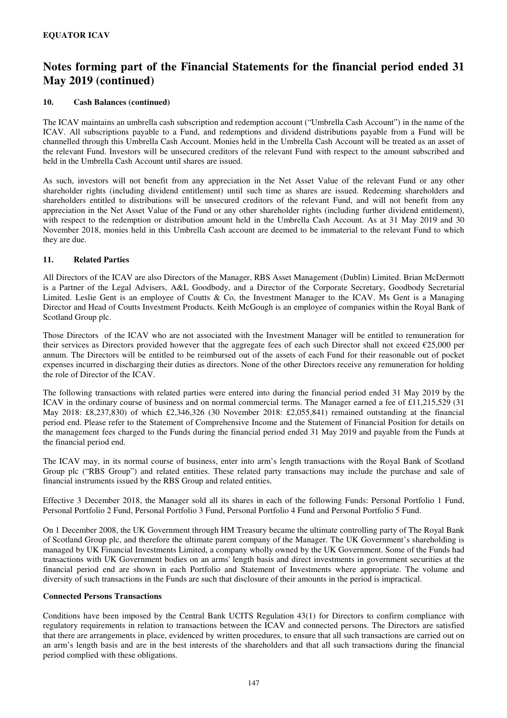#### **10. Cash Balances (continued)**

The ICAV maintains an umbrella cash subscription and redemption account ("Umbrella Cash Account") in the name of the ICAV. All subscriptions payable to a Fund, and redemptions and dividend distributions payable from a Fund will be channelled through this Umbrella Cash Account. Monies held in the Umbrella Cash Account will be treated as an asset of the relevant Fund. Investors will be unsecured creditors of the relevant Fund with respect to the amount subscribed and held in the Umbrella Cash Account until shares are issued.

As such, investors will not benefit from any appreciation in the Net Asset Value of the relevant Fund or any other shareholder rights (including dividend entitlement) until such time as shares are issued. Redeeming shareholders and shareholders entitled to distributions will be unsecured creditors of the relevant Fund, and will not benefit from any appreciation in the Net Asset Value of the Fund or any other shareholder rights (including further dividend entitlement), with respect to the redemption or distribution amount held in the Umbrella Cash Account. As at 31 May 2019 and 30 November 2018, monies held in this Umbrella Cash account are deemed to be immaterial to the relevant Fund to which they are due.

#### **11. Related Parties**

All Directors of the ICAV are also Directors of the Manager, RBS Asset Management (Dublin) Limited. Brian McDermott is a Partner of the Legal Advisers, A&L Goodbody, and a Director of the Corporate Secretary, Goodbody Secretarial Limited. Leslie Gent is an employee of Coutts & Co, the Investment Manager to the ICAV. Ms Gent is a Managing Director and Head of Coutts Investment Products. Keith McGough is an employee of companies within the Royal Bank of Scotland Group plc.

Those Directors of the ICAV who are not associated with the Investment Manager will be entitled to remuneration for their services as Directors provided however that the aggregate fees of each such Director shall not exceed €25,000 per annum. The Directors will be entitled to be reimbursed out of the assets of each Fund for their reasonable out of pocket expenses incurred in discharging their duties as directors. None of the other Directors receive any remuneration for holding the role of Director of the ICAV.

The following transactions with related parties were entered into during the financial period ended 31 May 2019 by the ICAV in the ordinary course of business and on normal commercial terms. The Manager earned a fee of £11,215,529 (31 May 2018: £8,237,830) of which £2,346,326 (30 November 2018: £2,055,841) remained outstanding at the financial period end. Please refer to the Statement of Comprehensive Income and the Statement of Financial Position for details on the management fees charged to the Funds during the financial period ended 31 May 2019 and payable from the Funds at the financial period end.

The ICAV may, in its normal course of business, enter into arm's length transactions with the Royal Bank of Scotland Group plc ("RBS Group") and related entities. These related party transactions may include the purchase and sale of financial instruments issued by the RBS Group and related entities.

Effective 3 December 2018, the Manager sold all its shares in each of the following Funds: Personal Portfolio 1 Fund, Personal Portfolio 2 Fund, Personal Portfolio 3 Fund, Personal Portfolio 4 Fund and Personal Portfolio 5 Fund.

On 1 December 2008, the UK Government through HM Treasury became the ultimate controlling party of The Royal Bank of Scotland Group plc, and therefore the ultimate parent company of the Manager. The UK Government's shareholding is managed by UK Financial Investments Limited, a company wholly owned by the UK Government. Some of the Funds had transactions with UK Government bodies on an arms' length basis and direct investments in government securities at the financial period end are shown in each Portfolio and Statement of Investments where appropriate. The volume and diversity of such transactions in the Funds are such that disclosure of their amounts in the period is impractical.

### **Connected Persons Transactions**

Conditions have been imposed by the Central Bank UCITS Regulation 43(1) for Directors to confirm compliance with regulatory requirements in relation to transactions between the ICAV and connected persons. The Directors are satisfied that there are arrangements in place, evidenced by written procedures, to ensure that all such transactions are carried out on an arm's length basis and are in the best interests of the shareholders and that all such transactions during the financial period complied with these obligations.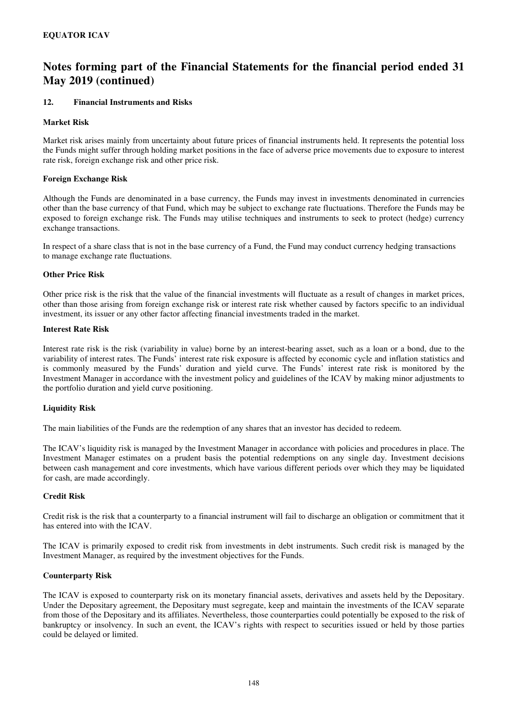#### **12. Financial Instruments and Risks**

#### **Market Risk**

Market risk arises mainly from uncertainty about future prices of financial instruments held. It represents the potential loss the Funds might suffer through holding market positions in the face of adverse price movements due to exposure to interest rate risk, foreign exchange risk and other price risk.

#### **Foreign Exchange Risk**

Although the Funds are denominated in a base currency, the Funds may invest in investments denominated in currencies other than the base currency of that Fund, which may be subject to exchange rate fluctuations. Therefore the Funds may be exposed to foreign exchange risk. The Funds may utilise techniques and instruments to seek to protect (hedge) currency exchange transactions.

In respect of a share class that is not in the base currency of a Fund, the Fund may conduct currency hedging transactions to manage exchange rate fluctuations.

#### **Other Price Risk**

Other price risk is the risk that the value of the financial investments will fluctuate as a result of changes in market prices, other than those arising from foreign exchange risk or interest rate risk whether caused by factors specific to an individual investment, its issuer or any other factor affecting financial investments traded in the market.

#### **Interest Rate Risk**

Interest rate risk is the risk (variability in value) borne by an interest-bearing asset, such as a loan or a bond, due to the variability of interest rates. The Funds' interest rate risk exposure is affected by economic cycle and inflation statistics and is commonly measured by the Funds' duration and yield curve. The Funds' interest rate risk is monitored by the Investment Manager in accordance with the investment policy and guidelines of the ICAV by making minor adjustments to the portfolio duration and yield curve positioning.

#### **Liquidity Risk**

The main liabilities of the Funds are the redemption of any shares that an investor has decided to redeem.

The ICAV's liquidity risk is managed by the Investment Manager in accordance with policies and procedures in place. The Investment Manager estimates on a prudent basis the potential redemptions on any single day. Investment decisions between cash management and core investments, which have various different periods over which they may be liquidated for cash, are made accordingly.

#### **Credit Risk**

Credit risk is the risk that a counterparty to a financial instrument will fail to discharge an obligation or commitment that it has entered into with the ICAV.

The ICAV is primarily exposed to credit risk from investments in debt instruments. Such credit risk is managed by the Investment Manager, as required by the investment objectives for the Funds.

#### **Counterparty Risk**

The ICAV is exposed to counterparty risk on its monetary financial assets, derivatives and assets held by the Depositary. Under the Depositary agreement, the Depositary must segregate, keep and maintain the investments of the ICAV separate from those of the Depositary and its affiliates. Nevertheless, those counterparties could potentially be exposed to the risk of bankruptcy or insolvency. In such an event, the ICAV's rights with respect to securities issued or held by those parties could be delayed or limited.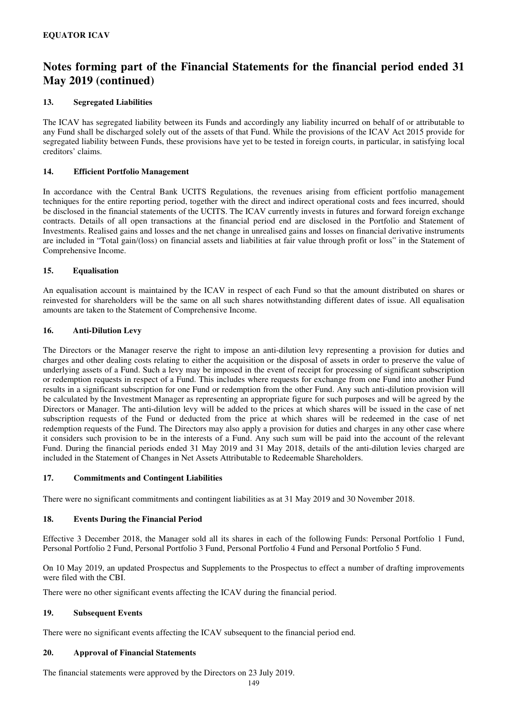### **13. Segregated Liabilities**

The ICAV has segregated liability between its Funds and accordingly any liability incurred on behalf of or attributable to any Fund shall be discharged solely out of the assets of that Fund. While the provisions of the ICAV Act 2015 provide for segregated liability between Funds, these provisions have yet to be tested in foreign courts, in particular, in satisfying local creditors' claims.

#### **14. Efficient Portfolio Management**

In accordance with the Central Bank UCITS Regulations, the revenues arising from efficient portfolio management techniques for the entire reporting period, together with the direct and indirect operational costs and fees incurred, should be disclosed in the financial statements of the UCITS. The ICAV currently invests in futures and forward foreign exchange contracts. Details of all open transactions at the financial period end are disclosed in the Portfolio and Statement of Investments. Realised gains and losses and the net change in unrealised gains and losses on financial derivative instruments are included in "Total gain/(loss) on financial assets and liabilities at fair value through profit or loss" in the Statement of Comprehensive Income.

### **15. Equalisation**

An equalisation account is maintained by the ICAV in respect of each Fund so that the amount distributed on shares or reinvested for shareholders will be the same on all such shares notwithstanding different dates of issue. All equalisation amounts are taken to the Statement of Comprehensive Income.

### **16. Anti-Dilution Levy**

The Directors or the Manager reserve the right to impose an anti-dilution levy representing a provision for duties and charges and other dealing costs relating to either the acquisition or the disposal of assets in order to preserve the value of underlying assets of a Fund. Such a levy may be imposed in the event of receipt for processing of significant subscription or redemption requests in respect of a Fund. This includes where requests for exchange from one Fund into another Fund results in a significant subscription for one Fund or redemption from the other Fund. Any such anti-dilution provision will be calculated by the Investment Manager as representing an appropriate figure for such purposes and will be agreed by the Directors or Manager. The anti-dilution levy will be added to the prices at which shares will be issued in the case of net subscription requests of the Fund or deducted from the price at which shares will be redeemed in the case of net redemption requests of the Fund. The Directors may also apply a provision for duties and charges in any other case where it considers such provision to be in the interests of a Fund. Any such sum will be paid into the account of the relevant Fund. During the financial periods ended 31 May 2019 and 31 May 2018, details of the anti-dilution levies charged are included in the Statement of Changes in Net Assets Attributable to Redeemable Shareholders.

#### **17. Commitments and Contingent Liabilities**

There were no significant commitments and contingent liabilities as at 31 May 2019 and 30 November 2018.

#### **18. Events During the Financial Period**

Effective 3 December 2018, the Manager sold all its shares in each of the following Funds: Personal Portfolio 1 Fund, Personal Portfolio 2 Fund, Personal Portfolio 3 Fund, Personal Portfolio 4 Fund and Personal Portfolio 5 Fund.

On 10 May 2019, an updated Prospectus and Supplements to the Prospectus to effect a number of drafting improvements were filed with the CBI.

There were no other significant events affecting the ICAV during the financial period.

#### **19. Subsequent Events**

There were no significant events affecting the ICAV subsequent to the financial period end.

#### **20. Approval of Financial Statements**

The financial statements were approved by the Directors on 23 July 2019.